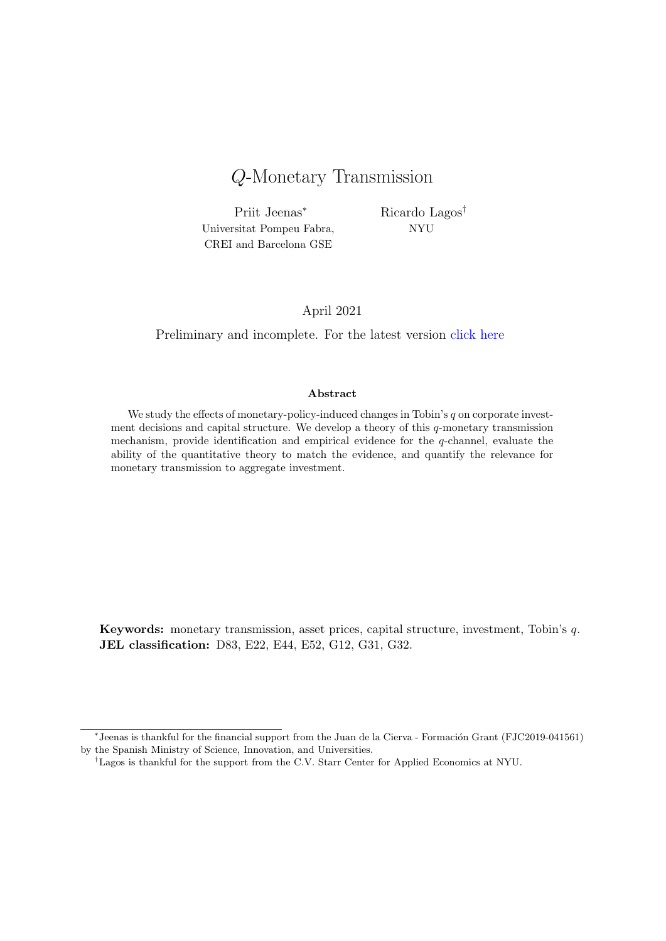# Q-Monetary Transmission

Priit Jeenas<sup>∗</sup> Universitat Pompeu Fabra, CREI and Barcelona GSE

Ricardo Lagos† NYU

#### April 2021

Preliminary and incomplete. For the latest version [click here](https://sites.google.com/site/priitjeenas/research)

#### Abstract

We study the effects of monetary-policy-induced changes in Tobin's  $q$  on corporate investment decisions and capital structure. We develop a theory of this  $q$ -monetary transmission mechanism, provide identification and empirical evidence for the  $q$ -channel, evaluate the ability of the quantitative theory to match the evidence, and quantify the relevance for monetary transmission to aggregate investment.

Keywords: monetary transmission, asset prices, capital structure, investment, Tobin's q. JEL classification: D83, E22, E44, E52, G12, G31, G32.

<sup>\*</sup>Jeenas is thankful for the financial support from the Juan de la Cierva - Formación Grant (FJC2019-041561) by the Spanish Ministry of Science, Innovation, and Universities.

<sup>†</sup>Lagos is thankful for the support from the C.V. Starr Center for Applied Economics at NYU.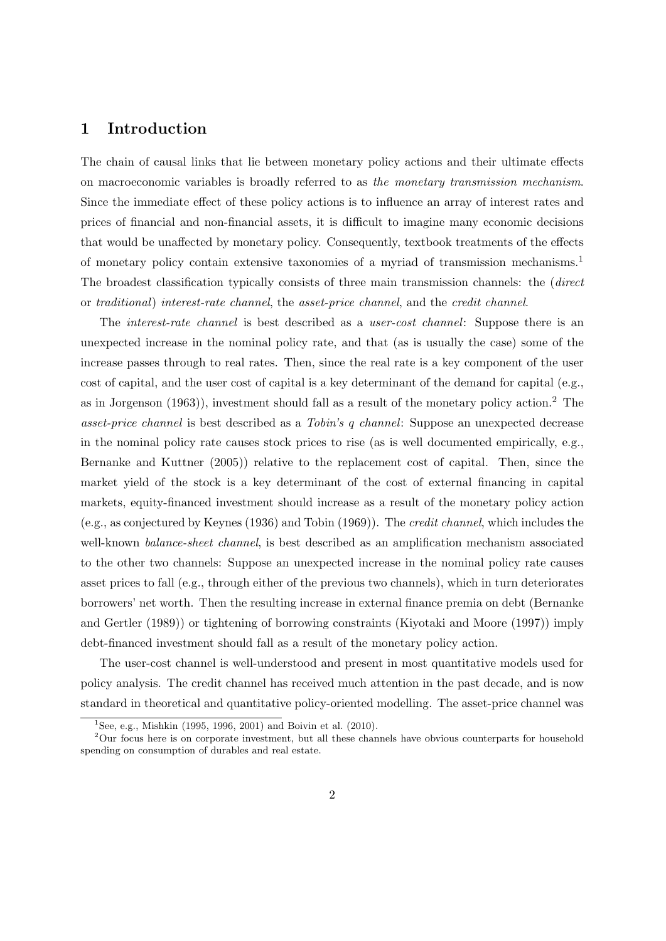## 1 Introduction

The chain of causal links that lie between monetary policy actions and their ultimate effects on macroeconomic variables is broadly referred to as the monetary transmission mechanism. Since the immediate effect of these policy actions is to influence an array of interest rates and prices of financial and non-financial assets, it is difficult to imagine many economic decisions that would be unaffected by monetary policy. Consequently, textbook treatments of the effects of monetary policy contain extensive taxonomies of a myriad of transmission mechanisms.[1](#page-1-0) The broadest classification typically consists of three main transmission channels: the (direct or traditional) interest-rate channel, the asset-price channel, and the credit channel.

The interest-rate channel is best described as a user-cost channel: Suppose there is an unexpected increase in the nominal policy rate, and that (as is usually the case) some of the increase passes through to real rates. Then, since the real rate is a key component of the user cost of capital, and the user cost of capital is a key determinant of the demand for capital (e.g., as in [Jorgenson](#page-54-0) [\(1963\)](#page-54-0)), investment should fall as a result of the monetary policy action.[2](#page-1-1) The asset-price channel is best described as a Tobin's q channel: Suppose an unexpected decrease in the nominal policy rate causes stock prices to rise (as is well documented empirically, e.g., [Bernanke and Kuttner](#page-52-0) [\(2005\)](#page-52-0)) relative to the replacement cost of capital. Then, since the market yield of the stock is a key determinant of the cost of external financing in capital markets, equity-financed investment should increase as a result of the monetary policy action (e.g., as conjectured by [Keynes](#page-54-1) [\(1936\)](#page-54-1) and [Tobin](#page-56-0) [\(1969\)](#page-56-0)). The credit channel, which includes the well-known *balance-sheet channel*, is best described as an amplification mechanism associated to the other two channels: Suppose an unexpected increase in the nominal policy rate causes asset prices to fall (e.g., through either of the previous two channels), which in turn deteriorates borrowers' net worth. Then the resulting increase in external finance premia on debt [\(Bernanke](#page-52-1) [and Gertler](#page-52-1) [\(1989\)](#page-52-1)) or tightening of borrowing constraints [\(Kiyotaki and Moore](#page-54-2) [\(1997\)](#page-54-2)) imply debt-financed investment should fall as a result of the monetary policy action.

The user-cost channel is well-understood and present in most quantitative models used for policy analysis. The credit channel has received much attention in the past decade, and is now standard in theoretical and quantitative policy-oriented modelling. The asset-price channel was

<span id="page-1-1"></span><span id="page-1-0"></span><sup>&</sup>lt;sup>1</sup>See, e.g., [Mishkin](#page-55-0) [\(1995,](#page-55-0) [1996,](#page-55-1) [2001\)](#page-55-2) and [Boivin et al.](#page-52-2) [\(2010\)](#page-52-2).

<sup>&</sup>lt;sup>2</sup>Our focus here is on corporate investment, but all these channels have obvious counterparts for household spending on consumption of durables and real estate.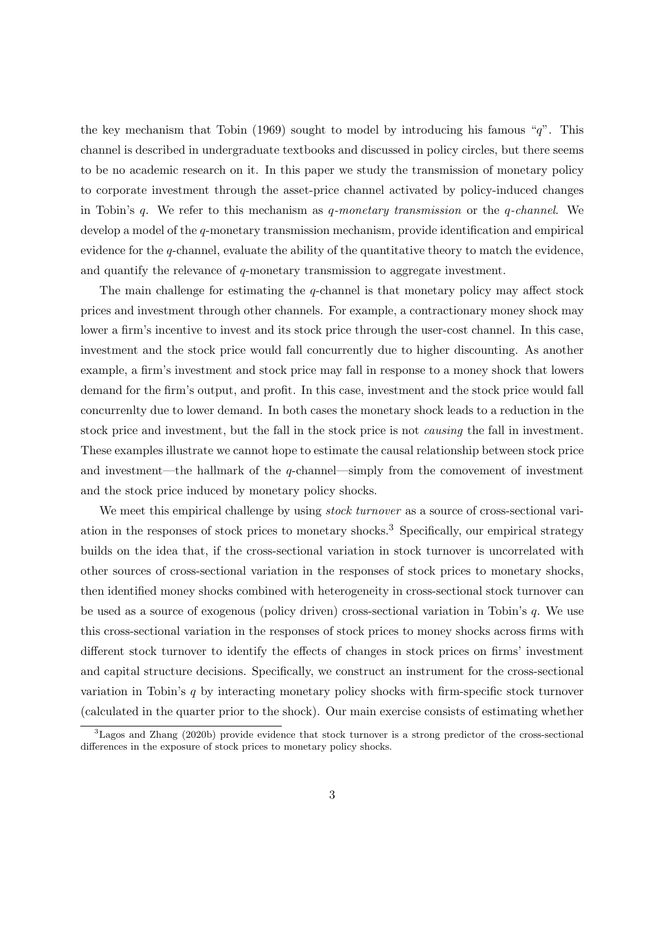the key mechanism that [Tobin](#page-56-0) [\(1969\)](#page-56-0) sought to model by introducing his famous "q". This channel is described in undergraduate textbooks and discussed in policy circles, but there seems to be no academic research on it. In this paper we study the transmission of monetary policy to corporate investment through the asset-price channel activated by policy-induced changes in Tobin's q. We refer to this mechanism as q-monetary transmission or the q-channel. We develop a model of the q-monetary transmission mechanism, provide identification and empirical evidence for the  $q$ -channel, evaluate the ability of the quantitative theory to match the evidence, and quantify the relevance of q-monetary transmission to aggregate investment.

The main challenge for estimating the  $q$ -channel is that monetary policy may affect stock prices and investment through other channels. For example, a contractionary money shock may lower a firm's incentive to invest and its stock price through the user-cost channel. In this case, investment and the stock price would fall concurrently due to higher discounting. As another example, a firm's investment and stock price may fall in response to a money shock that lowers demand for the firm's output, and profit. In this case, investment and the stock price would fall concurrenlty due to lower demand. In both cases the monetary shock leads to a reduction in the stock price and investment, but the fall in the stock price is not causing the fall in investment. These examples illustrate we cannot hope to estimate the causal relationship between stock price and investment—the hallmark of the  $q$ -channel—simply from the comovement of investment and the stock price induced by monetary policy shocks.

We meet this empirical challenge by using *stock turnover* as a source of cross-sectional variation in the responses of stock prices to monetary shocks.[3](#page-2-0) Specifically, our empirical strategy builds on the idea that, if the cross-sectional variation in stock turnover is uncorrelated with other sources of cross-sectional variation in the responses of stock prices to monetary shocks, then identified money shocks combined with heterogeneity in cross-sectional stock turnover can be used as a source of exogenous (policy driven) cross-sectional variation in Tobin's q. We use this cross-sectional variation in the responses of stock prices to money shocks across firms with different stock turnover to identify the effects of changes in stock prices on firms' investment and capital structure decisions. Specifically, we construct an instrument for the cross-sectional variation in Tobin's q by interacting monetary policy shocks with firm-specific stock turnover (calculated in the quarter prior to the shock). Our main exercise consists of estimating whether

<span id="page-2-0"></span> ${}^{3}$ [Lagos and Zhang](#page-55-3) [\(2020b\)](#page-55-3) provide evidence that stock turnover is a strong predictor of the cross-sectional differences in the exposure of stock prices to monetary policy shocks.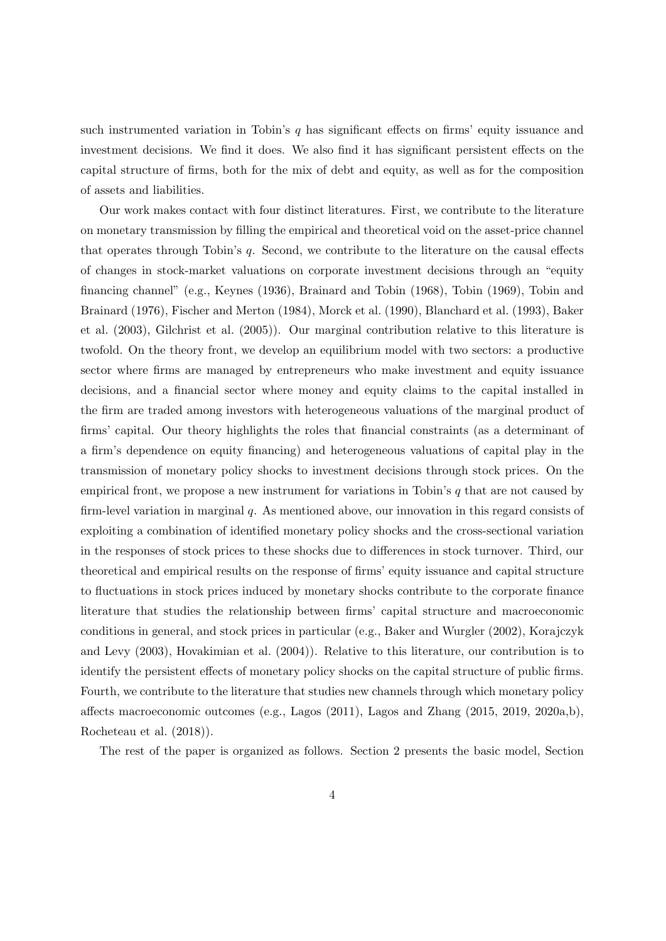such instrumented variation in Tobin's  $q$  has significant effects on firms' equity issuance and investment decisions. We find it does. We also find it has significant persistent effects on the capital structure of firms, both for the mix of debt and equity, as well as for the composition of assets and liabilities.

Our work makes contact with four distinct literatures. First, we contribute to the literature on monetary transmission by filling the empirical and theoretical void on the asset-price channel that operates through Tobin's q. Second, we contribute to the literature on the causal effects of changes in stock-market valuations on corporate investment decisions through an "equity financing channel" (e.g., [Keynes](#page-54-1) [\(1936\)](#page-54-1), [Brainard and Tobin](#page-52-3) [\(1968\)](#page-52-3), [Tobin](#page-56-0) [\(1969\)](#page-56-0), [Tobin and](#page-56-1) [Brainard](#page-56-1) [\(1976\)](#page-56-1), [Fischer and Merton](#page-53-0) [\(1984\)](#page-53-0), [Morck et al.](#page-55-4) [\(1990\)](#page-55-4), [Blanchard et al.](#page-52-4) [\(1993\)](#page-52-4), [Baker](#page-52-5) [et al.](#page-52-5) [\(2003\)](#page-52-5), [Gilchrist et al.](#page-53-1) [\(2005\)](#page-53-1)). Our marginal contribution relative to this literature is twofold. On the theory front, we develop an equilibrium model with two sectors: a productive sector where firms are managed by entrepreneurs who make investment and equity issuance decisions, and a financial sector where money and equity claims to the capital installed in the firm are traded among investors with heterogeneous valuations of the marginal product of firms' capital. Our theory highlights the roles that financial constraints (as a determinant of a firm's dependence on equity financing) and heterogeneous valuations of capital play in the transmission of monetary policy shocks to investment decisions through stock prices. On the empirical front, we propose a new instrument for variations in Tobin's  $q$  that are not caused by firm-level variation in marginal q. As mentioned above, our innovation in this regard consists of exploiting a combination of identified monetary policy shocks and the cross-sectional variation in the responses of stock prices to these shocks due to differences in stock turnover. Third, our theoretical and empirical results on the response of firms' equity issuance and capital structure to fluctuations in stock prices induced by monetary shocks contribute to the corporate finance literature that studies the relationship between firms' capital structure and macroeconomic conditions in general, and stock prices in particular (e.g., [Baker and Wurgler](#page-52-6) [\(2002\)](#page-52-6), [Korajczyk](#page-54-3) [and Levy](#page-54-3) [\(2003\)](#page-54-3), [Hovakimian et al.](#page-53-2) [\(2004\)](#page-53-2)). Relative to this literature, our contribution is to identify the persistent effects of monetary policy shocks on the capital structure of public firms. Fourth, we contribute to the literature that studies new channels through which monetary policy affects macroeconomic outcomes (e.g., [Lagos](#page-54-4) [\(2011\)](#page-54-4), [Lagos and Zhang](#page-54-5) [\(2015,](#page-54-5) [2019,](#page-54-6) [2020a,](#page-55-5)[b\)](#page-55-3), [Rocheteau et al.](#page-56-2) [\(2018\)](#page-56-2)).

The rest of the paper is organized as follows. Section [2](#page-4-0) presents the basic model, Section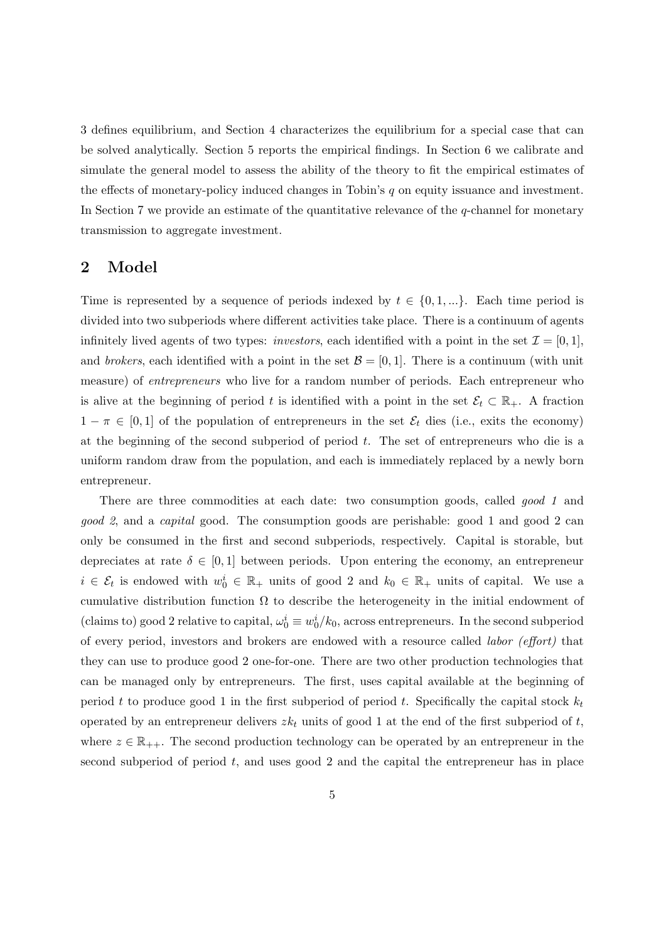[3](#page-7-0) defines equilibrium, and Section [4](#page-10-0) characterizes the equilibrium for a special case that can be solved analytically. Section [5](#page-33-0) reports the empirical findings. In Section [6](#page-44-0) we calibrate and simulate the general model to assess the ability of the theory to fit the empirical estimates of the effects of monetary-policy induced changes in Tobin's  $q$  on equity issuance and investment. In Section [7](#page-49-0) we provide an estimate of the quantitative relevance of the  $q$ -channel for monetary transmission to aggregate investment.

## <span id="page-4-0"></span>2 Model

Time is represented by a sequence of periods indexed by  $t \in \{0, 1, ...\}$ . Each time period is divided into two subperiods where different activities take place. There is a continuum of agents infinitely lived agents of two types: *investors*, each identified with a point in the set  $\mathcal{I} = [0, 1]$ , and brokers, each identified with a point in the set  $\mathcal{B} = [0, 1]$ . There is a continuum (with unit measure) of entrepreneurs who live for a random number of periods. Each entrepreneur who is alive at the beginning of period t is identified with a point in the set  $\mathcal{E}_t \subset \mathbb{R}_+$ . A fraction  $1 - \pi \in [0, 1]$  of the population of entrepreneurs in the set  $\mathcal{E}_t$  dies (i.e., exits the economy) at the beginning of the second subperiod of period  $t$ . The set of entrepreneurs who die is a uniform random draw from the population, and each is immediately replaced by a newly born entrepreneur.

There are three commodities at each date: two consumption goods, called good 1 and good 2, and a capital good. The consumption goods are perishable: good 1 and good 2 can only be consumed in the first and second subperiods, respectively. Capital is storable, but depreciates at rate  $\delta \in [0, 1]$  between periods. Upon entering the economy, an entrepreneur  $i \in \mathcal{E}_t$  is endowed with  $w_0^i \in \mathbb{R}_+$  units of good 2 and  $k_0 \in \mathbb{R}_+$  units of capital. We use a cumulative distribution function  $\Omega$  to describe the heterogeneity in the initial endowment of (claims to) good 2 relative to capital,  $\omega_0^i \equiv w_0^i / k_0$ , across entrepreneurs. In the second subperiod of every period, investors and brokers are endowed with a resource called labor (effort) that they can use to produce good 2 one-for-one. There are two other production technologies that can be managed only by entrepreneurs. The first, uses capital available at the beginning of period t to produce good 1 in the first subperiod of period t. Specifically the capital stock  $k_t$ operated by an entrepreneur delivers  $zk_t$  units of good 1 at the end of the first subperiod of t, where  $z \in \mathbb{R}_{++}$ . The second production technology can be operated by an entrepreneur in the second subperiod of period  $t$ , and uses good 2 and the capital the entrepreneur has in place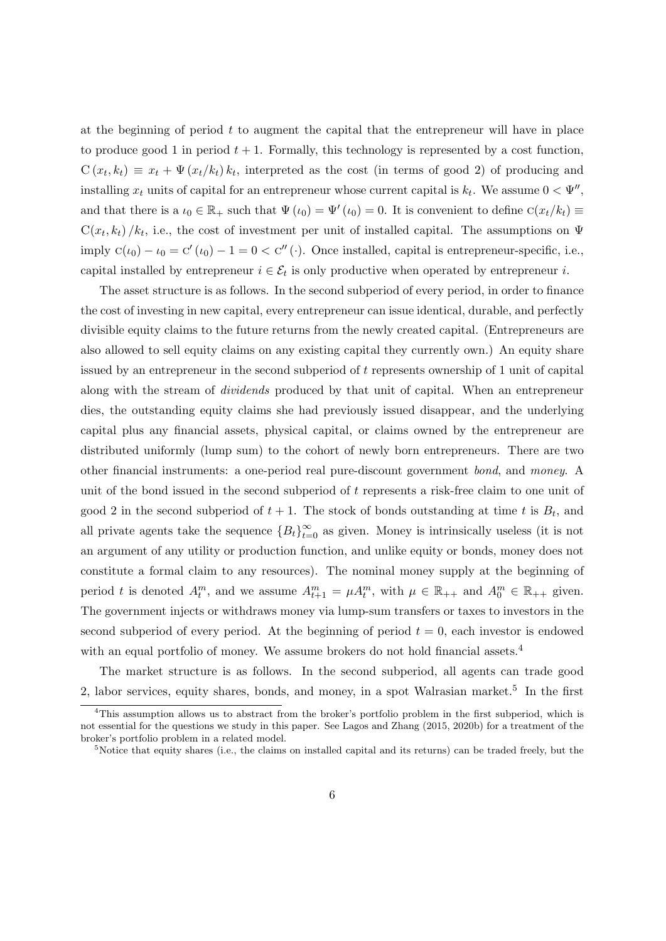at the beginning of period  $t$  to augment the capital that the entrepreneur will have in place to produce good 1 in period  $t + 1$ . Formally, this technology is represented by a cost function,  $C(x_t, k_t) \equiv x_t + \Psi(x_t/k_t) k_t$ , interpreted as the cost (in terms of good 2) of producing and installing  $x_t$  units of capital for an entrepreneur whose current capital is  $k_t$ . We assume  $0 < \Psi''$ , and that there is a  $\iota_0 \in \mathbb{R}_+$  such that  $\Psi(\iota_0) = \Psi'(\iota_0) = 0$ . It is convenient to define  $C(x_t/k_t) \equiv$  $C(x_t, k_t) / k_t$ , i.e., the cost of investment per unit of installed capital. The assumptions on  $\Psi$ imply  $C(\iota_0) - \iota_0 = C'(\iota_0) - 1 = 0 < C''(\cdot)$ . Once installed, capital is entrepreneur-specific, i.e., capital installed by entrepreneur  $i \in \mathcal{E}_t$  is only productive when operated by entrepreneur i.

The asset structure is as follows. In the second subperiod of every period, in order to finance the cost of investing in new capital, every entrepreneur can issue identical, durable, and perfectly divisible equity claims to the future returns from the newly created capital. (Entrepreneurs are also allowed to sell equity claims on any existing capital they currently own.) An equity share issued by an entrepreneur in the second subperiod of t represents ownership of 1 unit of capital along with the stream of dividends produced by that unit of capital. When an entrepreneur dies, the outstanding equity claims she had previously issued disappear, and the underlying capital plus any financial assets, physical capital, or claims owned by the entrepreneur are distributed uniformly (lump sum) to the cohort of newly born entrepreneurs. There are two other financial instruments: a one-period real pure-discount government bond, and money. A unit of the bond issued in the second subperiod of t represents a risk-free claim to one unit of good 2 in the second subperiod of  $t + 1$ . The stock of bonds outstanding at time t is  $B_t$ , and all private agents take the sequence  ${B_t}_{t=0}^{\infty}$  as given. Money is intrinsically useless (it is not an argument of any utility or production function, and unlike equity or bonds, money does not constitute a formal claim to any resources). The nominal money supply at the beginning of period t is denoted  $A_t^m$ , and we assume  $A_{t+1}^m = \mu A_t^m$ , with  $\mu \in \mathbb{R}_{++}$  and  $A_0^m \in \mathbb{R}_{++}$  given. The government injects or withdraws money via lump-sum transfers or taxes to investors in the second subperiod of every period. At the beginning of period  $t = 0$ , each investor is endowed with an equal portfolio of money. We assume brokers do not hold financial assets.<sup>[4](#page-5-0)</sup>

The market structure is as follows. In the second subperiod, all agents can trade good 2, labor services, equity shares, bonds, and money, in a spot Walrasian market.<sup>[5](#page-5-1)</sup> In the first

<span id="page-5-0"></span><sup>4</sup>This assumption allows us to abstract from the broker's portfolio problem in the first subperiod, which is not essential for the questions we study in this paper. See [Lagos and Zhang](#page-54-5) [\(2015,](#page-54-5) [2020b\)](#page-55-3) for a treatment of the broker's portfolio problem in a related model.

<span id="page-5-1"></span><sup>5</sup>Notice that equity shares (i.e., the claims on installed capital and its returns) can be traded freely, but the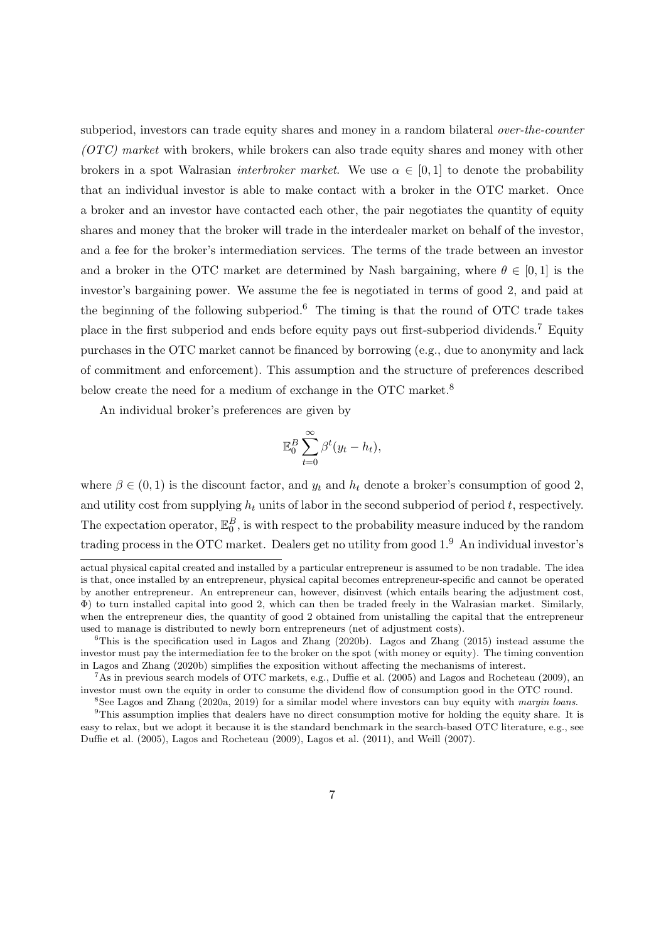subperiod, investors can trade equity shares and money in a random bilateral *over-the-counter* (OTC) market with brokers, while brokers can also trade equity shares and money with other brokers in a spot Walrasian *interbroker market*. We use  $\alpha \in [0,1]$  to denote the probability that an individual investor is able to make contact with a broker in the OTC market. Once a broker and an investor have contacted each other, the pair negotiates the quantity of equity shares and money that the broker will trade in the interdealer market on behalf of the investor, and a fee for the broker's intermediation services. The terms of the trade between an investor and a broker in the OTC market are determined by Nash bargaining, where  $\theta \in [0, 1]$  is the investor's bargaining power. We assume the fee is negotiated in terms of good 2, and paid at the beginning of the following subperiod.[6](#page-6-0) The timing is that the round of OTC trade takes place in the first subperiod and ends before equity pays out first-subperiod dividends.[7](#page-6-1) Equity purchases in the OTC market cannot be financed by borrowing (e.g., due to anonymity and lack of commitment and enforcement). This assumption and the structure of preferences described below create the need for a medium of exchange in the OTC market.<sup>[8](#page-6-2)</sup>

An individual broker's preferences are given by

$$
\mathbb{E}_0^B \sum_{t=0}^{\infty} \beta^t (y_t - h_t),
$$

where  $\beta \in (0,1)$  is the discount factor, and  $y_t$  and  $h_t$  denote a broker's consumption of good 2, and utility cost from supplying  $h_t$  units of labor in the second subperiod of period  $t$ , respectively. The expectation operator,  $\mathbb{E}_0^B$ , is with respect to the probability measure induced by the random trading process in the OTC market. Dealers get no utility from good 1.[9](#page-6-3) An individual investor's

actual physical capital created and installed by a particular entrepreneur is assumed to be non tradable. The idea is that, once installed by an entrepreneur, physical capital becomes entrepreneur-specific and cannot be operated by another entrepreneur. An entrepreneur can, however, disinvest (which entails bearing the adjustment cost, Φ) to turn installed capital into good 2, which can then be traded freely in the Walrasian market. Similarly, when the entrepreneur dies, the quantity of good 2 obtained from unistalling the capital that the entrepreneur used to manage is distributed to newly born entrepreneurs (net of adjustment costs).

<span id="page-6-0"></span><sup>&</sup>lt;sup>6</sup>This is the specification used in [Lagos and Zhang](#page-54-5) [\(2020b\)](#page-55-3). Lagos and Zhang [\(2015\)](#page-54-5) instead assume the investor must pay the intermediation fee to the broker on the spot (with money or equity). The timing convention in [Lagos and Zhang](#page-55-3) [\(2020b\)](#page-55-3) simplifies the exposition without affecting the mechanisms of interest.

<span id="page-6-1"></span><sup>7</sup>As in previous search models of OTC markets, e.g., [Duffie et al.](#page-53-3) [\(2005\)](#page-53-3) and [Lagos and Rocheteau](#page-54-7) [\(2009\)](#page-54-7), an investor must own the equity in order to consume the dividend flow of consumption good in the OTC round.

<span id="page-6-3"></span><span id="page-6-2"></span><sup>8</sup>See [Lagos and Zhang](#page-55-5) [\(2020a,](#page-55-5) [2019\)](#page-54-6) for a similar model where investors can buy equity with margin loans.

<sup>&</sup>lt;sup>9</sup>This assumption implies that dealers have no direct consumption motive for holding the equity share. It is easy to relax, but we adopt it because it is the standard benchmark in the search-based OTC literature, e.g., see [Duffie et al.](#page-53-3) [\(2005\)](#page-53-3), [Lagos and Rocheteau](#page-54-7) [\(2009\)](#page-54-7), [Lagos et al.](#page-54-8) [\(2011\)](#page-54-8), and [Weill](#page-56-3) [\(2007\)](#page-56-3).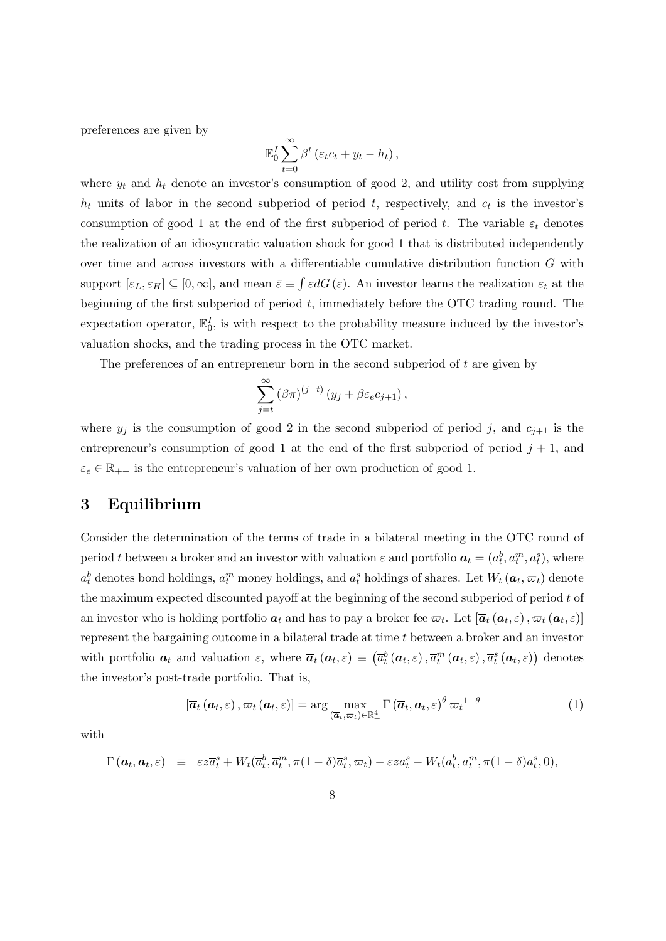preferences are given by

$$
\mathbb{E}_0^I \sum_{t=0}^{\infty} \beta^t \left( \varepsilon_t c_t + y_t - h_t \right),
$$

where  $y_t$  and  $h_t$  denote an investor's consumption of good 2, and utility cost from supplying  $h_t$  units of labor in the second subperiod of period t, respectively, and  $c_t$  is the investor's consumption of good 1 at the end of the first subperiod of period t. The variable  $\varepsilon_t$  denotes the realization of an idiosyncratic valuation shock for good 1 that is distributed independently over time and across investors with a differentiable cumulative distribution function G with support  $[\varepsilon_L, \varepsilon_H] \subseteq [0, \infty]$ , and mean  $\bar{\varepsilon} \equiv \int \varepsilon dG(\varepsilon)$ . An investor learns the realization  $\varepsilon_t$  at the beginning of the first subperiod of period  $t$ , immediately before the OTC trading round. The expectation operator,  $\mathbb{E}_0^I$ , is with respect to the probability measure induced by the investor's valuation shocks, and the trading process in the OTC market.

The preferences of an entrepreneur born in the second subperiod of t are given by

$$
\sum_{j=t}^{\infty} (\beta \pi)^{(j-t)} (y_j + \beta \varepsilon_e c_{j+1}),
$$

where  $y_j$  is the consumption of good 2 in the second subperiod of period j, and  $c_{j+1}$  is the entrepreneur's consumption of good 1 at the end of the first subperiod of period  $j + 1$ , and  $\varepsilon_e \in \mathbb{R}_{++}$  is the entrepreneur's valuation of her own production of good 1.

## <span id="page-7-0"></span>3 Equilibrium

Consider the determination of the terms of trade in a bilateral meeting in the OTC round of period t between a broker and an investor with valuation  $\varepsilon$  and portfolio  $a_t = (a_t^b, a_t^m, a_t^s)$ , where  $a_t^b$  denotes bond holdings,  $a_t^m$  money holdings, and  $a_t^s$  holdings of shares. Let  $W_t$   $(a_t, \varpi_t)$  denote the maximum expected discounted payoff at the beginning of the second subperiod of period  $t$  of an investor who is holding portfolio  $a_t$  and has to pay a broker fee  $\varpi_t$ . Let  $[\overline{a}_t (a_t, \varepsilon), \varpi_t (a_t, \varepsilon)]$ represent the bargaining outcome in a bilateral trade at time t between a broker and an investor with portfolio  $a_t$  and valuation  $\varepsilon$ , where  $\overline{a}_t(a_t, \varepsilon) \equiv (\overline{a}_t^b(a_t, \varepsilon), \overline{a}_t^m(a_t, \varepsilon), \overline{a}_t^s(a_t, \varepsilon))$  denotes the investor's post-trade portfolio. That is,

<span id="page-7-1"></span>
$$
\left[\overline{\boldsymbol{a}}_t\left(\boldsymbol{a}_t,\varepsilon\right),\varpi_t\left(\boldsymbol{a}_t,\varepsilon\right)\right] = \arg\max_{\left(\overline{\boldsymbol{a}}_t,\varpi_t\right)\in\mathbb{R}_+^4} \Gamma\left(\overline{\boldsymbol{a}}_t,\boldsymbol{a}_t,\varepsilon\right)^{\theta} \varpi_t^{1-\theta} \tag{1}
$$

with

$$
\Gamma\left(\overline{a}_t, a_t, \varepsilon\right) \equiv \varepsilon z \overline{a}_t^s + W_t(\overline{a}_t^b, \overline{a}_t^m, \pi(1-\delta)\overline{a}_t^s, \varpi_t) - \varepsilon z a_t^s - W_t(a_t^b, a_t^m, \pi(1-\delta)a_t^s, 0),
$$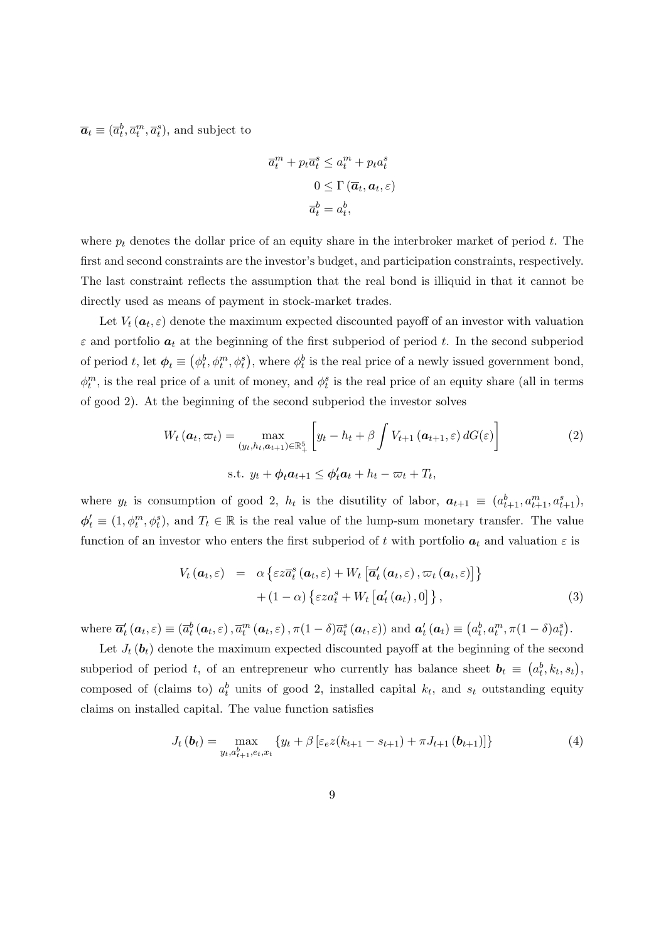$\overline{\boldsymbol{a}}_t \equiv (\overline{a}_t^b, \overline{a}_t^m, \overline{a}_t^s)$ , and subject to

$$
\overline{a}_t^m + p_t \overline{a}_t^s \le a_t^m + p_t a_t^s
$$

$$
0 \le \Gamma(\overline{a}_t, a_t, \varepsilon)
$$

$$
\overline{a}_t^b = a_t^b,
$$

where  $p_t$  denotes the dollar price of an equity share in the interbroker market of period t. The first and second constraints are the investor's budget, and participation constraints, respectively. The last constraint reflects the assumption that the real bond is illiquid in that it cannot be directly used as means of payment in stock-market trades.

Let  $V_t(\boldsymbol{a}_t, \varepsilon)$  denote the maximum expected discounted payoff of an investor with valuation  $\varepsilon$  and portfolio  $a_t$  at the beginning of the first subperiod of period t. In the second subperiod of period t, let  $\phi_t \equiv (\phi_t^b, \phi_t^m, \phi_t^s)$ , where  $\phi_t^b$  is the real price of a newly issued government bond,  $\phi_t^m$ , is the real price of a unit of money, and  $\phi_t^s$  is the real price of an equity share (all in terms of good 2). At the beginning of the second subperiod the investor solves

<span id="page-8-1"></span>
$$
W_t (\boldsymbol{a}_t, \varpi_t) = \max_{(y_t, h_t, \boldsymbol{a}_{t+1}) \in \mathbb{R}_+^5} \left[ y_t - h_t + \beta \int V_{t+1} (\boldsymbol{a}_{t+1}, \varepsilon) dG(\varepsilon) \right]
$$
  
s.t.  $y_t + \phi_t \boldsymbol{a}_{t+1} \leq \phi_t' \boldsymbol{a}_t + h_t - \varpi_t + T_t,$  (2)

where  $y_t$  is consumption of good 2,  $h_t$  is the disutility of labor,  $a_{t+1} \equiv (a_{t+1}^b, a_{t+1}^m, a_{t+1}^s)$ ,  $\phi'_t \equiv (1, \phi_t^m, \phi_t^s)$ , and  $T_t \in \mathbb{R}$  is the real value of the lump-sum monetary transfer. The value function of an investor who enters the first subperiod of t with portfolio  $a_t$  and valuation  $\varepsilon$  is

$$
V_t(\boldsymbol{a}_t, \varepsilon) = \alpha \left\{ \varepsilon z \overline{a}_t^s(\boldsymbol{a}_t, \varepsilon) + W_t \left[ \overline{\boldsymbol{a}}_t^{\prime}(\boldsymbol{a}_t, \varepsilon), \varpi_t(\boldsymbol{a}_t, \varepsilon) \right] \right\} + (1 - \alpha) \left\{ \varepsilon z a_t^s + W_t \left[ \boldsymbol{a}_t^{\prime}(\boldsymbol{a}_t), 0 \right] \right\},
$$
(3)

where  $\overline{a}'_t(a_t, \varepsilon) \equiv (\overline{a}^b_t(a_t, \varepsilon), \overline{a}^m_t(a_t, \varepsilon), \pi(1-\delta)\overline{a}^s_t(a_t, \varepsilon))$  and  $a'_t(a_t) \equiv (a^b_t, a^m_t, \pi(1-\delta)a^s_t)$ .

Let  $J_t(\boldsymbol{b}_t)$  denote the maximum expected discounted payoff at the beginning of the second subperiod of period t, of an entrepreneur who currently has balance sheet  $\mathbf{b}_t \equiv (a_t^b, k_t, s_t)$ , composed of (claims to)  $a_t^b$  units of good 2, installed capital  $k_t$ , and  $s_t$  outstanding equity claims on installed capital. The value function satisfies

<span id="page-8-0"></span>
$$
J_t(\boldsymbol{b}_t) = \max_{y_t, a_{t+1}^b, e_t, x_t} \{ y_t + \beta \left[ \varepsilon_e z(k_{t+1} - s_{t+1}) + \pi J_{t+1}(\boldsymbol{b}_{t+1}) \right] \} \tag{4}
$$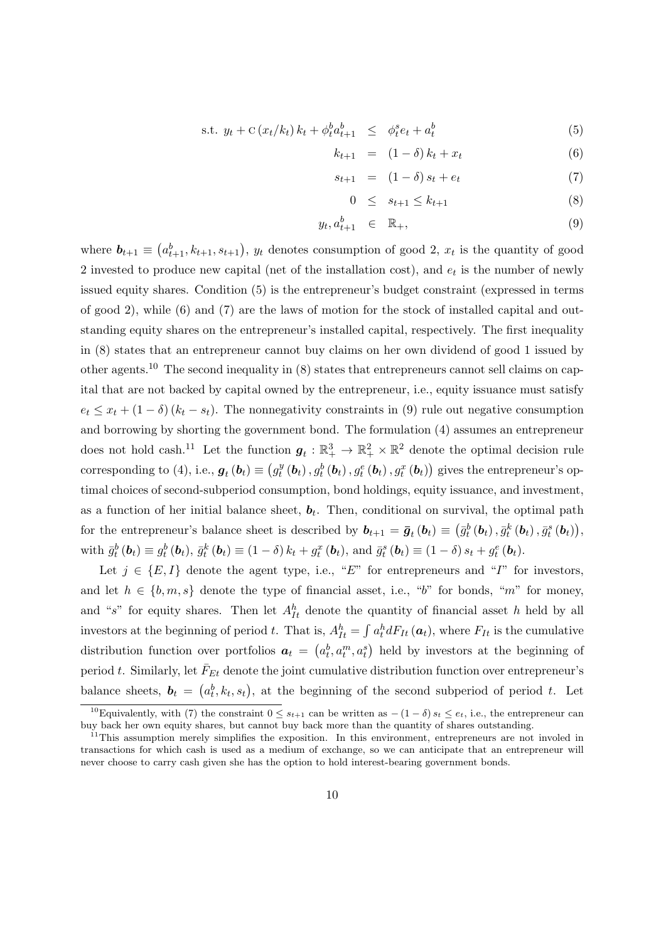<span id="page-9-0"></span>s.t. 
$$
y_t + C(x_t/k_t) k_t + \phi_t^b a_{t+1}^b \leq \phi_t^s e_t + a_t^b
$$
 (5)

$$
k_{t+1} = (1 - \delta) k_t + x_t \tag{6}
$$

$$
s_{t+1} = (1 - \delta)s_t + e_t \tag{7}
$$

$$
0 \le s_{t+1} \le k_{t+1} \tag{8}
$$

$$
y_t, a_{t+1}^b \in \mathbb{R}_+, \tag{9}
$$

where  $\mathbf{b}_{t+1} \equiv (a_{t+1}^b, k_{t+1}, s_{t+1}), y_t$  denotes consumption of good 2,  $x_t$  is the quantity of good 2 invested to produce new capital (net of the installation cost), and  $e_t$  is the number of newly issued equity shares. Condition [\(5\)](#page-9-0) is the entrepreneur's budget constraint (expressed in terms of good 2), while [\(6\)](#page-9-0) and [\(7\)](#page-9-0) are the laws of motion for the stock of installed capital and outstanding equity shares on the entrepreneur's installed capital, respectively. The first inequality in [\(8\)](#page-9-0) states that an entrepreneur cannot buy claims on her own dividend of good 1 issued by other agents.[10](#page-9-1) The second inequality in [\(8\)](#page-9-0) states that entrepreneurs cannot sell claims on capital that are not backed by capital owned by the entrepreneur, i.e., equity issuance must satisfy  $e_t \leq x_t + (1 - \delta)(k_t - s_t)$ . The nonnegativity constraints in [\(9\)](#page-9-0) rule out negative consumption and borrowing by shorting the government bond. The formulation [\(4\)](#page-8-0) assumes an entrepreneur does not hold cash.<sup>[11](#page-9-2)</sup> Let the function  $g_t : \mathbb{R}^3_+ \to \mathbb{R}^2_+ \times \mathbb{R}^2$  denote the optimal decision rule corresponding to [\(4\)](#page-8-0), i.e.,  $\boldsymbol{g}_t\left(\boldsymbol{b}_t\right) \equiv \left(g_t^y\right)$  $t^y_t\left(\bm{b}_t\right), g^b_t\left(\bm{b}_t\right), g^e_t\left(\bm{b}_t\right), g^x_t\left(\bm{b}_t\right))$  gives the entrepreneur's optimal choices of second-subperiod consumption, bond holdings, equity issuance, and investment, as a function of her initial balance sheet,  $b_t$ . Then, conditional on survival, the optimal path for the entrepreneur's balance sheet is described by  $b_{t+1} = \bar{g}_t(b_t) \equiv (\bar{g}_t^b(b_t), \bar{g}_t^k(b_t), \bar{g}_t^s(b_t)),$ with  $\bar{g}_t^b(\boldsymbol{b}_t) \equiv g_t^b(\boldsymbol{b}_t)$ ,  $\bar{g}_t^k(\boldsymbol{b}_t) \equiv (1-\delta) k_t + g_t^x(\boldsymbol{b}_t)$ , and  $\bar{g}_t^s(\boldsymbol{b}_t) \equiv (1-\delta) s_t + g_t^e(\boldsymbol{b}_t)$ .

Let  $j \in \{E, I\}$  denote the agent type, i.e., "E" for entrepreneurs and "I" for investors, and let  $h \in \{b, m, s\}$  denote the type of financial asset, i.e., "b" for bonds, "m" for money, and "s" for equity shares. Then let  $A_{It}^h$  denote the quantity of financial asset h held by all investors at the beginning of period t. That is,  $A_{It}^h = \int a_t^h dF_{It} (a_t)$ , where  $F_{It}$  is the cumulative distribution function over portfolios  $a_t = (a_t^b, a_t^m, a_t^s)$  held by investors at the beginning of period t. Similarly, let  $\bar{F}_{Et}$  denote the joint cumulative distribution function over entrepreneur's balance sheets,  $\mathbf{b}_t = (a_t^b, k_t, s_t)$ , at the beginning of the second subperiod of period t. Let

<span id="page-9-1"></span><sup>&</sup>lt;sup>10</sup>Equivalently, with [\(7\)](#page-9-0) the constraint  $0 \leq s_{t+1}$  can be written as  $-(1-\delta)s_t \leq e_t$ , i.e., the entrepreneur can buy back her own equity shares, but cannot buy back more than the quantity of shares outstanding.

<span id="page-9-2"></span> $11$ This assumption merely simplifies the exposition. In this environment, entrepreneurs are not involed in transactions for which cash is used as a medium of exchange, so we can anticipate that an entrepreneur will never choose to carry cash given she has the option to hold interest-bearing government bonds.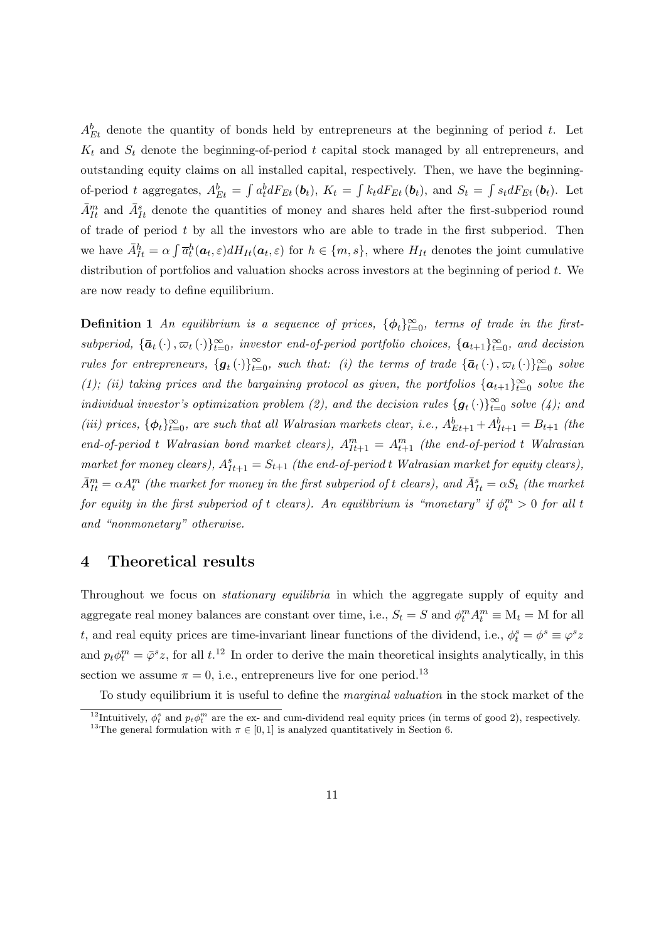$A_{Et}^{b}$  denote the quantity of bonds held by entrepreneurs at the beginning of period t. Let  $K_t$  and  $S_t$  denote the beginning-of-period t capital stock managed by all entrepreneurs, and outstanding equity claims on all installed capital, respectively. Then, we have the beginningof-period t aggregates,  $A_{Et}^b = \int a_t^b dF_{Et}$  (b<sub>t</sub>),  $K_t = \int k_t dF_{Et}$  (b<sub>t</sub>), and  $S_t = \int s_t dF_{Et}$  (b<sub>t</sub>). Let  $\bar{A}_{It}^m$  and  $\bar{A}_{It}^s$  denote the quantities of money and shares held after the first-subperiod round of trade of period  $t$  by all the investors who are able to trade in the first subperiod. Then we have  $\bar{A}_{It}^h = \alpha \int \bar{a}_t^h(\boldsymbol{a}_t, \varepsilon) dH_{It}(\boldsymbol{a}_t, \varepsilon)$  for  $h \in \{m, s\}$ , where  $H_{It}$  denotes the joint cumulative distribution of portfolios and valuation shocks across investors at the beginning of period  $t$ . We are now ready to define equilibrium.

**Definition 1** An equilibrium is a sequence of prices,  $\{\phi_t\}_{t=0}^{\infty}$ , terms of trade in the firstsubperiod,  $\{\bar{a}_t(\cdot), \bar{a}_t(\cdot)\}_{t=0}^{\infty}$ , investor end-of-period portfolio choices,  $\{a_{t+1}\}_{t=0}^{\infty}$ , and decision rules for entrepreneurs,  $\{g_t(\cdot)\}_{t=0}^{\infty}$ , such that: (i) the terms of trade  $\{\bar{a}_t(\cdot), \bar{a}_t(\cdot)\}_{t=0}^{\infty}$  solve [\(1\)](#page-7-1); (ii) taking prices and the bargaining protocol as given, the portfolios  $\{a_{t+1}\}_{t=0}^{\infty}$  solve the individual investor's optimization problem [\(2\)](#page-8-1), and the decision rules  $\{g_t(\cdot)\}_{t=0}^{\infty}$  solve [\(4\)](#page-8-0); and (iii) prices,  $\{\phi_t\}_{t=0}^{\infty}$ , are such that all Walrasian markets clear, i.e.,  $A_{Et+1}^b + A_{It+1}^b = B_{t+1}$  (the end-of-period t Walrasian bond market clears),  $A_{I_{t+1}}^m = A_{t+1}^m$  (the end-of-period t Walrasian market for money clears),  $A_{It+1}^s = S_{t+1}$  (the end-of-period t Walrasian market for equity clears),  $\bar{A}_{It}^m = \alpha A_t^m$  (the market for money in the first subperiod of t clears), and  $\bar{A}_{It}^s = \alpha S_t$  (the market for equity in the first subperiod of t clears). An equilibrium is "monetary" if  $\phi_t^m > 0$  for all t and "nonmonetary" otherwise.

## <span id="page-10-0"></span>4 Theoretical results

Throughout we focus on *stationary equilibria* in which the aggregate supply of equity and aggregate real money balances are constant over time, i.e.,  $S_t = S$  and  $\phi_t^m A_t^m \equiv M_t = M$  for all t, and real equity prices are time-invariant linear functions of the dividend, i.e.,  $\phi_t^s = \phi^s \equiv \varphi^s z$ and  $p_t \phi_t^m = \bar{\varphi}^s z$ , for all  $t^{12}$  $t^{12}$  $t^{12}$  In order to derive the main theoretical insights analytically, in this section we assume  $\pi = 0$ , i.e., entrepreneurs live for one period.<sup>[13](#page-10-2)</sup>

To study equilibrium it is useful to define the marginal valuation in the stock market of the

<span id="page-10-2"></span><span id="page-10-1"></span><sup>&</sup>lt;sup>12</sup>Intuitively,  $\phi_t^s$  and  $p_t \phi_t^m$  are the ex- and cum-dividend real equity prices (in terms of good 2), respectively. <sup>13</sup>The general formulation with  $\pi \in [0, 1]$  is analyzed quantitatively in Section [6.](#page-44-0)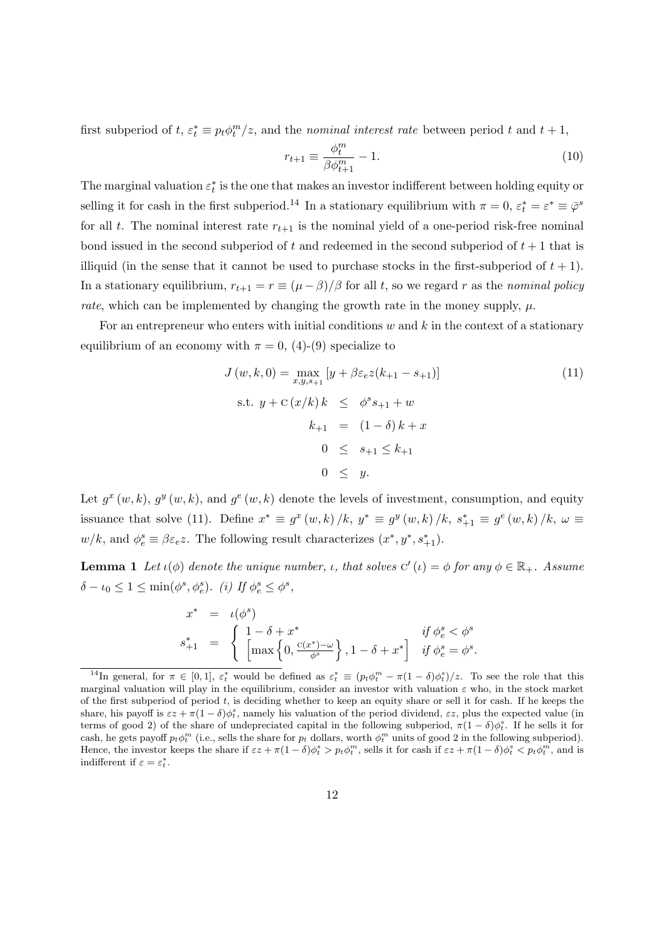first subperiod of  $t, \varepsilon_t^* \equiv p_t \phi_t^m/z$ , and the *nominal interest rate* between period t and  $t + 1$ ,

$$
r_{t+1} \equiv \frac{\phi_t^m}{\beta \phi_{t+1}^m} - 1.
$$
\n(10)

The marginal valuation  $\varepsilon_t^*$  is the one that makes an investor indifferent between holding equity or selling it for cash in the first subperiod.<sup>[14](#page-11-0)</sup> In a stationary equilibrium with  $\pi = 0$ ,  $\varepsilon_t^* = \varepsilon^* \equiv \bar{\varphi}^s$ for all t. The nominal interest rate  $r_{t+1}$  is the nominal yield of a one-period risk-free nominal bond issued in the second subperiod of t and redeemed in the second subperiod of  $t + 1$  that is illiquid (in the sense that it cannot be used to purchase stocks in the first-subperiod of  $t + 1$ ). In a stationary equilibrium,  $r_{t+1} = r \equiv (\mu - \beta)/\beta$  for all t, so we regard r as the nominal policy rate, which can be implemented by changing the growth rate in the money supply,  $\mu$ .

For an entrepreneur who enters with initial conditions  $w$  and  $k$  in the context of a stationary equilibrium of an economy with  $\pi = 0$ , [\(4\)](#page-8-0)-[\(9\)](#page-9-0) specialize to

<span id="page-11-1"></span>
$$
J(w, k, 0) = \max_{x, y, s_{+1}} [y + \beta \varepsilon_e z (k_{+1} - s_{+1})]
$$
(11)  
s.t.  $y + C(x/k) k \le \phi^s s_{+1} + w$   
 $k_{+1} = (1 - \delta) k + x$   
 $0 \le s_{+1} \le k_{+1}$   
 $0 \le y.$ 

Let  $g^x(w, k)$ ,  $g^y(w, k)$ , and  $g^e(w, k)$  denote the levels of investment, consumption, and equity issuance that solve [\(11\)](#page-11-1). Define  $x^* \equiv g^x(w, k) / k$ ,  $y^* \equiv g^y(w, k) / k$ ,  $s_{+1}^* \equiv g^e(w, k) / k$ ,  $\omega \equiv$  $w/k$ , and  $\phi_e^s \equiv \beta \varepsilon_e z$ . The following result characterizes  $(x^*, y^*, s_{+1}^*)$ .

<span id="page-11-2"></span>**Lemma 1** Let  $\iota(\phi)$  denote the unique number,  $\iota$ , that solves  $C'(\iota) = \phi$  for any  $\phi \in \mathbb{R}_+$ . Assume  $\delta - \iota_0 \leq 1 \leq \min(\phi^s, \phi_e^s)$ . (i) If  $\phi_e^s \leq \phi^s$ ,

$$
x^* = \iota(\phi^s)
$$
  

$$
s_{+1}^* = \begin{cases} 1 - \delta + x^* & \text{if } \phi_e^s < \phi^s \\ \left[ \max\left\{ 0, \frac{c(x^*) - \omega}{\phi^s} \right\}, 1 - \delta + x^* \right] & \text{if } \phi_e^s = \phi^s. \end{cases}
$$

<span id="page-11-0"></span><sup>&</sup>lt;sup>14</sup>In general, for  $\pi \in [0,1]$ ,  $\varepsilon_t^*$  would be defined as  $\varepsilon_t^* \equiv (p_t \phi_t^m - \pi (1-\delta) \phi_t^s)/z$ . To see the role that this marginal valuation will play in the equilibrium, consider an investor with valuation  $\varepsilon$  who, in the stock market of the first subperiod of period  $t$ , is deciding whether to keep an equity share or sell it for cash. If he keeps the share, his payoff is  $\epsilon z + \pi (1 - \delta) \phi_t^s$ , namely his valuation of the period dividend,  $\epsilon z$ , plus the expected value (in terms of good 2) of the share of undepreciated capital in the following subperiod,  $\pi(1-\delta)\phi_t^s$ . If he sells it for cash, he gets payoff  $p_t \phi_t^m$  (i.e., sells the share for  $p_t$  dollars, worth  $\phi_t^m$  units of good 2 in the following subperiod). Hence, the investor keeps the share if  $\epsilon z + \pi (1 - \delta) \phi_t^s > p_t \phi_t^m$ , sells it for cash if  $\epsilon z + \pi (1 - \delta) \phi_t^s < p_t \phi_t^m$ , and is indifferent if  $\varepsilon = \varepsilon_t^*$ .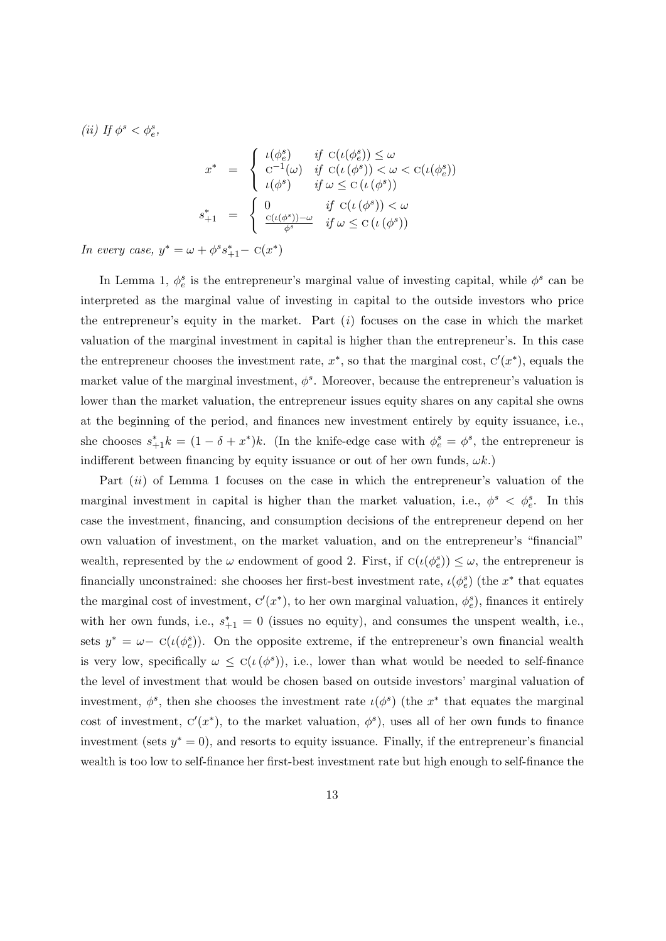(ii) If  $\phi^s < \phi^s_e$ ,

$$
x^* = \begin{cases} \n\iota(\phi_e^s) & \text{if } C(\iota(\phi_e^s)) \le \omega \\ \n\mathbf{C}^{-1}(\omega) & \text{if } C(\iota(\phi^s)) < \omega < C(\iota(\phi_e^s)) \\ \n\iota(\phi^s) & \text{if } \omega \le C(\iota(\phi^s)) \\ \n\delta_{+1}^* = \n\end{cases}
$$
\n
$$
s_{+1}^* = \begin{cases} \n0 & \text{if } C(\iota(\phi^s)) < \omega \\ \n\frac{C(\iota(\phi^s)) - \omega}{\phi^s} & \text{if } \omega \le C(\iota(\phi^s)) \n\end{cases}
$$

In every case,  $y^* = \omega + \phi^s s_{+1}^* - C(x^*)$ 

In Lemma [1,](#page-11-2)  $\phi_e^s$  is the entrepreneur's marginal value of investing capital, while  $\phi_s$  can be interpreted as the marginal value of investing in capital to the outside investors who price the entrepreneur's equity in the market. Part  $(i)$  focuses on the case in which the market valuation of the marginal investment in capital is higher than the entrepreneur's. In this case the entrepreneur chooses the investment rate,  $x^*$ , so that the marginal cost,  $C'(x^*)$ , equals the market value of the marginal investment,  $\phi^s$ . Moreover, because the entrepreneur's valuation is lower than the market valuation, the entrepreneur issues equity shares on any capital she owns at the beginning of the period, and finances new investment entirely by equity issuance, i.e., she chooses  $s_{+1}^* k = (1 - \delta + x^*)k$ . (In the knife-edge case with  $\phi_e^s = \phi^s$ , the entrepreneur is indifferent between financing by equity issuance or out of her own funds,  $\omega k$ .)

Part  $(ii)$  of Lemma [1](#page-11-2) focuses on the case in which the entrepreneur's valuation of the marginal investment in capital is higher than the market valuation, i.e.,  $\phi^s$   $\langle \phi_e^s$ . In this case the investment, financing, and consumption decisions of the entrepreneur depend on her own valuation of investment, on the market valuation, and on the entrepreneur's "financial" wealth, represented by the  $\omega$  endowment of good 2. First, if  $C(\iota(\phi_e^s)) \leq \omega$ , the entrepreneur is financially unconstrained: she chooses her first-best investment rate,  $\iota(\phi_e^s)$  (the  $x^*$  that equates the marginal cost of investment,  $C'(x^*)$ , to her own marginal valuation,  $\phi_e^s$ ), finances it entirely with her own funds, i.e.,  $s_{+1}^* = 0$  (issues no equity), and consumes the unspent wealth, i.e., sets  $y^* = \omega - C(\iota(\phi_e^s))$ . On the opposite extreme, if the entrepreneur's own financial wealth is very low, specifically  $\omega \leq C(\iota(\phi^s))$ , i.e., lower than what would be needed to self-finance the level of investment that would be chosen based on outside investors' marginal valuation of investment,  $\phi^s$ , then she chooses the investment rate  $\iota(\phi^s)$  (the  $x^*$  that equates the marginal cost of investment,  $C'(x^*)$ , to the market valuation,  $\phi^s$ ), uses all of her own funds to finance investment (sets  $y^* = 0$ ), and resorts to equity issuance. Finally, if the entrepreneur's financial wealth is too low to self-finance her first-best investment rate but high enough to self-finance the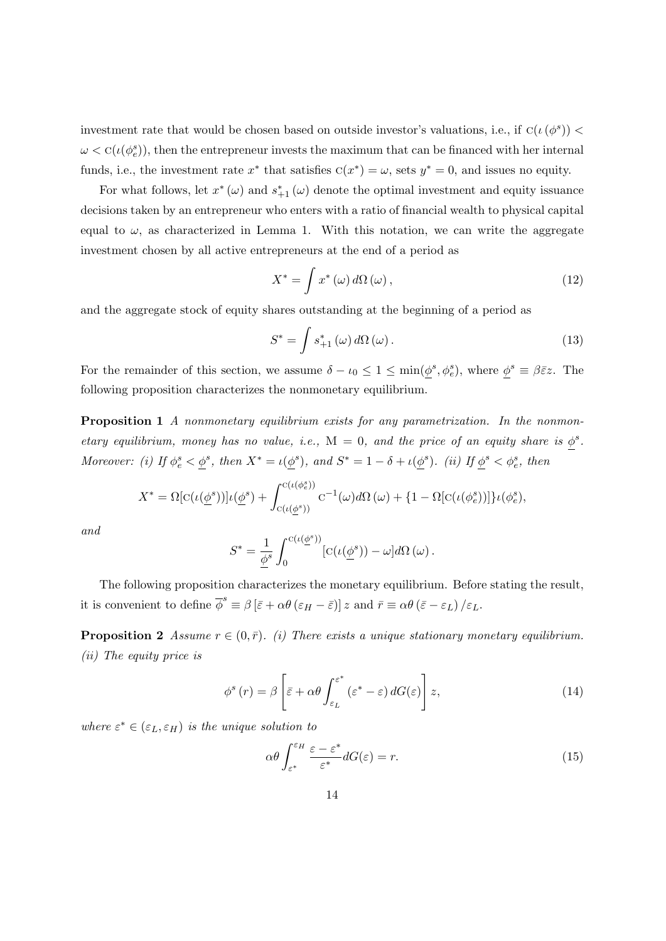investment rate that would be chosen based on outside investor's valuations, i.e., if  $C(\iota(\phi^s))$  $\omega < \mathcal{C}(\iota(\phi_e^s))$ , then the entrepreneur invests the maximum that can be financed with her internal funds, i.e., the investment rate  $x^*$  that satisfies  $C(x^*) = \omega$ , sets  $y^* = 0$ , and issues no equity.

For what follows, let  $x^*(\omega)$  and  $s^*_{+1}(\omega)$  denote the optimal investment and equity issuance decisions taken by an entrepreneur who enters with a ratio of financial wealth to physical capital equal to  $\omega$ , as characterized in Lemma [1.](#page-11-2) With this notation, we can write the aggregate investment chosen by all active entrepreneurs at the end of a period as

$$
X^* = \int x^* \left(\omega\right) d\Omega \left(\omega\right),\tag{12}
$$

and the aggregate stock of equity shares outstanding at the beginning of a period as

$$
S^* = \int s^*_{+1}(\omega) \, d\Omega(\omega). \tag{13}
$$

For the remainder of this section, we assume  $\delta - \iota_0 \leq 1 \leq \min(\underline{\phi}^s, \phi_e^s)$ , where  $\underline{\phi}^s \equiv \beta \bar{\varepsilon} z$ . The following proposition characterizes the nonmonetary equilibrium.

<span id="page-13-1"></span>Proposition 1 A nonmonetary equilibrium exists for any parametrization. In the nonmonetary equilibrium, money has no value, i.e.,  $M = 0$ , and the price of an equity share is  $\phi^s$ . Moreover: (i) If  $\phi_e^s < \underline{\phi}^s$ , then  $X^* = \iota(\underline{\phi}^s)$ , and  $S^* = 1 - \delta + \iota(\underline{\phi}^s)$ . (ii) If  $\underline{\phi}^s < \phi_e^s$ , then

$$
X^* = \Omega[c(\iota(\underline{\phi}^s))] \iota(\underline{\phi}^s) + \int_{c(\iota(\underline{\phi}^s))}^{c(\iota(\phi_e^s))} c^{-1}(\omega) d\Omega(\omega) + \{1 - \Omega[c(\iota(\phi_e^s))] \} \iota(\phi_e^s),
$$

and

$$
S^* = \frac{1}{\underline{\phi}^s} \int_0^{\mathrm{C}(\iota(\underline{\phi}^s))} [\mathrm{C}(\iota(\underline{\phi}^s)) - \omega] d\Omega(\omega).
$$

The following proposition characterizes the monetary equilibrium. Before stating the result, it is convenient to define  $\overline{\phi}^s \equiv \beta \left[ \bar{\varepsilon} + \alpha \theta \left( \varepsilon_H - \bar{\varepsilon} \right) \right] z$  and  $\overline{r} \equiv \alpha \theta \left( \bar{\varepsilon} - \varepsilon_L \right) / \varepsilon_L$ .

<span id="page-13-0"></span>**Proposition 2** Assume  $r \in (0, \bar{r})$ . (i) There exists a unique stationary monetary equilibrium. (ii) The equity price is

<span id="page-13-2"></span>
$$
\phi^{s}(r) = \beta \left[ \bar{\varepsilon} + \alpha \theta \int_{\varepsilon_{L}}^{\varepsilon^{*}} (\varepsilon^{*} - \varepsilon) dG(\varepsilon) \right] z,
$$
\n(14)

where  $\varepsilon^* \in (\varepsilon_L, \varepsilon_H)$  is the unique solution to

<span id="page-13-3"></span>
$$
\alpha \theta \int_{\varepsilon^*}^{\varepsilon_H} \frac{\varepsilon - \varepsilon^*}{\varepsilon^*} dG(\varepsilon) = r. \tag{15}
$$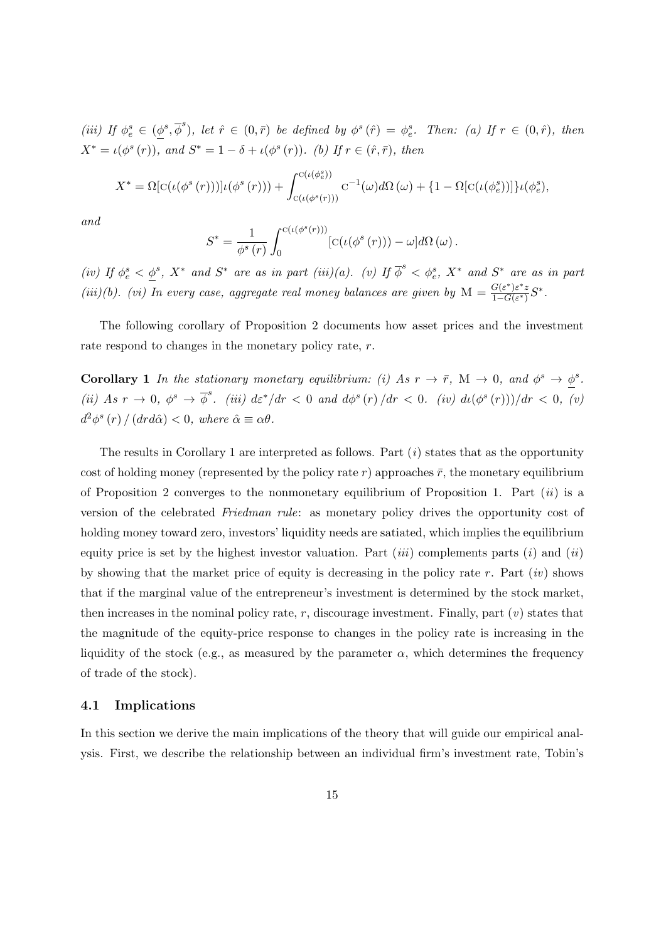(iii) If  $\phi_e^s \in (\underline{\phi}^s, \overline{\phi}^s)$ , let  $\hat{r} \in (0, \overline{r})$  be defined by  $\phi^s(\hat{r}) = \phi_e^s$ . Then: (a) If  $r \in (0, \hat{r})$ , then  $X^* = \iota(\phi^s(r)),$  and  $S^* = 1 - \delta + \iota(\phi^s(r)).$  (b) If  $r \in (\hat{r}, \bar{r}),$  then

$$
X^* = \Omega[c(\iota(\phi^s(r)))]\iota(\phi^s(r))) + \int_{c(\iota(\phi^s(r)))}^{c(\iota(\phi^s_{\epsilon}))} c^{-1}(\omega) d\Omega(\omega) + \{1 - \Omega[c(\iota(\phi^s_{\epsilon}))]\}\iota(\phi^s_{\epsilon}),
$$

and

$$
S^* = \frac{1}{\phi^s(r)} \int_0^{C(\iota(\phi^s(r)))} [C(\iota(\phi^s(r)))-\omega]d\Omega(\omega).
$$

(iv) If  $\phi_e^s < \phi_s^s$ ,  $X^*$  and  $S^*$  are as in part (iii)(a). (v) If  $\overline{\phi}^s < \phi_e^s$ ,  $X^*$  and  $S^*$  are as in part (iii)(b). (vi) In every case, aggregate real money balances are given by  $M = \frac{G(\varepsilon^*)\varepsilon^* z}{1-G(\varepsilon^*)}$  $\frac{G(\varepsilon^*)\varepsilon^*z}{1-G(\varepsilon^*)}S^*.$ 

The following corollary of Proposition [2](#page-13-0) documents how asset prices and the investment rate respond to changes in the monetary policy rate, r.

<span id="page-14-0"></span>**Corollary 1** In the stationary monetary equilibrium: (i) As  $r \to \bar{r}$ , M  $\to 0$ , and  $\phi^s \to \phi^s$ . (ii) As  $r \to 0$ ,  $\phi^s \to \overline{\phi}^s$ . (iii)  $d\varepsilon^*/dr < 0$  and  $d\phi^s(r)/dr < 0$ . (iv)  $d\iota(\phi^s(r)))/dr < 0$ , (v)  $d^2\phi^s(r) / (dr d\hat{\alpha}) < 0$ , where  $\hat{\alpha} \equiv \alpha \theta$ .

The results in Corollary [1](#page-14-0) are interpreted as follows. Part  $(i)$  states that as the opportunity cost of holding money (represented by the policy rate r) approaches  $\bar{r}$ , the monetary equilibrium of Proposition [2](#page-13-0) converges to the nonmonetary equilibrium of Proposition [1.](#page-13-1) Part  $(ii)$  is a version of the celebrated Friedman rule: as monetary policy drives the opportunity cost of holding money toward zero, investors' liquidity needs are satiated, which implies the equilibrium equity price is set by the highest investor valuation. Part  $(iii)$  complements parts  $(i)$  and  $(ii)$ by showing that the market price of equity is decreasing in the policy rate r. Part  $(iv)$  shows that if the marginal value of the entrepreneur's investment is determined by the stock market, then increases in the nominal policy rate,  $r$ , discourage investment. Finally, part  $(v)$  states that the magnitude of the equity-price response to changes in the policy rate is increasing in the liquidity of the stock (e.g., as measured by the parameter  $\alpha$ , which determines the frequency of trade of the stock).

#### 4.1 Implications

In this section we derive the main implications of the theory that will guide our empirical analysis. First, we describe the relationship between an individual firm's investment rate, Tobin's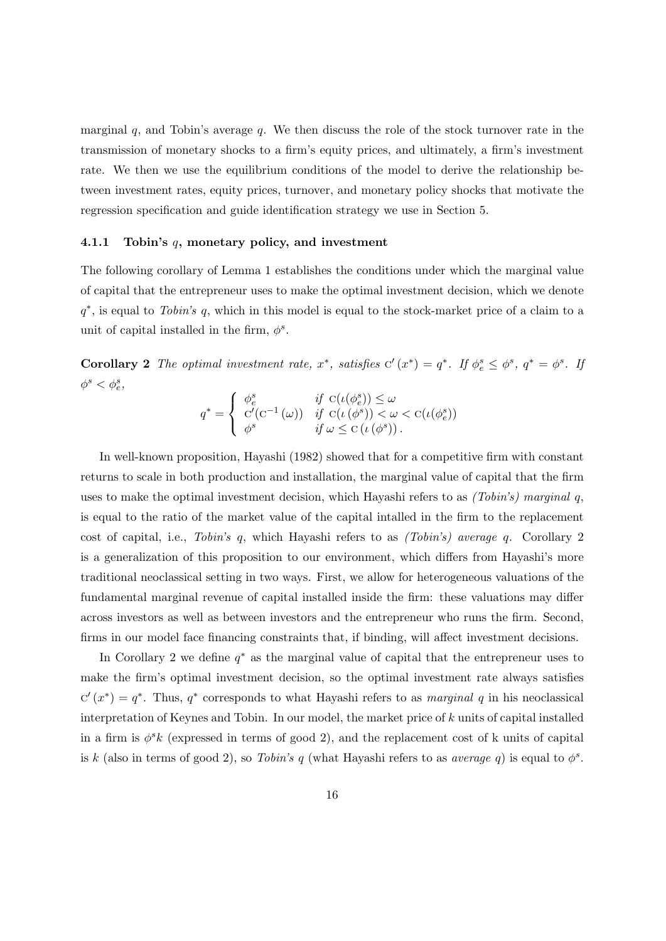marginal  $q$ , and Tobin's average  $q$ . We then discuss the role of the stock turnover rate in the transmission of monetary shocks to a firm's equity prices, and ultimately, a firm's investment rate. We then we use the equilibrium conditions of the model to derive the relationship between investment rates, equity prices, turnover, and monetary policy shocks that motivate the regression specification and guide identification strategy we use in Section [5.](#page-33-0)

#### 4.1.1 Tobin's q, monetary policy, and investment

The following corollary of Lemma [1](#page-11-2) establishes the conditions under which the marginal value of capital that the entrepreneur uses to make the optimal investment decision, which we denote  $q^*$ , is equal to Tobin's q, which in this model is equal to the stock-market price of a claim to a unit of capital installed in the firm,  $\phi^s$ .

<span id="page-15-0"></span>Corollary 2 The optimal investment rate,  $x^*$ , satisfies  $C'(x^*) = q^*$ . If  $\phi_e^s \leq \phi_s^s$ ,  $q^* = \phi_s^s$ . If  $\phi^s < \phi^s_e$ ,

$$
q^* = \begin{cases} \phi_e^s & \text{if } C(\iota(\phi_e^s)) \le \omega \\ C'(C^{-1}(\omega)) & \text{if } C(\iota(\phi^s)) < \omega < C(\iota(\phi_e^s)) \\ \phi^s & \text{if } \omega \le C(\iota(\phi^s)). \end{cases}
$$

In well-known proposition, [Hayashi](#page-53-4) [\(1982\)](#page-53-4) showed that for a competitive firm with constant returns to scale in both production and installation, the marginal value of capital that the firm uses to make the optimal investment decision, which Hayashi refers to as  $(Tobin's)$  marginal q, is equal to the ratio of the market value of the capital intalled in the firm to the replacement cost of capital, i.e., Tobin's q, which Hayashi refers to as (Tobin's) average q. Corollary [2](#page-15-0) is a generalization of this proposition to our environment, which differs from Hayashi's more traditional neoclassical setting in two ways. First, we allow for heterogeneous valuations of the fundamental marginal revenue of capital installed inside the firm: these valuations may differ across investors as well as between investors and the entrepreneur who runs the firm. Second, firms in our model face financing constraints that, if binding, will affect investment decisions.

In Corollary [2](#page-15-0) we define  $q^*$  as the marginal value of capital that the entrepreneur uses to make the firm's optimal investment decision, so the optimal investment rate always satisfies  $C'(x^*) = q^*$ . Thus,  $q^*$  corresponds to what Hayashi refers to as *marginal* q in his neoclassical interpretation of Keynes and Tobin. In our model, the market price of k units of capital installed in a firm is  $\phi^s k$  (expressed in terms of good 2), and the replacement cost of k units of capital is k (also in terms of good 2), so Tobin's q (what Hayashi refers to as average q) is equal to  $\phi^s$ .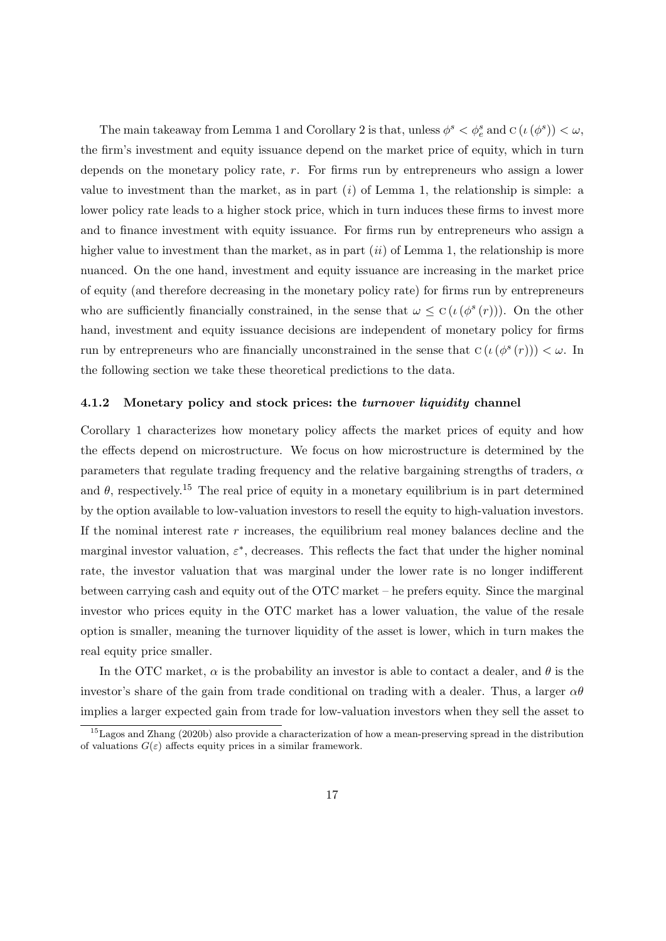The main takeaway from Lemma [1](#page-11-2) and Corollary [2](#page-13-0) is that, unless  $\phi^s < \phi^s_e$  and  $C(\iota(\phi^s)) < \omega$ , the firm's investment and equity issuance depend on the market price of equity, which in turn depends on the monetary policy rate, r. For firms run by entrepreneurs who assign a lower value to investment than the market, as in part  $(i)$  of Lemma [1,](#page-11-2) the relationship is simple: a lower policy rate leads to a higher stock price, which in turn induces these firms to invest more and to finance investment with equity issuance. For firms run by entrepreneurs who assign a higher value to investment than the market, as in part  $(ii)$  of Lemma [1,](#page-11-2) the relationship is more nuanced. On the one hand, investment and equity issuance are increasing in the market price of equity (and therefore decreasing in the monetary policy rate) for firms run by entrepreneurs who are sufficiently financially constrained, in the sense that  $\omega \leq C(\iota(\phi^s(r)))$ . On the other hand, investment and equity issuance decisions are independent of monetary policy for firms run by entrepreneurs who are financially unconstrained in the sense that  $C(\iota(\phi^s(r))) < \omega$ . In the following section we take these theoretical predictions to the data.

#### 4.1.2 Monetary policy and stock prices: the turnover liquidity channel

Corollary [1](#page-14-0) characterizes how monetary policy affects the market prices of equity and how the effects depend on microstructure. We focus on how microstructure is determined by the parameters that regulate trading frequency and the relative bargaining strengths of traders,  $\alpha$ and  $\theta$ , respectively.<sup>[15](#page-16-0)</sup> The real price of equity in a monetary equilibrium is in part determined by the option available to low-valuation investors to resell the equity to high-valuation investors. If the nominal interest rate  $r$  increases, the equilibrium real money balances decline and the marginal investor valuation,  $\varepsilon^*$ , decreases. This reflects the fact that under the higher nominal rate, the investor valuation that was marginal under the lower rate is no longer indifferent between carrying cash and equity out of the OTC market – he prefers equity. Since the marginal investor who prices equity in the OTC market has a lower valuation, the value of the resale option is smaller, meaning the turnover liquidity of the asset is lower, which in turn makes the real equity price smaller.

In the OTC market,  $\alpha$  is the probability an investor is able to contact a dealer, and  $\theta$  is the investor's share of the gain from trade conditional on trading with a dealer. Thus, a larger  $\alpha\theta$ implies a larger expected gain from trade for low-valuation investors when they sell the asset to

<span id="page-16-0"></span> $15$ [Lagos and Zhang](#page-55-3) [\(2020b\)](#page-55-3) also provide a characterization of how a mean-preserving spread in the distribution of valuations  $G(\varepsilon)$  affects equity prices in a similar framework.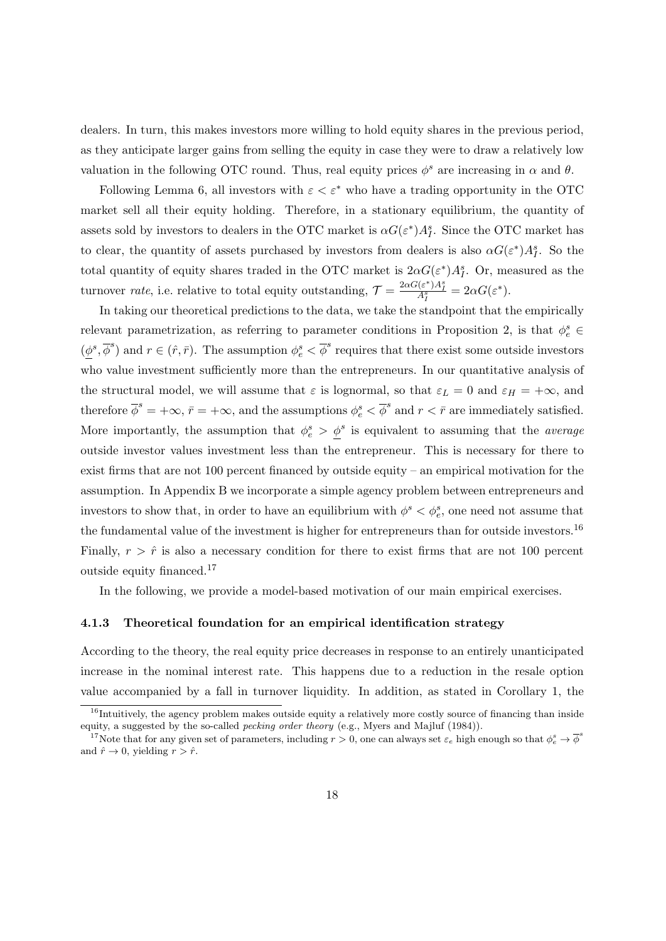dealers. In turn, this makes investors more willing to hold equity shares in the previous period, as they anticipate larger gains from selling the equity in case they were to draw a relatively low valuation in the following OTC round. Thus, real equity prices  $\phi^s$  are increasing in  $\alpha$  and  $\theta$ .

Following Lemma [6,](#page-57-0) all investors with  $\varepsilon < \varepsilon^*$  who have a trading opportunity in the OTC market sell all their equity holding. Therefore, in a stationary equilibrium, the quantity of assets sold by investors to dealers in the OTC market is  $\alpha G(\varepsilon^*)A_I^s$ . Since the OTC market has to clear, the quantity of assets purchased by investors from dealers is also  $\alpha G(\epsilon^*)A_I^s$ . So the total quantity of equity shares traded in the OTC market is  $2\alpha G(\varepsilon^*)A_I^s$ . Or, measured as the turnover *rate*, i.e. relative to total equity outstanding,  $\mathcal{T} = \frac{2\alpha G(\varepsilon^*)A_I^s}{A_I^s} = 2\alpha G(\varepsilon^*)$ .

In taking our theoretical predictions to the data, we take the standpoint that the empirically relevant parametrization, as referring to parameter conditions in Proposition [2,](#page-13-0) is that  $\phi_e^s \in$  $(\underline{\phi}^s, \overline{\phi}^s)$  and  $r \in (\hat{r}, \overline{r})$ . The assumption  $\phi_e^s < \overline{\phi}^s$  requires that there exist some outside investors who value investment sufficiently more than the entrepreneurs. In our quantitative analysis of the structural model, we will assume that  $\varepsilon$  is lognormal, so that  $\varepsilon_L = 0$  and  $\varepsilon_H = +\infty$ , and therefore  $\overline{\phi}^s = +\infty$ ,  $\overline{r} = +\infty$ , and the assumptions  $\phi_e^s < \overline{\phi}^s$  and  $r < \overline{r}$  are immediately satisfied. More importantly, the assumption that  $\phi_e^s > \underline{\phi}^s$  is equivalent to assuming that the *average* outside investor values investment less than the entrepreneur. This is necessary for there to exist firms that are not 100 percent financed by outside equity – an empirical motivation for the assumption. In Appendix [B](#page-71-0) we incorporate a simple agency problem between entrepreneurs and investors to show that, in order to have an equilibrium with  $\phi^s < \phi^s_e$ , one need not assume that the fundamental value of the investment is higher for entrepreneurs than for outside investors.<sup>[16](#page-17-0)</sup> Finally,  $r > \hat{r}$  is also a necessary condition for there to exist firms that are not 100 percent outside equity financed.[17](#page-17-1)

In the following, we provide a model-based motivation of our main empirical exercises.

#### 4.1.3 Theoretical foundation for an empirical identification strategy

According to the theory, the real equity price decreases in response to an entirely unanticipated increase in the nominal interest rate. This happens due to a reduction in the resale option value accompanied by a fall in turnover liquidity. In addition, as stated in Corollary [1,](#page-14-0) the

<span id="page-17-0"></span><sup>&</sup>lt;sup>16</sup>Intuitively, the agency problem makes outside equity a relatively more costly source of financing than inside equity, a suggested by the so-called pecking order theory (e.g., [Myers and Majluf](#page-55-6) [\(1984\)](#page-55-6)).

<span id="page-17-1"></span><sup>&</sup>lt;sup>17</sup>Note that for any given set of parameters, including  $r > 0$ , one can always set  $\varepsilon_e$  high enough so that  $\phi_e^s \to \overline{\phi}^s$ and  $\hat{r} \to 0$ , yielding  $r > \hat{r}$ .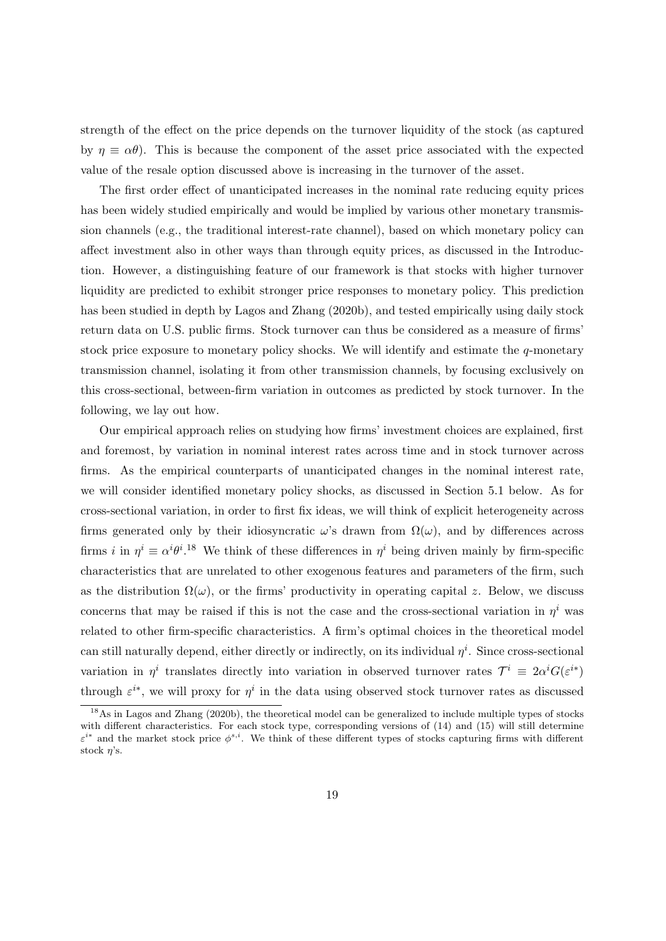strength of the effect on the price depends on the turnover liquidity of the stock (as captured by  $\eta \equiv \alpha \theta$ ). This is because the component of the asset price associated with the expected value of the resale option discussed above is increasing in the turnover of the asset.

The first order effect of unanticipated increases in the nominal rate reducing equity prices has been widely studied empirically and would be implied by various other monetary transmission channels (e.g., the traditional interest-rate channel), based on which monetary policy can affect investment also in other ways than through equity prices, as discussed in the Introduction. However, a distinguishing feature of our framework is that stocks with higher turnover liquidity are predicted to exhibit stronger price responses to monetary policy. This prediction has been studied in depth by [Lagos and Zhang](#page-55-3) [\(2020b\)](#page-55-3), and tested empirically using daily stock return data on U.S. public firms. Stock turnover can thus be considered as a measure of firms' stock price exposure to monetary policy shocks. We will identify and estimate the  $q$ -monetary transmission channel, isolating it from other transmission channels, by focusing exclusively on this cross-sectional, between-firm variation in outcomes as predicted by stock turnover. In the following, we lay out how.

Our empirical approach relies on studying how firms' investment choices are explained, first and foremost, by variation in nominal interest rates across time and in stock turnover across firms. As the empirical counterparts of unanticipated changes in the nominal interest rate, we will consider identified monetary policy shocks, as discussed in Section [5.1](#page-33-1) below. As for cross-sectional variation, in order to first fix ideas, we will think of explicit heterogeneity across firms generated only by their idiosyncratic  $\omega$ 's drawn from  $\Omega(\omega)$ , and by differences across firms i in  $\eta^i \equiv \alpha^i \theta^{i}$ .<sup>[18](#page-18-0)</sup> We think of these differences in  $\eta^i$  being driven mainly by firm-specific characteristics that are unrelated to other exogenous features and parameters of the firm, such as the distribution  $\Omega(\omega)$ , or the firms' productivity in operating capital z. Below, we discuss concerns that may be raised if this is not the case and the cross-sectional variation in  $\eta^i$  was related to other firm-specific characteristics. A firm's optimal choices in the theoretical model can still naturally depend, either directly or indirectly, on its individual  $\eta^i$ . Since cross-sectional variation in  $\eta^i$  translates directly into variation in observed turnover rates  $\mathcal{T}^i \equiv 2\alpha^i G(\varepsilon^{i*})$ through  $\varepsilon^{i*}$ , we will proxy for  $\eta^i$  in the data using observed stock turnover rates as discussed

<span id="page-18-0"></span><sup>&</sup>lt;sup>18</sup>As in [Lagos and Zhang](#page-55-3) [\(2020b\)](#page-55-3), the theoretical model can be generalized to include multiple types of stocks with different characteristics. For each stock type, corresponding versions of  $(14)$  and  $(15)$  will still determine  $\varepsilon^{i*}$  and the market stock price  $\phi^{s,i}$ . We think of these different types of stocks capturing firms with different stock  $\eta$ 's.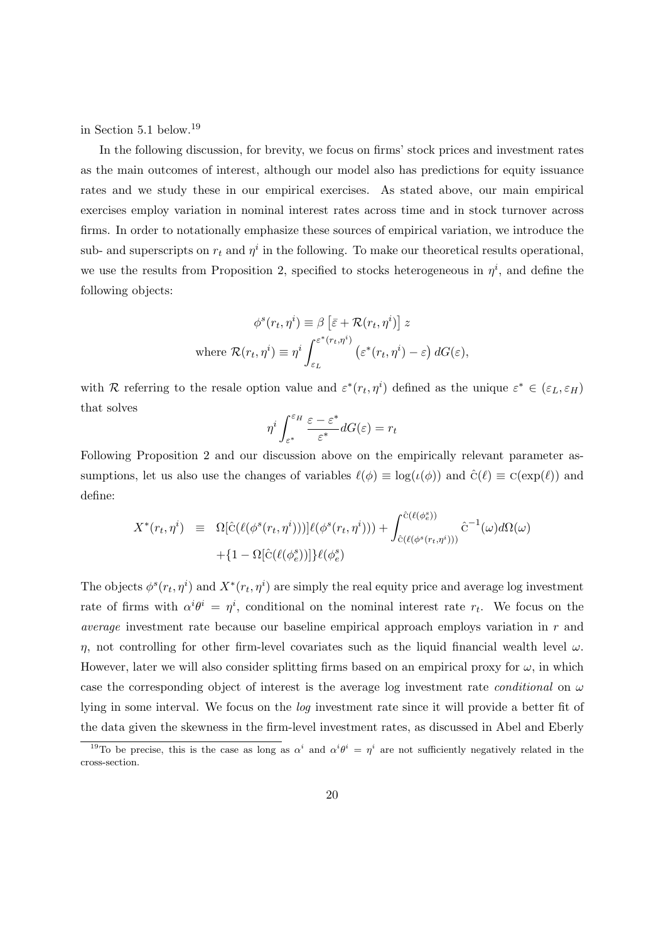in Section [5.1](#page-33-1) below.[19](#page-19-0)

In the following discussion, for brevity, we focus on firms' stock prices and investment rates as the main outcomes of interest, although our model also has predictions for equity issuance rates and we study these in our empirical exercises. As stated above, our main empirical exercises employ variation in nominal interest rates across time and in stock turnover across firms. In order to notationally emphasize these sources of empirical variation, we introduce the sub- and superscripts on  $r_t$  and  $\eta^i$  in the following. To make our theoretical results operational, we use the results from Proposition [2,](#page-13-0) specified to stocks heterogeneous in  $\eta^i$ , and define the following objects:

$$
\phi^{s}(r_t, \eta^{i}) \equiv \beta \left[ \bar{\varepsilon} + \mathcal{R}(r_t, \eta^{i}) \right] z
$$
  
where 
$$
\mathcal{R}(r_t, \eta^{i}) \equiv \eta^{i} \int_{\varepsilon_L}^{\varepsilon^{*}(r_t, \eta^{i})} \left( \varepsilon^{*}(r_t, \eta^{i}) - \varepsilon \right) dG(\varepsilon),
$$

with R referring to the resale option value and  $\varepsilon^*(r_t, \eta^i)$  defined as the unique  $\varepsilon^* \in (\varepsilon_L, \varepsilon_H)$ that solves

<span id="page-19-1"></span>
$$
\eta^i \int_{\varepsilon^*}^{\varepsilon_H} \frac{\varepsilon - \varepsilon^*}{\varepsilon^*} dG(\varepsilon) = r_t
$$

Following Proposition [2](#page-13-0) and our discussion above on the empirically relevant parameter assumptions, let us also use the changes of variables  $\ell(\phi) \equiv \log(\iota(\phi))$  and  $\hat{c}(\ell) \equiv c(\exp(\ell))$  and define:

$$
X^*(r_t, \eta^i) = \Omega[\hat{C}(\ell(\phi^s(r_t, \eta^i)))]\ell(\phi^s(r_t, \eta^i))) + \int_{\hat{C}(\ell(\phi^s(r_t, \eta^i)))}^{\hat{C}(\ell(\phi^s))} \hat{C}^{-1}(\omega)d\Omega(\omega) + \{1 - \Omega[\hat{C}(\ell(\phi^s))]]\ell(\phi^s_e)
$$

The objects  $\phi^s(r_t, \eta^i)$  and  $X^*(r_t, \eta^i)$  are simply the real equity price and average log investment rate of firms with  $\alpha^i \theta^i = \eta^i$ , conditional on the nominal interest rate  $r_t$ . We focus on the average investment rate because our baseline empirical approach employs variation in r and η, not controlling for other firm-level covariates such as the liquid financial wealth level  $ω$ . However, later we will also consider splitting firms based on an empirical proxy for  $\omega$ , in which case the corresponding object of interest is the average log investment rate *conditional* on  $\omega$ lying in some interval. We focus on the log investment rate since it will provide a better fit of the data given the skewness in the firm-level investment rates, as discussed in [Abel and Eberly](#page-52-7)

<span id="page-19-0"></span><sup>&</sup>lt;sup>19</sup>To be precise, this is the case as long as  $\alpha^i$  and  $\alpha^i\theta^i = \eta^i$  are not sufficiently negatively related in the cross-section.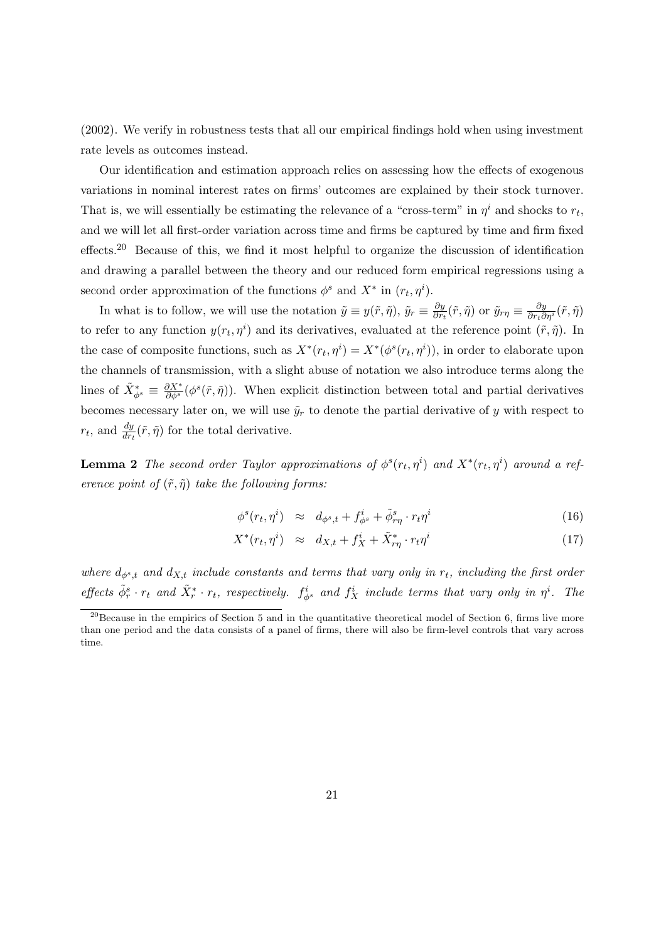[\(2002\)](#page-52-7). We verify in robustness tests that all our empirical findings hold when using investment rate levels as outcomes instead.

Our identification and estimation approach relies on assessing how the effects of exogenous variations in nominal interest rates on firms' outcomes are explained by their stock turnover. That is, we will essentially be estimating the relevance of a "cross-term" in  $\eta^i$  and shocks to  $r_t$ , and we will let all first-order variation across time and firms be captured by time and firm fixed effects.[20](#page-20-0) Because of this, we find it most helpful to organize the discussion of identification and drawing a parallel between the theory and our reduced form empirical regressions using a second order approximation of the functions  $\phi^s$  and  $X^*$  in  $(r_t, \eta^i)$ .

In what is to follow, we will use the notation  $\tilde{y} \equiv y(\tilde{r}, \tilde{\eta}), \tilde{y}_r \equiv \frac{\partial y}{\partial r}$  $\frac{\partial y}{\partial r_t}(\tilde{r}, \tilde{\eta})$  or  $\tilde{y}_{r\eta} \equiv \frac{\partial y}{\partial r_t \partial \eta^i}(\tilde{r}, \tilde{\eta})$ to refer to any function  $y(r_t, \eta^i)$  and its derivatives, evaluated at the reference point  $(\tilde{r}, \tilde{\eta})$ . In the case of composite functions, such as  $X^*(r_t, \eta^i) = X^*(\phi^s(r_t, \eta^i))$ , in order to elaborate upon the channels of transmission, with a slight abuse of notation we also introduce terms along the lines of  $\tilde{X}^*_{\phi^s} \equiv \frac{\partial X^*}{\partial \phi^s} (\phi^s(\tilde{r}, \tilde{\eta}))$ . When explicit distinction between total and partial derivatives becomes necessary later on, we will use  $\tilde{y}_r$  to denote the partial derivative of y with respect to  $r_t$ , and  $\frac{dy}{dr_t}(\tilde{r}, \tilde{\eta})$  for the total derivative.

<span id="page-20-1"></span>**Lemma 2** The second order Taylor approximations of  $\phi^s(r_t, \eta^i)$  and  $X^*(r_t, \eta^i)$  around a reference point of  $(\tilde{r}, \tilde{\eta})$  take the following forms:

$$
\phi^s(r_t, \eta^i) \approx d_{\phi^s, t} + f^i_{\phi^s} + \tilde{\phi}^s_{r\eta} \cdot r_t \eta^i \tag{16}
$$

$$
X^*(r_t, \eta^i) \approx d_{X,t} + f_X^i + \tilde{X}^*_{r\eta} \cdot r_t \eta^i \tag{17}
$$

where  $d_{\phi^s,t}$  and  $d_{X,t}$  include constants and terms that vary only in  $r_t$ , including the first order effects  $\tilde{\phi}_r^s \cdot r_t$  and  $\tilde{X}_r^* \cdot r_t$ , respectively.  $f_{\phi^s}^i$  and  $f_X^i$  include terms that vary only in  $\eta^i$ . The

<span id="page-20-0"></span> $^{20}$ Because in the empirics of Section [5](#page-33-0) and in the quantitative theoretical model of Section [6,](#page-44-0) firms live more than one period and the data consists of a panel of firms, there will also be firm-level controls that vary across time.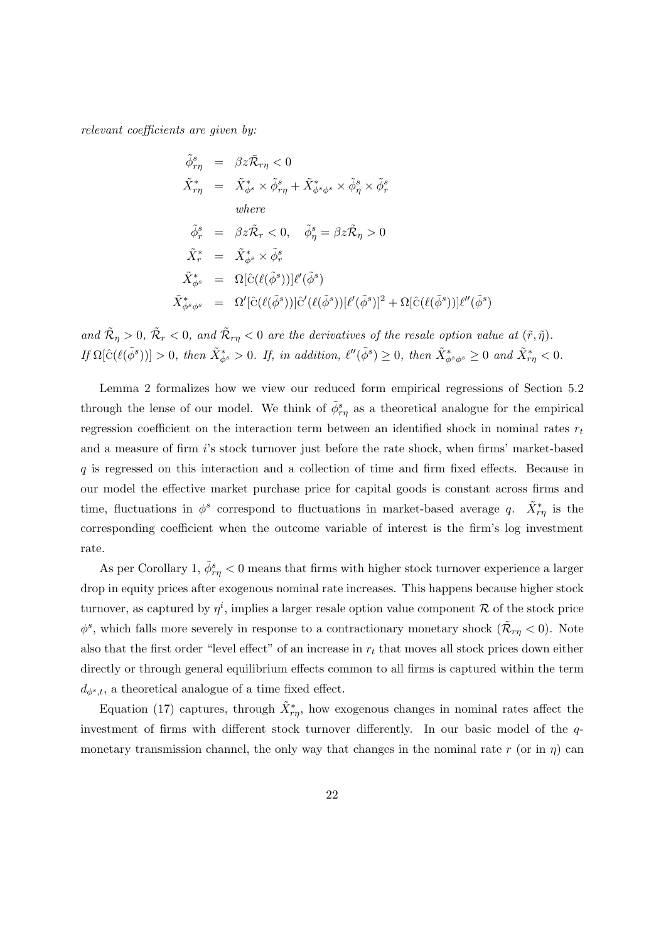relevant coefficients are given by:

$$
\tilde{\phi}_{r\eta}^{s} = \beta z \tilde{\mathcal{R}}_{r\eta} < 0
$$
\n
$$
\tilde{X}_{r\eta}^{*} = \tilde{X}_{\phi^{s}}^{*} \times \tilde{\phi}_{r\eta}^{s} + \tilde{X}_{\phi^{s}\phi^{s}}^{*} \times \tilde{\phi}_{\eta}^{s} \times \tilde{\phi}_{r}^{s}
$$
\n
$$
\text{where}
$$
\n
$$
\tilde{\phi}_{r}^{s} = \beta z \tilde{\mathcal{R}}_{r} < 0, \quad \tilde{\phi}_{\eta}^{s} = \beta z \tilde{\mathcal{R}}_{\eta} > 0
$$
\n
$$
\tilde{X}_{r}^{*} = \tilde{X}_{\phi^{s}}^{*} \times \tilde{\phi}_{r}^{s}
$$
\n
$$
\tilde{X}_{\phi^{s}}^{*} = \Omega[\hat{C}(\ell(\tilde{\phi}^{s}))]\ell'(\tilde{\phi}^{s})
$$
\n
$$
\tilde{X}_{\phi^{s}\phi^{s}}^{*} = \Omega'[\hat{C}(\ell(\tilde{\phi}^{s}))]\hat{C}'(\ell(\tilde{\phi}^{s}))[\ell'(\tilde{\phi}^{s})]^{2} + \Omega[\hat{C}(\ell(\tilde{\phi}^{s}))]\ell''(\tilde{\phi}^{s})
$$

and  $\tilde{\mathcal{R}}_{\eta} > 0$ ,  $\tilde{\mathcal{R}}_{r} < 0$ , and  $\tilde{\mathcal{R}}_{r\eta} < 0$  are the derivatives of the resale option value at  $(\tilde{r}, \tilde{\eta})$ .  $If \Omega[\hat{C}(\ell(\tilde{\phi}^s))] > 0, then \ \tilde{X}_{\phi^s}^* > 0.$  If, in addition,  $\ell''(\tilde{\phi}^s) \geq 0$ , then  $\tilde{X}_{\phi^s \phi^s}^* \geq 0$  and  $\tilde{X}_{r\eta}^* < 0.$ 

Lemma [2](#page-20-1) formalizes how we view our reduced form empirical regressions of Section [5.2](#page-34-0) through the lense of our model. We think of  $\tilde{\phi}^s_{r\eta}$  as a theoretical analogue for the empirical regression coefficient on the interaction term between an identified shock in nominal rates  $r_t$ and a measure of firm i's stock turnover just before the rate shock, when firms' market-based q is regressed on this interaction and a collection of time and firm fixed effects. Because in our model the effective market purchase price for capital goods is constant across firms and time, fluctuations in  $\phi^s$  correspond to fluctuations in market-based average q.  $\tilde{X}^*_{r\eta}$  is the corresponding coefficient when the outcome variable of interest is the firm's log investment rate.

As per Corollary [1,](#page-14-0)  $\tilde{\phi}_{r\eta}^s < 0$  means that firms with higher stock turnover experience a larger drop in equity prices after exogenous nominal rate increases. This happens because higher stock turnover, as captured by  $\eta^i$ , implies a larger resale option value component R of the stock price  $\phi^s$ , which falls more severely in response to a contractionary monetary shock  $(\tilde{\mathcal{R}}_{r\eta} < 0)$ . Note also that the first order "level effect" of an increase in  $r_t$  that moves all stock prices down either directly or through general equilibrium effects common to all firms is captured within the term  $d_{\phi^s,t}$ , a theoretical analogue of a time fixed effect.

Equation [\(17\)](#page-19-1) captures, through  $\tilde{X}^*_{r\eta}$ , how exogenous changes in nominal rates affect the investment of firms with different stock turnover differently. In our basic model of the qmonetary transmission channel, the only way that changes in the nominal rate r (or in  $\eta$ ) can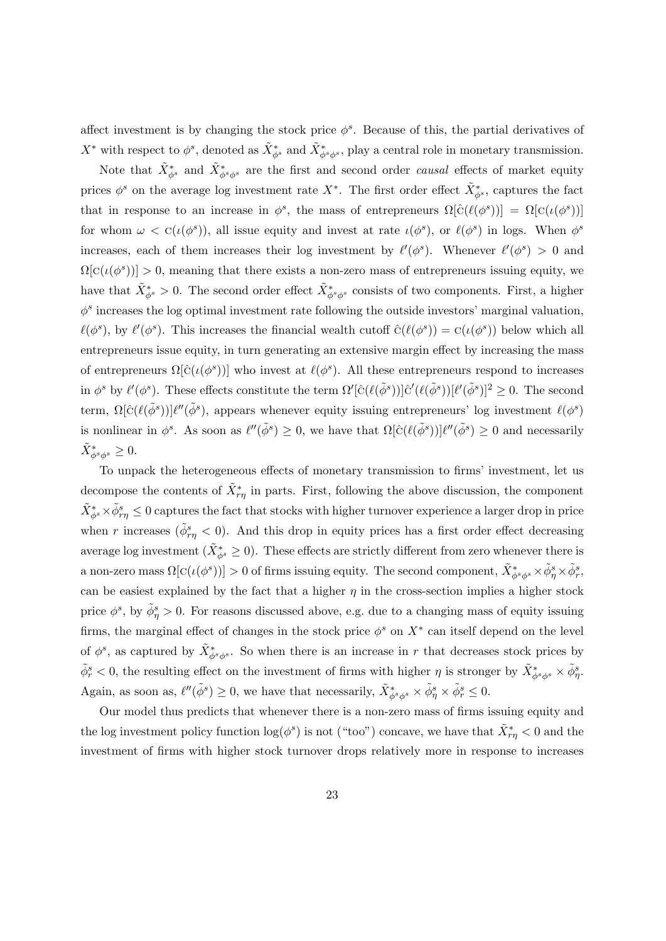affect investment is by changing the stock price  $\phi^s$ . Because of this, the partial derivatives of  $X^*$  with respect to  $\phi^s$ , denoted as  $\tilde{X}^*_{\phi^s}$  and  $\tilde{X}^*_{\phi^s\phi^s}$ , play a central role in monetary transmission.

Note that  $\tilde{X}^*_{\phi^s}$  and  $\tilde{X}^*_{\phi^s\phi^s}$  are the first and second order *causal* effects of market equity prices  $\phi^s$  on the average log investment rate  $X^*$ . The first order effect  $\tilde{X}^*_{\phi^s}$ , captures the fact that in response to an increase in  $\phi^s$ , the mass of entrepreneurs  $\Omega[\hat{C}(\ell(\phi^s))] = \Omega[C(\iota(\phi^s))]$ for whom  $\omega < C(\iota(\phi^s))$ , all issue equity and invest at rate  $\iota(\phi^s)$ , or  $\ell(\phi^s)$  in logs. When  $\phi^s$ increases, each of them increases their log investment by  $\ell'(\phi^s)$ . Whenever  $\ell'(\phi^s) > 0$  and  $\Omega[C(\iota(\phi^s))] > 0$ , meaning that there exists a non-zero mass of entrepreneurs issuing equity, we have that  $\tilde{X}^*_{\phi^s} > 0$ . The second order effect  $\tilde{X}^*_{\phi^s\phi^s}$  consists of two components. First, a higher  $\phi^s$  increases the log optimal investment rate following the outside investors' marginal valuation,  $\ell(\phi^s)$ , by  $\ell'(\phi^s)$ . This increases the financial wealth cutoff  $\hat{C}(\ell(\phi^s)) = C(\iota(\phi^s))$  below which all entrepreneurs issue equity, in turn generating an extensive margin effect by increasing the mass of entrepreneurs  $\Omega[\hat{C}(\iota(\phi^s))]$  who invest at  $\ell(\phi^s)$ . All these entrepreneurs respond to increases in  $\phi^s$  by  $\ell'(\phi^s)$ . These effects constitute the term  $\Omega'[\hat{C}(\ell(\tilde{\phi}^s))] \hat{C}'(\ell(\tilde{\phi}^s))] \ell'(\tilde{\phi}^s)]^2 \geq 0$ . The second term,  $\Omega[\hat{C}(\ell(\tilde{\phi}^s))] \ell''(\tilde{\phi}^s)$ , appears whenever equity issuing entrepreneurs' log investment  $\ell(\phi^s)$ is nonlinear in  $\phi^s$ . As soon as  $\ell''(\tilde{\phi}^s) \geq 0$ , we have that  $\Omega[\hat{C}(\ell(\tilde{\phi}^s))] \ell''(\tilde{\phi}^s) \geq 0$  and necessarily  $\tilde{X}^*_{\phi^s\phi^s}\geq 0.$ 

To unpack the heterogeneous effects of monetary transmission to firms' investment, let us decompose the contents of  $\tilde{X}^*_{r\eta}$  in parts. First, following the above discussion, the component  $\tilde{X}^*_{\phi^s} \times \tilde{\phi}^s_{r\eta} \leq 0$  captures the fact that stocks with higher turnover experience a larger drop in price when r increases  $(\tilde{\phi}_{r\eta}^s < 0)$ . And this drop in equity prices has a first order effect decreasing average log investment  $(\tilde{X}^*_{\phi^s} \geq 0)$ . These effects are strictly different from zero whenever there is a non-zero mass  $\Omega[\mathrm{C}(\iota(\phi^s))] > 0$  of firms issuing equity. The second component,  $\tilde{X}_{\phi^s\phi^s}^* \times \tilde{\phi}^s_\eta \times \tilde{\phi}^s_r$ , can be easiest explained by the fact that a higher  $\eta$  in the cross-section implies a higher stock price  $\phi^s$ , by  $\tilde{\phi}^s_{\eta} > 0$ . For reasons discussed above, e.g. due to a changing mass of equity issuing firms, the marginal effect of changes in the stock price  $\phi^s$  on  $X^*$  can itself depend on the level of  $\phi^s$ , as captured by  $\tilde{X}^*_{\phi^s\phi^s}$ . So when there is an increase in r that decreases stock prices by  $\tilde{\phi}^s_r < 0$ , the resulting effect on the investment of firms with higher  $\eta$  is stronger by  $\tilde{X}^*_{\phi^s \phi^s} \times \tilde{\phi}^s_{\eta}$ . Again, as soon as,  $\ell''(\tilde{\phi}^s) \geq 0$ , we have that necessarily,  $\tilde{X}_{\phi^s \phi^s}^* \times \tilde{\phi}^s_\eta \times \tilde{\phi}^s_r \leq 0$ .

Our model thus predicts that whenever there is a non-zero mass of firms issuing equity and the log investment policy function  $\log(\phi^s)$  is not ("too") concave, we have that  $\tilde{X}^*_{r\eta} < 0$  and the investment of firms with higher stock turnover drops relatively more in response to increases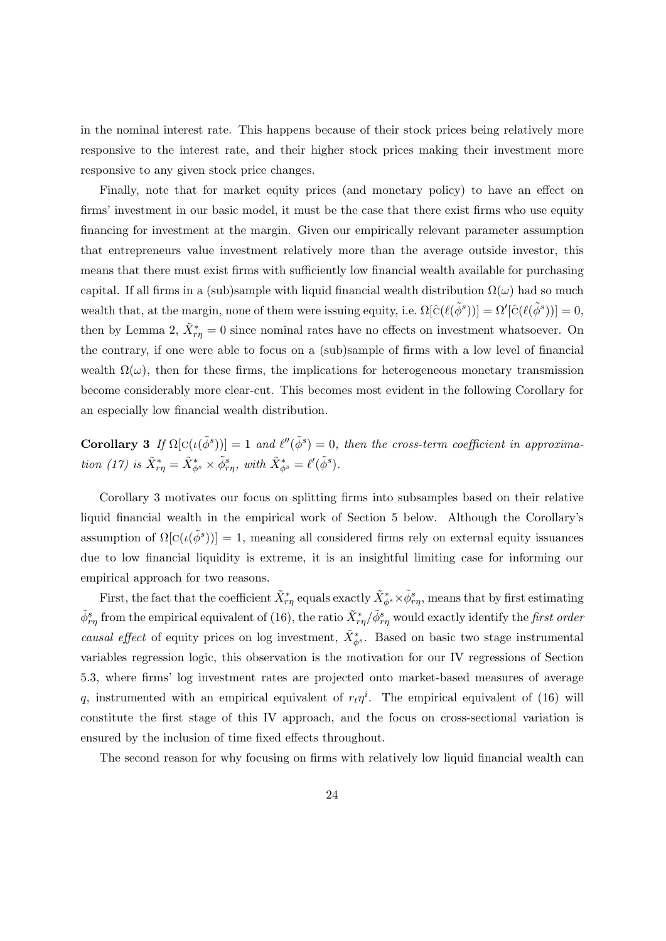in the nominal interest rate. This happens because of their stock prices being relatively more responsive to the interest rate, and their higher stock prices making their investment more responsive to any given stock price changes.

Finally, note that for market equity prices (and monetary policy) to have an effect on firms' investment in our basic model, it must be the case that there exist firms who use equity financing for investment at the margin. Given our empirically relevant parameter assumption that entrepreneurs value investment relatively more than the average outside investor, this means that there must exist firms with sufficiently low financial wealth available for purchasing capital. If all firms in a (sub)sample with liquid financial wealth distribution  $\Omega(\omega)$  had so much wealth that, at the margin, none of them were issuing equity, i.e.  $\Omega[\hat{C}(\ell(\tilde{\phi}^s))] = \Omega'[\hat{C}(\ell(\tilde{\phi}^s))] = 0$ , then by Lemma [2,](#page-20-1)  $\tilde{X}^*_{r\eta} = 0$  since nominal rates have no effects on investment whatsoever. On the contrary, if one were able to focus on a (sub)sample of firms with a low level of financial wealth  $\Omega(\omega)$ , then for these firms, the implications for heterogeneous monetary transmission become considerably more clear-cut. This becomes most evident in the following Corollary for an especially low financial wealth distribution.

<span id="page-23-0"></span>**Corollary 3** If  $\Omega[c(\iota(\tilde{\phi}^s))] = 1$  and  $\ell''(\tilde{\phi}^s) = 0$ , then the cross-term coefficient in approxima-tion [\(17\)](#page-19-1) is  $\tilde{X}^*_{r\eta} = \tilde{X}^*_{\phi^s} \times \tilde{\phi}^s_{r\eta}$ , with  $\tilde{X}^*_{\phi^s} = \ell'(\tilde{\phi}^s)$ .

Corollary [3](#page-23-0) motivates our focus on splitting firms into subsamples based on their relative liquid financial wealth in the empirical work of Section [5](#page-33-0) below. Although the Corollary's assumption of  $\Omega$ [C( $\iota(\tilde{\phi}^s)$ )] = 1, meaning all considered firms rely on external equity issuances due to low financial liquidity is extreme, it is an insightful limiting case for informing our empirical approach for two reasons.

First, the fact that the coefficient  $\tilde{X}^*_{r\eta}$  equals exactly  $\tilde{X}^*_{\phi^s} \times \tilde{\phi}^s_{r\eta}$ , means that by first estimating  $\tilde{\phi}_{r\eta}^s$  from the empirical equivalent of [\(16\)](#page-19-1), the ratio  $\tilde{X}^*_{r\eta}/\tilde{\phi}_{r\eta}^s$  would exactly identify the *first order* causal effect of equity prices on log investment,  $\tilde{X}_{\phi^s}^*$ . Based on basic two stage instrumental variables regression logic, this observation is the motivation for our IV regressions of Section [5.3,](#page-39-0) where firms' log investment rates are projected onto market-based measures of average q, instrumented with an empirical equivalent of  $r_t\eta^i$ . The empirical equivalent of [\(16\)](#page-19-1) will constitute the first stage of this IV approach, and the focus on cross-sectional variation is ensured by the inclusion of time fixed effects throughout.

The second reason for why focusing on firms with relatively low liquid financial wealth can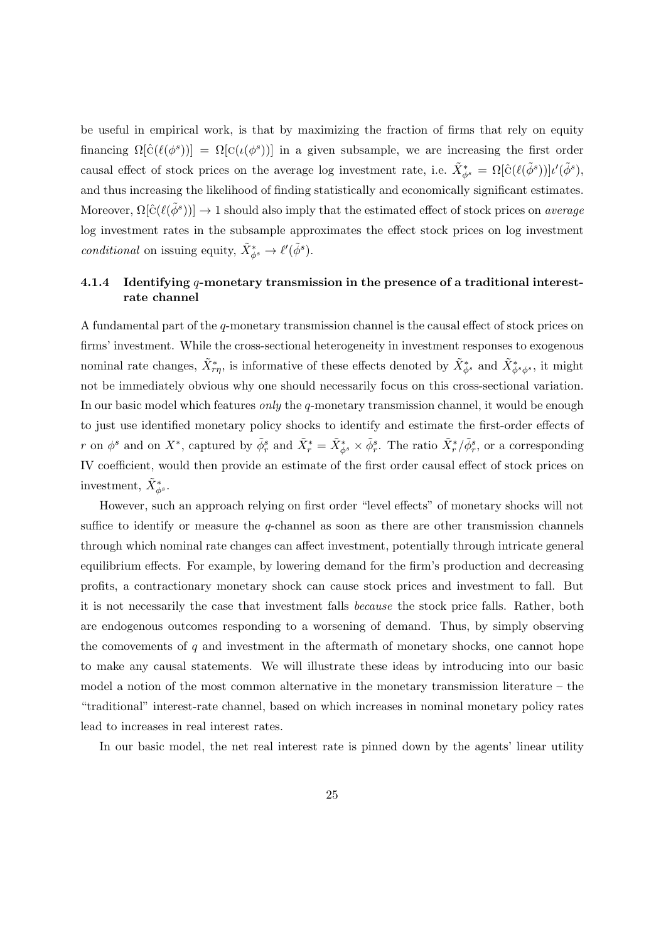be useful in empirical work, is that by maximizing the fraction of firms that rely on equity financing  $\Omega[\hat{C}(\ell(\phi^s))] = \Omega[C(\iota(\phi^s))]$  in a given subsample, we are increasing the first order causal effect of stock prices on the average log investment rate, i.e.  $\tilde{X}^*_{\phi^s} = \Omega[\hat{c}(\ell(\tilde{\phi}^s))] \iota'(\tilde{\phi}^s)$ , and thus increasing the likelihood of finding statistically and economically significant estimates. Moreover,  $\Omega[\hat{C}(\ell(\tilde{\phi}^s))] \to 1$  should also imply that the estimated effect of stock prices on *average* log investment rates in the subsample approximates the effect stock prices on log investment conditional on issuing equity,  $\tilde{X}_{\phi^s}^* \to \ell'(\tilde{\phi}^s)$ .

### 4.1.4 Identifying q-monetary transmission in the presence of a traditional interestrate channel

A fundamental part of the  $q$ -monetary transmission channel is the causal effect of stock prices on firms' investment. While the cross-sectional heterogeneity in investment responses to exogenous nominal rate changes,  $\tilde{X}^*_{r\eta}$ , is informative of these effects denoted by  $\tilde{X}^*_{\phi^s}$  and  $\tilde{X}^*_{\phi^s\phi^s}$ , it might not be immediately obvious why one should necessarily focus on this cross-sectional variation. In our basic model which features *only* the q-monetary transmission channel, it would be enough to just use identified monetary policy shocks to identify and estimate the first-order effects of r on  $\phi^s$  and on  $X^*$ , captured by  $\tilde{\phi}^s_r$  and  $\tilde{X}^*_r = \tilde{X}^*_{\phi^s} \times \tilde{\phi}^s_r$ . The ratio  $\tilde{X}^*_{r}/\tilde{\phi}^s_r$ , or a corresponding IV coefficient, would then provide an estimate of the first order causal effect of stock prices on investment,  $\tilde{X}_{\phi^s}^*$ .

However, such an approach relying on first order "level effects" of monetary shocks will not suffice to identify or measure the q-channel as soon as there are other transmission channels through which nominal rate changes can affect investment, potentially through intricate general equilibrium effects. For example, by lowering demand for the firm's production and decreasing profits, a contractionary monetary shock can cause stock prices and investment to fall. But it is not necessarily the case that investment falls because the stock price falls. Rather, both are endogenous outcomes responding to a worsening of demand. Thus, by simply observing the comovements of  $q$  and investment in the aftermath of monetary shocks, one cannot hope to make any causal statements. We will illustrate these ideas by introducing into our basic model a notion of the most common alternative in the monetary transmission literature – the "traditional" interest-rate channel, based on which increases in nominal monetary policy rates lead to increases in real interest rates.

In our basic model, the net real interest rate is pinned down by the agents' linear utility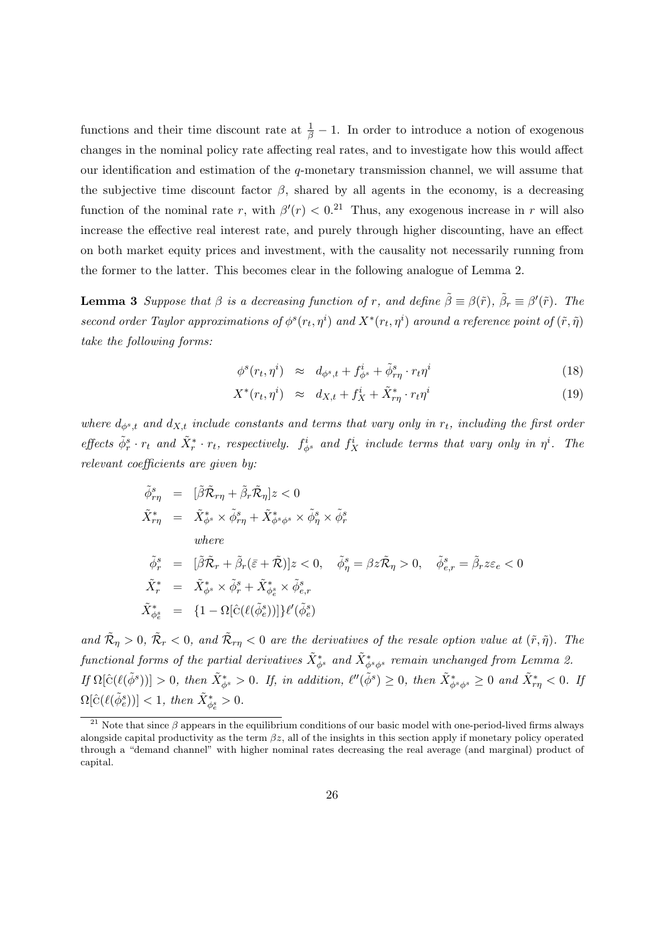functions and their time discount rate at  $\frac{1}{\beta} - 1$ . In order to introduce a notion of exogenous changes in the nominal policy rate affecting real rates, and to investigate how this would affect our identification and estimation of the  $q$ -monetary transmission channel, we will assume that the subjective time discount factor  $\beta$ , shared by all agents in the economy, is a decreasing function of the nominal rate r, with  $\beta'(r) < 0.21$  $\beta'(r) < 0.21$  Thus, any exogenous increase in r will also increase the effective real interest rate, and purely through higher discounting, have an effect on both market equity prices and investment, with the causality not necessarily running from the former to the latter. This becomes clear in the following analogue of Lemma [2.](#page-20-1)

<span id="page-25-1"></span>**Lemma 3** Suppose that  $\beta$  is a decreasing function of r, and define  $\tilde{\beta} \equiv \beta(\tilde{r})$ ,  $\tilde{\beta}_r \equiv \beta'(\tilde{r})$ . The second order Taylor approximations of  $\phi^s(r_t, \eta^i)$  and  $X^*(r_t, \eta^i)$  around a reference point of  $(\tilde{r}, \tilde{\eta})$ take the following forms:

$$
\phi^s(r_t, \eta^i) \approx d_{\phi^s, t} + f^i_{\phi^s} + \tilde{\phi}^s_{r\eta} \cdot r_t \eta^i \tag{18}
$$

$$
X^*(r_t, \eta^i) \approx d_{X,t} + f_X^i + \tilde{X}^*_{r\eta} \cdot r_t \eta^i \tag{19}
$$

where  $d_{\phi^s,t}$  and  $d_{X,t}$  include constants and terms that vary only in  $r_t$ , including the first order effects  $\tilde{\phi}_r^s \cdot r_t$  and  $\tilde{X}_r^* \cdot r_t$ , respectively.  $f_{\phi^s}^i$  and  $f_X^i$  include terms that vary only in  $\eta^i$ . The relevant coefficients are given by:

$$
\begin{aligned}\n\tilde{\phi}_{r\eta}^s &= [\tilde{\beta}\tilde{\mathcal{R}}_{r\eta} + \tilde{\beta}_r \tilde{\mathcal{R}}_{\eta}]z < 0 \\
\tilde{X}_{r\eta}^* &= \tilde{X}_{\phi^s}^* \times \tilde{\phi}_{r\eta}^s + \tilde{X}_{\phi^s \phi^s}^* \times \tilde{\phi}_{\eta}^s \times \tilde{\phi}_{r}^s \\
&\text{where} \\
\tilde{\phi}_{r}^s &= [\tilde{\beta}\tilde{\mathcal{R}}_{r} + \tilde{\beta}_r(\bar{\varepsilon} + \tilde{\mathcal{R}})]z < 0, \quad \tilde{\phi}_{\eta}^s = \beta z \tilde{\mathcal{R}}_{\eta} > 0, \quad \tilde{\phi}_{e,r}^s = \tilde{\beta}_r z \varepsilon_e < 0 \\
\tilde{X}_{r}^* &= \tilde{X}_{\phi^s}^* \times \tilde{\phi}_{r}^s + \tilde{X}_{\phi^s}^* \times \tilde{\phi}_{e,r}^s \\
\tilde{X}_{\phi^s_e}^* &= \{1 - \Omega[\hat{C}(\ell(\tilde{\phi}_e^s))]\} \ell'(\tilde{\phi}_e^s)\n\end{aligned}
$$

and  $\tilde{\mathcal{R}}_{\eta} > 0$ ,  $\tilde{\mathcal{R}}_{r} < 0$ , and  $\tilde{\mathcal{R}}_{r\eta} < 0$  are the derivatives of the resale option value at  $(\tilde{r}, \tilde{\eta})$ . The  $\emph{functional forms of the partial derivatives $\tilde{X}^*_{\phi^s}$ and $\tilde{X}^*_{\phi^s\phi^s}$ remain unchanged from Lemma~2.}$  $\emph{functional forms of the partial derivatives $\tilde{X}^*_{\phi^s}$ and $\tilde{X}^*_{\phi^s\phi^s}$ remain unchanged from Lemma~2.}$  $\emph{functional forms of the partial derivatives $\tilde{X}^*_{\phi^s}$ and $\tilde{X}^*_{\phi^s\phi^s}$ remain unchanged from Lemma~2.}$  $If \ \Omega[\hat{C}(\ell(\tilde{\phi}^s))] > 0, \ then \ \tilde{X}_{\phi^s}^* > 0. \ \textit{If, in addition, } \ \ell''(\tilde{\phi}^s) \geq 0, \ then \ \tilde{X}_{\phi^s\phi^s}^* \geq 0 \ \textit{and} \ \tilde{X}_{r\eta}^* < 0. \ \textit{If,} \ \tilde{X}_{r\eta}^* > 0.$  $\Omega[\hat{C}(\ell(\tilde{\phi}_e^s))] < 1, \text{ then } \tilde{X}^*_{\phi_e^s} > 0.$ 

<span id="page-25-0"></span><sup>&</sup>lt;sup>21</sup> Note that since  $\beta$  appears in the equilibrium conditions of our basic model with one-period-lived firms always alongside capital productivity as the term  $\beta z$ , all of the insights in this section apply if monetary policy operated through a "demand channel" with higher nominal rates decreasing the real average (and marginal) product of capital.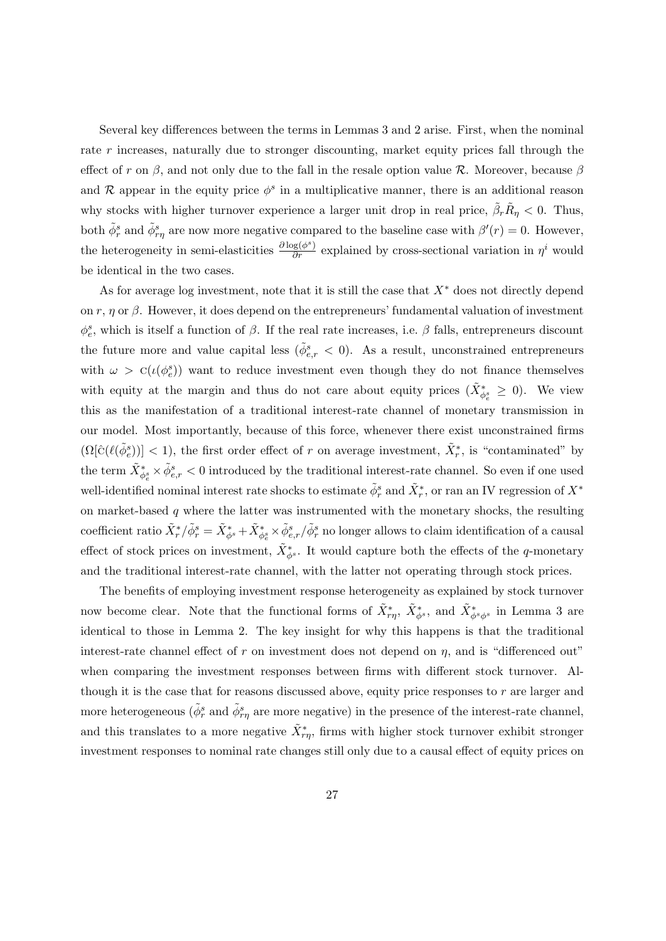Several key differences between the terms in Lemmas [3](#page-25-1) and [2](#page-20-1) arise. First, when the nominal rate r increases, naturally due to stronger discounting, market equity prices fall through the effect of r on  $\beta$ , and not only due to the fall in the resale option value R. Moreover, because  $\beta$ and R appear in the equity price  $\phi^s$  in a multiplicative manner, there is an additional reason why stocks with higher turnover experience a larger unit drop in real price,  $\tilde{\beta}_r \tilde{R}_\eta < 0$ . Thus, both  $\tilde{\phi}_r^s$  and  $\tilde{\phi}_{r\eta}^s$  are now more negative compared to the baseline case with  $\beta'(r) = 0$ . However, the heterogeneity in semi-elasticities  $\frac{\partial \log(\phi^s)}{\partial r}$  explained by cross-sectional variation in  $\eta^i$  would be identical in the two cases.

As for average log investment, note that it is still the case that  $X^*$  does not directly depend on r,  $\eta$  or  $\beta$ . However, it does depend on the entrepreneurs' fundamental valuation of investment  $\phi_e^s$ , which is itself a function of  $\beta$ . If the real rate increases, i.e.  $\beta$  falls, entrepreneurs discount the future more and value capital less  $(\tilde{\phi}_{e,r}^s < 0)$ . As a result, unconstrained entrepreneurs with  $\omega > C(\iota(\phi_e^s))$  want to reduce investment even though they do not finance themselves with equity at the margin and thus do not care about equity prices  $(\tilde{X}_{\phi_{\varepsilon}}^* \geq 0)$ . We view this as the manifestation of a traditional interest-rate channel of monetary transmission in our model. Most importantly, because of this force, whenever there exist unconstrained firms  $(\Omega[\hat{C}(\ell(\tilde{\phi}_e^s))] < 1)$ , the first order effect of r on average investment,  $\tilde{X}_r^*$ , is "contaminated" by the term  $\tilde{X}_{\phi_e^s}^* \times \tilde{\phi}_{e,r}^s < 0$  introduced by the traditional interest-rate channel. So even if one used well-identified nominal interest rate shocks to estimate  $\tilde{\phi}_r^s$  and  $\tilde{X}_r^*$ , or ran an IV regression of  $X^*$ on market-based  $q$  where the latter was instrumented with the monetary shocks, the resulting coefficient ratio  $\tilde{X}^*_r/\tilde{\phi}^s_r = \tilde{X}^*_{\phi^s_s} + \tilde{X}^*_{\phi^s_e} \times \tilde{\phi}^s_{e,r}/\tilde{\phi}^s_r$  no longer allows to claim identification of a causal effect of stock prices on investment,  $\tilde{X}^*_{\phi^s}$ . It would capture both the effects of the q-monetary and the traditional interest-rate channel, with the latter not operating through stock prices.

The benefits of employing investment response heterogeneity as explained by stock turnover now become clear. Note that the functional forms of  $\tilde{X}^*_{r\eta}, \tilde{X}^*_{\phi^s}$ , and  $\tilde{X}^*_{\phi^s\phi^s}$  in Lemma [3](#page-25-1) are identical to those in Lemma [2.](#page-20-1) The key insight for why this happens is that the traditional interest-rate channel effect of r on investment does not depend on  $\eta$ , and is "differenced out" when comparing the investment responses between firms with different stock turnover. Although it is the case that for reasons discussed above, equity price responses to  $r$  are larger and more heterogeneous ( $\tilde{\phi}_r^s$  and  $\tilde{\phi}_{r\eta}^s$  are more negative) in the presence of the interest-rate channel, and this translates to a more negative  $\tilde{X}^*_{r\eta}$ , firms with higher stock turnover exhibit stronger investment responses to nominal rate changes still only due to a causal effect of equity prices on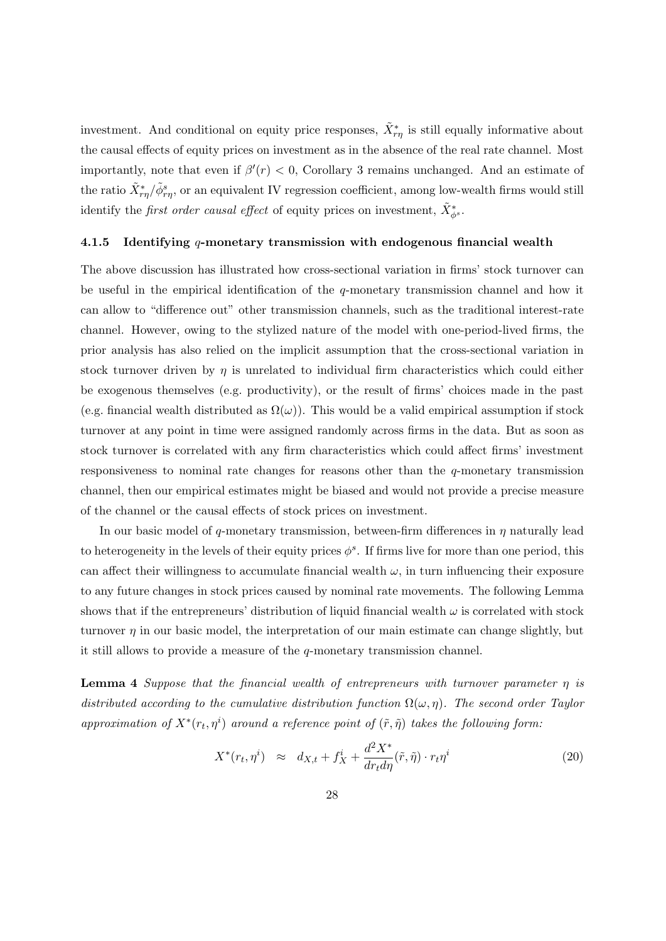investment. And conditional on equity price responses,  $\tilde{X}^*_{r\eta}$  is still equally informative about the causal effects of equity prices on investment as in the absence of the real rate channel. Most importantly, note that even if  $\beta'(r) < 0$ , Corollary [3](#page-23-0) remains unchanged. And an estimate of the ratio  $\tilde{X}^*_{r\eta}/\tilde{\phi}^s_{r\eta}$ , or an equivalent IV regression coefficient, among low-wealth firms would still identify the *first order causal effect* of equity prices on investment,  $\tilde{X}_{\phi}^*$ .

#### <span id="page-27-0"></span>4.1.5 Identifying  $q$ -monetary transmission with endogenous financial wealth

The above discussion has illustrated how cross-sectional variation in firms' stock turnover can be useful in the empirical identification of the  $q$ -monetary transmission channel and how it can allow to "difference out" other transmission channels, such as the traditional interest-rate channel. However, owing to the stylized nature of the model with one-period-lived firms, the prior analysis has also relied on the implicit assumption that the cross-sectional variation in stock turnover driven by  $\eta$  is unrelated to individual firm characteristics which could either be exogenous themselves (e.g. productivity), or the result of firms' choices made in the past (e.g. financial wealth distributed as  $\Omega(\omega)$ ). This would be a valid empirical assumption if stock turnover at any point in time were assigned randomly across firms in the data. But as soon as stock turnover is correlated with any firm characteristics which could affect firms' investment responsiveness to nominal rate changes for reasons other than the  $q$ -monetary transmission channel, then our empirical estimates might be biased and would not provide a precise measure of the channel or the causal effects of stock prices on investment.

In our basic model of q-monetary transmission, between-firm differences in  $\eta$  naturally lead to heterogeneity in the levels of their equity prices  $\phi^s$ . If firms live for more than one period, this can affect their willingness to accumulate financial wealth  $\omega$ , in turn influencing their exposure to any future changes in stock prices caused by nominal rate movements. The following Lemma shows that if the entrepreneurs' distribution of liquid financial wealth  $\omega$  is correlated with stock turnover  $\eta$  in our basic model, the interpretation of our main estimate can change slightly, but it still allows to provide a measure of the q-monetary transmission channel.

**Lemma 4** Suppose that the financial wealth of entrepreneurs with turnover parameter  $\eta$  is distributed according to the cumulative distribution function  $\Omega(\omega, \eta)$ . The second order Taylor approximation of  $X^*(r_t, \eta^i)$  around a reference point of  $(\tilde{r}, \tilde{\eta})$  takes the following form:

$$
X^*(r_t, \eta^i) \approx d_{X,t} + f_X^i + \frac{d^2 X^*}{dr_t d\eta}(\tilde{r}, \tilde{\eta}) \cdot r_t \eta^i
$$
\n(20)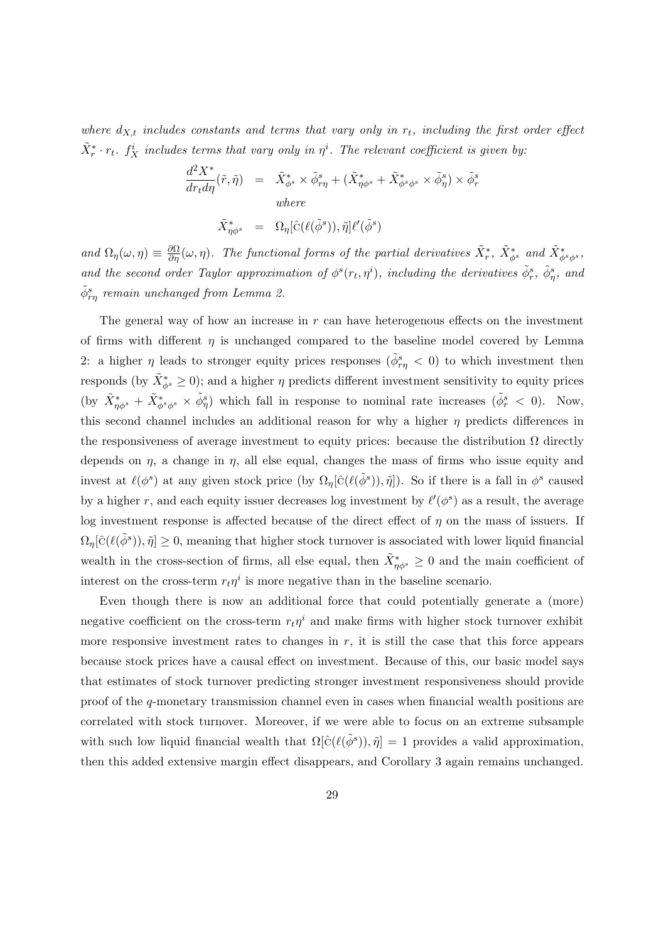where  $d_{X,t}$  includes constants and terms that vary only in  $r_t$ , including the first order effect  $\tilde{X}_r^* \cdot r_t$ .  $f_X^i$  includes terms that vary only in  $\eta^i$ . The relevant coefficient is given by:

$$
\frac{d^2 X^*}{dr_t d\eta}(\tilde{r}, \tilde{\eta}) = \tilde{X}^*_{\phi^s} \times \tilde{\phi}^s_{r\eta} + (\tilde{X}^*_{\eta\phi^s} + \tilde{X}^*_{\phi^s\phi^s} \times \tilde{\phi}^s_{\eta}) \times \tilde{\phi}^s_r
$$
  
where  

$$
\tilde{X}^*_{\eta\phi^s} = \Omega_{\eta} [\hat{c}(\ell(\tilde{\phi}^s)), \tilde{\eta}] \ell'(\tilde{\phi}^s)
$$

and  $\Omega_{\eta}(\omega,\eta) \equiv \frac{\partial \Omega}{\partial \eta}(\omega,\eta)$ . The functional forms of the partial derivatives  $\tilde{X}_{r}^{*}$ ,  $\tilde{X}_{\phi}^{*}$  and  $\tilde{X}_{\phi^s\phi^s}^{*}$ , and the second order Taylor approximation of  $\phi^s(r_t, \eta^i)$ , including the derivatives  $\tilde{\phi}^s_r$ ,  $\tilde{\phi}^s_\eta$ , and  $\tilde{\phi}_{r\eta}^{s}$  remain unchanged from Lemma [2.](#page-20-1)

The general way of how an increase in  $r$  can have heterogenous effects on the investment of firms with different  $\eta$  is unchanged compared to the baseline model covered by Lemma [2:](#page-20-1) a higher  $\eta$  leads to stronger equity prices responses  $(\tilde{\phi}_{r\eta}^s < 0)$  to which investment then responds (by  $\tilde{X}^*_{\phi^s} \geq 0$ ); and a higher  $\eta$  predicts different investment sensitivity to equity prices (by  $\tilde{X}^*_{\eta\phi^s} + \tilde{X}^*_{\phi^s\phi^s} \times \tilde{\phi}^s_{\eta}$ ) which fall in response to nominal rate increases  $(\tilde{\phi}^s_r < 0)$ . Now, this second channel includes an additional reason for why a higher  $\eta$  predicts differences in the responsiveness of average investment to equity prices: because the distribution  $\Omega$  directly depends on  $\eta$ , a change in  $\eta$ , all else equal, changes the mass of firms who issue equity and invest at  $\ell(\phi^s)$  at any given stock price  $(\text{by } \Omega_{\eta}[\hat{c}(\ell(\tilde{\phi}^s)), \tilde{\eta}])$ . So if there is a fall in  $\phi^s$  caused by a higher r, and each equity issuer decreases log investment by  $\ell'(\phi^s)$  as a result, the average log investment response is affected because of the direct effect of  $\eta$  on the mass of issuers. If  $\Omega_{\eta}[\hat{C}(\ell(\tilde{\phi}^s)), \tilde{\eta}] \geq 0$ , meaning that higher stock turnover is associated with lower liquid financial wealth in the cross-section of firms, all else equal, then  $\tilde{X}^*_{\eta\phi^s} \geq 0$  and the main coefficient of interest on the cross-term  $r_t\eta^i$  is more negative than in the baseline scenario.

Even though there is now an additional force that could potentially generate a (more) negative coefficient on the cross-term  $r_t\eta^i$  and make firms with higher stock turnover exhibit more responsive investment rates to changes in  $r$ , it is still the case that this force appears because stock prices have a causal effect on investment. Because of this, our basic model says that estimates of stock turnover predicting stronger investment responsiveness should provide proof of the q-monetary transmission channel even in cases when financial wealth positions are correlated with stock turnover. Moreover, if we were able to focus on an extreme subsample with such low liquid financial wealth that  $\Omega[\hat{C}(\ell(\tilde{\phi}^s)), \tilde{\eta}] = 1$  provides a valid approximation, then this added extensive margin effect disappears, and Corollary [3](#page-23-0) again remains unchanged.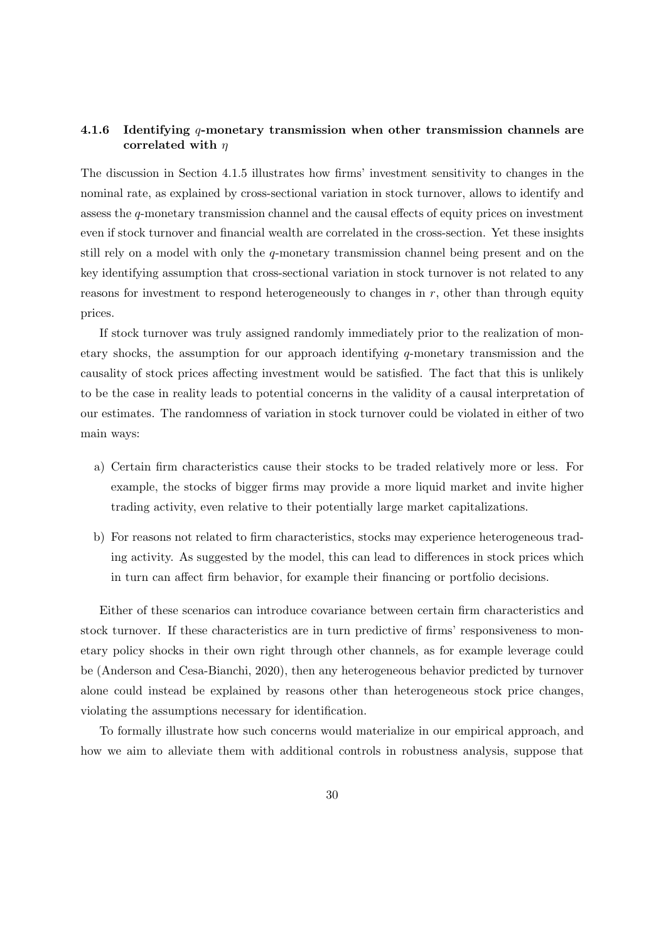## 4.1.6 Identifying q-monetary transmission when other transmission channels are correlated with  $\eta$

The discussion in Section [4.1.5](#page-27-0) illustrates how firms' investment sensitivity to changes in the nominal rate, as explained by cross-sectional variation in stock turnover, allows to identify and assess the q-monetary transmission channel and the causal effects of equity prices on investment even if stock turnover and financial wealth are correlated in the cross-section. Yet these insights still rely on a model with only the q-monetary transmission channel being present and on the key identifying assumption that cross-sectional variation in stock turnover is not related to any reasons for investment to respond heterogeneously to changes in  $r$ , other than through equity prices.

If stock turnover was truly assigned randomly immediately prior to the realization of monetary shocks, the assumption for our approach identifying q-monetary transmission and the causality of stock prices affecting investment would be satisfied. The fact that this is unlikely to be the case in reality leads to potential concerns in the validity of a causal interpretation of our estimates. The randomness of variation in stock turnover could be violated in either of two main ways:

- a) Certain firm characteristics cause their stocks to be traded relatively more or less. For example, the stocks of bigger firms may provide a more liquid market and invite higher trading activity, even relative to their potentially large market capitalizations.
- b) For reasons not related to firm characteristics, stocks may experience heterogeneous trading activity. As suggested by the model, this can lead to differences in stock prices which in turn can affect firm behavior, for example their financing or portfolio decisions.

Either of these scenarios can introduce covariance between certain firm characteristics and stock turnover. If these characteristics are in turn predictive of firms' responsiveness to monetary policy shocks in their own right through other channels, as for example leverage could be [\(Anderson and Cesa-Bianchi,](#page-52-8) [2020\)](#page-52-8), then any heterogeneous behavior predicted by turnover alone could instead be explained by reasons other than heterogeneous stock price changes, violating the assumptions necessary for identification.

To formally illustrate how such concerns would materialize in our empirical approach, and how we aim to alleviate them with additional controls in robustness analysis, suppose that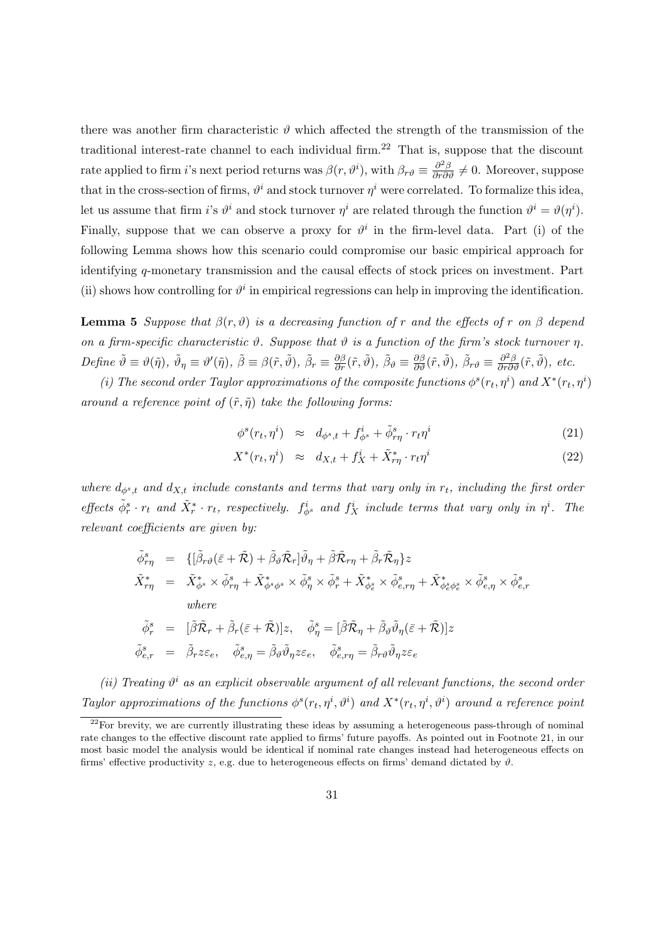there was another firm characteristic  $\vartheta$  which affected the strength of the transmission of the traditional interest-rate channel to each individual firm.<sup>[22](#page-30-0)</sup> That is, suppose that the discount rate applied to firm *i*'s next period returns was  $\beta(r, \vartheta^i)$ , with  $\beta_{r\vartheta} \equiv \frac{\partial^2 \beta}{\partial r \partial \vartheta} \neq 0$ . Moreover, suppose that in the cross-section of firms,  $\vartheta^i$  and stock turnover  $\eta^i$  were correlated. To formalize this idea, let us assume that firm *i*'s  $\vartheta^i$  and stock turnover  $\eta^i$  are related through the function  $\vartheta^i = \vartheta(\eta^i)$ . Finally, suppose that we can observe a proxy for  $\vartheta^i$  in the firm-level data. Part (i) of the following Lemma shows how this scenario could compromise our basic empirical approach for identifying q-monetary transmission and the causal effects of stock prices on investment. Part (ii) shows how controlling for  $\vartheta^i$  in empirical regressions can help in improving the identification.

<span id="page-30-1"></span>**Lemma 5** Suppose that  $\beta(r, \vartheta)$  is a decreasing function of r and the effects of r on  $\beta$  depend on a firm-specific characteristic  $\vartheta$ . Suppose that  $\vartheta$  is a function of the firm's stock turnover  $\eta$ .  $Define \ \tilde{\vartheta} \equiv \vartheta(\tilde{\eta}), \ \tilde{\vartheta}_{\eta} \equiv \vartheta'(\tilde{\eta}), \ \tilde{\beta} \equiv \beta(\tilde{r}, \tilde{\vartheta}), \ \tilde{\beta}_{r} \equiv \frac{\partial \beta}{\partial r}(\tilde{r}, \tilde{\vartheta}), \ \tilde{\beta}_{\vartheta} \equiv \frac{\partial \beta}{\partial \vartheta}(\tilde{r}, \tilde{\vartheta}), \ \tilde{\beta}_{r\vartheta} \equiv \frac{\partial^{2}\beta}{\partial r\partial \vartheta}(\tilde{r}, \tilde{\vartheta}), \ etc.$ 

(i) The second order Taylor approximations of the composite functions  $\phi^s(r_t, \eta^i)$  and  $X^*(r_t, \eta^i)$ around a reference point of  $(\tilde{r}, \tilde{\eta})$  take the following forms:

$$
\phi^s(r_t, \eta^i) \approx d_{\phi^s, t} + f^i_{\phi^s} + \tilde{\phi}^s_{r\eta} \cdot r_t \eta^i \tag{21}
$$

$$
X^*(r_t, \eta^i) \approx d_{X,t} + f_X^i + \tilde{X}^*_{r\eta} \cdot r_t \eta^i \tag{22}
$$

where  $d_{\phi^s,t}$  and  $d_{X,t}$  include constants and terms that vary only in  $r_t$ , including the first order effects  $\tilde{\phi}_r^s \cdot r_t$  and  $\tilde{X}_r^* \cdot r_t$ , respectively.  $f_{\phi^s}^i$  and  $f_X^i$  include terms that vary only in  $\eta^i$ . The relevant coefficients are given by:

$$
\begin{array}{rcl}\n\tilde{\phi}^{s}_{r\eta} & = & \big\{ [\tilde{\beta}_{r\vartheta}(\bar{\varepsilon}+\tilde{\mathcal{R}})+\tilde{\beta}_{\vartheta}\tilde{\mathcal{R}}_{r}] \tilde{\vartheta}_{\eta}+\tilde{\beta}\tilde{\mathcal{R}}_{r\eta}+\tilde{\beta}_{r}\tilde{\mathcal{R}}_{\eta} \big\} z \\
\tilde{X}^{*}_{r\eta} & = & \tilde{X}^{*}_{\phi^{s}} \times \tilde{\phi}^{s}_{r\eta}+\tilde{X}^{*}_{\phi^{s}\phi^{s}} \times \tilde{\phi}^{s}_{\eta} \times \tilde{\phi}^{s}_{r}+\tilde{X}^{*}_{\phi^{s}_{\varepsilon}} \times \tilde{\phi}^{s}_{e,r\eta}+\tilde{X}^{*}_{\phi^{s}_{\varepsilon}\phi^{s}_{\varepsilon}} \times \tilde{\phi}^{s}_{e,\eta} \times \tilde{\phi}^{s}_{e,r} \\
\text{where} \\
\tilde{\phi}^{s}_{r} & = & [\tilde{\beta}\tilde{\mathcal{R}}_{r}+\tilde{\beta}_{r}(\bar{\varepsilon}+\tilde{\mathcal{R}})]z, \quad \tilde{\phi}^{s}_{\eta}=[\tilde{\beta}\tilde{\mathcal{R}}_{\eta}+\tilde{\beta}_{\vartheta}\tilde{\vartheta}_{\eta}(\bar{\varepsilon}+\tilde{\mathcal{R}})]z \\
\tilde{\phi}^{s}_{e,r} & = & \tilde{\beta}_{r}z\varepsilon_{e}, \quad \tilde{\phi}^{s}_{e,\eta}=\tilde{\beta}_{\vartheta}\tilde{\vartheta}_{\eta}z\varepsilon_{e}, \quad \tilde{\phi}^{s}_{e,r\eta}=\tilde{\beta}_{r\vartheta}\tilde{\vartheta}_{\eta}z\varepsilon_{e}\n\end{array}
$$

(ii) Treating  $\vartheta^i$  as an explicit observable argument of all relevant functions, the second order Taylor approximations of the functions  $\phi^s(r_t, \eta^i, \vartheta^i)$  and  $X^*(r_t, \eta^i, \vartheta^i)$  around a reference point

<span id="page-30-0"></span> $22$ For brevity, we are currently illustrating these ideas by assuming a heterogeneous pass-through of nominal rate changes to the effective discount rate applied to firms' future payoffs. As pointed out in Footnote [21,](#page-25-0) in our most basic model the analysis would be identical if nominal rate changes instead had heterogeneous effects on firms' effective productivity z, e.g. due to heterogeneous effects on firms' demand dictated by  $\vartheta$ .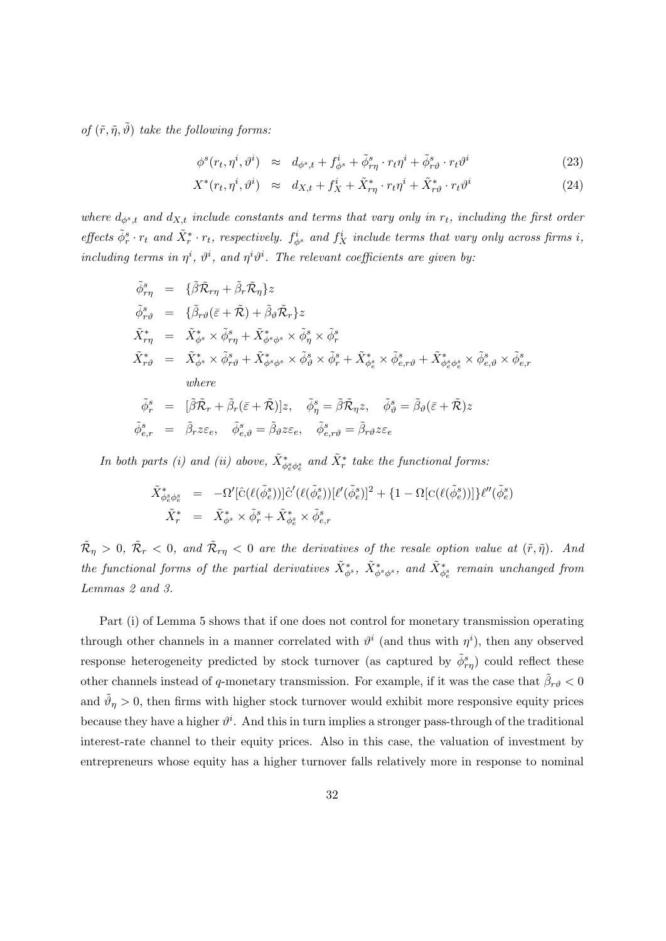of  $(\tilde{r}, \tilde{\eta}, \tilde{\vartheta})$  take the following forms:

$$
\phi^s(r_t, \eta^i, \vartheta^i) \approx d_{\phi^s, t} + f^i_{\phi^s} + \tilde{\phi}^s_{r\eta} \cdot r_t \eta^i + \tilde{\phi}^s_{r\vartheta} \cdot r_t \vartheta^i \tag{23}
$$

$$
X^*(r_t, \eta^i, \vartheta^i) \approx d_{X,t} + f_X^i + \tilde{X}^*_{r\eta} \cdot r_t \eta^i + \tilde{X}^*_{r\vartheta} \cdot r_t \vartheta^i \tag{24}
$$

where  $d_{\phi^s,t}$  and  $d_{X,t}$  include constants and terms that vary only in  $r_t$ , including the first order effects  $\tilde{\phi}_r^s \cdot r_t$  and  $\tilde{X}_r^* \cdot r_t$ , respectively.  $f_{\phi^s}^i$  and  $f_X^i$  include terms that vary only across firms i, including terms in  $\eta^i$ ,  $\vartheta^i$ , and  $\eta^i\vartheta^i$ . The relevant coefficients are given by:

$$
\begin{aligned}\n\tilde{\phi}_{r\eta}^{s} &= \{\tilde{\beta}\tilde{\mathcal{R}}_{r\eta} + \tilde{\beta}_{r}\tilde{\mathcal{R}}_{\eta}\}z \\
\tilde{\phi}_{r\vartheta}^{s} &= \{\tilde{\beta}_{r\vartheta}(\bar{\varepsilon} + \tilde{\mathcal{R}}) + \tilde{\beta}_{\vartheta}\tilde{\mathcal{R}}_{r}\}z \\
\tilde{X}_{r\eta}^{*} &= \tilde{X}_{\phi}^{*} \times \tilde{\phi}_{r\eta}^{s} + \tilde{X}_{\phi}^{*} \times \tilde{\phi}_{\eta}^{s} \times \tilde{\phi}_{r}^{s} \\
\tilde{X}_{r\vartheta}^{*} &= \tilde{X}_{\phi}^{*} \times \tilde{\phi}_{r\vartheta}^{s} + \tilde{X}_{\phi}^{*} \times \tilde{\phi}_{\vartheta}^{s} \times \tilde{\phi}_{r}^{s} + \tilde{X}_{\phi_{\varepsilon}}^{*} \times \tilde{\phi}_{e,r\vartheta}^{s} + \tilde{X}_{\phi_{\varepsilon}^{*}\phi_{\varepsilon}^{s}}^{*} \times \tilde{\phi}_{e,\vartheta}^{s} \times \tilde{\phi}_{e,r}^{s} \\
where \\
\tilde{\phi}_{r}^{s} &= [\tilde{\beta}\tilde{\mathcal{R}}_{r} + \tilde{\beta}_{r}(\bar{\varepsilon} + \tilde{\mathcal{R}})]z, \quad \tilde{\phi}_{\eta}^{s} = \tilde{\beta}\tilde{\mathcal{R}}_{\eta}z, \quad \tilde{\phi}_{\vartheta}^{s} = \tilde{\beta}_{\vartheta}(\bar{\varepsilon} + \tilde{\mathcal{R}})z \\
\tilde{\phi}_{e,r}^{s} &= \tilde{\beta}_{r}z\varepsilon_{e}, \quad \tilde{\phi}_{e,\vartheta}^{s} = \tilde{\beta}_{\vartheta}z\varepsilon_{e}, \quad \tilde{\phi}_{e,r\vartheta}^{s} = \tilde{\beta}_{r\vartheta}z\varepsilon_{e}\n\end{aligned}
$$

In both parts (i) and (ii) above,  $\tilde{X}^*_{\phi_e^s \phi_e^s}$  and  $\tilde{X}^*_r$  take the functional forms:

$$
\begin{array}{rcl}\n\tilde{X}_{\phi_e^s \phi_e^s}^* &=& -\Omega'[\hat{\mathbf{C}}(\ell(\tilde{\phi}_e^s))] \hat{\mathbf{C}}'(\ell(\tilde{\phi}_e^s)) [\ell'(\tilde{\phi}_e^s)]^2 + \{1 - \Omega[\mathbf{C}(\ell(\tilde{\phi}_e^s))] \} \ell''(\tilde{\phi}_e^s) \\
\tilde{X}_r^* &=& \tilde{X}_{\phi^s}^* \times \tilde{\phi}_r^s + \tilde{X}_{\phi_e^s}^* \times \tilde{\phi}_{e,r}^s\n\end{array}
$$

 $\tilde{\mathcal{R}}_\eta > 0, \ \tilde{\mathcal{R}}_r < 0, \ and \ \tilde{\mathcal{R}}_{r\eta} < 0$  are the derivatives of the resale option value at  $(\tilde{r}, \tilde{\eta})$ . And the functional forms of the partial derivatives  $\tilde{X}^*_{\phi^s}$ ,  $\tilde{X}^*_{\phi^s\phi^s}$ , and  $\tilde{X}^*_{\phi^s_e}$  remain unchanged from Lemmas [2](#page-20-1) and [3.](#page-25-1)

Part (i) of Lemma [5](#page-30-1) shows that if one does not control for monetary transmission operating through other channels in a manner correlated with  $\vartheta^i$  (and thus with  $\eta^i$ ), then any observed response heterogeneity predicted by stock turnover (as captured by  $\tilde{\phi}_{r\eta}^s$ ) could reflect these other channels instead of q-monetary transmission. For example, if it was the case that  $\tilde{\beta}_{r\vartheta} < 0$ and  $\tilde{\vartheta}_{\eta} > 0$ , then firms with higher stock turnover would exhibit more responsive equity prices because they have a higher  $\vartheta^i$ . And this in turn implies a stronger pass-through of the traditional interest-rate channel to their equity prices. Also in this case, the valuation of investment by entrepreneurs whose equity has a higher turnover falls relatively more in response to nominal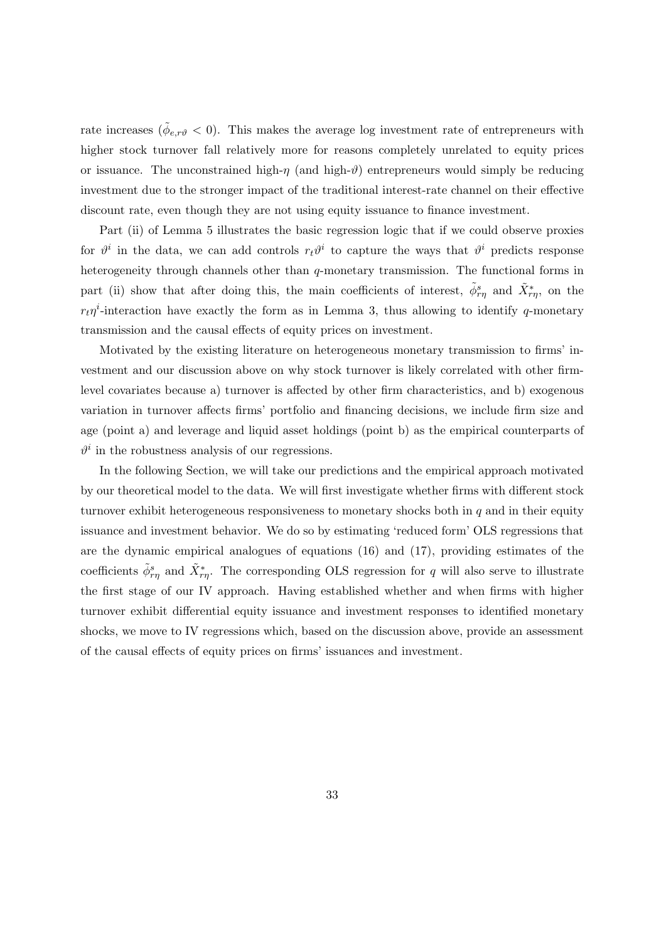rate increases ( $\tilde{\phi}_{e,r\vartheta} < 0$ ). This makes the average log investment rate of entrepreneurs with higher stock turnover fall relatively more for reasons completely unrelated to equity prices or issuance. The unconstrained high- $\eta$  (and high- $\vartheta$ ) entrepreneurs would simply be reducing investment due to the stronger impact of the traditional interest-rate channel on their effective discount rate, even though they are not using equity issuance to finance investment.

Part (ii) of Lemma [5](#page-30-1) illustrates the basic regression logic that if we could observe proxies for  $\vartheta^i$  in the data, we can add controls  $r_t\vartheta^i$  to capture the ways that  $\vartheta^i$  predicts response heterogeneity through channels other than q-monetary transmission. The functional forms in part (ii) show that after doing this, the main coefficients of interest,  $\tilde{\phi}_{r\eta}^s$  and  $\tilde{X}_{r\eta}^*$ , on the  $r_t\eta$ <sup>*i*</sup>-interaction have exactly the form as in Lemma [3,](#page-25-1) thus allowing to identify q-monetary transmission and the causal effects of equity prices on investment.

Motivated by the existing literature on heterogeneous monetary transmission to firms' investment and our discussion above on why stock turnover is likely correlated with other firmlevel covariates because a) turnover is affected by other firm characteristics, and b) exogenous variation in turnover affects firms' portfolio and financing decisions, we include firm size and age (point a) and leverage and liquid asset holdings (point b) as the empirical counterparts of  $\vartheta^i$  in the robustness analysis of our regressions.

In the following Section, we will take our predictions and the empirical approach motivated by our theoretical model to the data. We will first investigate whether firms with different stock turnover exhibit heterogeneous responsiveness to monetary shocks both in  $q$  and in their equity issuance and investment behavior. We do so by estimating 'reduced form' OLS regressions that are the dynamic empirical analogues of equations [\(16\)](#page-19-1) and [\(17\)](#page-19-1), providing estimates of the coefficients  $\tilde{\phi}_{r\eta}^s$  and  $\tilde{X}_{r\eta}^*$ . The corresponding OLS regression for q will also serve to illustrate the first stage of our IV approach. Having established whether and when firms with higher turnover exhibit differential equity issuance and investment responses to identified monetary shocks, we move to IV regressions which, based on the discussion above, provide an assessment of the causal effects of equity prices on firms' issuances and investment.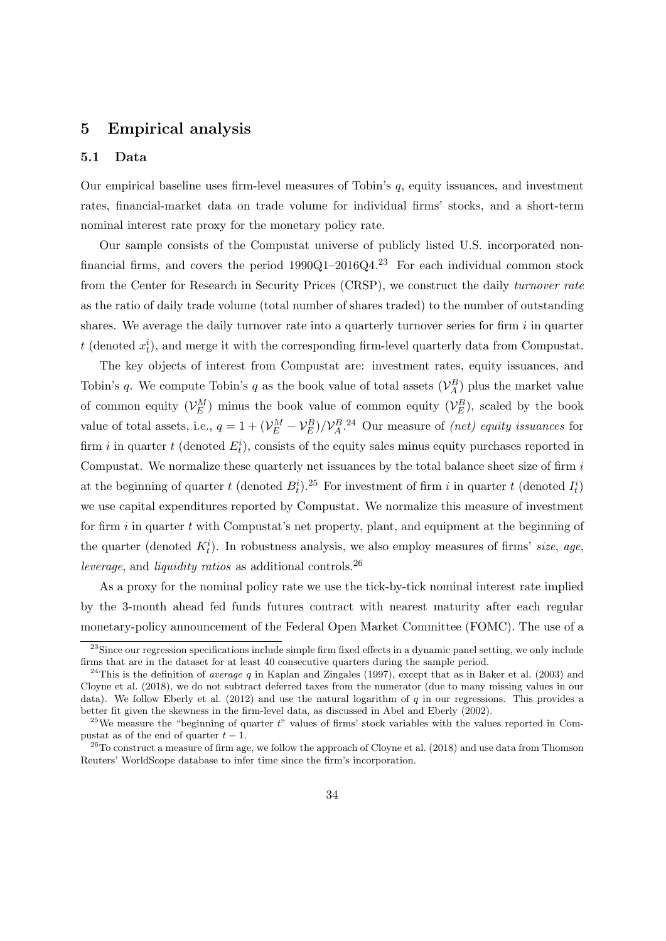## <span id="page-33-0"></span>5 Empirical analysis

#### <span id="page-33-1"></span>5.1 Data

Our empirical baseline uses firm-level measures of Tobin's  $q$ , equity issuances, and investment rates, financial-market data on trade volume for individual firms' stocks, and a short-term nominal interest rate proxy for the monetary policy rate.

Our sample consists of the Compustat universe of publicly listed U.S. incorporated nonfinancial firms, and covers the period  $1990Q1-2016Q4$ .<sup>[23](#page-33-2)</sup> For each individual common stock from the Center for Research in Security Prices (CRSP), we construct the daily turnover rate as the ratio of daily trade volume (total number of shares traded) to the number of outstanding shares. We average the daily turnover rate into a quarterly turnover series for firm  $i$  in quarter t (denoted  $x_t^i$ ), and merge it with the corresponding firm-level quarterly data from Compustat.

The key objects of interest from Compustat are: investment rates, equity issuances, and Tobin's q. We compute Tobin's q as the book value of total assets  $(\mathcal{V}_A^B)$  plus the market value of common equity  $(\mathcal{V}_E^M)$  minus the book value of common equity  $(\mathcal{V}_E^B)$ , scaled by the book value of total assets, i.e.,  $q = 1 + (\mathcal{V}_E^M - \mathcal{V}_E^B)/\mathcal{V}_A^B$ . Our measure of *(net) equity issuances* for firm *i* in quarter t (denoted  $E_t^i$ ), consists of the equity sales minus equity purchases reported in Compustat. We normalize these quarterly net issuances by the total balance sheet size of firm i at the beginning of quarter t (denoted  $B_t^i$ ).<sup>[25](#page-33-4)</sup> For investment of firm i in quarter t (denoted  $I_t^i$ ) we use capital expenditures reported by Compustat. We normalize this measure of investment for firm  $i$  in quarter  $t$  with Compustat's net property, plant, and equipment at the beginning of the quarter (denoted  $K_t^i$ ). In robustness analysis, we also employ measures of firms' size, age, leverage, and liquidity ratios as additional controls.[26](#page-33-5)

As a proxy for the nominal policy rate we use the tick-by-tick nominal interest rate implied by the 3-month ahead fed funds futures contract with nearest maturity after each regular monetary-policy announcement of the Federal Open Market Committee (FOMC). The use of a

<span id="page-33-2"></span><sup>&</sup>lt;sup>23</sup>Since our regression specifications include simple firm fixed effects in a dynamic panel setting, we only include firms that are in the dataset for at least 40 consecutive quarters during the sample period.

<span id="page-33-3"></span><sup>&</sup>lt;sup>24</sup>This is the definition of *average q* in [Kaplan and Zingales](#page-54-9) [\(1997\)](#page-54-9), except that as in [Baker et al.](#page-52-5) [\(2003\)](#page-52-5) and [Cloyne et al.](#page-53-5) [\(2018\)](#page-53-5), we do not subtract deferred taxes from the numerator (due to many missing values in our data). We follow [Eberly et al.](#page-53-6)  $(2012)$  and use the natural logarithm of q in our regressions. This provides a better fit given the skewness in the firm-level data, as discussed in [Abel and Eberly](#page-52-7) [\(2002\)](#page-52-7).

<span id="page-33-4"></span><sup>&</sup>lt;sup>25</sup>We measure the "beginning of quarter t" values of firms' stock variables with the values reported in Compustat as of the end of quarter  $t - 1$ .

<span id="page-33-5"></span> $^{26}$ To construct a measure of firm age, we follow the approach of [Cloyne et al.](#page-53-5) [\(2018\)](#page-53-5) and use data from Thomson Reuters' WorldScope database to infer time since the firm's incorporation.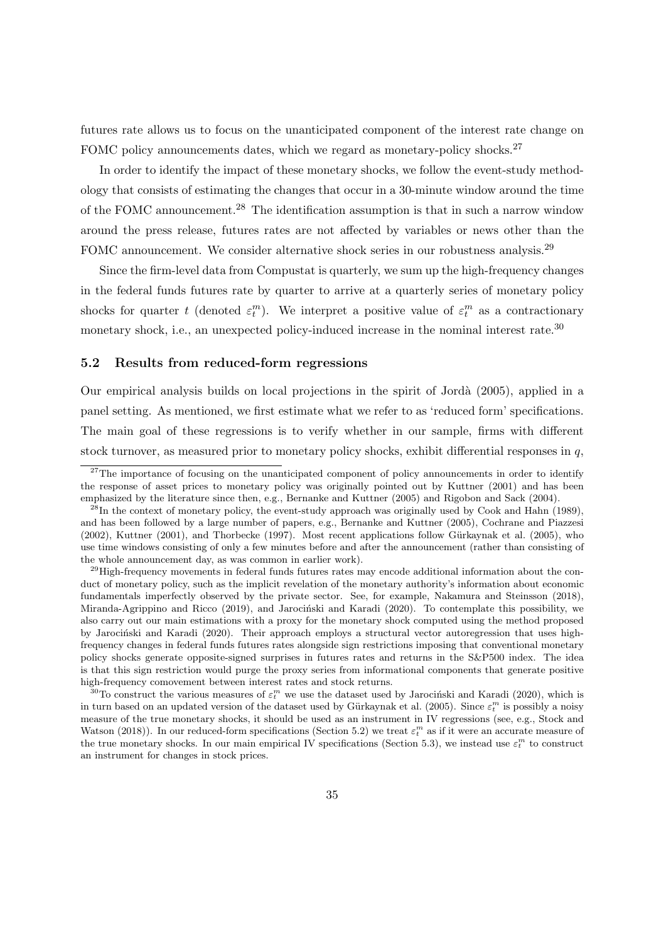futures rate allows us to focus on the unanticipated component of the interest rate change on FOMC policy announcements dates, which we regard as monetary-policy shocks.<sup>[27](#page-34-1)</sup>

In order to identify the impact of these monetary shocks, we follow the event-study methodology that consists of estimating the changes that occur in a 30-minute window around the time of the FOMC announcement.[28](#page-34-2) The identification assumption is that in such a narrow window around the press release, futures rates are not affected by variables or news other than the FOMC announcement. We consider alternative shock series in our robustness analysis.<sup>[29](#page-34-3)</sup>

Since the firm-level data from Compustat is quarterly, we sum up the high-frequency changes in the federal funds futures rate by quarter to arrive at a quarterly series of monetary policy shocks for quarter t (denoted  $\varepsilon_t^m$ ). We interpret a positive value of  $\varepsilon_t^m$  as a contractionary monetary shock, i.e., an unexpected policy-induced increase in the nominal interest rate.<sup>[30](#page-34-4)</sup>

#### <span id="page-34-0"></span>5.2 Results from reduced-form regressions

Our empirical analysis builds on local projections in the spirit of [Jord`a](#page-54-10) [\(2005\)](#page-54-10), applied in a panel setting. As mentioned, we first estimate what we refer to as 'reduced form' specifications. The main goal of these regressions is to verify whether in our sample, firms with different stock turnover, as measured prior to monetary policy shocks, exhibit differential responses in  $q$ ,

<span id="page-34-1"></span><sup>&</sup>lt;sup>27</sup>The importance of focusing on the unanticipated component of policy announcements in order to identify the response of asset prices to monetary policy was originally pointed out by [Kuttner](#page-54-11) [\(2001\)](#page-54-11) and has been emphasized by the literature since then, e.g., [Bernanke and Kuttner](#page-52-0) [\(2005\)](#page-52-0) and [Rigobon and Sack](#page-55-7) [\(2004\)](#page-55-7).

<span id="page-34-2"></span> $^{28}$ In the context of monetary policy, the event-study approach was originally used by [Cook and Hahn](#page-53-7) [\(1989\)](#page-53-7), and has been followed by a large number of papers, e.g., [Bernanke and Kuttner](#page-52-0) [\(2005\)](#page-52-0), [Cochrane and Piazzesi](#page-53-8)  $(2002)$ , [Kuttner](#page-54-11)  $(2001)$ , and [Thorbecke](#page-56-4)  $(1997)$ . Most recent applications follow Gürkaynak et al.  $(2005)$ , who use time windows consisting of only a few minutes before and after the announcement (rather than consisting of the whole announcement day, as was common in earlier work).

<span id="page-34-3"></span> $^{29}$ High-frequency movements in federal funds futures rates may encode additional information about the conduct of monetary policy, such as the implicit revelation of the monetary authority's information about economic fundamentals imperfectly observed by the private sector. See, for example, [Nakamura and Steinsson](#page-55-8) [\(2018\)](#page-55-8), [Miranda-Agrippino and Ricco](#page-55-9) [\(2019\)](#page-55-9), and Jarocinski and Karadi [\(2020\)](#page-53-10). To contemplate this possibility, we also carry out our main estimations with a proxy for the monetary shock computed using the method proposed by Jarociński and Karadi [\(2020\)](#page-53-10). Their approach employs a structural vector autoregression that uses highfrequency changes in federal funds futures rates alongside sign restrictions imposing that conventional monetary policy shocks generate opposite-signed surprises in futures rates and returns in the S&P500 index. The idea is that this sign restriction would purge the proxy series from informational components that generate positive high-frequency comovement between interest rates and stock returns.

<span id="page-34-4"></span><sup>&</sup>lt;sup>30</sup>To construct the various measures of  $\varepsilon_t^m$  we use the dataset used by Jarociński and Karadi [\(2020\)](#page-53-10), which is in turn based on an updated version of the dataset used by Gürkaynak et al. [\(2005\)](#page-53-9). Since  $\varepsilon_t^m$  is possibly a noisy measure of the true monetary shocks, it should be used as an instrument in IV regressions (see, e.g., [Stock and](#page-56-5) [Watson](#page-56-5) [\(2018\)](#page-56-5)). In our reduced-form specifications (Section [5.2\)](#page-34-0) we treat  $\varepsilon_t^m$  as if it were an accurate measure of the true monetary shocks. In our main empirical IV specifications (Section [5.3\)](#page-39-0), we instead use  $\varepsilon_t^m$  to construct an instrument for changes in stock prices.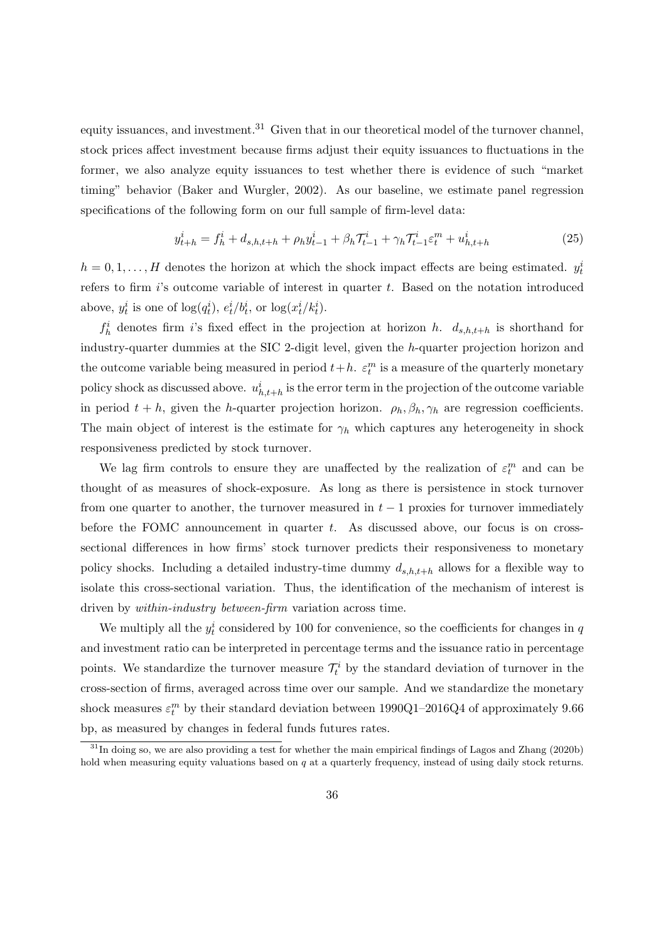equity issuances, and investment.<sup>[31](#page-35-0)</sup> Given that in our theoretical model of the turnover channel, stock prices affect investment because firms adjust their equity issuances to fluctuations in the former, we also analyze equity issuances to test whether there is evidence of such "market timing" behavior [\(Baker and Wurgler,](#page-52-6) [2002\)](#page-52-6). As our baseline, we estimate panel regression specifications of the following form on our full sample of firm-level data:

$$
y_{t+h}^i = f_h^i + d_{s,h,t+h} + \rho_h y_{t-1}^i + \beta_h \mathcal{T}_{t-1}^i + \gamma_h \mathcal{T}_{t-1}^i \varepsilon_t^m + u_{h,t+h}^i
$$
\n(25)

 $h = 0, 1, \ldots, H$  denotes the horizon at which the shock impact effects are being estimated.  $y_t^i$ refers to firm  $i$ 's outcome variable of interest in quarter  $t$ . Based on the notation introduced above,  $y_t^i$  is one of  $\log(q_t^i)$ ,  $e_t^i/b_t^i$ , or  $\log(x_t^i/k_t^i)$ .

 $f_h^i$  denotes firm is fixed effect in the projection at horizon h.  $d_{s,h,t+h}$  is shorthand for industry-quarter dummies at the SIC 2-digit level, given the h-quarter projection horizon and the outcome variable being measured in period  $t+h$ .  $\varepsilon_t^m$  is a measure of the quarterly monetary policy shock as discussed above.  $u_{h,t+h}^i$  is the error term in the projection of the outcome variable in period  $t + h$ , given the h-quarter projection horizon.  $\rho_h$ ,  $\beta_h$ ,  $\gamma_h$  are regression coefficients. The main object of interest is the estimate for  $\gamma_h$  which captures any heterogeneity in shock responsiveness predicted by stock turnover.

We lag firm controls to ensure they are unaffected by the realization of  $\varepsilon_t^m$  and can be thought of as measures of shock-exposure. As long as there is persistence in stock turnover from one quarter to another, the turnover measured in  $t-1$  proxies for turnover immediately before the FOMC announcement in quarter  $t$ . As discussed above, our focus is on crosssectional differences in how firms' stock turnover predicts their responsiveness to monetary policy shocks. Including a detailed industry-time dummy  $d_{s,h,t+h}$  allows for a flexible way to isolate this cross-sectional variation. Thus, the identification of the mechanism of interest is driven by within-industry between-firm variation across time.

We multiply all the  $y_t^i$  considered by 100 for convenience, so the coefficients for changes in q and investment ratio can be interpreted in percentage terms and the issuance ratio in percentage points. We standardize the turnover measure  $\mathcal{T}_t^i$  by the standard deviation of turnover in the cross-section of firms, averaged across time over our sample. And we standardize the monetary shock measures  $\varepsilon_t^m$  by their standard deviation between 1990Q1–2016Q4 of approximately 9.66 bp, as measured by changes in federal funds futures rates.

<span id="page-35-0"></span><sup>&</sup>lt;sup>31</sup>In doing so, we are also providing a test for whether the main empirical findings of [Lagos and Zhang](#page-55-3) [\(2020b\)](#page-55-3) hold when measuring equity valuations based on  $q$  at a quarterly frequency, instead of using daily stock returns.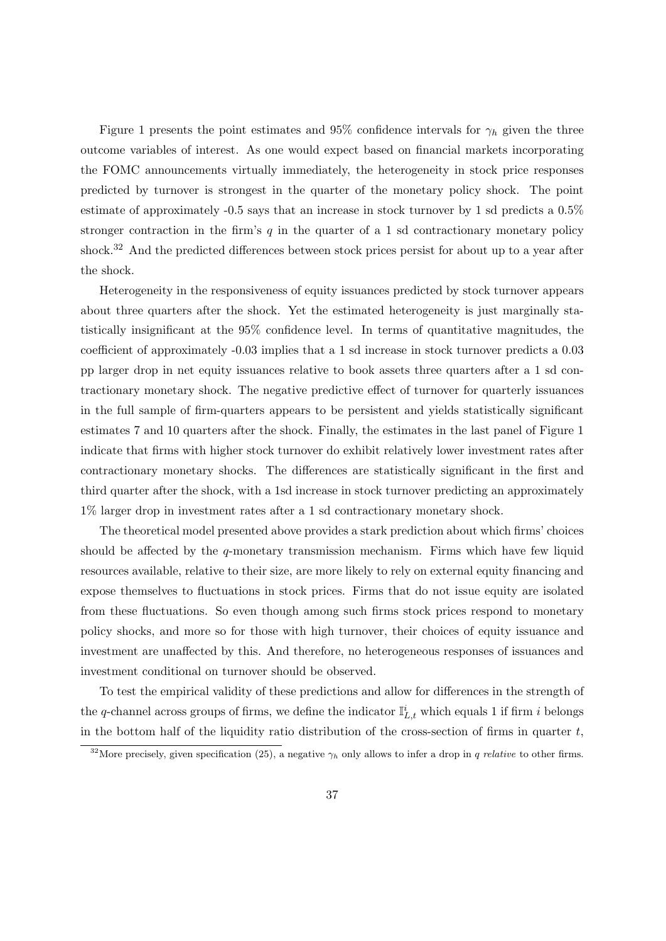Figure [1](#page-37-0) presents the point estimates and 95% confidence intervals for  $\gamma_h$  given the three outcome variables of interest. As one would expect based on financial markets incorporating the FOMC announcements virtually immediately, the heterogeneity in stock price responses predicted by turnover is strongest in the quarter of the monetary policy shock. The point estimate of approximately -0.5 says that an increase in stock turnover by 1 sd predicts a 0.5% stronger contraction in the firm's  $q$  in the quarter of a 1 sd contractionary monetary policy shock.<sup>[32](#page-36-0)</sup> And the predicted differences between stock prices persist for about up to a year after the shock.

Heterogeneity in the responsiveness of equity issuances predicted by stock turnover appears about three quarters after the shock. Yet the estimated heterogeneity is just marginally statistically insignificant at the 95% confidence level. In terms of quantitative magnitudes, the coefficient of approximately -0.03 implies that a 1 sd increase in stock turnover predicts a 0.03 pp larger drop in net equity issuances relative to book assets three quarters after a 1 sd contractionary monetary shock. The negative predictive effect of turnover for quarterly issuances in the full sample of firm-quarters appears to be persistent and yields statistically significant estimates 7 and 10 quarters after the shock. Finally, the estimates in the last panel of Figure [1](#page-37-0) indicate that firms with higher stock turnover do exhibit relatively lower investment rates after contractionary monetary shocks. The differences are statistically significant in the first and third quarter after the shock, with a 1sd increase in stock turnover predicting an approximately 1% larger drop in investment rates after a 1 sd contractionary monetary shock.

The theoretical model presented above provides a stark prediction about which firms' choices should be affected by the  $q$ -monetary transmission mechanism. Firms which have few liquid resources available, relative to their size, are more likely to rely on external equity financing and expose themselves to fluctuations in stock prices. Firms that do not issue equity are isolated from these fluctuations. So even though among such firms stock prices respond to monetary policy shocks, and more so for those with high turnover, their choices of equity issuance and investment are unaffected by this. And therefore, no heterogeneous responses of issuances and investment conditional on turnover should be observed.

To test the empirical validity of these predictions and allow for differences in the strength of the q-channel across groups of firms, we define the indicator  $\mathbb{I}_{L,t}^i$  which equals 1 if firm i belongs in the bottom half of the liquidity ratio distribution of the cross-section of firms in quarter  $t$ ,

<span id="page-36-0"></span><sup>&</sup>lt;sup>32</sup>More precisely, given specification [\(25\)](#page-35-0), a negative  $\gamma_h$  only allows to infer a drop in q relative to other firms.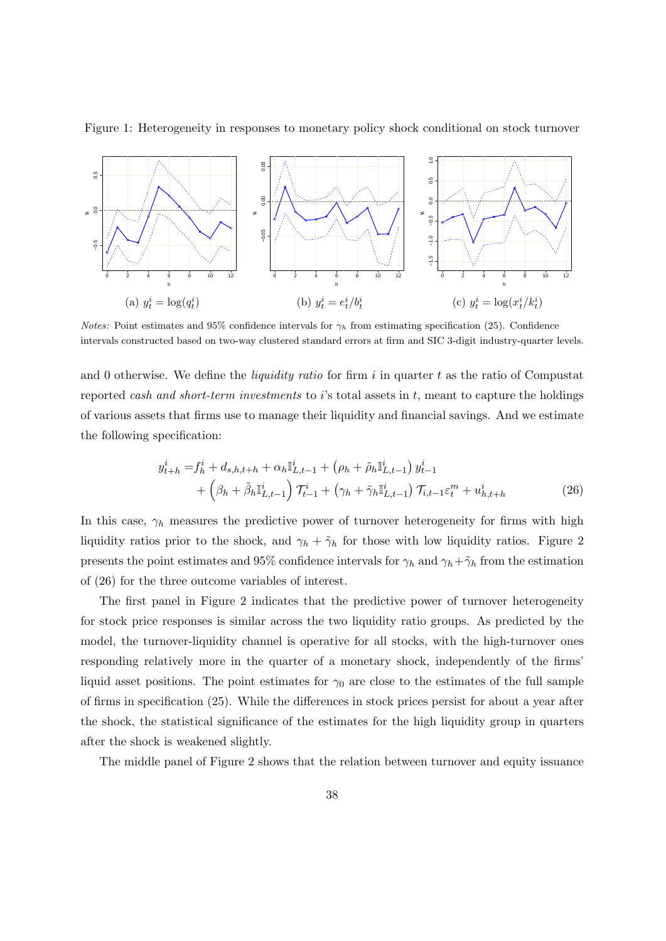<span id="page-37-0"></span>



*Notes:* Point estimates and 95% confidence intervals for  $\gamma_h$  from estimating specification [\(25\)](#page-35-0). Confidence intervals constructed based on two-way clustered standard errors at firm and SIC 3-digit industry-quarter levels.

and 0 otherwise. We define the *liquidity ratio* for firm i in quarter t as the ratio of Compustat reported cash and short-term investments to i's total assets in  $t$ , meant to capture the holdings of various assets that firms use to manage their liquidity and financial savings. And we estimate the following specification:

<span id="page-37-1"></span>
$$
y_{t+h}^i = f_h^i + d_{s,h,t+h} + \alpha_h \mathbb{I}_{L,t-1}^i + (\rho_h + \tilde{\rho}_h \mathbb{I}_{L,t-1}^i) y_{t-1}^i + \left(\beta_h + \tilde{\beta}_h \mathbb{I}_{L,t-1}^i\right) \mathcal{T}_{t-1}^i + (\gamma_h + \tilde{\gamma}_h \mathbb{I}_{L,t-1}^i) \mathcal{T}_{i,t-1} \varepsilon_t^m + u_{h,t+h}^i
$$
(26)

In this case,  $\gamma_h$  measures the predictive power of turnover heterogeneity for firms with high liquidity ratios prior to the shock, and  $\gamma_h + \tilde{\gamma}_h$  for those with low liquidity ratios. Figure [2](#page-38-0) presents the point estimates and 95% confidence intervals for  $\gamma_h$  and  $\gamma_h + \tilde{\gamma}_h$  from the estimation of [\(26\)](#page-37-1) for the three outcome variables of interest.

The first panel in Figure [2](#page-38-0) indicates that the predictive power of turnover heterogeneity for stock price responses is similar across the two liquidity ratio groups. As predicted by the model, the turnover-liquidity channel is operative for all stocks, with the high-turnover ones responding relatively more in the quarter of a monetary shock, independently of the firms' liquid asset positions. The point estimates for  $\gamma_0$  are close to the estimates of the full sample of firms in specification [\(25\)](#page-35-0). While the differences in stock prices persist for about a year after the shock, the statistical significance of the estimates for the high liquidity group in quarters after the shock is weakened slightly.

The middle panel of Figure [2](#page-38-0) shows that the relation between turnover and equity issuance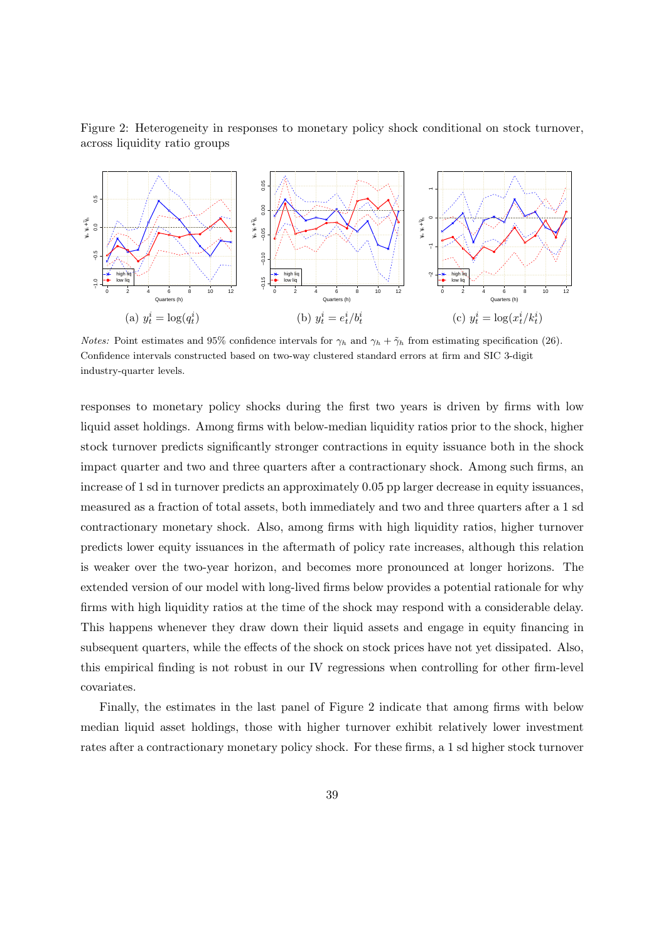<span id="page-38-0"></span>



*Notes:* Point estimates and 95% confidence intervals for  $\gamma_h$  and  $\gamma_h + \tilde{\gamma}_h$  from estimating specification [\(26\)](#page-37-1). Confidence intervals constructed based on two-way clustered standard errors at firm and SIC 3-digit industry-quarter levels.

responses to monetary policy shocks during the first two years is driven by firms with low liquid asset holdings. Among firms with below-median liquidity ratios prior to the shock, higher stock turnover predicts significantly stronger contractions in equity issuance both in the shock impact quarter and two and three quarters after a contractionary shock. Among such firms, an increase of 1 sd in turnover predicts an approximately 0.05 pp larger decrease in equity issuances, measured as a fraction of total assets, both immediately and two and three quarters after a 1 sd contractionary monetary shock. Also, among firms with high liquidity ratios, higher turnover predicts lower equity issuances in the aftermath of policy rate increases, although this relation is weaker over the two-year horizon, and becomes more pronounced at longer horizons. The extended version of our model with long-lived firms below provides a potential rationale for why firms with high liquidity ratios at the time of the shock may respond with a considerable delay. This happens whenever they draw down their liquid assets and engage in equity financing in subsequent quarters, while the effects of the shock on stock prices have not yet dissipated. Also, this empirical finding is not robust in our IV regressions when controlling for other firm-level covariates.

Finally, the estimates in the last panel of Figure [2](#page-38-0) indicate that among firms with below median liquid asset holdings, those with higher turnover exhibit relatively lower investment rates after a contractionary monetary policy shock. For these firms, a 1 sd higher stock turnover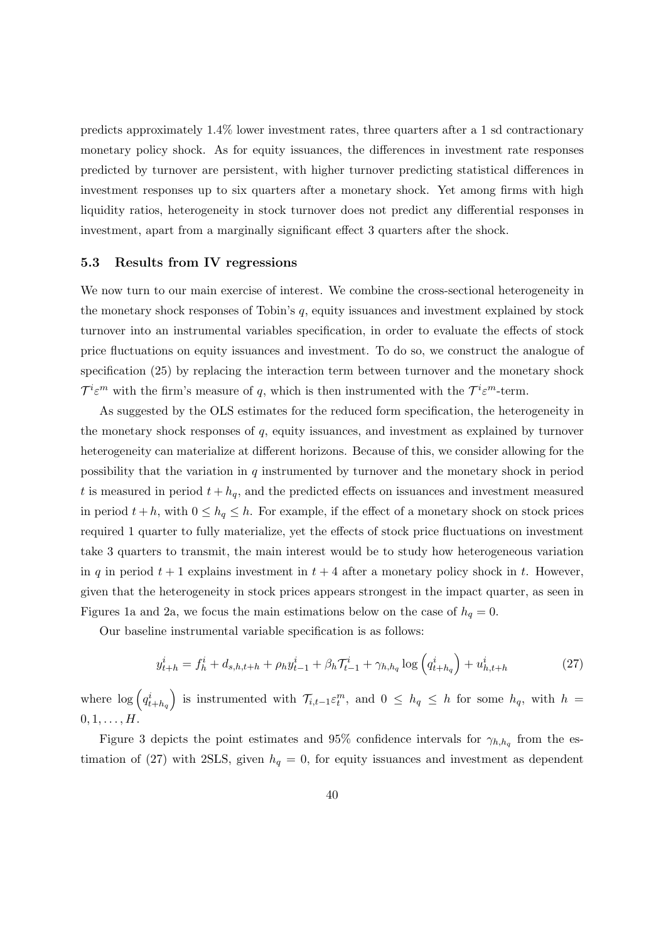predicts approximately 1.4% lower investment rates, three quarters after a 1 sd contractionary monetary policy shock. As for equity issuances, the differences in investment rate responses predicted by turnover are persistent, with higher turnover predicting statistical differences in investment responses up to six quarters after a monetary shock. Yet among firms with high liquidity ratios, heterogeneity in stock turnover does not predict any differential responses in investment, apart from a marginally significant effect 3 quarters after the shock.

### <span id="page-39-1"></span>5.3 Results from IV regressions

We now turn to our main exercise of interest. We combine the cross-sectional heterogeneity in the monetary shock responses of Tobin's  $q$ , equity issuances and investment explained by stock turnover into an instrumental variables specification, in order to evaluate the effects of stock price fluctuations on equity issuances and investment. To do so, we construct the analogue of specification [\(25\)](#page-35-0) by replacing the interaction term between turnover and the monetary shock  $\mathcal{T}^i \varepsilon^m$  with the firm's measure of q, which is then instrumented with the  $\mathcal{T}^i \varepsilon^m$ -term.

As suggested by the OLS estimates for the reduced form specification, the heterogeneity in the monetary shock responses of q, equity issuances, and investment as explained by turnover heterogeneity can materialize at different horizons. Because of this, we consider allowing for the possibility that the variation in  $q$  instrumented by turnover and the monetary shock in period t is measured in period  $t + h_q$ , and the predicted effects on issuances and investment measured in period  $t + h$ , with  $0 \le h_q \le h$ . For example, if the effect of a monetary shock on stock prices required 1 quarter to fully materialize, yet the effects of stock price fluctuations on investment take 3 quarters to transmit, the main interest would be to study how heterogeneous variation in q in period  $t + 1$  explains investment in  $t + 4$  after a monetary policy shock in t. However, given that the heterogeneity in stock prices appears strongest in the impact quarter, as seen in Figures [1a](#page-37-0) and [2a,](#page-38-0) we focus the main estimations below on the case of  $h_q = 0$ .

Our baseline instrumental variable specification is as follows:

<span id="page-39-0"></span>
$$
y_{t+h}^i = f_h^i + d_{s,h,t+h} + \rho_h y_{t-1}^i + \beta_h \mathcal{T}_{t-1}^i + \gamma_{h,h_q} \log \left( q_{t+h_q}^i \right) + u_{h,t+h}^i \tag{27}
$$

where  $\log\left(q_{t+h_q}^i\right)$  is instrumented with  $\mathcal{T}_{i,t-1}\varepsilon_t^m$ , and  $0 \leq h_q \leq h$  for some  $h_q$ , with  $h =$  $0, 1, \ldots, H$ .

Figure [3](#page-40-0) depicts the point estimates and 95% confidence intervals for  $\gamma_{h,h_q}$  from the es-timation of [\(27\)](#page-39-0) with 2SLS, given  $h_q = 0$ , for equity issuances and investment as dependent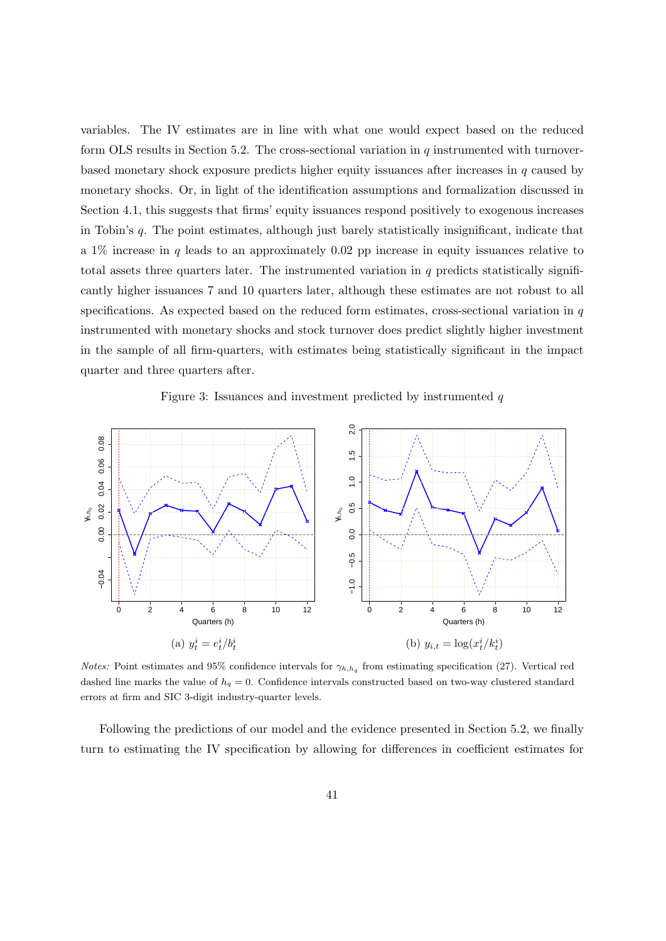variables. The IV estimates are in line with what one would expect based on the reduced form OLS results in Section [5.2.](#page-34-0) The cross-sectional variation in  $q$  instrumented with turnoverbased monetary shock exposure predicts higher equity issuances after increases in  $q$  caused by monetary shocks. Or, in light of the identification assumptions and formalization discussed in Section [4.1,](#page-14-0) this suggests that firms' equity issuances respond positively to exogenous increases in Tobin's q. The point estimates, although just barely statistically insignificant, indicate that a 1% increase in q leads to an approximately 0.02 pp increase in equity issuances relative to total assets three quarters later. The instrumented variation in  $q$  predicts statistically significantly higher issuances 7 and 10 quarters later, although these estimates are not robust to all specifications. As expected based on the reduced form estimates, cross-sectional variation in  $q$ instrumented with monetary shocks and stock turnover does predict slightly higher investment in the sample of all firm-quarters, with estimates being statistically significant in the impact quarter and three quarters after.

#### Figure 3: Issuances and investment predicted by instrumented  $q$

<span id="page-40-0"></span>

*Notes:* Point estimates and 95% confidence intervals for  $\gamma_{h,h_q}$  from estimating specification [\(27\)](#page-39-0). Vertical red dashed line marks the value of  $h_q = 0$ . Confidence intervals constructed based on two-way clustered standard errors at firm and SIC 3-digit industry-quarter levels.

Following the predictions of our model and the evidence presented in Section [5.2,](#page-34-0) we finally turn to estimating the IV specification by allowing for differences in coefficient estimates for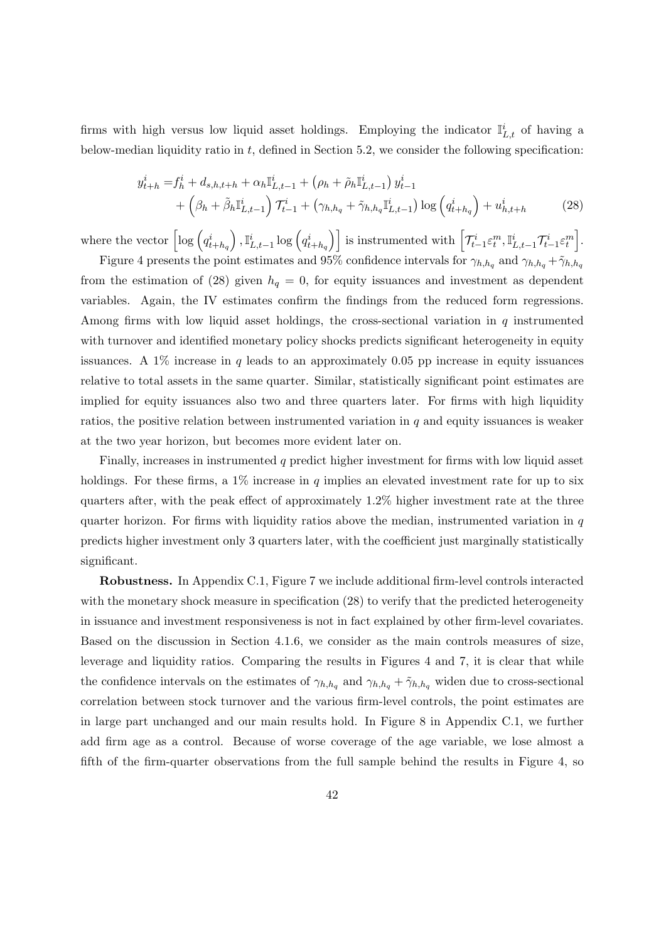firms with high versus low liquid asset holdings. Employing the indicator  $\mathbb{I}^i_{L,t}$  of having a below-median liquidity ratio in  $t$ , defined in Section [5.2,](#page-34-0) we consider the following specification:

<span id="page-41-0"></span>
$$
y_{t+h}^i = f_h^i + d_{s,h,t+h} + \alpha_h \mathbb{I}_{L,t-1}^i + (\rho_h + \tilde{\rho}_h \mathbb{I}_{L,t-1}^i) y_{t-1}^i + \left(\beta_h + \tilde{\beta}_h \mathbb{I}_{L,t-1}^i\right) \mathcal{T}_{t-1}^i + (\gamma_{h,h_q} + \tilde{\gamma}_{h,h_q} \mathbb{I}_{L,t-1}^i) \log \left(q_{t+h_q}^i\right) + u_{h,t+h}^i
$$
 (28)

where the vector  $\left[\log\left(q_{t+h_q}^{i}\right),\mathbb{I}_{L,t-1}^{i}\log\left(q_{t+h_q}^{i}\right)\right]$  is instrumented with  $\left[\mathcal{T}_{t-1}^{i}\varepsilon_{t}^{m},\mathbb{I}_{L,t-1}^{i}\mathcal{T}_{t-1}^{i}\varepsilon_{t}^{m}\right]$ .

Figure [4](#page-42-0) presents the point estimates and 95% confidence intervals for  $\gamma_{h,h_q}$  and  $\gamma_{h,h_q} + \tilde{\gamma}_{h,h_q}$ from the estimation of [\(28\)](#page-41-0) given  $h_q = 0$ , for equity issuances and investment as dependent variables. Again, the IV estimates confirm the findings from the reduced form regressions. Among firms with low liquid asset holdings, the cross-sectional variation in  $q$  instrumented with turnover and identified monetary policy shocks predicts significant heterogeneity in equity issuances. A  $1\%$  increase in q leads to an approximately 0.05 pp increase in equity issuances relative to total assets in the same quarter. Similar, statistically significant point estimates are implied for equity issuances also two and three quarters later. For firms with high liquidity ratios, the positive relation between instrumented variation in  $q$  and equity issuances is weaker at the two year horizon, but becomes more evident later on.

Finally, increases in instrumented q predict higher investment for firms with low liquid asset holdings. For these firms, a  $1\%$  increase in q implies an elevated investment rate for up to six quarters after, with the peak effect of approximately 1.2% higher investment rate at the three quarter horizon. For firms with liquidity ratios above the median, instrumented variation in  $q$ predicts higher investment only 3 quarters later, with the coefficient just marginally statistically significant.

Robustness. In Appendix [C.1,](#page-84-0) Figure [7](#page-84-1) we include additional firm-level controls interacted with the monetary shock measure in specification [\(28\)](#page-41-0) to verify that the predicted heterogeneity in issuance and investment responsiveness is not in fact explained by other firm-level covariates. Based on the discussion in Section [4.1.6,](#page-29-0) we consider as the main controls measures of size, leverage and liquidity ratios. Comparing the results in Figures [4](#page-42-0) and [7,](#page-84-1) it is clear that while the confidence intervals on the estimates of  $\gamma_{h,h_q}$  and  $\gamma_{h,h_q} + \tilde{\gamma}_{h,h_q}$  widen due to cross-sectional correlation between stock turnover and the various firm-level controls, the point estimates are in large part unchanged and our main results hold. In Figure [8](#page-85-0) in Appendix [C.1,](#page-84-0) we further add firm age as a control. Because of worse coverage of the age variable, we lose almost a fifth of the firm-quarter observations from the full sample behind the results in Figure [4,](#page-42-0) so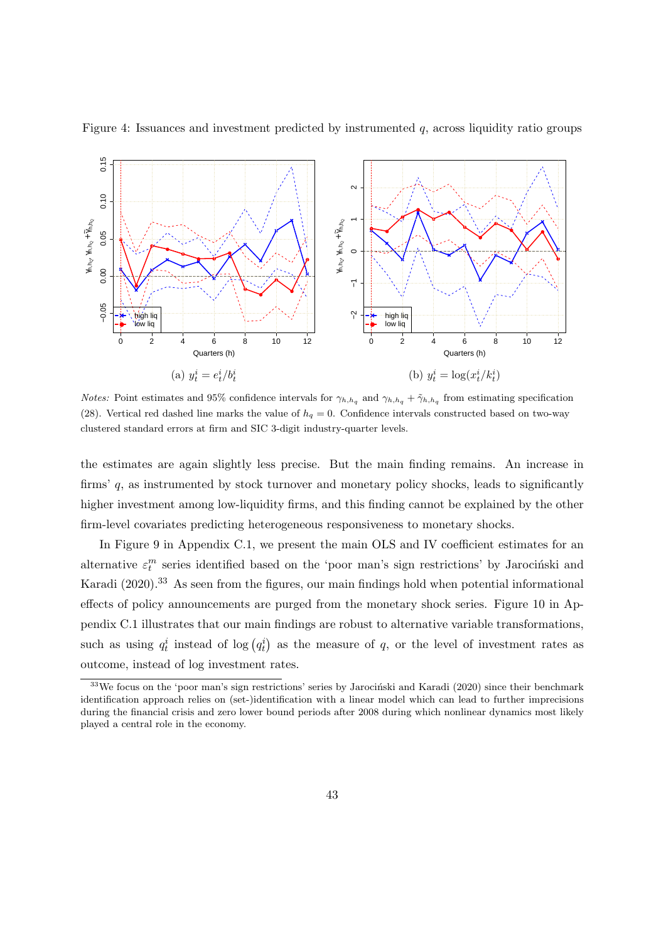

<span id="page-42-0"></span>Figure 4: Issuances and investment predicted by instrumented  $q$ , across liquidity ratio groups

*Notes:* Point estimates and 95% confidence intervals for  $\gamma_{h,h_q}$  and  $\gamma_{h,h_q} + \tilde{\gamma}_{h,h_q}$  from estimating specification [\(28\)](#page-41-0). Vertical red dashed line marks the value of  $h_q = 0$ . Confidence intervals constructed based on two-way clustered standard errors at firm and SIC 3-digit industry-quarter levels.

the estimates are again slightly less precise. But the main finding remains. An increase in firms' q, as instrumented by stock turnover and monetary policy shocks, leads to significantly higher investment among low-liquidity firms, and this finding cannot be explained by the other firm-level covariates predicting heterogeneous responsiveness to monetary shocks.

In Figure [9](#page-86-0) in Appendix [C.1,](#page-84-0) we present the main OLS and IV coefficient estimates for an alternative  $\varepsilon_t^m$  series identified based on the 'poor man's sign restrictions' by Jarociński and [Karadi](#page-53-0) [\(2020\)](#page-53-0).<sup>[33](#page-42-1)</sup> As seen from the figures, our main findings hold when potential informational effects of policy announcements are purged from the monetary shock series. Figure [10](#page-86-1) in Appendix [C.1](#page-84-0) illustrates that our main findings are robust to alternative variable transformations, such as using  $q_t^i$  instead of  $log(q_t^i)$  as the measure of q, or the level of investment rates as outcome, instead of log investment rates.

<span id="page-42-1"></span> $33$ We focus on the 'poor man's sign restrictions' series by Jarocinski and Karadi [\(2020\)](#page-53-0) since their benchmark identification approach relies on (set-)identification with a linear model which can lead to further imprecisions during the financial crisis and zero lower bound periods after 2008 during which nonlinear dynamics most likely played a central role in the economy.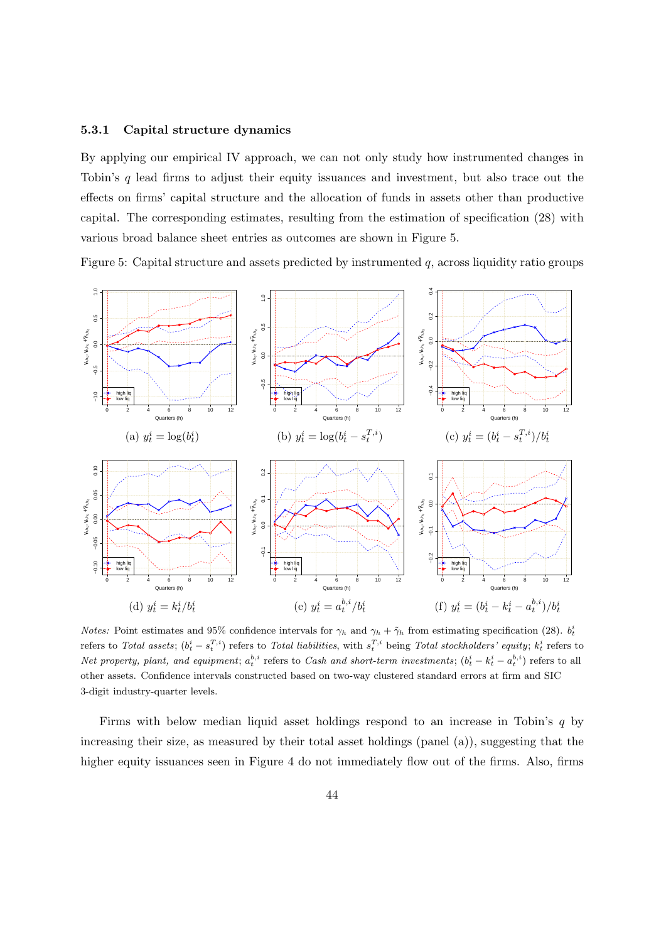#### 5.3.1 Capital structure dynamics

By applying our empirical IV approach, we can not only study how instrumented changes in Tobin's q lead firms to adjust their equity issuances and investment, but also trace out the effects on firms' capital structure and the allocation of funds in assets other than productive capital. The corresponding estimates, resulting from the estimation of specification [\(28\)](#page-41-0) with various broad balance sheet entries as outcomes are shown in Figure [5.](#page-43-0)

<span id="page-43-0"></span>Figure 5: Capital structure and assets predicted by instrumented  $q$ , across liquidity ratio groups



*Notes:* Point estimates and 95% confidence intervals for  $\gamma_h$  and  $\gamma_h + \tilde{\gamma}_h$  from estimating specification [\(28\)](#page-41-0).  $b_t^i$ refers to Total assets;  $(b_t^i - s_t^{T,i})$  refers to Total liabilities, with  $s_t^{T,i}$  being Total stockholders' equity;  $k_t^i$  refers to Net property, plant, and equipment;  $a_t^{b,i}$  refers to Cash and short-term investments;  $(b_t^i - k_t^i - a_t^{b,i})$  refers to all other assets. Confidence intervals constructed based on two-way clustered standard errors at firm and SIC 3-digit industry-quarter levels.

Firms with below median liquid asset holdings respond to an increase in Tobin's q by increasing their size, as measured by their total asset holdings (panel (a)), suggesting that the higher equity issuances seen in Figure [4](#page-42-0) do not immediately flow out of the firms. Also, firms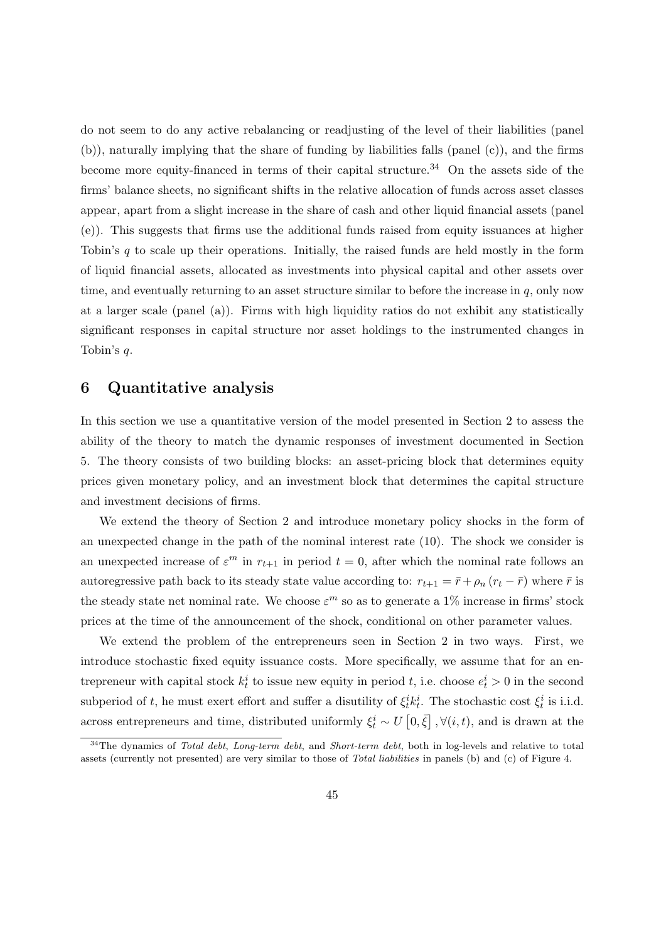do not seem to do any active rebalancing or readjusting of the level of their liabilities (panel (b)), naturally implying that the share of funding by liabilities falls (panel (c)), and the firms become more equity-financed in terms of their capital structure.<sup>[34](#page-44-0)</sup> On the assets side of the firms' balance sheets, no significant shifts in the relative allocation of funds across asset classes appear, apart from a slight increase in the share of cash and other liquid financial assets (panel (e)). This suggests that firms use the additional funds raised from equity issuances at higher Tobin's  $q$  to scale up their operations. Initially, the raised funds are held mostly in the form of liquid financial assets, allocated as investments into physical capital and other assets over time, and eventually returning to an asset structure similar to before the increase in  $q$ , only now at a larger scale (panel (a)). Firms with high liquidity ratios do not exhibit any statistically significant responses in capital structure nor asset holdings to the instrumented changes in Tobin's q.

# 6 Quantitative analysis

In this section we use a quantitative version of the model presented in Section [2](#page-4-0) to assess the ability of the theory to match the dynamic responses of investment documented in Section [5.](#page-33-0) The theory consists of two building blocks: an asset-pricing block that determines equity prices given monetary policy, and an investment block that determines the capital structure and investment decisions of firms.

We extend the theory of Section [2](#page-4-0) and introduce monetary policy shocks in the form of an unexpected change in the path of the nominal interest rate [\(10\)](#page-11-0). The shock we consider is an unexpected increase of  $\varepsilon^m$  in  $r_{t+1}$  in period  $t=0$ , after which the nominal rate follows an autoregressive path back to its steady state value according to:  $r_{t+1} = \bar{r} + \rho_n (r_t - \bar{r})$  where  $\bar{r}$  is the steady state net nominal rate. We choose  $\varepsilon^m$  so as to generate a 1% increase in firms' stock prices at the time of the announcement of the shock, conditional on other parameter values.

We extend the problem of the entrepreneurs seen in Section [2](#page-4-0) in two ways. First, we introduce stochastic fixed equity issuance costs. More specifically, we assume that for an entrepreneur with capital stock  $k_t^i$  to issue new equity in period t, i.e. choose  $e_t^i > 0$  in the second subperiod of t, he must exert effort and suffer a disutility of  $\xi_t^i k_t^i$ . The stochastic cost  $\xi_t^i$  is i.i.d. across entrepreneurs and time, distributed uniformly  $\xi_t^i \sim U\left[0,\bar{\xi}\right], \forall (i,t)$ , and is drawn at the

<span id="page-44-0"></span> $34$ The dynamics of Total debt, Long-term debt, and Short-term debt, both in log-levels and relative to total assets (currently not presented) are very similar to those of Total liabilities in panels (b) and (c) of Figure [4.](#page-42-0)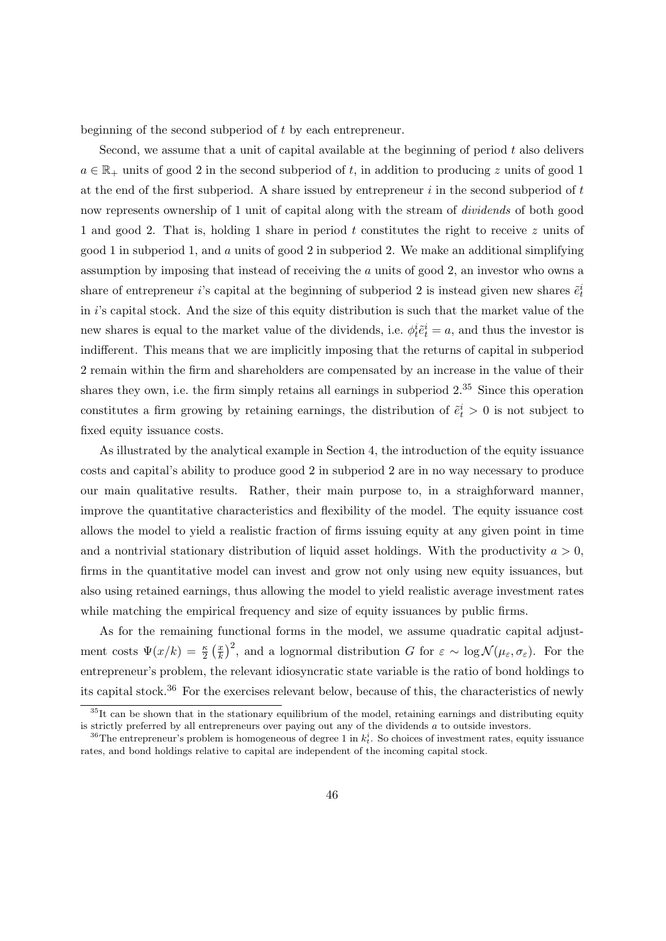beginning of the second subperiod of t by each entrepreneur.

Second, we assume that a unit of capital available at the beginning of period t also delivers  $a \in \mathbb{R}_+$  units of good 2 in the second subperiod of t, in addition to producing z units of good 1 at the end of the first subperiod. A share issued by entrepreneur  $i$  in the second subperiod of  $t$ now represents ownership of 1 unit of capital along with the stream of *dividends* of both good 1 and good 2. That is, holding 1 share in period t constitutes the right to receive z units of good 1 in subperiod 1, and  $\alpha$  units of good 2 in subperiod 2. We make an additional simplifying assumption by imposing that instead of receiving the a units of good 2, an investor who owns a share of entrepreneur *i*'s capital at the beginning of subperiod 2 is instead given new shares  $\tilde{e}_t^i$ in i's capital stock. And the size of this equity distribution is such that the market value of the new shares is equal to the market value of the dividends, i.e.  $\phi_t^i \tilde{e}_t^i = a$ , and thus the investor is indifferent. This means that we are implicitly imposing that the returns of capital in subperiod 2 remain within the firm and shareholders are compensated by an increase in the value of their shares they own, i.e. the firm simply retains all earnings in subperiod  $2.^{35}$  $2.^{35}$  $2.^{35}$  Since this operation constitutes a firm growing by retaining earnings, the distribution of  $\tilde{e}^i_t > 0$  is not subject to fixed equity issuance costs.

As illustrated by the analytical example in Section [4,](#page-10-0) the introduction of the equity issuance costs and capital's ability to produce good 2 in subperiod 2 are in no way necessary to produce our main qualitative results. Rather, their main purpose to, in a straighforward manner, improve the quantitative characteristics and flexibility of the model. The equity issuance cost allows the model to yield a realistic fraction of firms issuing equity at any given point in time and a nontrivial stationary distribution of liquid asset holdings. With the productivity  $a > 0$ , firms in the quantitative model can invest and grow not only using new equity issuances, but also using retained earnings, thus allowing the model to yield realistic average investment rates while matching the empirical frequency and size of equity issuances by public firms.

As for the remaining functional forms in the model, we assume quadratic capital adjustment costs  $\Psi(x/k) = \frac{\kappa}{2} \left( \frac{x}{k} \right)$  $(\frac{x}{k})^2$ , and a lognormal distribution G for  $\varepsilon \sim \log \mathcal{N}(\mu_{\varepsilon}, \sigma_{\varepsilon})$ . For the entrepreneur's problem, the relevant idiosyncratic state variable is the ratio of bond holdings to its capital stock.[36](#page-45-1) For the exercises relevant below, because of this, the characteristics of newly

<span id="page-45-0"></span> $35$ It can be shown that in the stationary equilibrium of the model, retaining earnings and distributing equity is strictly preferred by all entrepreneurs over paying out any of the dividends a to outside investors.

<span id="page-45-1"></span><sup>&</sup>lt;sup>36</sup>The entrepreneur's problem is homogeneous of degree 1 in  $k_t^i$ . So choices of investment rates, equity issuance rates, and bond holdings relative to capital are independent of the incoming capital stock.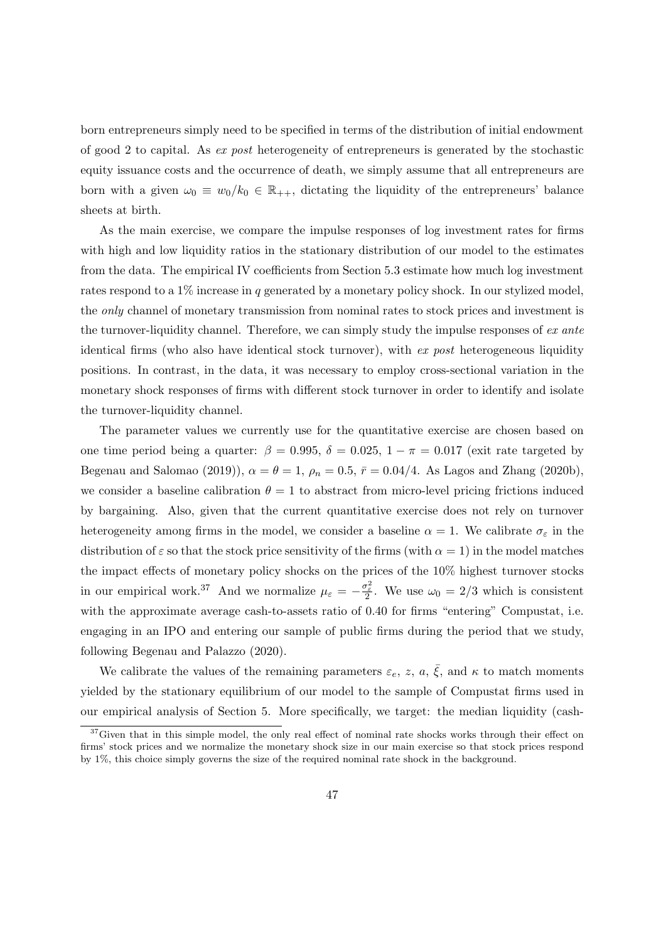born entrepreneurs simply need to be specified in terms of the distribution of initial endowment of good 2 to capital. As ex post heterogeneity of entrepreneurs is generated by the stochastic equity issuance costs and the occurrence of death, we simply assume that all entrepreneurs are born with a given  $\omega_0 \equiv w_0/k_0 \in \mathbb{R}_{++}$ , dictating the liquidity of the entrepreneurs' balance sheets at birth.

As the main exercise, we compare the impulse responses of log investment rates for firms with high and low liquidity ratios in the stationary distribution of our model to the estimates from the data. The empirical IV coefficients from Section [5.3](#page-39-1) estimate how much log investment rates respond to a  $1\%$  increase in q generated by a monetary policy shock. In our stylized model, the only channel of monetary transmission from nominal rates to stock prices and investment is the turnover-liquidity channel. Therefore, we can simply study the impulse responses of ex ante identical firms (who also have identical stock turnover), with  $ex$  post heterogeneous liquidity positions. In contrast, in the data, it was necessary to employ cross-sectional variation in the monetary shock responses of firms with different stock turnover in order to identify and isolate the turnover-liquidity channel.

The parameter values we currently use for the quantitative exercise are chosen based on one time period being a quarter:  $\beta = 0.995$ ,  $\delta = 0.025$ ,  $1 - \pi = 0.017$  (exit rate targeted by [Begenau and Salomao](#page-52-0) [\(2019\)](#page-52-0)),  $\alpha = \theta = 1$ ,  $\rho_n = 0.5$ ,  $\bar{r} = 0.04/4$ . As [Lagos and Zhang](#page-55-0) [\(2020b\)](#page-55-0), we consider a baseline calibration  $\theta = 1$  to abstract from micro-level pricing frictions induced by bargaining. Also, given that the current quantitative exercise does not rely on turnover heterogeneity among firms in the model, we consider a baseline  $\alpha = 1$ . We calibrate  $\sigma_{\varepsilon}$  in the distribution of  $\varepsilon$  so that the stock price sensitivity of the firms (with  $\alpha = 1$ ) in the model matches the impact effects of monetary policy shocks on the prices of the 10% highest turnover stocks in our empirical work.<sup>[37](#page-46-0)</sup> And we normalize  $\mu_{\varepsilon} = -\frac{\sigma_{\varepsilon}^2}{2}$ . We use  $\omega_0 = 2/3$  which is consistent with the approximate average cash-to-assets ratio of 0.40 for firms "entering" Compustat, i.e. engaging in an IPO and entering our sample of public firms during the period that we study, following [Begenau and Palazzo](#page-52-1) [\(2020\)](#page-52-1).

We calibrate the values of the remaining parameters  $\varepsilon_e$ , z, a,  $\bar{\xi}$ , and  $\kappa$  to match moments yielded by the stationary equilibrium of our model to the sample of Compustat firms used in our empirical analysis of Section [5.](#page-33-0) More specifically, we target: the median liquidity (cash-

<span id="page-46-0"></span><sup>&</sup>lt;sup>37</sup>Given that in this simple model, the only real effect of nominal rate shocks works through their effect on firms' stock prices and we normalize the monetary shock size in our main exercise so that stock prices respond by 1%, this choice simply governs the size of the required nominal rate shock in the background.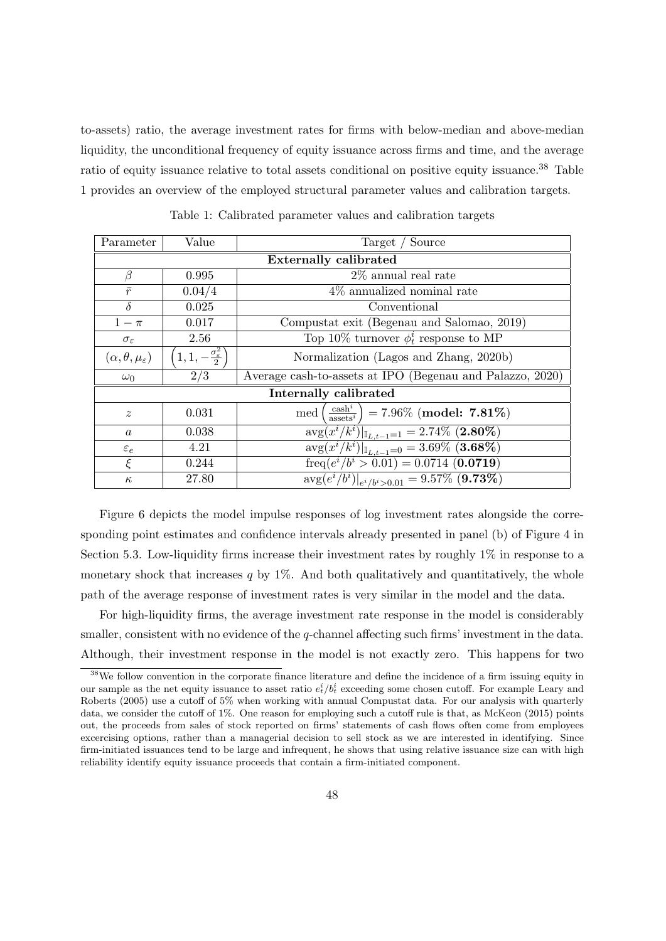to-assets) ratio, the average investment rates for firms with below-median and above-median liquidity, the unconditional frequency of equity issuance across firms and time, and the average ratio of equity issuance relative to total assets conditional on positive equity issuance.<sup>[38](#page-47-0)</sup> Table [1](#page-47-1) provides an overview of the employed structural parameter values and calibration targets.

<span id="page-47-1"></span>

| Parameter                             | Value                                     | Target / Source                                                                                           |
|---------------------------------------|-------------------------------------------|-----------------------------------------------------------------------------------------------------------|
| <b>Externally calibrated</b>          |                                           |                                                                                                           |
| ß                                     | 0.995                                     | $2\%$ annual real rate                                                                                    |
| $\bar{r}$                             | 0.04/4                                    | $4\%$ annualized nominal rate                                                                             |
| $\delta$                              | 0.025                                     | Conventional                                                                                              |
| $1-\pi$                               | 0.017                                     | Compustat exit (Begenau and Salomao, 2019)                                                                |
| $\sigma_{\varepsilon}$                | 2.56                                      | Top 10% turnover $\phi_t^i$ response to MP                                                                |
| $(\alpha, \theta, \mu_{\varepsilon})$ | $1, 1, -\frac{\sigma_{\varepsilon}^2}{2}$ | Normalization (Lagos and Zhang, 2020b)                                                                    |
| $\omega_0$                            | 2/3                                       | Average cash-to-assets at IPO (Begenau and Palazzo, 2020)                                                 |
| Internally calibrated                 |                                           |                                                                                                           |
| $\boldsymbol{z}$                      | 0.031                                     | $\left(\frac{\text{cash}^i}{\text{ assets}^i}\right) = 7.96\% \overline{\text{(model: 7.81\%)}}$<br>med ( |
| $\boldsymbol{a}$                      | 0.038                                     | $\overline{\text{avg}(x^i/k^i)} _{\mathbb{I}_{L,t-1}=1} = 2.74\%$ (2.80%)                                 |
| $\varepsilon_e$                       | 4.21                                      | $\frac{\text{avg}(x^i/k^i) _{\mathbb{I}_{L,t-1}=0}}{=}3.69\%$ (3.68%)                                     |
| $\bar{\xi}$                           | 0.244                                     | freq( $e^i/b^i > 0.01$ ) = 0.0714 ( <b>0.0719</b> )                                                       |
| $\kappa$                              | 27.80                                     | $\arg(e^i/b^i) _{e^i/b^i>0.01} = 9.57\%$ (9.73%)                                                          |

Table 1: Calibrated parameter values and calibration targets

Figure [6](#page-48-0) depicts the model impulse responses of log investment rates alongside the corresponding point estimates and confidence intervals already presented in panel (b) of Figure [4](#page-42-0) in Section [5.3.](#page-39-1) Low-liquidity firms increase their investment rates by roughly 1% in response to a monetary shock that increases  $q$  by 1%. And both qualitatively and quantitatively, the whole path of the average response of investment rates is very similar in the model and the data.

For high-liquidity firms, the average investment rate response in the model is considerably smaller, consistent with no evidence of the  $q$ -channel affecting such firms' investment in the data. Although, their investment response in the model is not exactly zero. This happens for two

<span id="page-47-0"></span><sup>&</sup>lt;sup>38</sup>We follow convention in the corporate finance literature and define the incidence of a firm issuing equity in our sample as the net equity issuance to asset ratio  $e_t^i/b_t^i$  exceeding some chosen cutoff. For example [Leary and](#page-55-1) [Roberts](#page-55-1) [\(2005\)](#page-55-1) use a cutoff of 5% when working with annual Compustat data. For our analysis with quarterly data, we consider the cutoff of 1%. One reason for employing such a cutoff rule is that, as [McKeon](#page-55-2) [\(2015\)](#page-55-2) points out, the proceeds from sales of stock reported on firms' statements of cash flows often come from employees excercising options, rather than a managerial decision to sell stock as we are interested in identifying. Since firm-initiated issuances tend to be large and infrequent, he shows that using relative issuance size can with high reliability identify equity issuance proceeds that contain a firm-initiated component.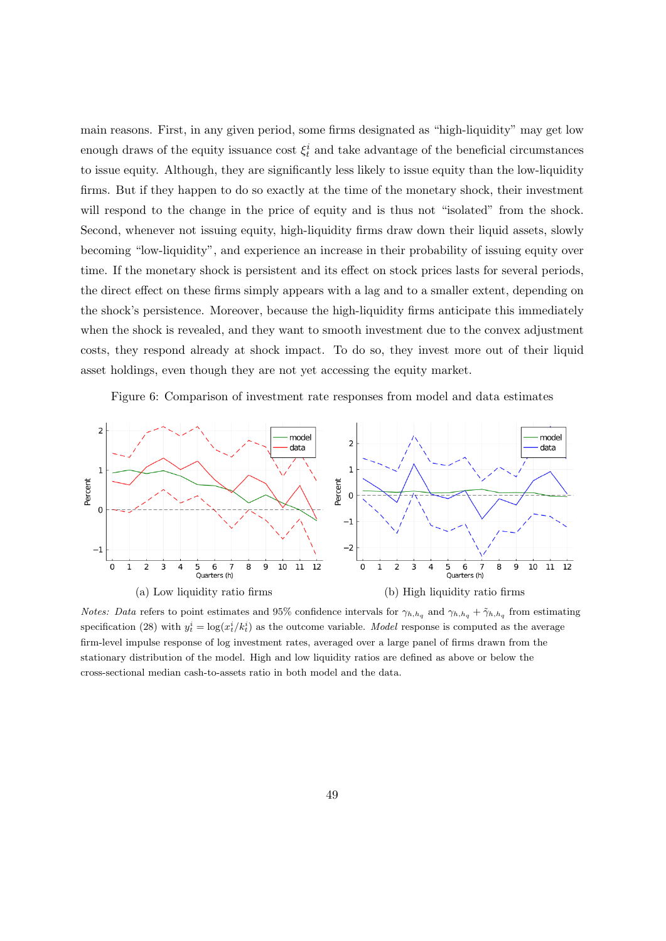main reasons. First, in any given period, some firms designated as "high-liquidity" may get low enough draws of the equity issuance cost  $\xi_t^i$  and take advantage of the beneficial circumstances to issue equity. Although, they are significantly less likely to issue equity than the low-liquidity firms. But if they happen to do so exactly at the time of the monetary shock, their investment will respond to the change in the price of equity and is thus not "isolated" from the shock. Second, whenever not issuing equity, high-liquidity firms draw down their liquid assets, slowly becoming "low-liquidity", and experience an increase in their probability of issuing equity over time. If the monetary shock is persistent and its effect on stock prices lasts for several periods, the direct effect on these firms simply appears with a lag and to a smaller extent, depending on the shock's persistence. Moreover, because the high-liquidity firms anticipate this immediately when the shock is revealed, and they want to smooth investment due to the convex adjustment costs, they respond already at shock impact. To do so, they invest more out of their liquid asset holdings, even though they are not yet accessing the equity market.

Figure 6: Comparison of investment rate responses from model and data estimates

<span id="page-48-0"></span>

*Notes:* Data refers to point estimates and 95% confidence intervals for  $\gamma_{h,h_q}$  and  $\gamma_{h,h_q} + \tilde{\gamma}_{h,h_q}$  from estimating specification [\(28\)](#page-41-0) with  $y_t^i = \log(x_t^i / k_t^i)$  as the outcome variable. Model response is computed as the average firm-level impulse response of log investment rates, averaged over a large panel of firms drawn from the stationary distribution of the model. High and low liquidity ratios are defined as above or below the cross-sectional median cash-to-assets ratio in both model and the data.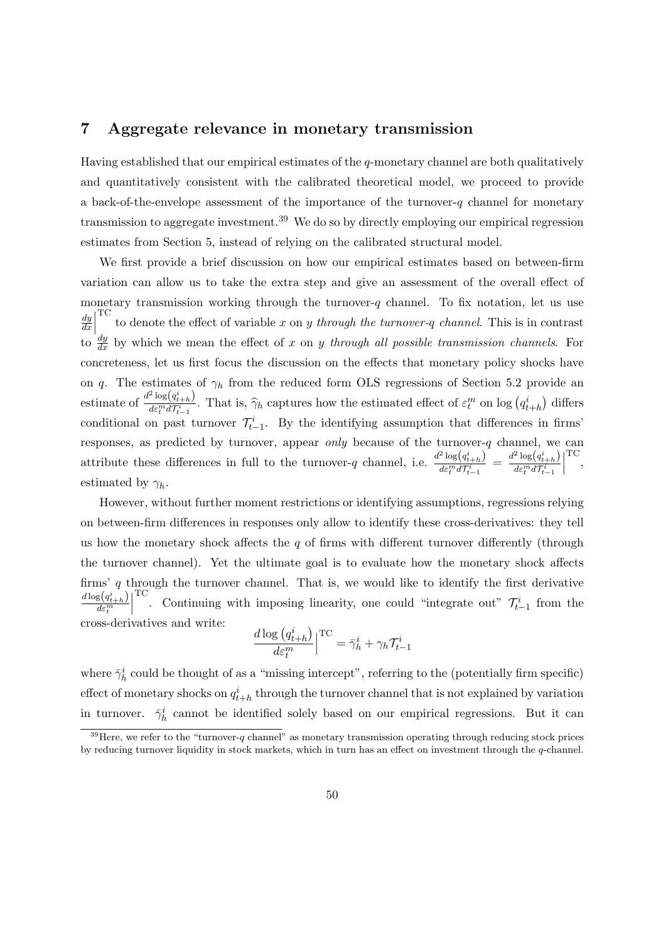## 7 Aggregate relevance in monetary transmission

Having established that our empirical estimates of the q-monetary channel are both qualitatively and quantitatively consistent with the calibrated theoretical model, we proceed to provide a back-of-the-envelope assessment of the importance of the turnover-q channel for monetary transmission to aggregate investment.<sup>[39](#page-49-0)</sup> We do so by directly employing our empirical regression estimates from Section [5,](#page-33-0) instead of relying on the calibrated structural model.

We first provide a brief discussion on how our empirical estimates based on between-firm variation can allow us to take the extra step and give an assessment of the overall effect of monetary transmission working through the turnover- $q$  channel. To fix notation, let us use dy  $rac{dy}{dx}$  $\frac{dy}{dx}$  by which we mean the effect of x on y through all possible transmission channels. For TC<br>to denote the effect of variable x on y through the turnover-q channel. This is in contrast concreteness, let us first focus the discussion on the effects that monetary policy shocks have on q. The estimates of  $\gamma_h$  from the reduced form OLS regressions of Section [5.2](#page-34-0) provide an estimate of  $\frac{d^2 \log(q_{t+h}^i)}{dx^m d\mathcal{I}^i}$  $\frac{\log(q_{t+h})}{\deg^n d\tau_{t-1}^i}$ . That is,  $\hat{\gamma}_h$  captures how the estimated effect of  $\varepsilon_t^m$  on log  $(q_{t+h}^i)$  differs conditional on past turnover  $\mathcal{T}_{t-1}^i$ . By the identifying assumption that differences in firms' responses, as predicted by turnover, appear *only* because of the turnover-q channel, we can attribute these differences in full to the turnover-q channel, i.e.  $\frac{d^2 \log(q_{t+h}^i)}{d\sigma^m d\tau^i}$  $\frac{d^2\log\left(q_{t+h}^i\right)}{d\varepsilon_t^m d\mathcal{T}_{t-1}^i} \,=\, \frac{d^2\log\left(q_{t+h}^i\right)}{d\varepsilon_t^m d\mathcal{T}_{t-1}^i}$  $d\varepsilon_t^m d\mathcal{T}_{t-1}^i$  $\begin{array}{c} \begin{array}{c} \begin{array}{c} \end{array} \\ \begin{array}{c} \end{array} \end{array} \end{array}$ TC , estimated by  $\gamma_h$ .

However, without further moment restrictions or identifying assumptions, regressions relying on between-firm differences in responses only allow to identify these cross-derivatives: they tell us how the monetary shock affects the  $q$  of firms with different turnover differently (through the turnover channel). Yet the ultimate goal is to evaluate how the monetary shock affects firms'  $q$  through the turnover channel. That is, we would like to identify the first derivative  $d\log(q_{t+h}^i)$  $d\varepsilon_t^m$  $\begin{array}{c} \begin{array}{c} \begin{array}{c} \end{array} \\ \begin{array}{c} \end{array} \end{array} \end{array}$ <sup>TC</sup>. Continuing with imposing linearity, one could "integrate out"  $\mathcal{T}_{t-1}^i$  from the cross-derivatives and write:

$$
\frac{d \log (q_{t+h}^i)}{d \varepsilon_t^m} \Big|^{ \mathrm{TC}} = \bar{\gamma}_h^i + \gamma_h \mathcal{T}_{t-1}^i
$$

where  $\bar{\gamma}_h^i$  could be thought of as a "missing intercept", referring to the (potentially firm specific) effect of monetary shocks on  $q_{t+h}^i$  through the turnover channel that is not explained by variation in turnover.  $\bar{\gamma}_h^i$  cannot be identified solely based on our empirical regressions. But it can

<span id="page-49-0"></span> $39$  Here, we refer to the "turnover-q channel" as monetary transmission operating through reducing stock prices by reducing turnover liquidity in stock markets, which in turn has an effect on investment through the q-channel.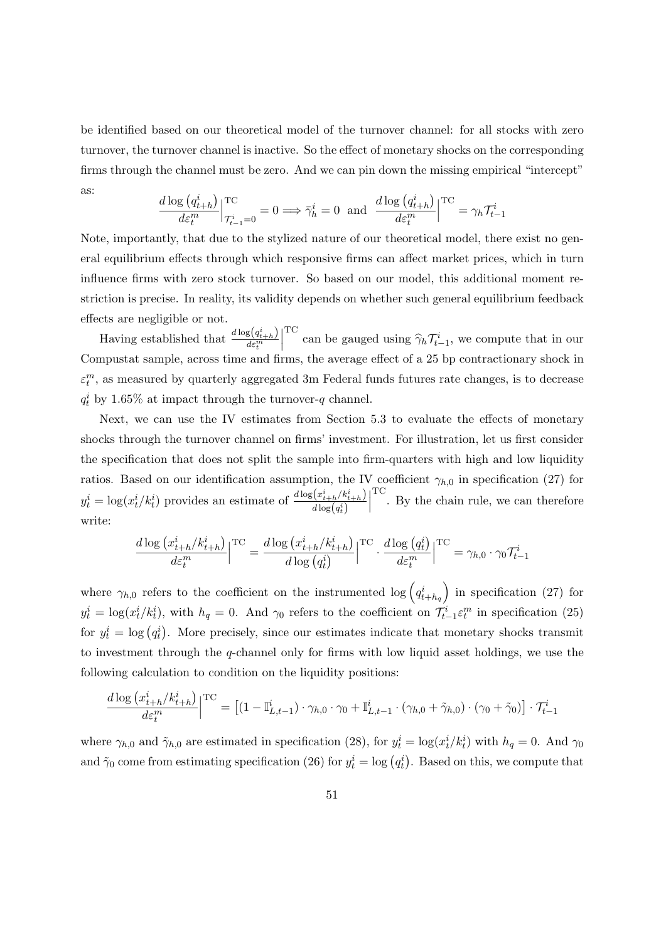be identified based on our theoretical model of the turnover channel: for all stocks with zero turnover, the turnover channel is inactive. So the effect of monetary shocks on the corresponding firms through the channel must be zero. And we can pin down the missing empirical "intercept" as:

$$
\frac{d \log (q_{t+h}^i)}{d \varepsilon_t^m} \Big|_{\mathcal{T}_{t-1}^i = 0}^{\text{TC}} = 0 \Longrightarrow \bar{\gamma}_h^i = 0 \text{ and } \frac{d \log (q_{t+h}^i)}{d \varepsilon_t^m} \Big|_{\mathcal{T}_{t-1}^i = \gamma_h \mathcal{T}_{t-1}^i}
$$

Note, importantly, that due to the stylized nature of our theoretical model, there exist no general equilibrium effects through which responsive firms can affect market prices, which in turn influence firms with zero stock turnover. So based on our model, this additional moment restriction is precise. In reality, its validity depends on whether such general equilibrium feedback effects are negligible or not.

Having established that  $\frac{d \log (q_{t+h}^i)}{d \epsilon^m}$  $d\varepsilon_t^m$  $\begin{array}{c} \begin{array}{c} \begin{array}{c} \end{array} \\ \begin{array}{c} \end{array} \end{array} \end{array}$ TC can be gauged using  $\widehat{\gamma}_h \mathcal{T}_{t-1}^i$ , we compute that in our Compustat sample, across time and firms, the average effect of a 25 bp contractionary shock in  $\varepsilon_t^m$ , as measured by quarterly aggregated 3m Federal funds futures rate changes, is to decrease  $q_t^i$  by 1.65% at impact through the turnover-q channel.

Next, we can use the IV estimates from Section [5.3](#page-39-1) to evaluate the effects of monetary shocks through the turnover channel on firms' investment. For illustration, let us first consider the specification that does not split the sample into firm-quarters with high and low liquidity ratios. Based on our identification assumption, the IV coefficient  $\gamma_{h,0}$  in specification [\(27\)](#page-39-0) for  $y_t^i = \log(x_t^i/k_t^i)$  provides an estimate of  $\frac{d \log(x_{t+h}^i/k_{t+h}^i)}{d \log(x_t^i)}$  $d\log(q_t^i)$  $\begin{array}{c} \begin{array}{c} \begin{array}{c} \end{array} \\ \begin{array}{c} \end{array} \end{array} \end{array}$ TC . By the chain rule, we can therefore write:

$$
\frac{d \log (x_{t+h}^i / k_{t+h}^i)}{d \varepsilon_t^m} \Big|{\rm TC} = \frac{d \log (x_{t+h}^i / k_{t+h}^i)}{d \log (q_t^i)}\Big|^{\rm TC} \cdot \frac{d \log (q_t^i)}{d \varepsilon_t^m} \Big|^{\rm TC} = \gamma_{h,0} \cdot \gamma_0 \mathcal{T}_{t-1}^i
$$

where  $\gamma_{h,0}$  refers to the coefficient on the instrumented  $\log\left(q_{t+h_q}^{i}\right)$  in specification [\(27\)](#page-39-0) for  $y_t^i = \log(x_t^i / k_t^i)$ , with  $h_q = 0$ . And  $\gamma_0$  refers to the coefficient on  $\mathcal{T}_{t-1}^i \varepsilon_t^m$  in specification [\(25\)](#page-35-0) for  $y_t^i = \log(q_t^i)$ . More precisely, since our estimates indicate that monetary shocks transmit to investment through the q-channel only for firms with low liquid asset holdings, we use the following calculation to condition on the liquidity positions:

$$
\frac{d \log (x_{t+h}^i / k_{t+h}^i)}{d \varepsilon_t^m} \Big|^{T\mathcal{C}} = \left[ (1 - \mathbb{I}_{L,t-1}^i) \cdot \gamma_{h,0} \cdot \gamma_0 + \mathbb{I}_{L,t-1}^i \cdot (\gamma_{h,0} + \tilde{\gamma}_{h,0}) \cdot (\gamma_0 + \tilde{\gamma}_0) \right] \cdot \mathcal{T}_{t-1}^i
$$

where  $\gamma_{h,0}$  and  $\tilde{\gamma}_{h,0}$  are estimated in specification [\(28\)](#page-41-0), for  $y_t^i = \log(x_t^i / k_t^i)$  with  $h_q = 0$ . And  $\gamma_0$ and  $\tilde{\gamma}_0$  come from estimating specification [\(26\)](#page-37-1) for  $y_t^i = \log(q_t^i)$ . Based on this, we compute that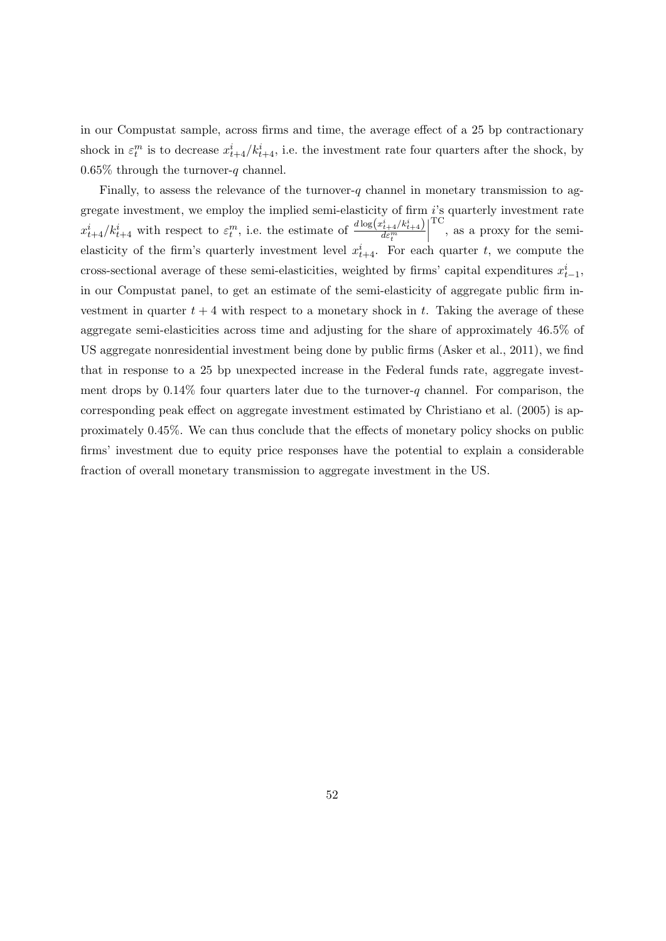in our Compustat sample, across firms and time, the average effect of a 25 bp contractionary shock in  $\varepsilon_t^m$  is to decrease  $x_{t+4}^i/k_{t+4}^i$ , i.e. the investment rate four quarters after the shock, by 0.65% through the turnover-q channel.

Finally, to assess the relevance of the turnover-q channel in monetary transmission to aggregate investment, we employ the implied semi-elasticity of firm i's quarterly investment rate  $x_{t+4}^i/k_{t+4}^i$  with respect to  $\varepsilon_t^m$ , i.e. the estimate of  $\frac{d \log(x_{t+4}^i/k_{t+4}^i)}{d \varepsilon_t^m}$  $d\varepsilon_t^m$  $\begin{array}{c} \begin{array}{c} \begin{array}{c} \end{array} \\ \begin{array}{c} \end{array} \end{array} \end{array}$ TC , as a proxy for the semielasticity of the firm's quarterly investment level  $x_{t+4}^i$ . For each quarter t, we compute the cross-sectional average of these semi-elasticities, weighted by firms' capital expenditures  $x_{t-1}^i$ , in our Compustat panel, to get an estimate of the semi-elasticity of aggregate public firm investment in quarter  $t + 4$  with respect to a monetary shock in t. Taking the average of these aggregate semi-elasticities across time and adjusting for the share of approximately 46.5% of US aggregate nonresidential investment being done by public firms [\(Asker et al.,](#page-52-2) [2011\)](#page-52-2), we find that in response to a 25 bp unexpected increase in the Federal funds rate, aggregate investment drops by  $0.14\%$  four quarters later due to the turnover-q channel. For comparison, the corresponding peak effect on aggregate investment estimated by [Christiano et al.](#page-53-1) [\(2005\)](#page-53-1) is approximately 0.45%. We can thus conclude that the effects of monetary policy shocks on public firms' investment due to equity price responses have the potential to explain a considerable fraction of overall monetary transmission to aggregate investment in the US.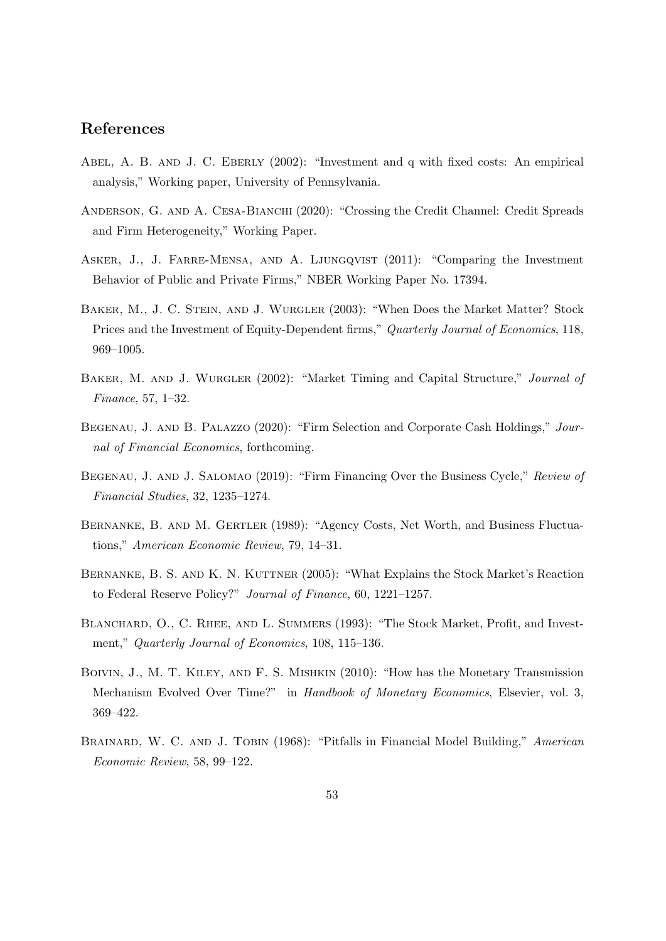# References

- ABEL, A. B. AND J. C. EBERLY (2002): "Investment and q with fixed costs: An empirical analysis," Working paper, University of Pennsylvania.
- ANDERSON, G. AND A. CESA-BIANCHI (2020): "Crossing the Credit Channel: Credit Spreads and Firm Heterogeneity," Working Paper.
- <span id="page-52-2"></span>Asker, J., J. Farre-Mensa, and A. Ljungqvist (2011): "Comparing the Investment Behavior of Public and Private Firms," NBER Working Paper No. 17394.
- Baker, M., J. C. Stein, and J. Wurgler (2003): "When Does the Market Matter? Stock Prices and the Investment of Equity-Dependent firms," Quarterly Journal of Economics, 118, 969–1005.
- Baker, M. and J. Wurgler (2002): "Market Timing and Capital Structure," Journal of Finance, 57, 1–32.
- <span id="page-52-1"></span>BEGENAU, J. AND B. PALAZZO (2020): "Firm Selection and Corporate Cash Holdings," Journal of Financial Economics, forthcoming.
- <span id="page-52-0"></span>BEGENAU, J. AND J. SALOMAO (2019): "Firm Financing Over the Business Cycle," Review of Financial Studies, 32, 1235–1274.
- BERNANKE, B. AND M. GERTLER (1989): "Agency Costs, Net Worth, and Business Fluctuations," American Economic Review, 79, 14–31.
- BERNANKE, B. S. AND K. N. KUTTNER (2005): "What Explains the Stock Market's Reaction to Federal Reserve Policy?" Journal of Finance, 60, 1221–1257.
- BLANCHARD, O., C. RHEE, AND L. SUMMERS (1993): "The Stock Market, Profit, and Investment," Quarterly Journal of Economics, 108, 115–136.
- Boivin, J., M. T. Kiley, and F. S. Mishkin (2010): "How has the Monetary Transmission Mechanism Evolved Over Time?" in Handbook of Monetary Economics, Elsevier, vol. 3, 369–422.
- BRAINARD, W. C. AND J. TOBIN (1968): "Pitfalls in Financial Model Building," American Economic Review, 58, 99–122.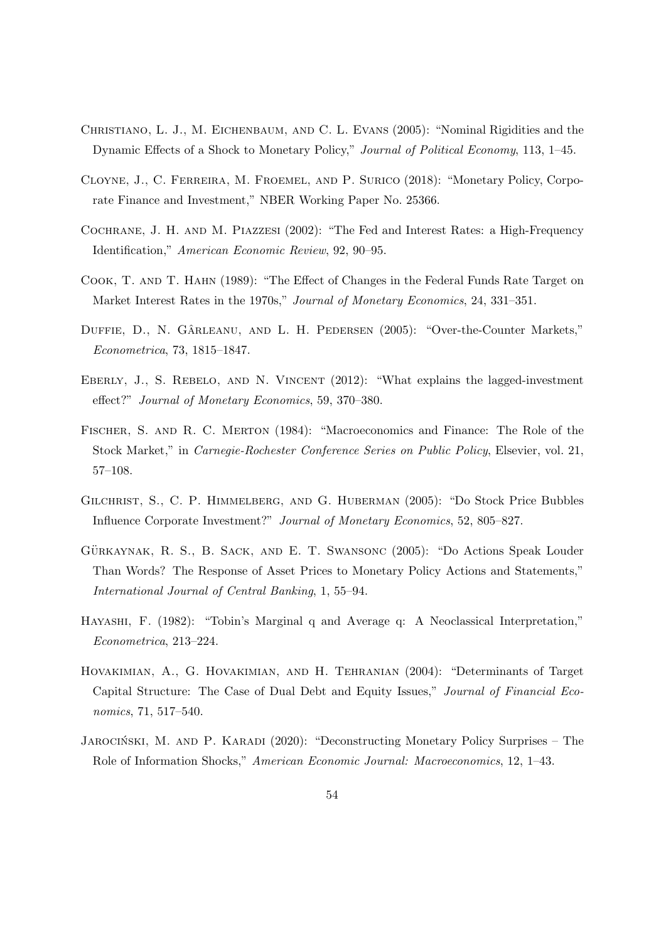- <span id="page-53-1"></span>Christiano, L. J., M. Eichenbaum, and C. L. Evans (2005): "Nominal Rigidities and the Dynamic Effects of a Shock to Monetary Policy," Journal of Political Economy, 113, 1–45.
- Cloyne, J., C. Ferreira, M. Froemel, and P. Surico (2018): "Monetary Policy, Corporate Finance and Investment," NBER Working Paper No. 25366.
- Cochrane, J. H. and M. Piazzesi (2002): "The Fed and Interest Rates: a High-Frequency Identification," American Economic Review, 92, 90–95.
- Cook, T. and T. Hahn (1989): "The Effect of Changes in the Federal Funds Rate Target on Market Interest Rates in the 1970s," Journal of Monetary Economics, 24, 331–351.
- DUFFIE, D., N. GÂRLEANU, AND L. H. PEDERSEN (2005): "Over-the-Counter Markets," Econometrica, 73, 1815–1847.
- EBERLY, J., S. REBELO, AND N. VINCENT (2012): "What explains the lagged-investment effect?" Journal of Monetary Economics, 59, 370–380.
- Fischer, S. and R. C. Merton (1984): "Macroeconomics and Finance: The Role of the Stock Market," in Carnegie-Rochester Conference Series on Public Policy, Elsevier, vol. 21, 57–108.
- Gilchrist, S., C. P. Himmelberg, and G. Huberman (2005): "Do Stock Price Bubbles Influence Corporate Investment?" Journal of Monetary Economics, 52, 805–827.
- GÜRKAYNAK, R. S., B. SACK, AND E. T. SWANSONC (2005): "Do Actions Speak Louder Than Words? The Response of Asset Prices to Monetary Policy Actions and Statements," International Journal of Central Banking, 1, 55–94.
- Hayashi, F. (1982): "Tobin's Marginal q and Average q: A Neoclassical Interpretation," Econometrica, 213–224.
- Hovakimian, A., G. Hovakimian, and H. Tehranian (2004): "Determinants of Target Capital Structure: The Case of Dual Debt and Equity Issues," Journal of Financial Economics, 71, 517–540.
- <span id="page-53-0"></span>JAROCIŃSKI, M. AND P. KARADI (2020): "Deconstructing Monetary Policy Surprises – The Role of Information Shocks," American Economic Journal: Macroeconomics, 12, 1–43.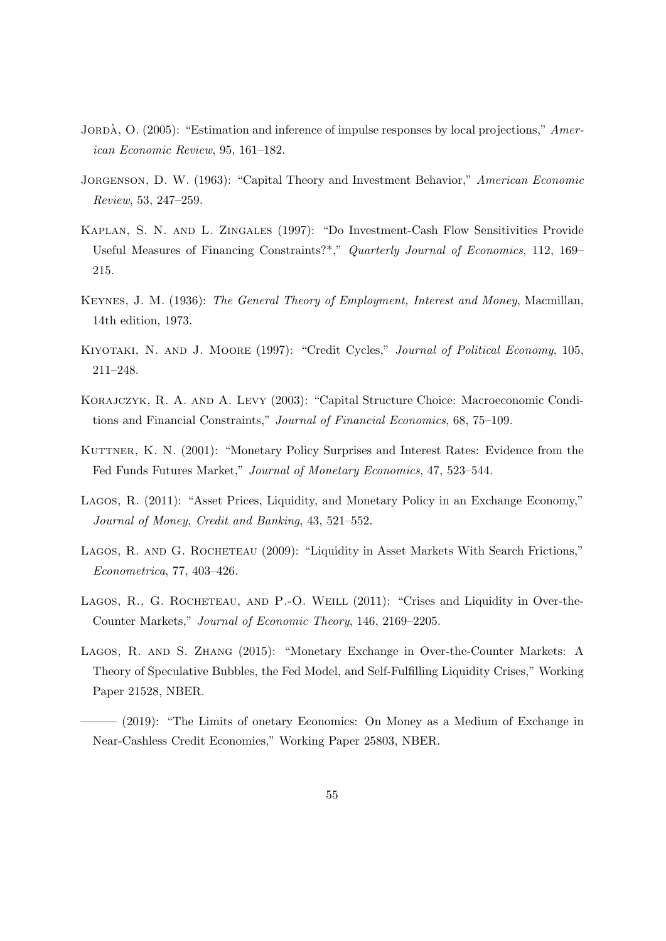- JORDÀ, O.  $(2005)$ : "Estimation and inference of impulse responses by local projections," American Economic Review, 95, 161–182.
- JORGENSON, D. W. (1963): "Capital Theory and Investment Behavior," American Economic Review, 53, 247–259.
- Kaplan, S. N. and L. Zingales (1997): "Do Investment-Cash Flow Sensitivities Provide Useful Measures of Financing Constraints?\*," Quarterly Journal of Economics, 112, 169– 215.
- Keynes, J. M. (1936): The General Theory of Employment, Interest and Money, Macmillan, 14th edition, 1973.
- Kiyotaki, N. and J. Moore (1997): "Credit Cycles," Journal of Political Economy, 105, 211–248.
- Korajczyk, R. A. and A. Levy (2003): "Capital Structure Choice: Macroeconomic Conditions and Financial Constraints," Journal of Financial Economics, 68, 75–109.
- KUTTNER, K. N. (2001): "Monetary Policy Surprises and Interest Rates: Evidence from the Fed Funds Futures Market," Journal of Monetary Economics, 47, 523–544.
- Lagos, R. (2011): "Asset Prices, Liquidity, and Monetary Policy in an Exchange Economy," Journal of Money, Credit and Banking, 43, 521–552.
- LAGOS, R. AND G. ROCHETEAU (2009): "Liquidity in Asset Markets With Search Frictions," Econometrica, 77, 403–426.
- LAGOS, R., G. ROCHETEAU, AND P.-O. WEILL (2011): "Crises and Liquidity in Over-the-Counter Markets," Journal of Economic Theory, 146, 2169–2205.
- Lagos, R. and S. Zhang (2015): "Monetary Exchange in Over-the-Counter Markets: A Theory of Speculative Bubbles, the Fed Model, and Self-Fulfilling Liquidity Crises," Working Paper 21528, NBER.
- $-$  (2019): "The Limits of onetary Economics: On Money as a Medium of Exchange in Near-Cashless Credit Economies," Working Paper 25803, NBER.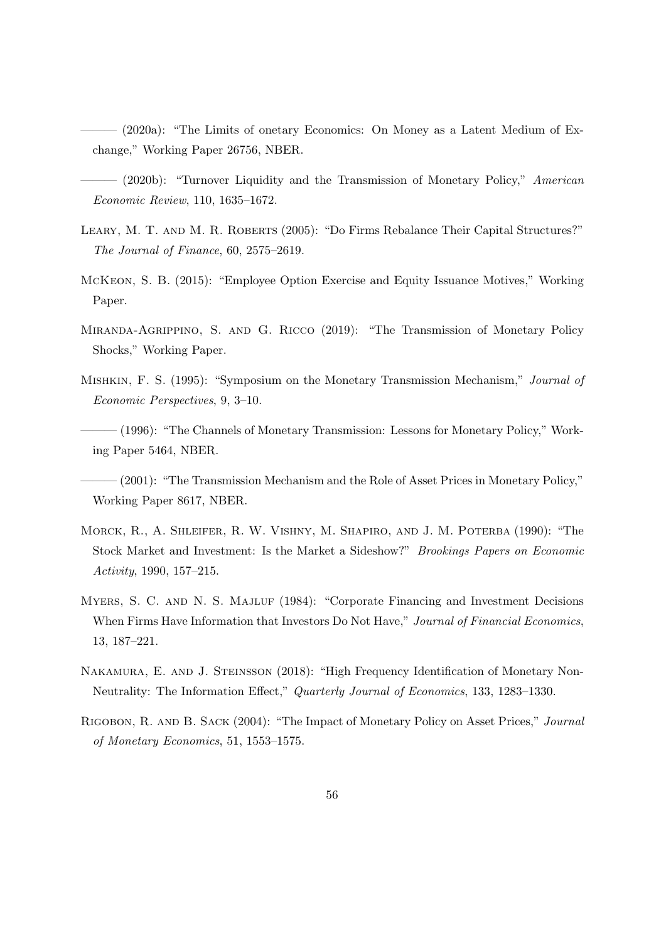- $(2020a)$ : "The Limits of onetary Economics: On Money as a Latent Medium of Exchange," Working Paper 26756, NBER.
- <span id="page-55-0"></span>– (2020b): "Turnover Liquidity and the Transmission of Monetary Policy," American Economic Review, 110, 1635–1672.
- <span id="page-55-1"></span>Leary, M. T. and M. R. Roberts (2005): "Do Firms Rebalance Their Capital Structures?" The Journal of Finance, 60, 2575–2619.
- <span id="page-55-2"></span>McKeon, S. B. (2015): "Employee Option Exercise and Equity Issuance Motives," Working Paper.
- Miranda-Agrippino, S. and G. Ricco (2019): "The Transmission of Monetary Policy Shocks," Working Paper.
- Mishkin, F. S. (1995): "Symposium on the Monetary Transmission Mechanism," Journal of Economic Perspectives, 9, 3–10.
- (1996): "The Channels of Monetary Transmission: Lessons for Monetary Policy," Working Paper 5464, NBER.
- $(2001)$ : "The Transmission Mechanism and the Role of Asset Prices in Monetary Policy," Working Paper 8617, NBER.
- Morck, R., A. Shleifer, R. W. Vishny, M. Shapiro, and J. M. Poterba (1990): "The Stock Market and Investment: Is the Market a Sideshow?" Brookings Papers on Economic Activity, 1990, 157–215.
- MYERS, S. C. AND N. S. MAJLUF (1984): "Corporate Financing and Investment Decisions When Firms Have Information that Investors Do Not Have," Journal of Financial Economics, 13, 187–221.
- NAKAMURA, E. AND J. STEINSSON (2018): "High Frequency Identification of Monetary Non-Neutrality: The Information Effect," Quarterly Journal of Economics, 133, 1283–1330.
- Rigobon, R. and B. Sack (2004): "The Impact of Monetary Policy on Asset Prices," Journal of Monetary Economics, 51, 1553–1575.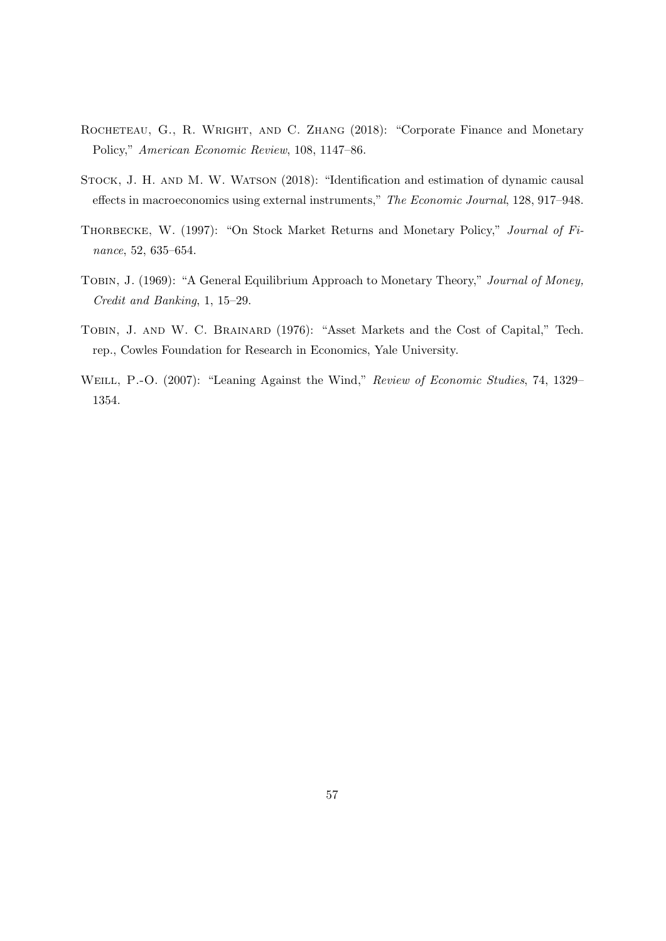- ROCHETEAU, G., R. WRIGHT, AND C. ZHANG (2018): "Corporate Finance and Monetary Policy," American Economic Review, 108, 1147–86.
- STOCK, J. H. AND M. W. WATSON (2018): "Identification and estimation of dynamic causal effects in macroeconomics using external instruments," The Economic Journal, 128, 917–948.
- THORBECKE, W. (1997): "On Stock Market Returns and Monetary Policy," Journal of Finance, 52, 635–654.
- TOBIN, J. (1969): "A General Equilibrium Approach to Monetary Theory," Journal of Money, Credit and Banking, 1, 15–29.
- TOBIN, J. AND W. C. BRAINARD (1976): "Asset Markets and the Cost of Capital," Tech. rep., Cowles Foundation for Research in Economics, Yale University.
- WEILL, P.-O. (2007): "Leaning Against the Wind," Review of Economic Studies, 74, 1329– 1354.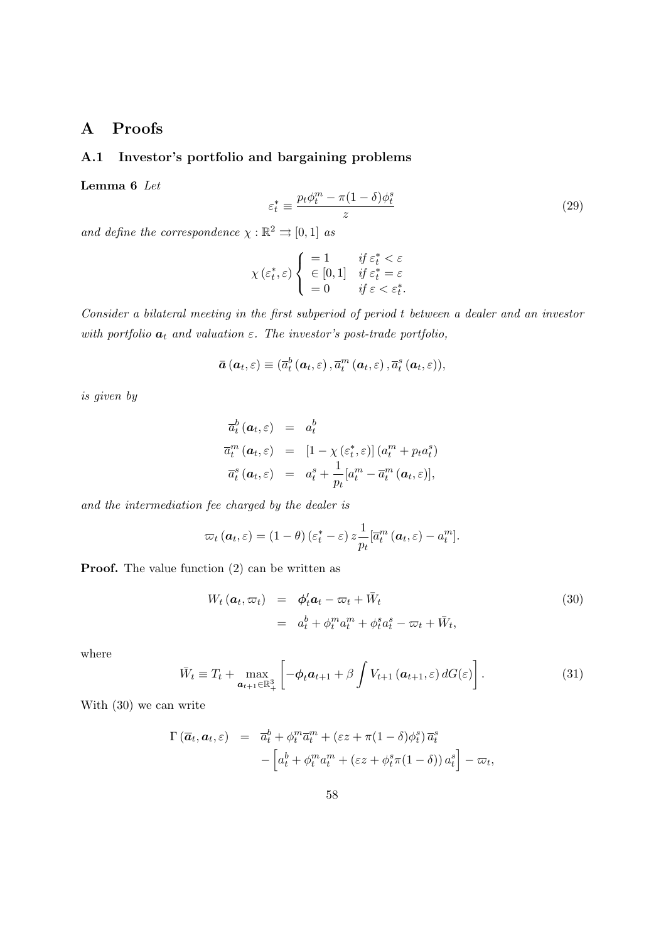# A Proofs

## A.1 Investor's portfolio and bargaining problems

<span id="page-57-1"></span>Lemma 6 Let

<span id="page-57-3"></span>
$$
\varepsilon_t^* \equiv \frac{p_t \phi_t^m - \pi (1 - \delta) \phi_t^s}{z} \tag{29}
$$

and define the correspondence  $\chi : \mathbb{R}^2 \rightrightarrows [0,1]$  as

$$
\chi\left(\varepsilon_t^*, \varepsilon\right) \left\{ \begin{array}{ll} =1 & \text{if } \varepsilon_t^* < \varepsilon \\ \in [0,1] & \text{if } \varepsilon_t^* = \varepsilon \\ =0 & \text{if } \varepsilon < \varepsilon_t^* . \end{array} \right.
$$

Consider a bilateral meeting in the first subperiod of period t between a dealer and an investor with portfolio  $a_t$  and valuation  $\varepsilon$ . The investor's post-trade portfolio,

$$
\boldsymbol{\bar{a}}\left(\boldsymbol{a}_{t},\varepsilon\right)\equiv(\overline{a}_{t}^{b}\left(\boldsymbol{a}_{t},\varepsilon\right),\overline{a}_{t}^{m}\left(\boldsymbol{a}_{t},\varepsilon\right),\overline{a}_{t}^{s}\left(\boldsymbol{a}_{t},\varepsilon\right)),
$$

is given by

$$
\overline{a}_{t}^{b}(\boldsymbol{a}_{t},\varepsilon) = a_{t}^{b}
$$
\n
$$
\overline{a}_{t}^{m}(\boldsymbol{a}_{t},\varepsilon) = [1 - \chi(\varepsilon_{t}^{*},\varepsilon)] (a_{t}^{m} + p_{t} a_{t}^{s})
$$
\n
$$
\overline{a}_{t}^{s}(\boldsymbol{a}_{t},\varepsilon) = a_{t}^{s} + \frac{1}{p_{t}} [a_{t}^{m} - \overline{a}_{t}^{m}(\boldsymbol{a}_{t},\varepsilon)],
$$

and the intermediation fee charged by the dealer is

$$
\varpi_t(\boldsymbol{a}_t,\varepsilon)=(1-\theta)(\varepsilon_t^*-\varepsilon)\,z\frac{1}{p_t}[\overline{a}_t^m(\boldsymbol{a}_t,\varepsilon)-a_t^m].
$$

**Proof.** The value function [\(2\)](#page-8-0) can be written as

<span id="page-57-0"></span>
$$
W_t (\boldsymbol{a}_t, \varpi_t) = \boldsymbol{\phi}_t' \boldsymbol{a}_t - \varpi_t + \bar{W}_t
$$
  
= 
$$
a_t^b + \phi_t^m a_t^m + \phi_t^s a_t^s - \varpi_t + \bar{W}_t,
$$
 (30)

where

<span id="page-57-2"></span>
$$
\bar{W}_t \equiv T_t + \max_{\mathbf{a}_{t+1} \in \mathbb{R}^3_+} \left[ -\phi_t \mathbf{a}_{t+1} + \beta \int V_{t+1} \left( \mathbf{a}_{t+1}, \varepsilon \right) dG(\varepsilon) \right]. \tag{31}
$$

With [\(30\)](#page-57-0) we can write

$$
\Gamma(\overline{a}_t, a_t, \varepsilon) = \overline{a}_t^b + \phi_t^m \overline{a}_t^m + (\varepsilon z + \pi (1 - \delta) \phi_t^s) \overline{a}_t^s
$$

$$
- \left[ a_t^b + \phi_t^m a_t^m + (\varepsilon z + \phi_t^s \pi (1 - \delta)) a_t^s \right] - \varpi_t,
$$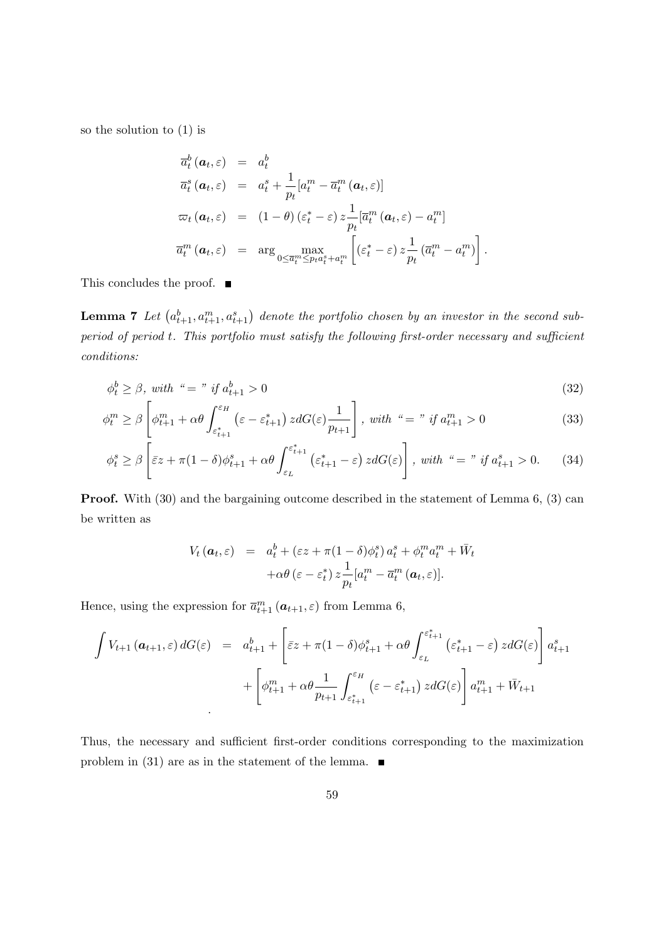so the solution to [\(1\)](#page-7-0) is

$$
\overline{a}_{t}^{b}(\boldsymbol{a}_{t},\varepsilon) = a_{t}^{b}
$$
\n
$$
\overline{a}_{t}^{s}(\boldsymbol{a}_{t},\varepsilon) = a_{t}^{s} + \frac{1}{p_{t}}[a_{t}^{m} - \overline{a}_{t}^{m}(\boldsymbol{a}_{t},\varepsilon)]
$$
\n
$$
\varpi_{t}(\boldsymbol{a}_{t},\varepsilon) = (1-\theta)(\varepsilon_{t}^{*} - \varepsilon) z \frac{1}{p_{t}}[\overline{a}_{t}^{m}(\boldsymbol{a}_{t},\varepsilon) - a_{t}^{m}]
$$
\n
$$
\overline{a}_{t}^{m}(\boldsymbol{a}_{t},\varepsilon) = \arg \max_{0 \leq \overline{a}_{t}^{m} \leq p_{t} a_{t}^{s} + a_{t}^{m}} \left[ (\varepsilon_{t}^{*} - \varepsilon) z \frac{1}{p_{t}}(\overline{a}_{t}^{m} - a_{t}^{m}) \right].
$$

This concludes the proof.  $\quadblacksquare$ 

**Lemma 7** Let  $(a_{t+1}^b, a_{t+1}^m, a_{t+1}^s)$  denote the portfolio chosen by an investor in the second subperiod of period t. This portfolio must satisfy the following first-order necessary and sufficient conditions:

$$
\phi_t^b \ge \beta, \text{ with } \text{``} = \text{''} \text{ if } a_{t+1}^b > 0 \tag{32}
$$

$$
\phi_t^m \ge \beta \left[ \phi_{t+1}^m + \alpha \theta \int_{\varepsilon_{t+1}^*}^{\varepsilon_H} \left( \varepsilon - \varepsilon_{t+1}^* \right) z dG(\varepsilon) \frac{1}{p_{t+1}} \right], \text{ with } \text{``} = \text{''} \text{ if } a_{t+1}^m > 0 \tag{33}
$$

$$
\phi_t^s \ge \beta \left[ \bar{\varepsilon} z + \pi (1 - \delta) \phi_{t+1}^s + \alpha \theta \int_{\varepsilon_L}^{\varepsilon_{t+1}^*} (\varepsilon_{t+1}^* - \varepsilon) z dG(\varepsilon) \right], \text{ with } \zeta = \eta \text{ if } a_{t+1}^s > 0. \tag{34}
$$

Proof. With [\(30\)](#page-57-0) and the bargaining outcome described in the statement of Lemma [6,](#page-57-1) [\(3\)](#page-8-1) can be written as

<span id="page-58-1"></span><span id="page-58-0"></span>
$$
V_t (\boldsymbol{a}_t, \varepsilon) = a_t^b + (\varepsilon z + \pi (1 - \delta) \phi_t^s) a_t^s + \phi_t^m a_t^m + \bar{W}_t
$$
  
+ 
$$
\alpha \theta (\varepsilon - \varepsilon_t^*) z \frac{1}{p_t} [a_t^m - \bar{a}_t^m (\boldsymbol{a}_t, \varepsilon)].
$$

Hence, using the expression for  $\bar{a}_{t+1}^m (a_{t+1}, \varepsilon)$  from Lemma [6,](#page-57-1)

$$
\int V_{t+1} (\mathbf{a}_{t+1}, \varepsilon) dG(\varepsilon) = a_{t+1}^{b} + \left[ \bar{\varepsilon} z + \pi (1 - \delta) \phi_{t+1}^{s} + \alpha \theta \int_{\varepsilon_{L}}^{\varepsilon_{t+1}^{*}} (\varepsilon_{t+1}^{*} - \varepsilon) z dG(\varepsilon) \right] a_{t+1}^{s}
$$

$$
+ \left[ \phi_{t+1}^{m} + \alpha \theta \frac{1}{p_{t+1}} \int_{\varepsilon_{t+1}^{*}}^{\varepsilon_{H}} (\varepsilon - \varepsilon_{t+1}^{*}) z dG(\varepsilon) \right] a_{t+1}^{m} + \bar{W}_{t+1}
$$

Thus, the necessary and sufficient first-order conditions corresponding to the maximization problem in [\(31\)](#page-57-2) are as in the statement of the lemma.  $\blacksquare$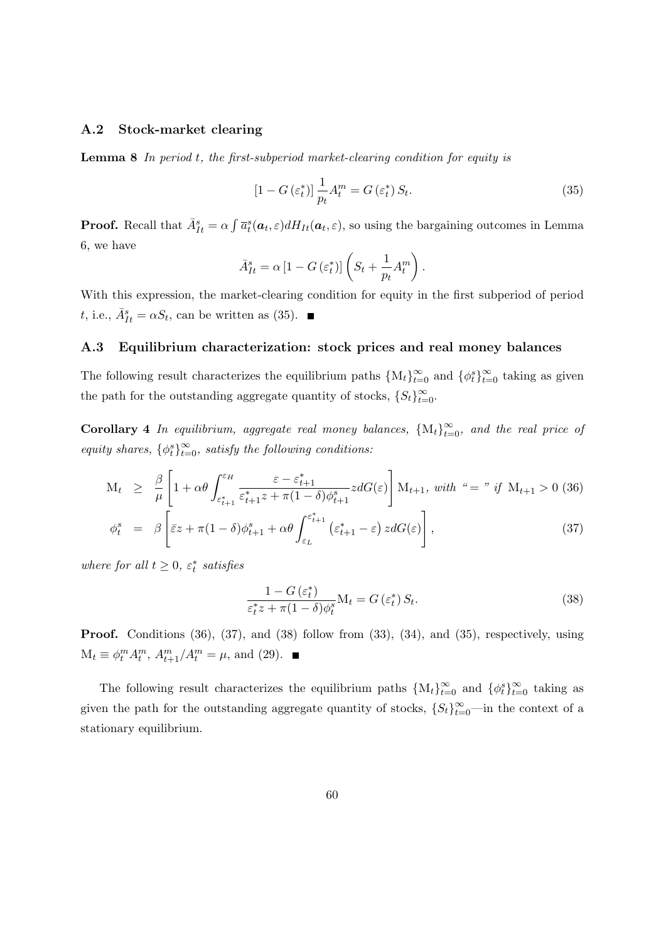### A.2 Stock-market clearing

**Lemma 8** In period  $t$ , the first-subperiod market-clearing condition for equity is

<span id="page-59-0"></span>
$$
\left[1 - G\left(\varepsilon_t^*\right)\right] \frac{1}{p_t} A_t^m = G\left(\varepsilon_t^*\right) S_t. \tag{35}
$$

**Proof.** Recall that  $\bar{A}_{It}^s = \alpha \int \bar{a}_t^s(a_t, \varepsilon) dH_{It}(a_t, \varepsilon)$ , so using the bargaining outcomes in Lemma [6,](#page-57-1) we have

$$
\bar{A}_{It}^s = \alpha \left[ 1 - G\left(\varepsilon_t^*\right) \right] \left( S_t + \frac{1}{p_t} A_t^m \right).
$$

With this expression, the market-clearing condition for equity in the first subperiod of period t, i.e.,  $\bar{A}_{It}^s = \alpha S_t$ , can be written as [\(35\)](#page-59-0).

### A.3 Equilibrium characterization: stock prices and real money balances

The following result characterizes the equilibrium paths  $\{M_t\}_{t=0}^{\infty}$  and  $\{\phi_t^s\}_{t=0}^{\infty}$  taking as given the path for the outstanding aggregate quantity of stocks,  $\{S_t\}_{t=0}^{\infty}$ .

**Corollary 4** In equilibrium, aggregate real money balances,  $\{M_t\}_{t=0}^{\infty}$ , and the real price of equity shares,  $\{\phi_t^s\}_{t=0}^{\infty}$ , satisfy the following conditions:

<span id="page-59-1"></span>
$$
M_{t} \geq \frac{\beta}{\mu} \left[ 1 + \alpha \theta \int_{\varepsilon_{t+1}^{*}}^{\varepsilon_{H}} \frac{\varepsilon - \varepsilon_{t+1}^{*}}{\varepsilon_{t+1}^{*} z + \pi (1 - \delta) \phi_{t+1}^{s}} z dG(\varepsilon) \right] M_{t+1}, \text{ with } \zeta_{t+1}^{*} > 0 \text{ (36)}
$$
\n
$$
\phi_{t}^{s} = \beta \left[ \bar{\varepsilon} z + \pi (1 - \delta) \phi_{t+1}^{s} + \alpha \theta \int_{\varepsilon_{L}}^{\varepsilon_{t+1}^{*}} (\varepsilon_{t+1}^{*} - \varepsilon) z dG(\varepsilon) \right], \tag{37}
$$

where for all  $t \geq 0$ ,  $\varepsilon_t^*$  satisfies

<span id="page-59-2"></span>
$$
\frac{1 - G\left(\varepsilon_t^*\right)}{\varepsilon_t^* z + \pi (1 - \delta) \phi_t^s} \mathbf{M}_t = G\left(\varepsilon_t^*\right) S_t.
$$
\n
$$
(38)
$$

Proof. Conditions [\(36\)](#page-59-1), [\(37\)](#page-59-1), and [\(38\)](#page-59-2) follow from [\(33\)](#page-58-0), [\(34\)](#page-58-1), and [\(35\)](#page-59-0), respectively, using  $M_t \equiv \phi_t^m A_t^m, A_{t+1}^m / A_t^m = \mu$ , and [\(29\)](#page-57-3).

The following result characterizes the equilibrium paths  $\{M_t\}_{t=0}^{\infty}$  and  $\{\phi_t^s\}_{t=0}^{\infty}$  taking as given the path for the outstanding aggregate quantity of stocks,  $\{S_t\}_{t=0}^{\infty}$ —in the context of a stationary equilibrium.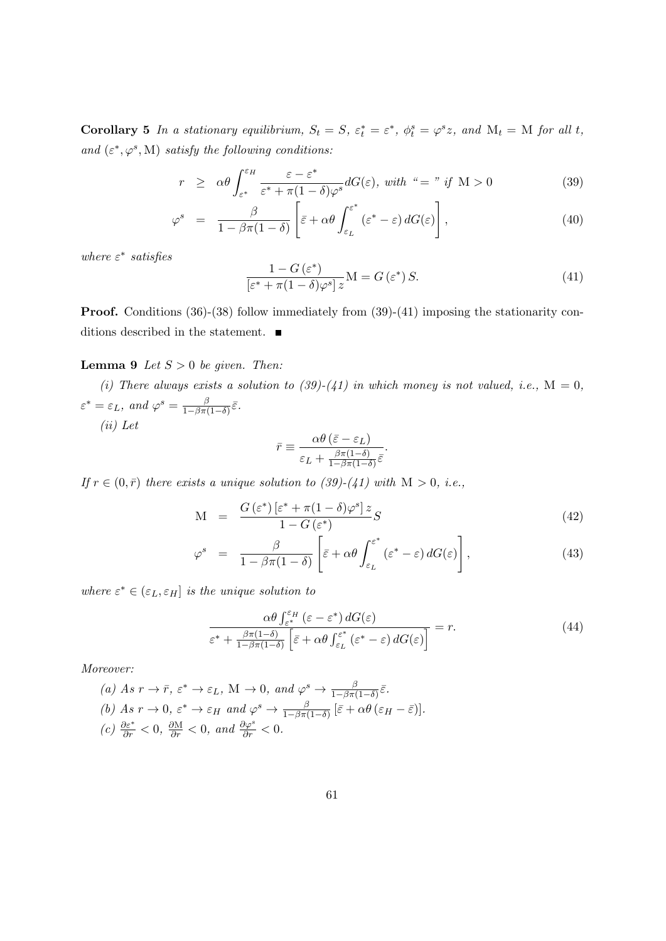Corollary 5 In a stationary equilibrium,  $S_t = S$ ,  $\varepsilon_t^* = \varepsilon^*$ ,  $\phi_t^s = \varphi^s z$ , and  $M_t = M$  for all t, and  $(\varepsilon^*, \varphi^s, M)$  satisfy the following conditions:

<span id="page-60-0"></span>
$$
r \geq \alpha \theta \int_{\varepsilon^*}^{\varepsilon_H} \frac{\varepsilon - \varepsilon^*}{\varepsilon^* + \pi (1 - \delta) \varphi^s} dG(\varepsilon), \ \text{with} \ \ \text{``= " if } M > 0
$$
\n
$$
(39)
$$

$$
\varphi^s = \frac{\beta}{1 - \beta \pi (1 - \delta)} \left[ \bar{\varepsilon} + \alpha \theta \int_{\varepsilon_L}^{\varepsilon^*} (\varepsilon^* - \varepsilon) dG(\varepsilon) \right], \tag{40}
$$

where  $\varepsilon^*$  satisfies

<span id="page-60-1"></span>
$$
\frac{1 - G\left(\varepsilon^*\right)}{\left[\varepsilon^* + \pi(1 - \delta)\varphi^s\right]z} \mathbf{M} = G\left(\varepsilon^*\right)S. \tag{41}
$$

**Proof.** Conditions [\(36\)](#page-59-1)-[\(38\)](#page-59-2) follow immediately from [\(39\)](#page-60-0)-[\(41\)](#page-60-1) imposing the stationarity conditions described in the statement.  $\blacksquare$ 

## <span id="page-60-3"></span>**Lemma 9** Let  $S > 0$  be given. Then:

(i) There always exists a solution to [\(39\)](#page-60-0)-[\(41\)](#page-60-1) in which money is not valued, i.e.,  $M = 0$ ,  $\varepsilon^* = \varepsilon_L$ , and  $\varphi^s = \frac{\beta}{1 - \beta \pi R}$  $rac{\beta}{1-\beta\pi(1-\delta)}\bar{\varepsilon}.$ (ii) Let

$$
\bar{r} \equiv \frac{\alpha \theta \left(\bar{\varepsilon} - \varepsilon_L\right)}{\varepsilon_L + \frac{\beta \pi (1 - \delta)}{1 - \beta \pi (1 - \delta)} \bar{\varepsilon}}.
$$

If  $r \in (0, \bar{r})$  there exists a unique solution to [\(39\)](#page-60-0)-[\(41\)](#page-60-1) with  $M > 0$ , i.e.,

<span id="page-60-2"></span>
$$
M = \frac{G(\varepsilon^*) \left[\varepsilon^* + \pi (1 - \delta) \varphi^s\right] z}{1 - G(\varepsilon^*)} S \tag{42}
$$

$$
\varphi^s = \frac{\beta}{1 - \beta \pi (1 - \delta)} \left[ \bar{\varepsilon} + \alpha \theta \int_{\varepsilon_L}^{\varepsilon^*} (\varepsilon^* - \varepsilon) dG(\varepsilon) \right], \tag{43}
$$

where  $\varepsilon^* \in (\varepsilon_L, \varepsilon_H]$  is the unique solution to

$$
\frac{\alpha \theta \int_{\varepsilon^*}^{\varepsilon_H} (\varepsilon - \varepsilon^*) dG(\varepsilon)}{\varepsilon^* + \frac{\beta \pi (1 - \delta)}{1 - \beta \pi (1 - \delta)} \left[ \bar{\varepsilon} + \alpha \theta \int_{\varepsilon_L}^{\varepsilon^*} (\varepsilon^* - \varepsilon) dG(\varepsilon) \right]} = r.
$$
\n(44)

Moreover:

(a) As 
$$
r \to \bar{r}
$$
,  $\varepsilon^* \to \varepsilon_L$ , M  $\to 0$ , and  $\varphi^s \to \frac{\beta}{1-\beta\pi(1-\delta)}\bar{\varepsilon}$ .  
\n(b) As  $r \to 0$ ,  $\varepsilon^* \to \varepsilon_H$  and  $\varphi^s \to \frac{\beta}{1-\beta\pi(1-\delta)}[\bar{\varepsilon} + \alpha\theta(\varepsilon_H - \bar{\varepsilon})]$ .  
\n(c)  $\frac{\partial \varepsilon^*}{\partial r} < 0$ ,  $\frac{\partial M}{\partial r} < 0$ , and  $\frac{\partial \varphi^s}{\partial r} < 0$ .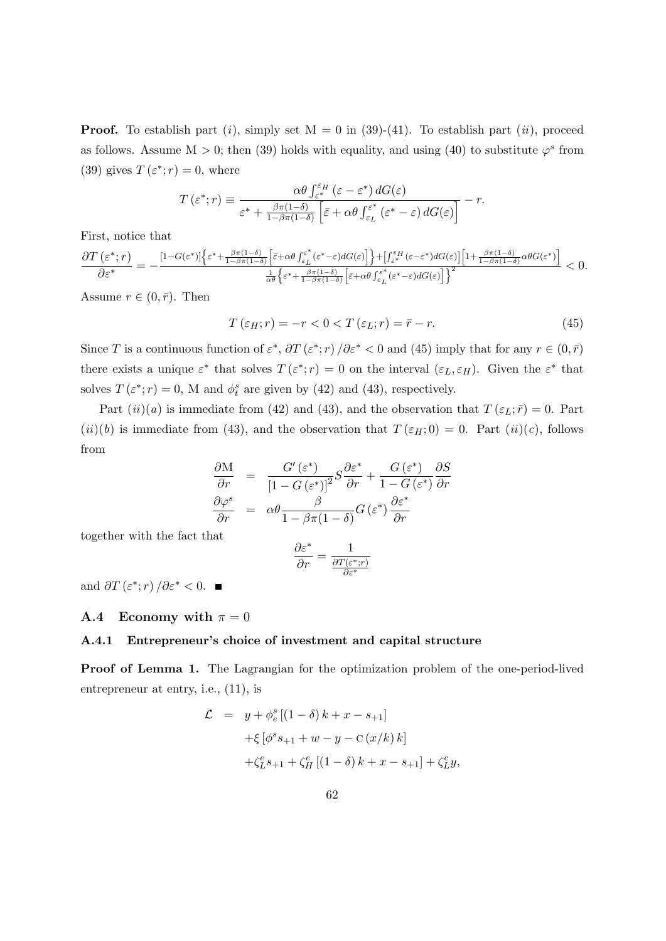**Proof.** To establish part (i), simply set  $M = 0$  in [\(39\)](#page-60-0)-[\(41\)](#page-60-1). To establish part (ii), proceed as follows. Assume  $M > 0$ ; then [\(39\)](#page-60-0) holds with equality, and using [\(40\)](#page-60-0) to substitute  $\varphi^s$  from [\(39\)](#page-60-0) gives  $T(\varepsilon^*; r) = 0$ , where

$$
T\left(\varepsilon^*; r\right) \equiv \frac{\alpha \theta \int_{\varepsilon^*}^{\varepsilon_H} \left(\varepsilon - \varepsilon^*\right) dG(\varepsilon)}{\varepsilon^* + \frac{\beta \pi (1 - \delta)}{1 - \beta \pi (1 - \delta)} \left[\bar{\varepsilon} + \alpha \theta \int_{\varepsilon_L}^{\varepsilon^*} \left(\varepsilon^* - \varepsilon\right) dG(\varepsilon)\right]} - r.
$$

First, notice that

∂T (ε ∗ ; r) ∂ε<sup>∗</sup> = − [1−G(ε <sup>∗</sup>)]n ε <sup>∗</sup>+ βπ(1−δ) 1−βπ(1−δ) h ε¯+αθ R <sup>ε</sup> ∗ εL (ε <sup>∗</sup>−ε)dG(ε) io+[ R εH <sup>ε</sup><sup>∗</sup> (ε−ε <sup>∗</sup>)dG(ε)] h 1+ βπ(1−δ) 1−βπ(1−δ) αθG(ε ∗) i 1 αθ <sup>n</sup> ε <sup>∗</sup>+ βπ(1−δ) 1−βπ(1−δ) h <sup>ε</sup>¯+αθ <sup>R</sup> <sup>ε</sup><sup>∗</sup> εL (ε <sup>∗</sup>−ε)dG(ε) io<sup>2</sup> <sup>&</sup>lt; <sup>0</sup>.

Assume  $r \in (0, \bar{r})$ . Then

<span id="page-61-0"></span>
$$
T(\varepsilon_H; r) = -r < 0 < T(\varepsilon_L; r) = \bar{r} - r. \tag{45}
$$

Since T is a continuous function of  $\varepsilon^*$ ,  $\partial T(\varepsilon^*;r)/\partial \varepsilon^*$  < 0 and [\(45\)](#page-61-0) imply that for any  $r \in (0,\bar{r})$ there exists a unique  $\varepsilon^*$  that solves  $T(\varepsilon^*; r) = 0$  on the interval  $(\varepsilon_L, \varepsilon_H)$ . Given the  $\varepsilon^*$  that solves  $T(\varepsilon^*; r) = 0$ , M and  $\phi_t^s$  are given by [\(42\)](#page-60-2) and [\(43\)](#page-60-2), respectively.

Part  $(ii)(a)$  is immediate from [\(42\)](#page-60-2) and [\(43\)](#page-60-2), and the observation that  $T(\varepsilon_L; \bar{r}) = 0$ . Part  $(ii)(b)$  is immediate from [\(43\)](#page-60-2), and the observation that  $T(\varepsilon_H; 0) = 0$ . Part  $(ii)(c)$ , follows from

$$
\frac{\partial M}{\partial r} = \frac{G'(\varepsilon^*)}{\left[1 - G(\varepsilon^*)\right]^2} S \frac{\partial \varepsilon^*}{\partial r} + \frac{G(\varepsilon^*)}{1 - G(\varepsilon^*)} \frac{\partial S}{\partial r}
$$

$$
\frac{\partial \varphi^s}{\partial r} = \alpha \theta \frac{\beta}{1 - \beta \pi (1 - \delta)} G(\varepsilon^*) \frac{\partial \varepsilon^*}{\partial r}
$$

together with the fact that

$$
\frac{\partial \varepsilon^*}{\partial r} = \frac{1}{\frac{\partial T(\varepsilon^*;r)}{\partial \varepsilon^*}}
$$

and  $\partial T(\varepsilon^*;r)/\partial \varepsilon^* < 0$ .

### **A.4** Economy with  $\pi = 0$

#### A.4.1 Entrepreneur's choice of investment and capital structure

Proof of Lemma [1.](#page-11-1) The Lagrangian for the optimization problem of the one-period-lived entrepreneur at entry, i.e., [\(11\)](#page-11-2), is

$$
\mathcal{L} = y + \phi_e^s [(1 - \delta) k + x - s_{+1}]
$$
  
+  $\xi [\phi^s s_{+1} + w - y - c (x/k) k]$   
+  $\zeta_L^e s_{+1} + \zeta_H^e [(1 - \delta) k + x - s_{+1}] + \zeta_L^c y,$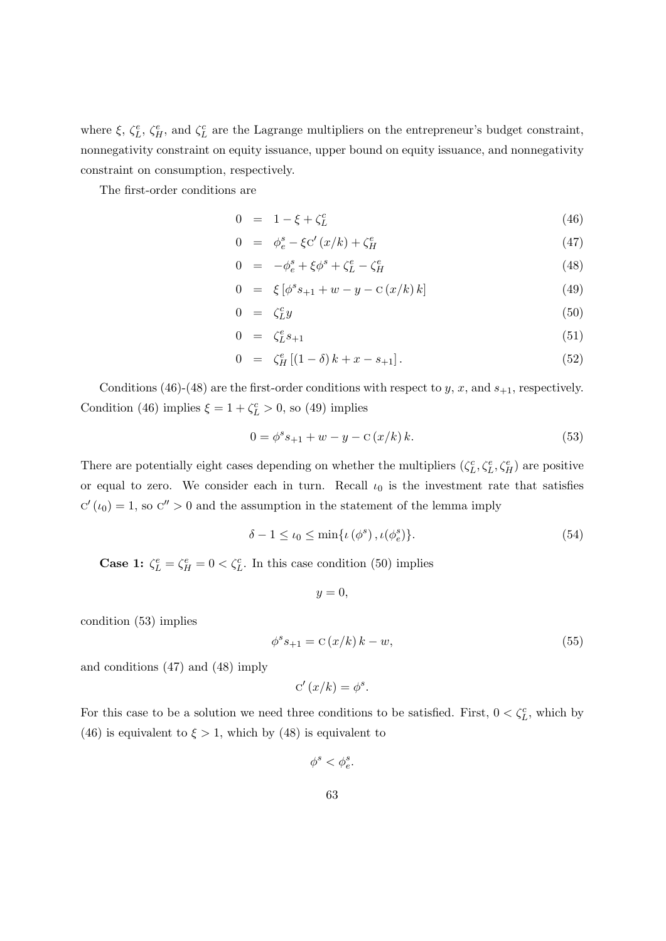where  $\xi$ ,  $\zeta_L^e$ ,  $\zeta_H^e$ , and  $\zeta_L^c$  are the Lagrange multipliers on the entrepreneur's budget constraint, nonnegativity constraint on equity issuance, upper bound on equity issuance, and nonnegativity constraint on consumption, respectively.

The first-order conditions are

<span id="page-62-0"></span>
$$
0 = 1 - \xi + \zeta_L^c \tag{46}
$$

$$
0 = \phi_e^s - \xi C'(x/k) + \zeta_H^e \tag{47}
$$

$$
0 = -\phi_e^s + \xi \phi^s + \zeta_L^e - \zeta_H^e \tag{48}
$$

$$
0 = \xi \left[ \phi^s s_{+1} + w - y - c \left( x/k \right) k \right] \tag{49}
$$

$$
0 = \zeta_L^c y \tag{50}
$$

$$
0 = \zeta_L^e s_{+1} \tag{51}
$$

$$
0 = \zeta_H^e [(1 - \delta) k + x - s_{+1}]. \tag{52}
$$

Conditions [\(46\)](#page-62-0)-[\(48\)](#page-62-0) are the first-order conditions with respect to y, x, and  $s_{+1}$ , respectively. Condition [\(46\)](#page-62-0) implies  $\xi = 1 + \zeta_L^c > 0$ , so [\(49\)](#page-62-0) implies

<span id="page-62-1"></span>
$$
0 = \phi^s s_{+1} + w - y - c(x/k) k.
$$
 (53)

There are potentially eight cases depending on whether the multipliers  $(\zeta_L^c, \zeta_L^e, \zeta_H^e)$  are positive or equal to zero. We consider each in turn. Recall  $\iota_0$  is the investment rate that satisfies  $C'(t_0) = 1$ , so  $C'' > 0$  and the assumption in the statement of the lemma imply

<span id="page-62-3"></span>
$$
\delta - 1 \le \iota_0 \le \min\{\iota(\phi^s), \iota(\phi^s_e)\}.
$$
\n(54)

**Case 1:**  $\zeta_L^e = \zeta_H^e = 0 < \zeta_L^c$ . In this case condition [\(50\)](#page-62-0) implies

$$
y=0,
$$

condition [\(53\)](#page-62-1) implies

<span id="page-62-2"></span>
$$
\phi^s s_{+1} = \mathcal{C}(x/k) \, k - w,\tag{55}
$$

and conditions [\(47\)](#page-62-0) and [\(48\)](#page-62-0) imply

$$
C'(x/k) = \phi^s.
$$

For this case to be a solution we need three conditions to be satisfied. First,  $0 < \zeta_L^c$ , which by [\(46\)](#page-62-0) is equivalent to  $\xi > 1$ , which by [\(48\)](#page-62-0) is equivalent to

$$
\phi^s<\phi^s_e.
$$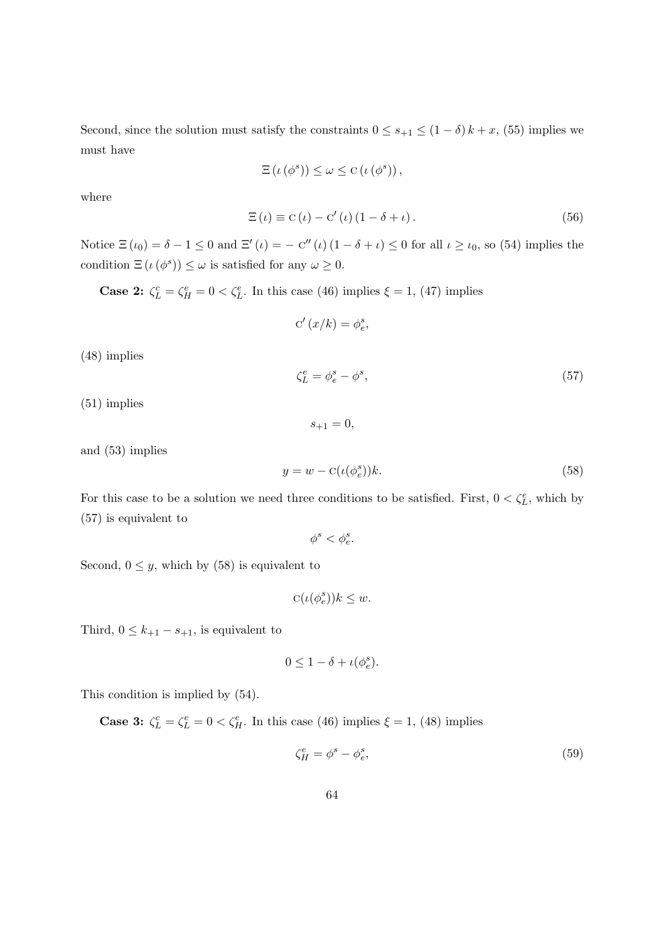Second, since the solution must satisfy the constraints  $0 \leq s_{+1} \leq (1 - \delta) k + x$ , [\(55\)](#page-62-2) implies we must have

$$
\Xi\left(\iota\left(\phi^{s}\right)\right) \leq \omega \leq C\left(\iota\left(\phi^{s}\right)\right),
$$

where

<span id="page-63-3"></span>
$$
\Xi\left(\iota\right) \equiv \mathcal{C}\left(\iota\right) - \mathcal{C}'\left(\iota\right)\left(1 - \delta + \iota\right). \tag{56}
$$

Notice  $\Xi(\iota_0) = \delta - 1 \leq 0$  and  $\Xi'(\iota) = -C''(\iota) (1 - \delta + \iota) \leq 0$  for all  $\iota \geq \iota_0$ , so [\(54\)](#page-62-3) implies the condition  $\Xi(\iota(\phi^s)) \leq \omega$  is satisfied for any  $\omega \geq 0$ .

**Case 2:**  $\zeta_L^c = \zeta_H^e = 0 < \zeta_L^e$ . In this case [\(46\)](#page-62-0) implies  $\xi = 1$ , [\(47\)](#page-62-0) implies

$$
\mathbf{C}'\left(x/k\right) = \phi_e^s,
$$

[\(48\)](#page-62-0) implies

<span id="page-63-0"></span>
$$
\zeta_L^e = \phi_e^s - \phi^s,\tag{57}
$$

[\(51\)](#page-62-0) implies

and [\(53\)](#page-62-1) implies

<span id="page-63-1"></span>
$$
y = w - \mathcal{C}(\iota(\phi_e^s))k. \tag{58}
$$

For this case to be a solution we need three conditions to be satisfied. First,  $0 < \zeta_L^e$ , which by [\(57\)](#page-63-0) is equivalent to

 $s_{+1} = 0$ ,

 $\phi^s < \phi_e^s$ .

Second,  $0 \leq y$ , which by [\(58\)](#page-63-1) is equivalent to

$$
C(\iota(\phi_e^s))k \le w.
$$

Third,  $0 \leq k_{+1} - s_{+1}$ , is equivalent to

$$
0 \le 1 - \delta + \iota(\phi_e^s).
$$

This condition is implied by [\(54\)](#page-62-3).

**Case 3:**  $\zeta_L^c = \zeta_L^e = 0 < \zeta_H^e$ . In this case [\(46\)](#page-62-0) implies  $\xi = 1$ , [\(48\)](#page-62-0) implies

<span id="page-63-2"></span>
$$
\zeta_H^e = \phi^s - \phi_e^s,\tag{59}
$$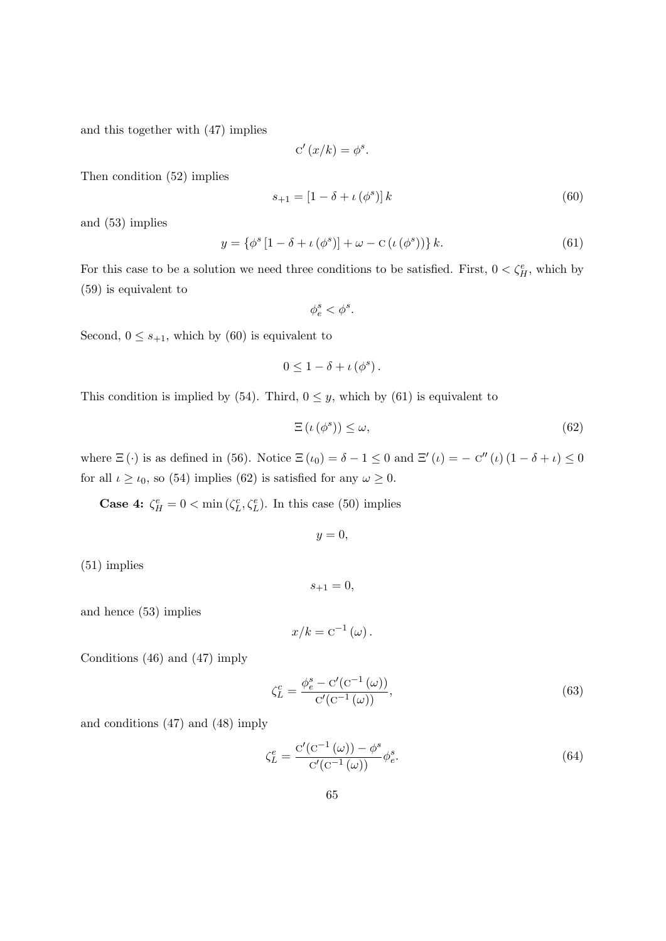and this together with [\(47\)](#page-62-0) implies

$$
C'(x/k) = \phi^s.
$$

Then condition [\(52\)](#page-62-0) implies

<span id="page-64-0"></span>
$$
s_{+1} = \left[1 - \delta + \iota\left(\phi^s\right)\right]k\tag{60}
$$

and [\(53\)](#page-62-1) implies

<span id="page-64-1"></span>
$$
y = \{ \phi^s \left[ 1 - \delta + \iota(\phi^s) \right] + \omega - \mathcal{C} \left( \iota(\phi^s) \right) \} k. \tag{61}
$$

For this case to be a solution we need three conditions to be satisfied. First,  $0 < \zeta_H^e$ , which by [\(59\)](#page-63-2) is equivalent to

 $\phi_e^s < \phi^s$ .

Second,  $0 \leq s_{+1}$ , which by [\(60\)](#page-64-0) is equivalent to

$$
0\leq 1-\delta+\iota(\phi^s).
$$

This condition is implied by [\(54\)](#page-62-3). Third,  $0 \leq y$ , which by [\(61\)](#page-64-1) is equivalent to

<span id="page-64-2"></span>
$$
\Xi\left(\iota\left(\phi^s\right)\right) \le \omega,\tag{62}
$$

where  $\Xi(\cdot)$  is as defined in [\(56\)](#page-63-3). Notice  $\Xi(\iota_0) = \delta - 1 \leq 0$  and  $\Xi'(\iota) = -C''(\iota)(1 - \delta + \iota) \leq 0$ for all  $\iota \geq \iota_0$ , so [\(54\)](#page-62-3) implies [\(62\)](#page-64-2) is satisfied for any  $\omega \geq 0$ .

**Case 4:**  $\zeta_H^e = 0 < \min(\zeta_L^c, \zeta_L^e)$ . In this case [\(50\)](#page-62-0) implies

$$
y=0,
$$

[\(51\)](#page-62-0) implies

$$
s_{+1}=0,
$$

and hence [\(53\)](#page-62-1) implies

$$
x/k = c^{-1}(\omega).
$$

Conditions [\(46\)](#page-62-0) and [\(47\)](#page-62-0) imply

<span id="page-64-3"></span>
$$
\zeta_L^c = \frac{\phi_e^s - \mathcal{C}'(\mathcal{C}^{-1}(\omega))}{\mathcal{C}'(\mathcal{C}^{-1}(\omega))},\tag{63}
$$

and conditions [\(47\)](#page-62-0) and [\(48\)](#page-62-0) imply

<span id="page-64-4"></span>
$$
\zeta_L^e = \frac{C'(C^{-1}(\omega)) - \phi^s}{C'(C^{-1}(\omega))} \phi_e^s.
$$
\n(64)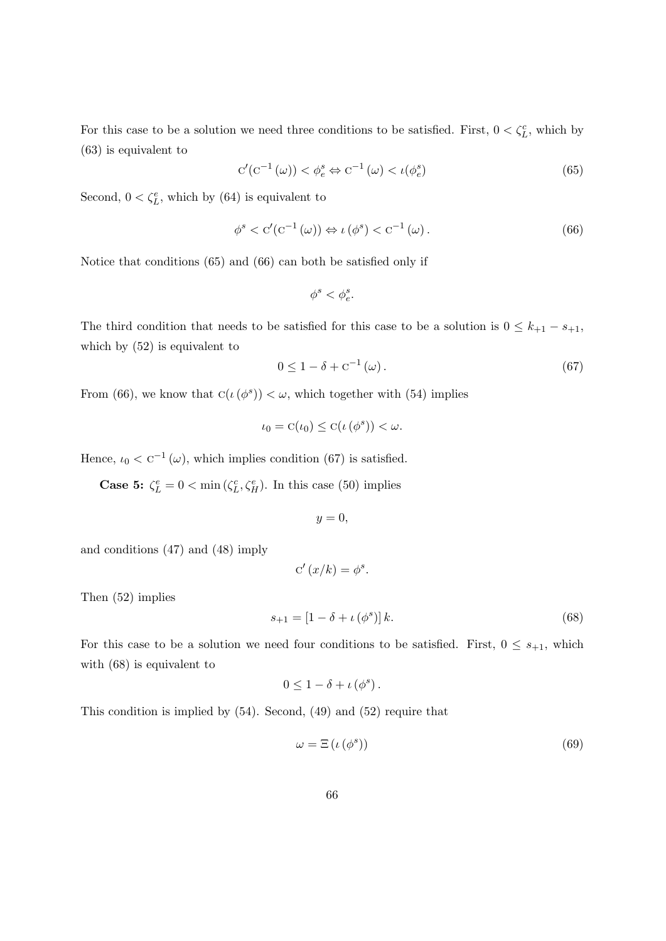For this case to be a solution we need three conditions to be satisfied. First,  $0 < \zeta_L^c$ , which by [\(63\)](#page-64-3) is equivalent to

<span id="page-65-0"></span>
$$
C'(C^{-1}(\omega)) < \phi_e^s \Leftrightarrow C^{-1}(\omega) < \iota(\phi_e^s)
$$
\n(65)

Second,  $0 < \zeta_L^e$ , which by [\(64\)](#page-64-4) is equivalent to

<span id="page-65-1"></span>
$$
\phi^s < \mathbf{C}'(\mathbf{C}^{-1}(\omega)) \Leftrightarrow \iota(\phi^s) < \mathbf{C}^{-1}(\omega). \tag{66}
$$

Notice that conditions [\(65\)](#page-65-0) and [\(66\)](#page-65-1) can both be satisfied only if

$$
\phi^s<\phi^s_e.
$$

The third condition that needs to be satisfied for this case to be a solution is  $0 \leq k_{+1} - s_{+1}$ , which by [\(52\)](#page-62-0) is equivalent to

<span id="page-65-2"></span>
$$
0 \le 1 - \delta + c^{-1}(\omega). \tag{67}
$$

From [\(66\)](#page-65-1), we know that  $C(\iota(\phi^s)) < \omega$ , which together with [\(54\)](#page-62-3) implies

$$
\iota_0 = C(\iota_0) \leq C(\iota(\phi^s)) < \omega.
$$

Hence,  $\iota_0 < C^{-1}(\omega)$ , which implies condition [\(67\)](#page-65-2) is satisfied.

**Case 5:**  $\zeta_L^e = 0 < \min(\zeta_L^c, \zeta_H^e)$ . In this case [\(50\)](#page-62-0) implies

$$
y = 0,
$$

and conditions [\(47\)](#page-62-0) and [\(48\)](#page-62-0) imply

$$
C'(x/k) = \phi^s.
$$

Then [\(52\)](#page-62-0) implies

<span id="page-65-3"></span>
$$
s_{+1} = [1 - \delta + \iota(\phi^s)]k.
$$
 (68)

For this case to be a solution we need four conditions to be satisfied. First,  $0 \leq s_{+1}$ , which with [\(68\)](#page-65-3) is equivalent to

$$
0\leq 1-\delta+\iota\left(\phi^{s}\right).
$$

This condition is implied by [\(54\)](#page-62-3). Second, [\(49\)](#page-62-0) and [\(52\)](#page-62-0) require that

<span id="page-65-4"></span>
$$
\omega = \Xi \left( \iota \left( \phi^s \right) \right) \tag{69}
$$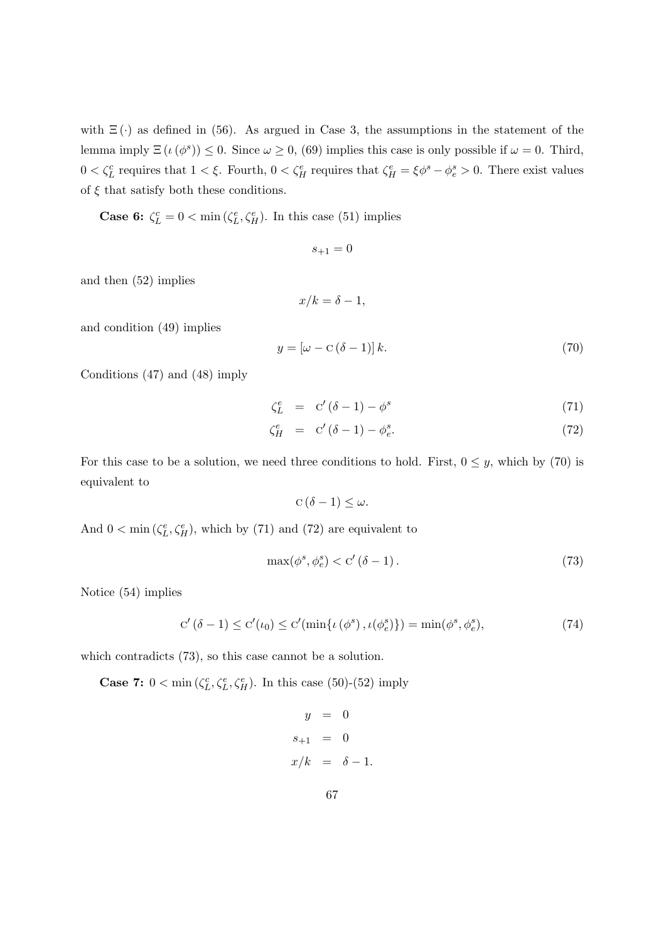with  $\Xi(\cdot)$  as defined in [\(56\)](#page-63-3). As argued in Case 3, the assumptions in the statement of the lemma imply  $\Xi(\iota(\phi^s)) \leq 0$ . Since  $\omega \geq 0$ , [\(69\)](#page-65-4) implies this case is only possible if  $\omega = 0$ . Third,  $0 < \zeta_L^c$  requires that  $1 < \xi$ . Fourth,  $0 < \zeta_H^e$  requires that  $\zeta_H^e = \xi \phi^s - \phi_e^s > 0$ . There exist values of  $\xi$  that satisfy both these conditions.

**Case 6:**  $\zeta_L^c = 0 < \min(\zeta_L^e, \zeta_H^e)$ . In this case [\(51\)](#page-62-0) implies

$$
s_{+1}=0
$$

and then [\(52\)](#page-62-0) implies

$$
x/k = \delta - 1,
$$

and condition [\(49\)](#page-62-0) implies

<span id="page-66-0"></span>
$$
y = \left[\omega - \mathbf{C}\left(\delta - 1\right)\right]k.\tag{70}
$$

Conditions [\(47\)](#page-62-0) and [\(48\)](#page-62-0) imply

<span id="page-66-1"></span>
$$
\zeta_L^e = \mathbf{C}'(\delta - 1) - \phi^s \tag{71}
$$

$$
\zeta_H^e = \mathbf{C}'(\delta - 1) - \phi_e^s. \tag{72}
$$

For this case to be a solution, we need three conditions to hold. First,  $0 \leq y$ , which by [\(70\)](#page-66-0) is equivalent to

$$
C(\delta - 1) \leq \omega.
$$

And  $0 < \min(\zeta_L^e, \zeta_H^e)$ , which by [\(71\)](#page-66-1) and [\(72\)](#page-66-1) are equivalent to

<span id="page-66-2"></span>
$$
\max(\phi^s, \phi_e^s) < C'(\delta - 1). \tag{73}
$$

Notice [\(54\)](#page-62-3) implies

<span id="page-66-3"></span>
$$
C'(\delta - 1) \le C'(\iota_0) \le C'(\min\{\iota(\phi^s), \iota(\phi^s)\}) = \min(\phi^s, \phi^s_\epsilon),\tag{74}
$$

which contradicts [\(73\)](#page-66-2), so this case cannot be a solution.

**Case 7:**  $0 < \min(\zeta_L^c, \zeta_L^e, \zeta_H^e)$ . In this case [\(50\)](#page-62-0)-[\(52\)](#page-62-0) imply

$$
y = 0
$$
  

$$
s_{+1} = 0
$$
  

$$
x/k = \delta - 1.
$$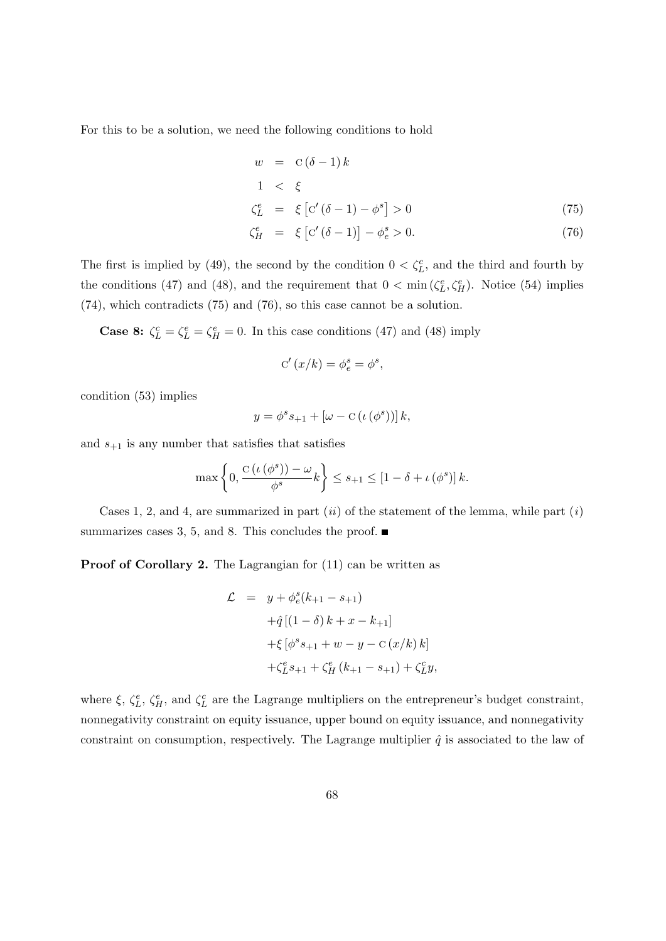For this to be a solution, we need the following conditions to hold

<span id="page-67-0"></span>
$$
w = C(\delta - 1) k
$$
  
\n
$$
1 < \xi
$$
  
\n
$$
\zeta_L^e = \xi [C'(\delta - 1) - \phi^s] > 0
$$
\n(75)

$$
\zeta_H^e = \xi \left[ \mathbf{C}' (\delta - 1) \right] - \phi_e^s > 0. \tag{76}
$$

The first is implied by [\(49\)](#page-62-0), the second by the condition  $0 < \zeta_L^c$ , and the third and fourth by the conditions [\(47\)](#page-62-0) and [\(48\)](#page-62-0), and the requirement that  $0 < \min(\zeta_L^e, \zeta_H^e)$ . Notice [\(54\)](#page-62-3) implies [\(74\)](#page-66-3), which contradicts [\(75\)](#page-67-0) and [\(76\)](#page-67-0), so this case cannot be a solution.

**Case 8:**  $\zeta_L^c = \zeta_L^e = \zeta_H^e = 0$ . In this case conditions [\(47\)](#page-62-0) and [\(48\)](#page-62-0) imply

$$
C'(x/k) = \phi_e^s = \phi^s,
$$

condition [\(53\)](#page-62-1) implies

$$
y = \phi^s s_{+1} + [\omega - C(\iota(\phi^s))]k,
$$

and  $s_{+1}$  is any number that satisfies that satisfies

$$
\max\left\{0, \frac{C\left(\iota\left(\phi^s\right)\right)-\omega}{\phi^s}k\right\} \leq s_{+1} \leq \left[1-\delta+\iota\left(\phi^s\right)\right]k.
$$

Cases 1, 2, and 4, are summarized in part  $(ii)$  of the statement of the lemma, while part  $(i)$ summarizes cases 3, 5, and 8. This concludes the proof.  $\blacksquare$ 

Proof of Corollary [2.](#page-15-0) The Lagrangian for  $(11)$  can be written as

$$
\mathcal{L} = y + \phi_e^s(k_{+1} - s_{+1})
$$
  
+ $\hat{q} [(1 - \delta) k + x - k_{+1}]$   
+ $\xi [\phi^s s_{+1} + w - y - C (x/k) k]$   
+ $\zeta_L^e s_{+1} + \zeta_H^e (k_{+1} - s_{+1}) + \zeta_L^c y,$ 

where  $\xi$ ,  $\zeta_L^e$ ,  $\zeta_H^e$ , and  $\zeta_L^c$  are the Lagrange multipliers on the entrepreneur's budget constraint, nonnegativity constraint on equity issuance, upper bound on equity issuance, and nonnegativity constraint on consumption, respectively. The Lagrange multiplier  $\hat{q}$  is associated to the law of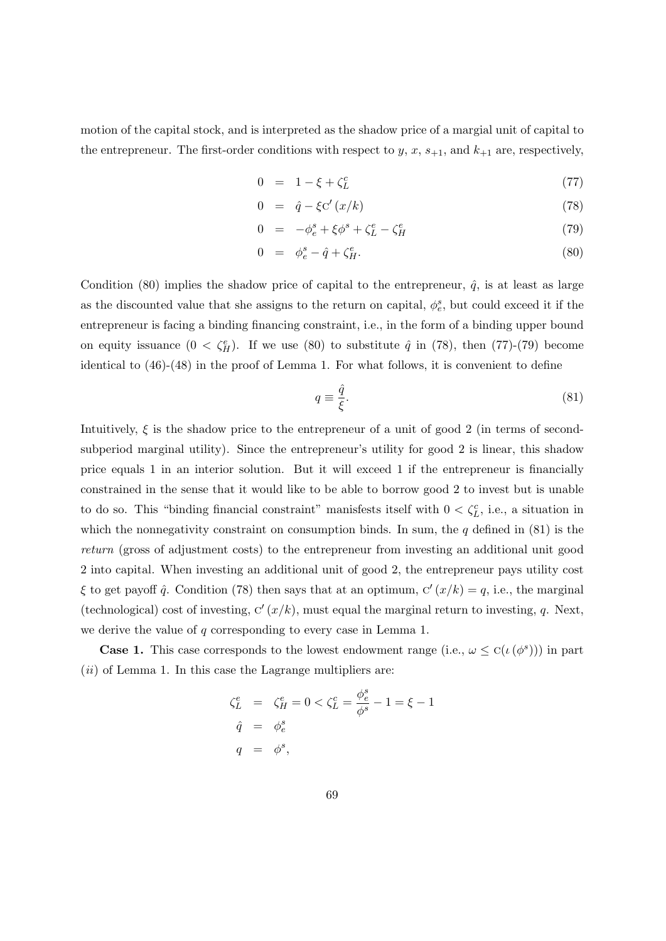motion of the capital stock, and is interpreted as the shadow price of a margial unit of capital to the entrepreneur. The first-order conditions with respect to  $y, x, s_{+1}$ , and  $k_{+1}$  are, respectively,

<span id="page-68-0"></span>
$$
0 = 1 - \xi + \zeta_L^c \tag{77}
$$

$$
0 = \hat{q} - \xi C'(x/k) \tag{78}
$$

$$
0 = -\phi_e^s + \xi \phi^s + \zeta_L^e - \zeta_H^e \tag{79}
$$

$$
0 = \phi_e^s - \hat{q} + \zeta_H^e. \tag{80}
$$

Condition [\(80\)](#page-68-0) implies the shadow price of capital to the entrepreneur,  $\hat{q}$ , is at least as large as the discounted value that she assigns to the return on capital,  $\phi_e^s$ , but could exceed it if the entrepreneur is facing a binding financing constraint, i.e., in the form of a binding upper bound on equity issuance  $(0 < \zeta_H^e)$ . If we use [\(80\)](#page-68-0) to substitute  $\hat{q}$  in [\(78\)](#page-68-0), then [\(77\)](#page-68-0)-[\(79\)](#page-68-0) become identical to [\(46\)](#page-62-0)-[\(48\)](#page-62-0) in the proof of Lemma [1.](#page-11-1) For what follows, it is convenient to define

<span id="page-68-1"></span>
$$
q \equiv \frac{\hat{q}}{\xi}.\tag{81}
$$

Intuitively,  $\xi$  is the shadow price to the entrepreneur of a unit of good 2 (in terms of secondsubperiod marginal utility). Since the entrepreneur's utility for good 2 is linear, this shadow price equals 1 in an interior solution. But it will exceed 1 if the entrepreneur is financially constrained in the sense that it would like to be able to borrow good 2 to invest but is unable to do so. This "binding financial constraint" manisfests itself with  $0 < \zeta_L^c$ , i.e., a situation in which the nonnegativity constraint on consumption binds. In sum, the  $q$  defined in  $(81)$  is the return (gross of adjustment costs) to the entrepreneur from investing an additional unit good 2 into capital. When investing an additional unit of good 2, the entrepreneur pays utility cost  $\xi$  to get payoff  $\hat{q}$ . Condition [\(78\)](#page-68-0) then says that at an optimum,  $C'(x/k) = q$ , i.e., the marginal (technological) cost of investing,  $C'(x/k)$ , must equal the marginal return to investing, q. Next, we derive the value of  $q$  corresponding to every case in Lemma [1.](#page-11-1)

**Case 1.** This case corresponds to the lowest endowment range (i.e.,  $\omega \leq C(\iota(\phi^s))$ ) in part  $(ii)$  of Lemma [1.](#page-11-1) In this case the Lagrange multipliers are:

$$
\begin{aligned}\n\xi_L^e &= \xi_H^e = 0 < \zeta_L^c = \frac{\phi_e^s}{\phi^s} - 1 = \xi - 1 \\
\hat{q} &= \phi_e^s \\
q &= \phi^s,\n\end{aligned}
$$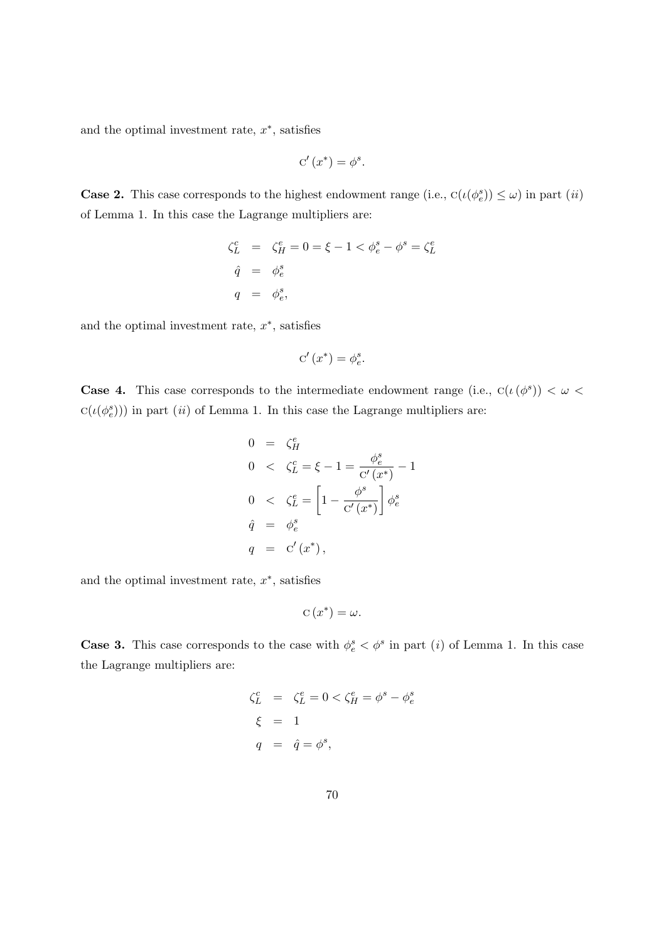and the optimal investment rate,  $x^*$ , satisfies

$$
C'(x^*) = \phi^s.
$$

**Case 2.** This case corresponds to the highest endowment range (i.e.,  $C(\iota(\phi_e^s)) \leq \omega$ ) in part *(ii)* of Lemma [1.](#page-11-1) In this case the Lagrange multipliers are:

$$
\begin{aligned}\n\zeta_L^c &= \zeta_H^e = 0 = \xi - 1 < \phi_e^s - \phi^s = \zeta_L^e \\
\hat{q} &= \phi_e^s \\
q &= \phi_e^s,\n\end{aligned}
$$

and the optimal investment rate,  $x^*$ , satisfies

$$
\mathbf{C}'\left(x^*\right) = \phi_e^s.
$$

**Case 4.** This case corresponds to the intermediate endowment range (i.e.,  $C(\iota(\phi^s)) < \omega <$  $c(\iota(\phi_e^s))$ ) in part (ii) of Lemma [1.](#page-11-1) In this case the Lagrange multipliers are:

$$
0 = \zeta_H^e
$$
  
\n
$$
0 < \zeta_L^c = \xi - 1 = \frac{\phi_e^s}{c'(x^*)} - 1
$$
  
\n
$$
0 < \zeta_L^e = \left[1 - \frac{\phi^s}{c'(x^*)}\right] \phi_e^s
$$
  
\n
$$
\hat{q} = \phi_e^s
$$
  
\n
$$
q = c'(x^*),
$$

and the optimal investment rate,  $x^*$ , satisfies

$$
C(x^*) = \omega.
$$

**Case 3.** This case corresponds to the case with  $\phi_e^s < \phi^s$  in part (i) of Lemma [1.](#page-11-1) In this case the Lagrange multipliers are:

$$
\begin{aligned}\n\zeta_L^c &= \zeta_L^e = 0 < \zeta_H^e = \phi^s - \phi_e^s \\
\xi &= 1 \\
q &= \hat{q} = \phi^s,\n\end{aligned}
$$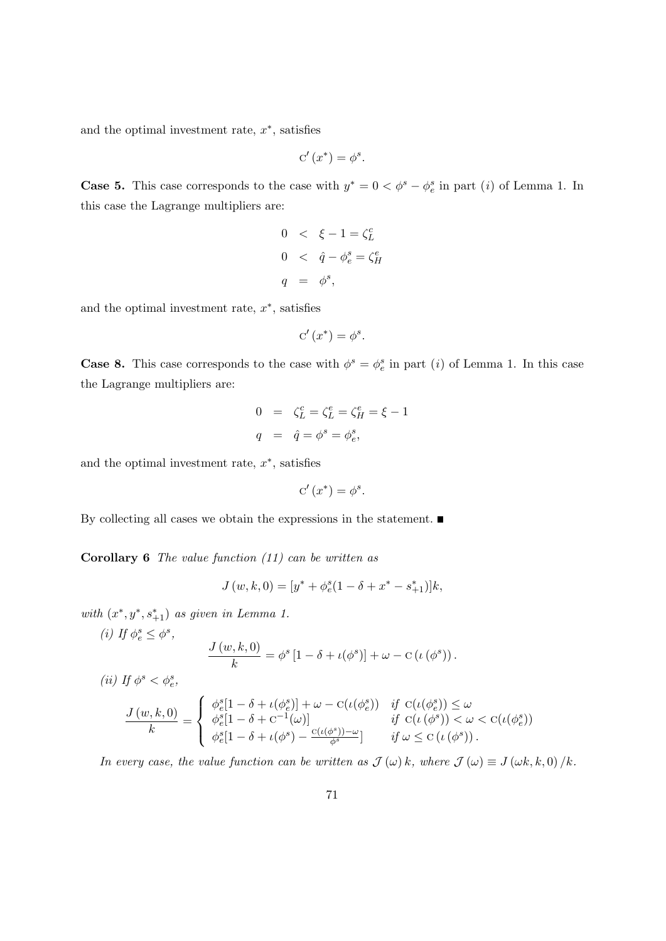and the optimal investment rate,  $x^*$ , satisfies

$$
C'(x^*) = \phi^s.
$$

**Case 5.** This case corresponds to the case with  $y^* = 0 < \phi^s - \phi^s_e$  in part (i) of Lemma [1.](#page-11-1) In this case the Lagrange multipliers are:

$$
0 < \xi - 1 = \zeta_L^c
$$
  
\n
$$
0 < \hat{q} - \phi_e^s = \zeta_H^e
$$
  
\n
$$
q = \phi^s,
$$

and the optimal investment rate,  $x^*$ , satisfies

$$
C'(x^*) = \phi^s.
$$

**Case 8.** This case corresponds to the case with  $\phi^s = \phi_e^s$  in part (i) of Lemma [1.](#page-11-1) In this case the Lagrange multipliers are:

$$
0 = \zeta_L^c = \zeta_L^e = \zeta_H^e = \xi - 1
$$
  

$$
q = \hat{q} = \phi^s = \phi_e^s,
$$

and the optimal investment rate,  $x^*$ , satisfies

$$
C'(x^*) = \phi^s.
$$

By collecting all cases we obtain the expressions in the statement.  $\blacksquare$ 

**Corollary 6** The value function  $(11)$  can be written as

$$
J(w, k, 0) = [y^* + \phi_e^s(1 - \delta + x^* - s_{+1}^*)]k,
$$

with  $(x^*, y^*, s^*_{+1})$  as given in Lemma [1.](#page-11-1)

(i) If 
$$
\phi_e^s \leq \phi^s
$$
,  
\n
$$
\frac{J(w,k,0)}{k} = \phi^s [1 - \delta + \iota(\phi^s)] + \omega - C(\iota(\phi^s)).
$$

(ii) If  $\phi^s < \phi^s_e$ ,

$$
\frac{J(w,k,0)}{k} = \begin{cases} \begin{array}{ll} \phi_e^s[1-\delta+\iota(\phi_e^s)]+\omega-\mathrm{C}(\iota(\phi_e^s)) & \text{if } \mathrm{C}(\iota(\phi_e^s))\leq \omega \\ \phi_e^s[1-\delta+\mathrm{C}^{-1}(\omega)] & \text{if } \mathrm{C}(\iota(\phi^s))< \omega < \mathrm{C}(\iota(\phi_e^s)) \\ \phi_e^s[1-\delta+\iota(\phi^s)-\frac{\mathrm{C}(\iota(\phi^s))-\omega}{\phi^s}] & \text{if } \omega \leq \mathrm{C}(\iota(\phi^s)) \end{array} \end{cases}
$$

In every case, the value function can be written as  $\mathcal{J}(\omega) k$ , where  $\mathcal{J}(\omega) \equiv J(\omega k, k, 0) / k$ .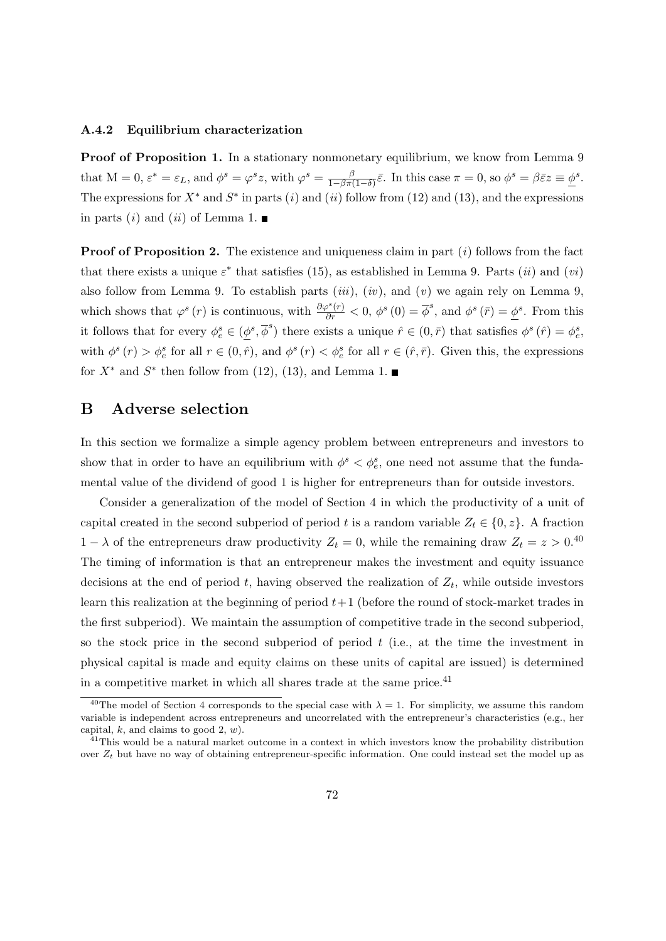#### A.4.2 Equilibrium characterization

Proof of Proposition [1.](#page-13-0) In a stationary nonmonetary equilibrium, we know from Lemma [9](#page-60-3) that  $M = 0$ ,  $\varepsilon^* = \varepsilon_L$ , and  $\phi^s = \varphi^s z$ , with  $\varphi^s = \frac{\beta}{1-\beta\pi}$  $\frac{\beta}{1-\beta\pi(1-\delta)}\bar{\varepsilon}$ . In this case  $\pi=0$ , so  $\phi^s=\beta\bar{\varepsilon}z\equiv\underline{\phi}^s$ . The expressions for  $X^*$  and  $S^*$  in parts (i) and (ii) follow from [\(12\)](#page-13-1) and [\(13\)](#page-13-2), and the expressions in parts (*i*) and (*ii*) of Lemma [1.](#page-11-1)

**Proof of Proposition [2.](#page-13-3)** The existence and uniqueness claim in part  $(i)$  follows from the fact that there exists a unique  $\varepsilon^*$  that satisfies [\(15\)](#page-13-4), as established in Lemma [9.](#page-60-3) Parts *(ii)* and *(vi)* also follow from Lemma [9.](#page-60-3) To establish parts  $(iii)$ ,  $(iv)$ , and  $(v)$  we again rely on Lemma [9,](#page-60-3) which shows that  $\varphi^s(r)$  is continuous, with  $\frac{\partial \varphi^s(r)}{\partial r} < 0$ ,  $\phi^s(0) = \overline{\phi}^s$ , and  $\phi^s(\overline{r}) = \underline{\phi}^s$ . From this it follows that for every  $\phi_e^s \in (\underline{\phi}^s, \overline{\phi}^s)$  there exists a unique  $\hat{r} \in (0, \overline{r})$  that satisfies  $\phi^s(\hat{r}) = \phi_e^s$ . with  $\phi^s(r) > \phi_e^s$  for all  $r \in (0, \hat{r})$ , and  $\phi^s(r) < \phi_e^s$  for all  $r \in (\hat{r}, \bar{r})$ . Given this, the expressions for  $X^*$  and  $S^*$  then follow from [\(12\)](#page-13-1), [\(13\)](#page-13-2), and Lemma [1.](#page-11-1)

# B Adverse selection

In this section we formalize a simple agency problem between entrepreneurs and investors to show that in order to have an equilibrium with  $\phi^s < \phi_e^s$ , one need not assume that the fundamental value of the dividend of good 1 is higher for entrepreneurs than for outside investors.

Consider a generalization of the model of Section [4](#page-10-0) in which the productivity of a unit of capital created in the second subperiod of period t is a random variable  $Z_t \in \{0, z\}$ . A fraction  $1 - \lambda$  of the entrepreneurs draw productivity  $Z_t = 0$ , while the remaining draw  $Z_t = z > 0$ .<sup>[40](#page-71-0)</sup> The timing of information is that an entrepreneur makes the investment and equity issuance decisions at the end of period t, having observed the realization of  $Z_t$ , while outside investors learn this realization at the beginning of period  $t+1$  (before the round of stock-market trades in the first subperiod). We maintain the assumption of competitive trade in the second subperiod, so the stock price in the second subperiod of period  $t$  (i.e., at the time the investment in physical capital is made and equity claims on these units of capital are issued) is determined in a competitive market in which all shares trade at the same price. $41$ 

<span id="page-71-0"></span><sup>&</sup>lt;sup>[4](#page-10-0)0</sup>The model of Section 4 corresponds to the special case with  $\lambda = 1$ . For simplicity, we assume this random variable is independent across entrepreneurs and uncorrelated with the entrepreneur's characteristics (e.g., her capital, k, and claims to good 2,  $w$ ).

<span id="page-71-1"></span><sup>&</sup>lt;sup>41</sup>This would be a natural market outcome in a context in which investors know the probability distribution over  $Z_t$  but have no way of obtaining entrepreneur-specific information. One could instead set the model up as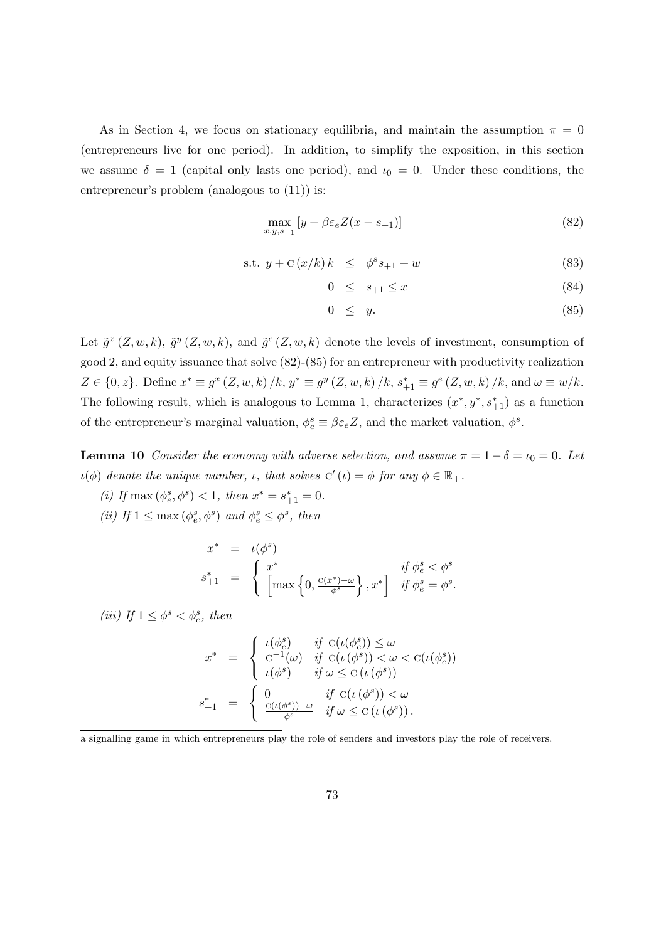As in Section [4,](#page-10-0) we focus on stationary equilibria, and maintain the assumption  $\pi = 0$ (entrepreneurs live for one period). In addition, to simplify the exposition, in this section we assume  $\delta = 1$  (capital only lasts one period), and  $\iota_0 = 0$ . Under these conditions, the entrepreneur's problem (analogous to [\(11\)](#page-11-0)) is:

<span id="page-72-0"></span>
$$
\max_{x,y,s_{+1}} [y + \beta \varepsilon_e Z(x - s_{+1})] \tag{82}
$$

<span id="page-72-1"></span>
$$
s.t. y + C(x/k) k \leq \phi^s s_{+1} + w \tag{83}
$$

$$
0 \le s_{+1} \le x \tag{84}
$$

$$
0 \leq y. \tag{85}
$$

Let  $\tilde{g}^x(Z, w, k)$ ,  $\tilde{g}^y(Z, w, k)$ , and  $\tilde{g}^e(Z, w, k)$  denote the levels of investment, consumption of good 2, and equity issuance that solve [\(82\)](#page-72-0)-[\(85\)](#page-72-1) for an entrepreneur with productivity realization  $Z \in \{0, z\}$ . Define  $x^* \equiv g^x (Z, w, k) / k$ ,  $y^* \equiv g^y (Z, w, k) / k$ ,  $s_{+1}^* \equiv g^e (Z, w, k) / k$ , and  $\omega \equiv w / k$ . The following result, which is analogous to Lemma [1,](#page-11-1) characterizes  $(x^*, y^*, s^*_{+1})$  as a function of the entrepreneur's marginal valuation,  $\phi_e^s \equiv \beta \varepsilon_e Z$ , and the market valuation,  $\phi^s$ .

<span id="page-72-2"></span>**Lemma 10** Consider the economy with adverse selection, and assume  $\pi = 1 - \delta = \iota_0 = 0$ . Let  $u(\phi)$  denote the unique number, *ι*, that solves  $C'(t) = \phi$  for any  $\phi \in \mathbb{R}_+$ .

(i) If  $\max(\phi_e^s, \phi^s) < 1$ , then  $x^* = s_{+1}^* = 0$ .

(ii) If  $1 \le \max(\phi_e^s, \phi_s^s)$  and  $\phi_e^s \le \phi_s^s$ , then

$$
x^* = \iota(\phi^s)
$$
  

$$
s_{+1}^* = \begin{cases} x^* & \text{if } \phi_e^s < \phi^s \\ \left[ \max\left\{ 0, \frac{c(x^*) - \omega}{\phi^s} \right\}, x^* \right] & \text{if } \phi_e^s = \phi^s. \end{cases}
$$

(iii) If  $1 \leq \phi^s < \phi^s_e$ , then

$$
x^* = \begin{cases} \iota(\phi_e^s) & \text{if } C(\iota(\phi_e^s)) \le \omega \\ C^{-1}(\omega) & \text{if } C(\iota(\phi^s)) < \omega < C(\iota(\phi_e^s)) \\ \iota(\phi^s) & \text{if } \omega \le C(\iota(\phi^s)) \\ s_{+1}^* = \begin{cases} 0 & \text{if } C(\iota(\phi^s)) < \omega \\ \frac{C(\iota(\phi^s)) - \omega}{\phi^s} & \text{if } \omega \le C(\iota(\phi^s)). \end{cases}
$$

a signalling game in which entrepreneurs play the role of senders and investors play the role of receivers.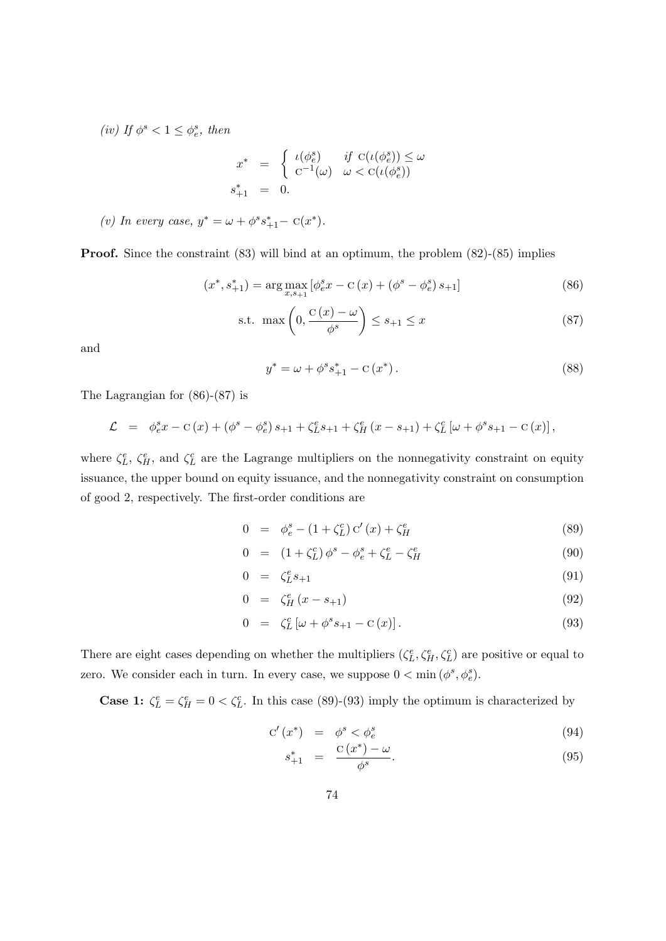(iv) If  $\phi^s < 1 \leq \phi_e^s$ , then

$$
\begin{array}{rcl}\nx^* & = & \left\{ \begin{array}{ll}\n\iota(\phi_e^s) & \text{if } \operatorname{C}(\iota(\phi_e^s)) \le \omega \\
\operatorname{C}^{-1}(\omega) & \omega < \operatorname{C}(\iota(\phi_e^s))\n\end{array} \right. \\
s_{+1}^* & = & 0.\n\end{array}
$$

(v) In every case, 
$$
y^* = \omega + \phi^s s_{+1}^* - C(x^*)
$$
.

**Proof.** Since the constraint [\(83\)](#page-72-1) will bind at an optimum, the problem [\(82\)](#page-72-0)-[\(85\)](#page-72-1) implies

<span id="page-73-0"></span>
$$
(x^*, s_{+1}^*) = \arg \max_{x, s_{+1}} [\phi_e^s x - c(x) + (\phi^s - \phi_e^s) s_{+1}]
$$
\n(86)

<span id="page-73-1"></span>
$$
\text{s.t. } \max\left(0, \frac{C(x) - \omega}{\phi^s}\right) \le s_{+1} \le x \tag{87}
$$

and

<span id="page-73-4"></span>
$$
y^* = \omega + \phi^s s_{+1}^* - c(x^*).
$$
 (88)

The Lagrangian for [\(86\)](#page-73-0)-[\(87\)](#page-73-1) is

$$
\mathcal{L} = \phi_e^s x - C(x) + (\phi^s - \phi_e^s) s_{+1} + \zeta_L^e s_{+1} + \zeta_H^e (x - s_{+1}) + \zeta_L^c [\omega + \phi^s s_{+1} - C(x)],
$$

where  $\zeta_L^e$ ,  $\zeta_H^e$ , and  $\zeta_L^c$  are the Lagrange multipliers on the nonnegativity constraint on equity issuance, the upper bound on equity issuance, and the nonnegativity constraint on consumption of good 2, respectively. The first-order conditions are

<span id="page-73-2"></span>
$$
0 = \phi_e^s - (1 + \zeta_L^c) c'(x) + \zeta_H^e \tag{89}
$$

$$
0 = (1 + \zeta_L^c) \phi^s - \phi_e^s + \zeta_L^e - \zeta_H^e \tag{90}
$$

$$
0 = \zeta_L^e s_{+1} \tag{91}
$$

$$
0 = \zeta_H^e(x - s_{+1}) \tag{92}
$$

$$
0 = \zeta_L^c \left[ \omega + \phi^s s_{+1} - c(x) \right]. \tag{93}
$$

There are eight cases depending on whether the multipliers  $(\zeta_L^e, \zeta_H^e, \zeta_L^c)$  are positive or equal to zero. We consider each in turn. In every case, we suppose  $0 < \min(\phi^s, \phi_e^s)$ .

**Case 1:**  $\zeta_L^e = \zeta_H^e = 0 \lt \zeta_L^c$ . In this case [\(89\)](#page-73-2)-[\(93\)](#page-73-2) imply the optimum is characterized by

<span id="page-73-3"></span>
$$
C'(x^*) = \phi^s < \phi^s_e \tag{94}
$$

$$
s_{+1}^{*} = \frac{C(x^{*}) - \omega}{\phi^{s}}.
$$
\n(95)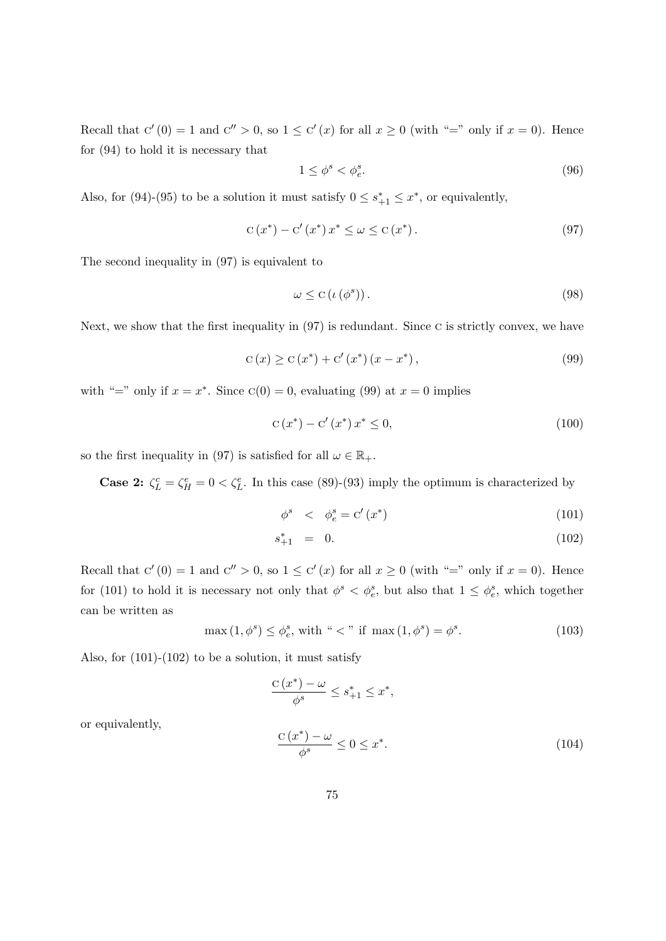Recall that  $C'(0) = 1$  and  $C'' > 0$ , so  $1 \le C'(x)$  for all  $x \ge 0$  (with "=" only if  $x = 0$ ). Hence for [\(94\)](#page-73-3) to hold it is necessary that

$$
1 \le \phi^s < \phi^s_e. \tag{96}
$$

Also, for [\(94\)](#page-73-3)-[\(95\)](#page-73-3) to be a solution it must satisfy  $0 \leq s^*_{+1} \leq x^*$ , or equivalently,

<span id="page-74-0"></span>
$$
C(x^*) - C'(x^*)x^* \le \omega \le C(x^*).
$$
\n(97)

The second inequality in [\(97\)](#page-74-0) is equivalent to

$$
\omega \leq \mathrm{C}\left(\iota\left(\phi^s\right)\right). \tag{98}
$$

Next, we show that the first inequality in  $(97)$  is redundant. Since C is strictly convex, we have

<span id="page-74-1"></span>
$$
C(x) \ge C(x^*) + C'(x^*)(x - x^*),
$$
\n(99)

with "=" only if  $x = x^*$ . Since  $C(0) = 0$ , evaluating [\(99\)](#page-74-1) at  $x = 0$  implies

<span id="page-74-5"></span>
$$
C(x^*) - C'(x^*) x^* \le 0,
$$
\n(100)

so the first inequality in [\(97\)](#page-74-0) is satisfied for all  $\omega \in \mathbb{R}_+$ .

**Case 2:**  $\zeta_L^c = \zeta_H^e = 0 < \zeta_L^e$ . In this case [\(89\)](#page-73-2)-[\(93\)](#page-73-2) imply the optimum is characterized by

<span id="page-74-2"></span>
$$
\phi^s \quad < \quad \phi_e^s = \mathbf{C}'\left(x^*\right) \tag{101}
$$

$$
s_{+1}^* = 0. \t\t(102)
$$

Recall that  $C'(0) = 1$  and  $C'' > 0$ , so  $1 \le C'(x)$  for all  $x \ge 0$  (with "=" only if  $x = 0$ ). Hence for [\(101\)](#page-74-2) to hold it is necessary not only that  $\phi^s < \phi_e^s$ , but also that  $1 \leq \phi_e^s$ , which together can be written as

<span id="page-74-4"></span>
$$
\max(1,\phi^s) \le \phi_e^s, \text{ with } \text{``}< \text{''} \text{ if } \max(1,\phi^s) = \phi^s. \tag{103}
$$

Also, for  $(101)-(102)$  $(101)-(102)$  to be a solution, it must satisfy

<span id="page-74-3"></span>
$$
\frac{C(x^*) - \omega}{\phi^s} \le s_{+1}^* \le x^*,
$$
  

$$
\frac{C(x^*) - \omega}{\phi^s} \le 0 \le x^*.
$$
 (104)

or equivalently,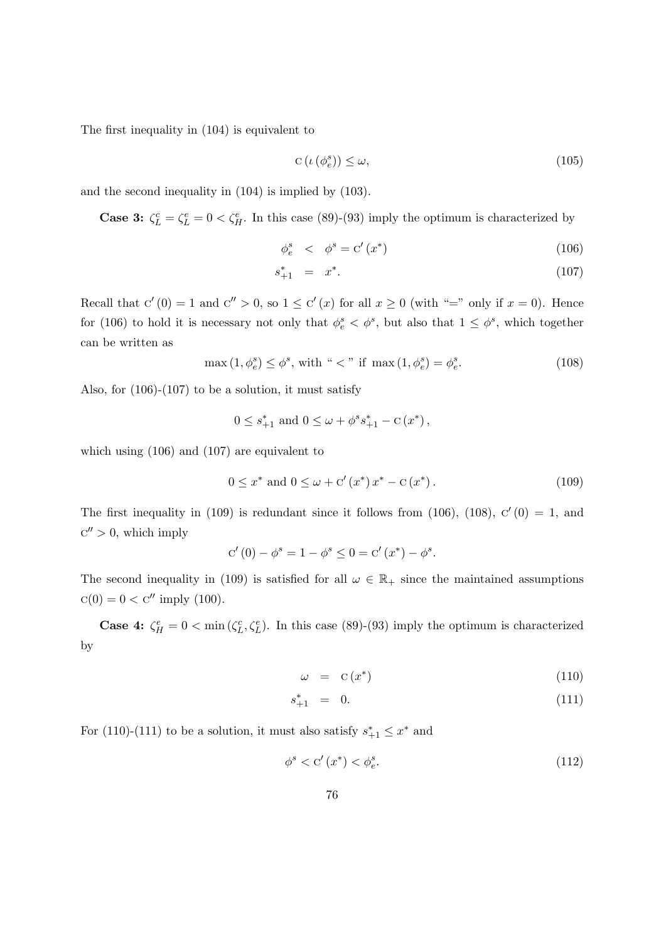The first inequality in [\(104\)](#page-74-3) is equivalent to

$$
C\left(\iota\left(\phi_e^s\right)\right) \le \omega,\tag{105}
$$

and the second inequality in [\(104\)](#page-74-3) is implied by [\(103\)](#page-74-4).

**Case 3:**  $\zeta_L^c = \zeta_L^e = 0 < \zeta_H^e$ . In this case [\(89\)](#page-73-2)-[\(93\)](#page-73-2) imply the optimum is characterized by

<span id="page-75-0"></span>
$$
\phi_e^s \quad < \quad \phi^s = \mathbf{C}'(x^*) \tag{106}
$$

$$
s_{+1}^* = x^*.
$$
 (107)

Recall that  $C'(0) = 1$  and  $C'' > 0$ , so  $1 \leq C'(x)$  for all  $x \geq 0$  (with "=" only if  $x = 0$ ). Hence for [\(106\)](#page-75-0) to hold it is necessary not only that  $\phi_e^s < \phi^s$ , but also that  $1 \leq \phi^s$ , which together can be written as

<span id="page-75-2"></span>
$$
\max(1, \phi_e^s) \le \phi^s, \text{ with } ``<" \text{ if } \max(1, \phi_e^s) = \phi_e^s. \tag{108}
$$

Also, for  $(106)-(107)$  $(106)-(107)$  to be a solution, it must satisfy

$$
0 \leq s_{+1}^*
$$
 and  $0 \leq \omega + \phi^s s_{+1}^* - c(x^*)$ ,

which using [\(106\)](#page-75-0) and [\(107\)](#page-75-0) are equivalent to

<span id="page-75-1"></span>
$$
0 \le x^* \text{ and } 0 \le \omega + c'(x^*) x^* - c(x^*). \tag{109}
$$

The first inequality in [\(109\)](#page-75-1) is redundant since it follows from [\(106\)](#page-75-0), [\(108\)](#page-75-2),  $C'(0) = 1$ , and  $C'' > 0$ , which imply

$$
c'(0) - \phi^{s} = 1 - \phi^{s} \le 0 = c'(x^{*}) - \phi^{s}.
$$

The second inequality in [\(109\)](#page-75-1) is satisfied for all  $\omega \in \mathbb{R}_+$  since the maintained assumptions  $c(0) = 0 < c''$  imply [\(100\)](#page-74-5).

**Case 4:**  $\zeta_H^e = 0 < \min(\zeta_L^c, \zeta_L^e)$ . In this case [\(89\)](#page-73-2)-[\(93\)](#page-73-2) imply the optimum is characterized by

<span id="page-75-3"></span>
$$
\omega = C(x^*) \tag{110}
$$

$$
s_{+1}^* = 0. \t\t(111)
$$

For [\(110\)](#page-75-3)-[\(111\)](#page-75-3) to be a solution, it must also satisfy  $s_{+1}^* \leq x^*$  and

<span id="page-75-4"></span>
$$
\phi^s < C'(x^*) < \phi^s_e. \tag{112}
$$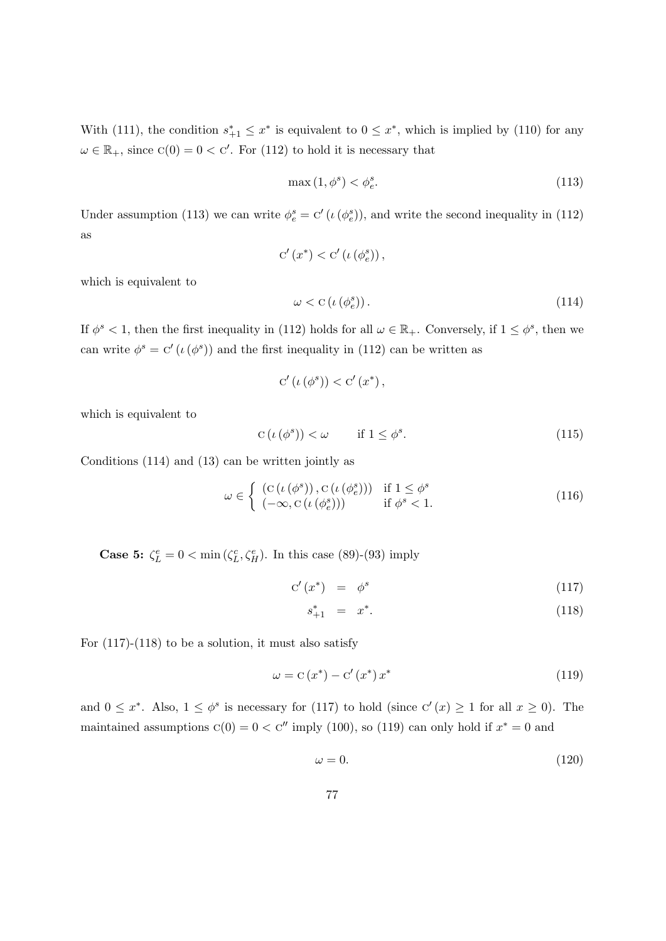With [\(111\)](#page-75-3), the condition  $s_{+1}^* \leq x^*$  is equivalent to  $0 \leq x^*$ , which is implied by [\(110\)](#page-75-3) for any  $\omega \in \mathbb{R}_+$ , since  $C(0) = 0 < C'$ . For [\(112\)](#page-75-4) to hold it is necessary that

<span id="page-76-0"></span>
$$
\max(1, \phi^s) < \phi_e^s. \tag{113}
$$

Under assumption [\(113\)](#page-76-0) we can write  $\phi_e^s = C'(\iota(\phi_e^s))$ , and write the second inequality in [\(112\)](#page-75-4) as

$$
C'(x^*) < C'(\iota(\phi_e^s)),
$$

which is equivalent to

<span id="page-76-1"></span>
$$
\omega < \mathcal{C}\left(\iota\left(\phi_e^s\right)\right). \tag{114}
$$

If  $\phi^s < 1$ , then the first inequality in [\(112\)](#page-75-4) holds for all  $\omega \in \mathbb{R}_+$ . Conversely, if  $1 \leq \phi^s$ , then we can write  $\phi^s = C'(\iota(\phi^s))$  and the first inequality in [\(112\)](#page-75-4) can be written as

$$
C'(\iota(\phi^s)) < C'(x^*),
$$

which is equivalent to

$$
C\left(\iota\left(\phi^s\right)\right) < \omega \qquad \text{if } 1 \le \phi^s. \tag{115}
$$

Conditions [\(114\)](#page-76-1) and [\(13\)](#page-13-0) can be written jointly as

$$
\omega \in \left\{ \begin{array}{ll} (\mathcal{C}(\iota(\phi^s)), \mathcal{C}(\iota(\phi_e^s))) & \text{if } 1 \le \phi^s \\ (-\infty, \mathcal{C}(\iota(\phi_e^s))) & \text{if } \phi^s < 1. \end{array} \right. \tag{116}
$$

**Case 5:**  $\zeta_L^e = 0 < \min(\zeta_L^c, \zeta_H^e)$ . In this case [\(89\)](#page-73-2)-[\(93\)](#page-73-2) imply

<span id="page-76-2"></span>
$$
C'(x^*) = \phi^s \tag{117}
$$

$$
s_{+1}^* = x^*.
$$
 (118)

For  $(117)-(118)$  $(117)-(118)$  to be a solution, it must also satisfy

<span id="page-76-3"></span>
$$
\omega = \mathcal{C}\left(x^*\right) - \mathcal{C}'\left(x^*\right)x^*
$$
\n(119)

and  $0 \leq x^*$ . Also,  $1 \leq \phi^s$  is necessary for [\(117\)](#page-76-2) to hold (since  $C'(x) \geq 1$  for all  $x \geq 0$ ). The maintained assumptions  $C(0) = 0 < C''$  imply [\(100\)](#page-74-5), so [\(119\)](#page-76-3) can only hold if  $x^* = 0$  and

<span id="page-76-4"></span>
$$
\omega = 0.\tag{120}
$$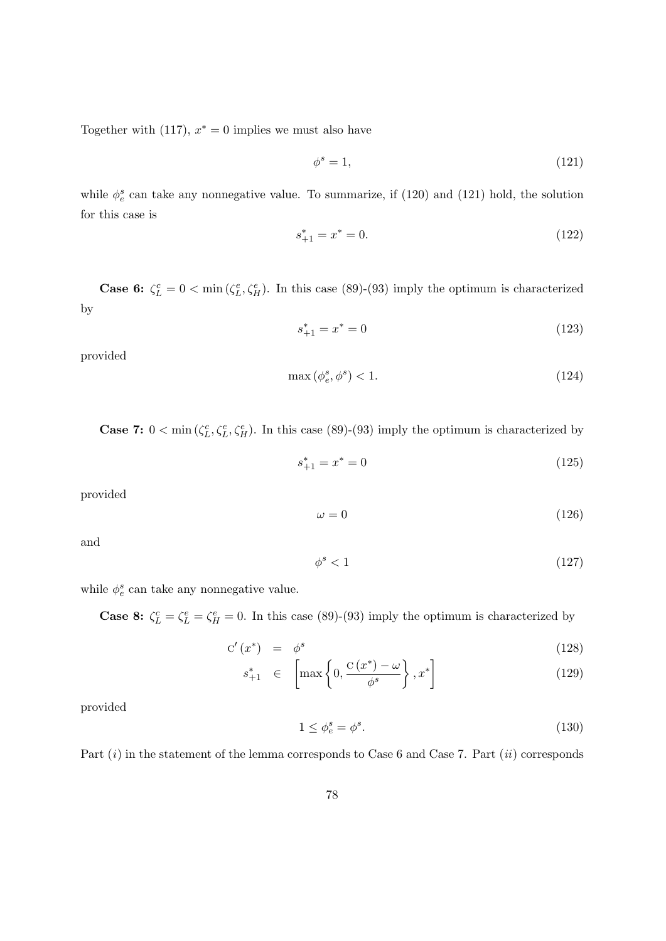Together with [\(117\)](#page-76-2),  $x^* = 0$  implies we must also have

<span id="page-77-0"></span>
$$
\phi^s = 1,\tag{121}
$$

while  $\phi_e^s$  can take any nonnegative value. To summarize, if [\(120\)](#page-76-4) and [\(121\)](#page-77-0) hold, the solution for this case is

$$
s_{+1}^* = x^* = 0.\t\t(122)
$$

**Case 6:**  $\zeta_L^c = 0 < \min(\zeta_L^e, \zeta_H^e)$ . In this case [\(89\)](#page-73-2)-[\(93\)](#page-73-2) imply the optimum is characterized by

$$
s_{+1}^* = x^* = 0 \tag{123}
$$

provided

$$
\max\left(\phi_e^s, \phi^s\right) < 1. \tag{124}
$$

**Case 7:**  $0 < \min(\zeta_L^c, \zeta_L^e, \zeta_H^e)$ . In this case [\(89\)](#page-73-2)-[\(93\)](#page-73-2) imply the optimum is characterized by

$$
s_{+1}^* = x^* = 0 \tag{125}
$$

provided

 $\omega = 0$  (126)

and

$$
\phi^s < 1\tag{127}
$$

while  $\phi_e^s$  can take any nonnegative value.

**Case 8:**  $\zeta_L^c = \zeta_L^e = \zeta_H^e = 0$ . In this case [\(89\)](#page-73-2)-[\(93\)](#page-73-2) imply the optimum is characterized by

$$
C'(x^*) = \phi^s \tag{128}
$$

$$
s_{+1}^* \in \left[ \max\left\{ 0, \frac{C(x^*) - \omega}{\phi^s} \right\}, x^* \right] \tag{129}
$$

provided

$$
1 \le \phi_e^s = \phi^s. \tag{130}
$$

Part  $(i)$  in the statement of the lemma corresponds to Case 6 and Case 7. Part  $(ii)$  corresponds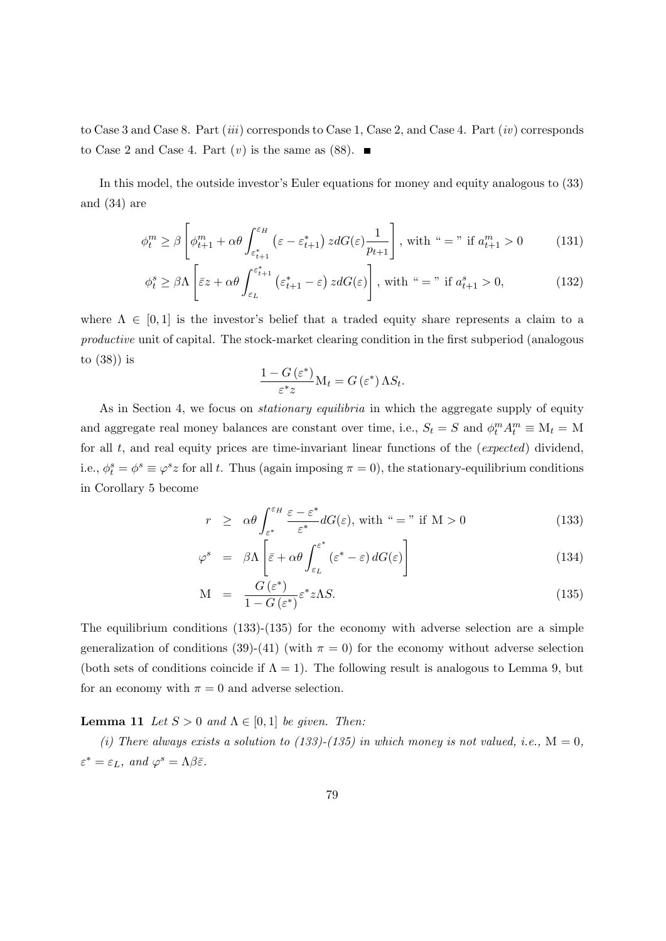to Case 3 and Case 8. Part (*iii*) corresponds to Case 1, Case 2, and Case 4. Part (*iv*) corresponds to Case 2 and Case 4. Part  $(v)$  is the same as [\(88\)](#page-73-4).

In this model, the outside investor's Euler equations for money and equity analogous to [\(33\)](#page-58-0) and [\(34\)](#page-58-1) are

$$
\phi_t^m \ge \beta \left[ \phi_{t+1}^m + \alpha \theta \int_{\varepsilon_{t+1}^*}^{\varepsilon_H} \left( \varepsilon - \varepsilon_{t+1}^* \right) z dG(\varepsilon) \frac{1}{p_{t+1}} \right], \text{ with } \text{``} = \text{''} \text{ if } a_{t+1}^m > 0 \tag{131}
$$

$$
\phi_t^s \ge \beta \Lambda \left[ \bar{\varepsilon} z + \alpha \theta \int_{\varepsilon_L}^{\varepsilon_{t+1}^*} (\varepsilon_{t+1}^* - \varepsilon) z dG(\varepsilon) \right], \text{ with } \tilde{\varepsilon} = \tilde{\varepsilon} \text{ if } a_{t+1}^s > 0,
$$
\n(132)

where  $\Lambda \in [0,1]$  is the investor's belief that a traded equity share represents a claim to a productive unit of capital. The stock-market clearing condition in the first subperiod (analogous to [\(38\)](#page-59-0)) is

$$
\frac{1 - G\left(\varepsilon^*\right)}{\varepsilon^* z} \mathbf{M}_t = G\left(\varepsilon^*\right) \Lambda S_t.
$$

As in Section [4,](#page-10-0) we focus on *stationary equilibria* in which the aggregate supply of equity and aggregate real money balances are constant over time, i.e.,  $S_t = S$  and  $\phi_t^m A_t^m \equiv M_t = M_t$ for all  $t$ , and real equity prices are time-invariant linear functions of the (*expected*) dividend, i.e.,  $\phi_t^s = \phi^s \equiv \varphi^s z$  for all t. Thus (again imposing  $\pi = 0$ ), the stationary-equilibrium conditions in Corollary [5](#page-59-1) become

<span id="page-78-0"></span>
$$
r \geq \alpha \theta \int_{\varepsilon^*}^{\varepsilon_H} \frac{\varepsilon - \varepsilon^*}{\varepsilon^*} dG(\varepsilon), \text{ with } \varepsilon = \varepsilon \text{ if } M > 0
$$
 (133)

$$
\varphi^s = \beta \Lambda \left[ \bar{\varepsilon} + \alpha \theta \int_{\varepsilon_L}^{\varepsilon^*} (\varepsilon^* - \varepsilon) dG(\varepsilon) \right]
$$
 (134)

$$
M = \frac{G(\varepsilon^*)}{1 - G(\varepsilon^*)} \varepsilon^* z \Lambda S. \tag{135}
$$

The equilibrium conditions [\(133\)](#page-78-0)-[\(135\)](#page-78-0) for the economy with adverse selection are a simple generalization of conditions [\(39\)](#page-60-0)-[\(41\)](#page-60-1) (with  $\pi = 0$ ) for the economy without adverse selection (both sets of conditions coincide if  $\Lambda = 1$ ). The following result is analogous to Lemma [9,](#page-60-2) but for an economy with  $\pi = 0$  and adverse selection.

<span id="page-78-1"></span>**Lemma 11** Let  $S > 0$  and  $\Lambda \in [0, 1]$  be given. Then:

(i) There always exists a solution to [\(133\)](#page-78-0)-[\(135\)](#page-78-0) in which money is not valued, i.e.,  $M = 0$ ,  $\varepsilon^* = \varepsilon_L$ , and  $\varphi^s = \Lambda \beta \bar{\varepsilon}$ .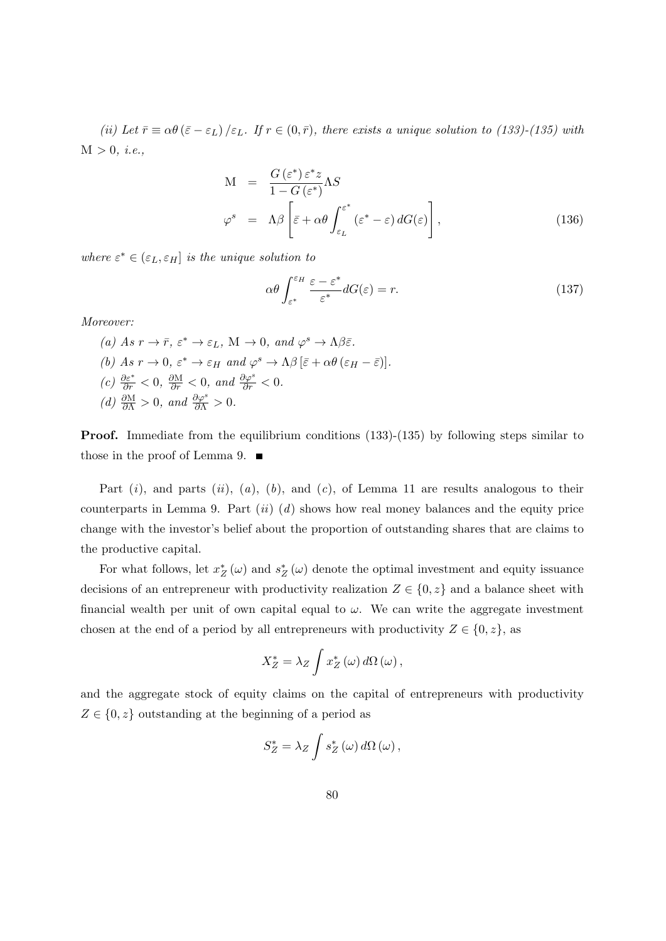(ii) Let  $\bar{r} \equiv \alpha \theta (\bar{\varepsilon} - \varepsilon_L) / \varepsilon_L$ . If  $r \in (0, \bar{r})$ , there exists a unique solution to [\(133\)](#page-78-0)-[\(135\)](#page-78-0) with  $M > 0, i.e.,$ 

$$
M = \frac{G(\varepsilon^*) \varepsilon^* z}{1 - G(\varepsilon^*)} \Lambda S
$$
  

$$
\varphi^s = \Lambda \beta \left[ \bar{\varepsilon} + \alpha \theta \int_{\varepsilon_L}^{\varepsilon^*} (\varepsilon^* - \varepsilon) dG(\varepsilon) \right],
$$
 (136)

where  $\varepsilon^* \in (\varepsilon_L, \varepsilon_H]$  is the unique solution to

<span id="page-79-0"></span>
$$
\alpha \theta \int_{\varepsilon^*}^{\varepsilon_H} \frac{\varepsilon - \varepsilon^*}{\varepsilon^*} dG(\varepsilon) = r. \tag{137}
$$

Moreover:

(a) As  $r \to \bar{r}$ ,  $\varepsilon^* \to \varepsilon_L$ , M  $\to 0$ , and  $\varphi^s \to \Lambda \beta \bar{\varepsilon}$ . (b) As  $r \to 0$ ,  $\varepsilon^* \to \varepsilon_H$  and  $\varphi^s \to \Lambda \beta \left[ \bar{\varepsilon} + \alpha \theta \left( \varepsilon_H - \bar{\varepsilon} \right) \right]$ . (c)  $\frac{\partial \varepsilon^*}{\partial r} < 0$ ,  $\frac{\partial M}{\partial r} < 0$ , and  $\frac{\partial \varphi^s}{\partial r} < 0$ . (d)  $\frac{\partial M}{\partial \Lambda} > 0$ , and  $\frac{\partial \varphi^s}{\partial \Lambda} > 0$ .

Proof. Immediate from the equilibrium conditions [\(133\)](#page-78-0)-[\(135\)](#page-78-0) by following steps similar to those in the proof of Lemma [9.](#page-60-2)  $\blacksquare$ 

Part  $(i)$ , and parts  $(ii)$ ,  $(a)$ ,  $(b)$ , and  $(c)$ , of Lemma [11](#page-78-1) are results analogous to their counterparts in Lemma [9.](#page-60-2) Part  $(ii)$  (d) shows how real money balances and the equity price change with the investor's belief about the proportion of outstanding shares that are claims to the productive capital.

For what follows, let  $x_Z^* (\omega)$  and  $s_Z^* (\omega)$  denote the optimal investment and equity issuance decisions of an entrepreneur with productivity realization  $Z \in \{0, z\}$  and a balance sheet with financial wealth per unit of own capital equal to  $\omega$ . We can write the aggregate investment chosen at the end of a period by all entrepreneurs with productivity  $Z \in \{0, z\}$ , as

$$
X_Z^* = \lambda_Z \int x_Z^* \left(\omega\right) d\Omega \left(\omega\right),
$$

and the aggregate stock of equity claims on the capital of entrepreneurs with productivity  $Z \in \{0, z\}$  outstanding at the beginning of a period as

$$
S_Z^* = \lambda_Z \int s_Z^* \left(\omega\right) d\Omega \left(\omega\right),
$$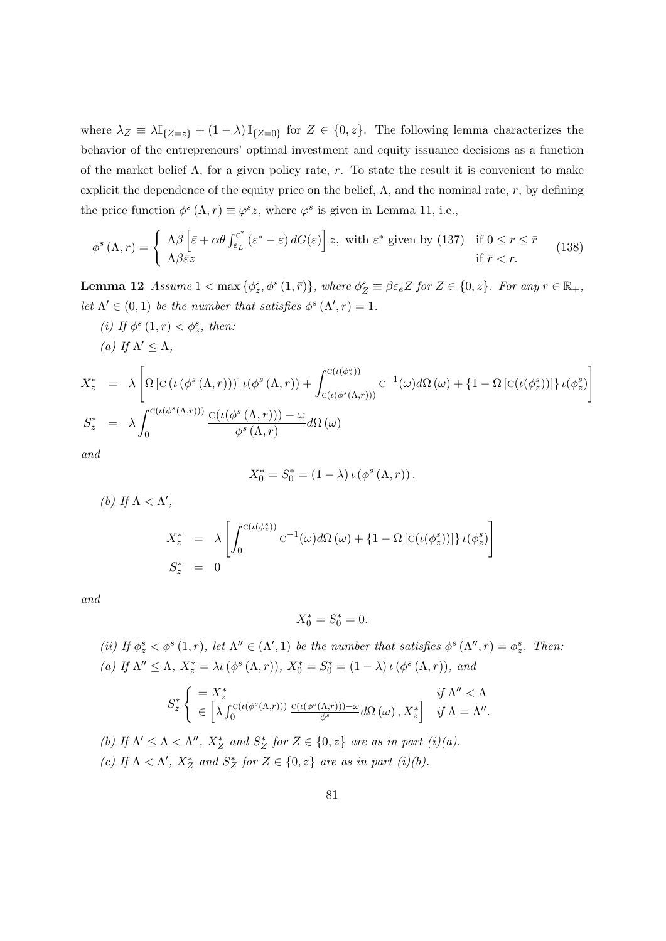where  $\lambda_Z \equiv \lambda \mathbb{I}_{\{Z=z\}} + (1-\lambda) \mathbb{I}_{\{Z=0\}}$  for  $Z \in \{0, z\}$ . The following lemma characterizes the behavior of the entrepreneurs' optimal investment and equity issuance decisions as a function of the market belief  $\Lambda$ , for a given policy rate, r. To state the result it is convenient to make explicit the dependence of the equity price on the belief,  $\Lambda$ , and the nominal rate, r, by defining the price function  $\phi^s(\Lambda, r) \equiv \varphi^s z$ , where  $\varphi^s$  is given in Lemma [11,](#page-78-1) i.e.,

<span id="page-80-1"></span>
$$
\phi^s(\Lambda, r) = \begin{cases} \Lambda \beta \left[ \bar{\varepsilon} + \alpha \theta \int_{\varepsilon_L}^{\varepsilon^*} (\varepsilon^* - \varepsilon) dG(\varepsilon) \right] z, \text{ with } \varepsilon^* \text{ given by (137)} & \text{if } 0 \le r \le \bar{r} \\ \Lambda \beta \bar{\varepsilon} z & \text{if } \bar{r} < r. \end{cases}
$$
(138)

<span id="page-80-0"></span>**Lemma 12** Assume  $1 < \max{\{\phi_z^s, \phi^s(1, \bar{r})\}}$ , where  $\phi_Z^s \equiv \beta \varepsilon_e Z$  for  $Z \in \{0, z\}$ . For any  $r \in \mathbb{R}_+$ , let  $\Lambda' \in (0,1)$  be the number that satisfies  $\phi^s(\Lambda', r) = 1$ .

(i) If  $\phi^s(1,r) < \phi^s_z$ , then: (a) If  $\Lambda' \leq \Lambda$ ,  $X_z^* = \lambda$  $\sqrt{ }$  $\Omega\left[\mathrm{C}\left(\iota\left(\phi^{s}\left(\Lambda,r\right)\right)\right)\right]\iota(\phi^{s}\left(\Lambda,r\right)\right)+\int^{\mathrm{C}\left(\iota\left(\phi^{s}_{z}\right)\right)}\left(\mathrm{C}\left(\varepsilon\left(\phi^{s}\right)\right)\right)\iota(\phi^{s}\left(\Lambda,r\right)\right),$  $c(\iota(\phi^s(\Lambda,r)))$  $C^{-1}$ (ω)dΩ (ω) + {1 − Ω [ $C(t(\phi_z^s))$ ]} ι( $\phi_z^s$ )  $S_z^* = \lambda$  $\int$ <sup>C( $\iota$ ( $\phi$ <sup>s</sup>( $\Lambda$ ,r)))</sup>  $\boldsymbol{0}$  $c(\iota(\phi^s(\Lambda,r))) - \omega$  $\frac{\partial}{\partial \phi^s(\Lambda,r)}d\Omega(\omega)$ 

1

and

$$
X_0^* = S_0^* = (1 - \lambda) \iota \left( \phi^s \left( \Lambda, r \right) \right).
$$

(b) If  $\Lambda < \Lambda'$ ,

$$
X_z^* = \lambda \left[ \int_0^{c(\iota(\phi_z^s))} c^{-1}(\omega) d\Omega(\omega) + \left\{1 - \Omega \left[c(\iota(\phi_z^s))\right]\right\} \iota(\phi_z^s) \right]
$$
  

$$
S_z^* = 0
$$

and

$$
X_0^* = S_0^* = 0.
$$

(ii) If  $\phi^s_z < \phi^s(1,r)$ , let  $\Lambda'' \in (\Lambda', 1)$  be the number that satisfies  $\phi^s(\Lambda'', r) = \phi^s_z$ . Then: (a) If  $\Lambda'' \leq \Lambda$ ,  $X_z^* = \lambda \iota(\phi^s(\Lambda, r))$ ,  $X_0^* = S_0^* = (1 - \lambda) \iota(\phi^s(\Lambda, r))$ , and

$$
S_z^* \left\{ \begin{array}{l} = X_z^* & \text{if } \Lambda'' < \Lambda \\ \in \left[ \lambda \int_0^{C(\iota(\phi^s(\Lambda,r)))} \frac{C(\iota(\phi^s(\Lambda,r))) - \omega}{\phi^s} d\Omega \left( \omega \right), X_z^* \right] & \text{if } \Lambda = \Lambda''. \end{array} \right.
$$

(b) If  $\Lambda' \leq \Lambda < \Lambda''$ ,  $X_Z^*$  and  $S_Z^*$  for  $Z \in \{0, z\}$  are as in part  $(i)(a)$ . (c) If  $\Lambda < \Lambda'$ ,  $X_Z^*$  and  $S_Z^*$  for  $Z \in \{0, z\}$  are as in part (i)(b).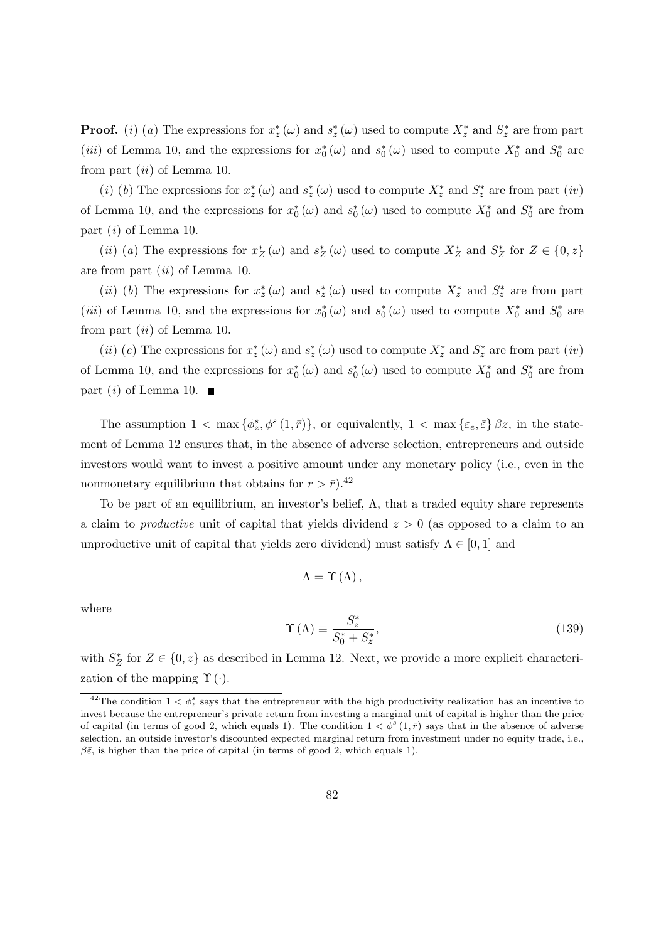**Proof.** (i) (a) The expressions for  $x_z^*(\omega)$  and  $s_z^*(\omega)$  used to compute  $X_z^*$  and  $S_z^*$  are from part (*iii*) of Lemma [10,](#page-72-2) and the expressions for  $x_0^*(\omega)$  and  $s_0^*(\omega)$  used to compute  $X_0^*$  and  $S_0^*$  are from part  $(ii)$  of Lemma [10.](#page-72-2)

(i) (b) The expressions for  $x_z^*(\omega)$  and  $s_z^*(\omega)$  used to compute  $X_z^*$  and  $S_z^*$  are from part (iv) of Lemma [10,](#page-72-2) and the expressions for  $x_0^*(\omega)$  and  $s_0^*(\omega)$  used to compute  $X_0^*$  and  $S_0^*$  are from part  $(i)$  of Lemma [10.](#page-72-2)

(*ii*) (*a*) The expressions for  $x_Z^* (\omega)$  and  $s_Z^* (\omega)$  used to compute  $X_Z^*$  and  $S_Z^*$  for  $Z \in \{0, z\}$ are from part  $(ii)$  of Lemma [10.](#page-72-2)

(*ii*) (*b*) The expressions for  $x_z^*(\omega)$  and  $s_z^*(\omega)$  used to compute  $X_z^*$  and  $S_z^*$  are from part (*iii*) of Lemma [10,](#page-72-2) and the expressions for  $x_0^*(\omega)$  and  $s_0^*(\omega)$  used to compute  $X_0^*$  and  $S_0^*$  are from part  $(ii)$  of Lemma [10.](#page-72-2)

(*ii*) (*c*) The expressions for  $x_z^*(\omega)$  and  $s_z^*(\omega)$  used to compute  $X_z^*$  and  $S_z^*$  are from part (*iv*) of Lemma [10,](#page-72-2) and the expressions for  $x_0^*(\omega)$  and  $s_0^*(\omega)$  used to compute  $X_0^*$  and  $S_0^*$  are from part  $(i)$  of Lemma [10.](#page-72-2)

The assumption  $1 < \max{\{\phi_z^s, \phi^s(1, \bar{r})\}}$ , or equivalently,  $1 < \max{\{\varepsilon_e, \bar{\varepsilon}\}} \beta z$ , in the statement of Lemma [12](#page-80-0) ensures that, in the absence of adverse selection, entrepreneurs and outside investors would want to invest a positive amount under any monetary policy (i.e., even in the nonmonetary equilibrium that obtains for  $r > \bar{r}$ ).<sup>[42](#page-81-0)</sup>

To be part of an equilibrium, an investor's belief, Λ, that a traded equity share represents a claim to *productive* unit of capital that yields dividend  $z > 0$  (as opposed to a claim to an unproductive unit of capital that yields zero dividend) must satisfy  $\Lambda \in [0,1]$  and

$$
\Lambda = \Upsilon \left( \Lambda \right),
$$

where

<span id="page-81-1"></span>
$$
\Upsilon\left(\Lambda\right) \equiv \frac{S_{z}^{*}}{S_{0}^{*} + S_{z}^{*}},\tag{139}
$$

with  $S_Z^*$  for  $Z \in \{0, z\}$  as described in Lemma [12.](#page-80-0) Next, we provide a more explicit characterization of the mapping  $\Upsilon(\cdot)$ .

<span id="page-81-2"></span><span id="page-81-0"></span><sup>&</sup>lt;sup>42</sup>The condition  $1 < \phi_z^s$  says that the entrepreneur with the high productivity realization has an incentive to invest because the entrepreneur's private return from investing a marginal unit of capital is higher than the price of capital (in terms of good 2, which equals 1). The condition  $1 < \phi^s(1,\bar{r})$  says that in the absence of adverse selection, an outside investor's discounted expected marginal return from investment under no equity trade, i.e.,  $\beta \bar{\varepsilon}$ , is higher than the price of capital (in terms of good 2, which equals 1).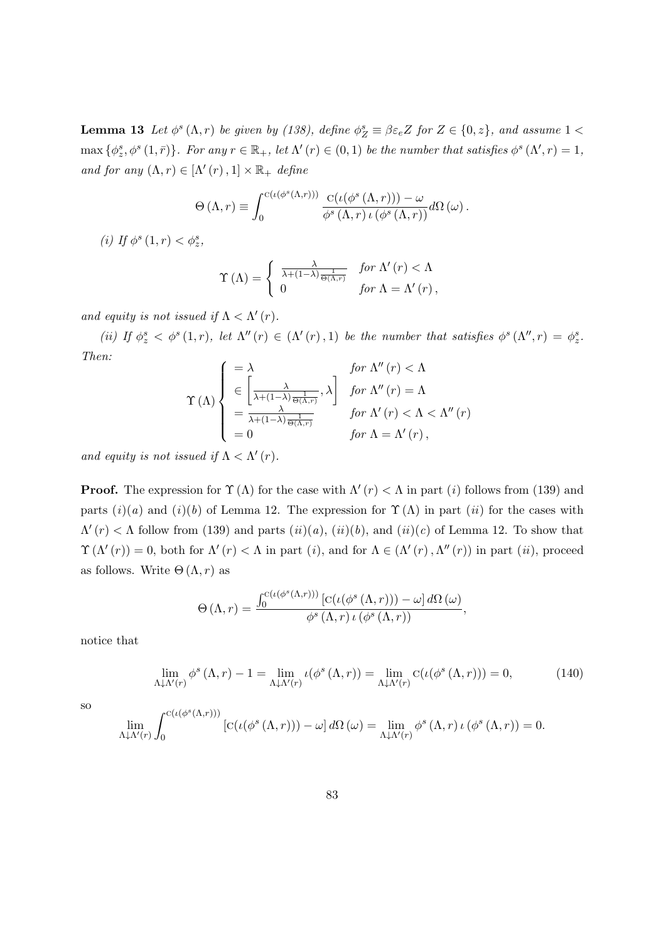**Lemma 13** Let  $\phi^s(\Lambda, r)$  be given by [\(138\)](#page-80-1), define  $\phi^s_Z \equiv \beta \varepsilon_e Z$  for  $Z \in \{0, z\}$ , and assume  $1 <$  $\max \{\phi^s_z, \phi^s(1,\bar{r})\}.$  For any  $r \in \mathbb{R}_+$ , let  $\Lambda'(r) \in (0,1)$  be the number that satisfies  $\phi^s(\Lambda', r) = 1$ , and for any  $(\Lambda, r) \in [\Lambda'(r), 1] \times \mathbb{R}_+$  define

$$
\Theta\left(\Lambda,r\right) \equiv \int_0^{\mathrm{C}\left(\iota\left(\phi^s\left(\Lambda,r\right)\right)\right)} \frac{\mathrm{C}\left(\iota\left(\phi^s\left(\Lambda,r\right)\right)\right)-\omega}{\phi^s\left(\Lambda,r\right)\iota\left(\phi^s\left(\Lambda,r\right)\right)} d\Omega\left(\omega\right).
$$

(i) If  $\phi^s(1,r) < \phi_z^s$ ,

$$
\Upsilon(\Lambda) = \begin{cases} \frac{\lambda}{\lambda + (1 - \lambda) \frac{1}{\Theta(\Lambda, r)}} & \text{for } \Lambda'(r) < \Lambda \\ 0 & \text{for } \Lambda = \Lambda'(r) \,, \end{cases}
$$

and equity is not issued if  $\Lambda < \Lambda'(r)$ .

(ii) If  $\phi_z^s < \phi^s(1,r)$ , let  $\Lambda''(r) \in (\Lambda'(r),1)$  be the number that satisfies  $\phi^s(\Lambda'',r) = \phi_z^s$ . Then:

$$
\Upsilon(\Lambda) \begin{cases}\n= \lambda & \text{for } \Lambda''(r) < \Lambda \\
\in \left[\frac{\lambda}{\lambda + (1-\lambda) \frac{1}{\Theta(\Lambda,r)}}, \lambda\right] & \text{for } \Lambda''(r) = \Lambda \\
= \frac{\lambda}{\lambda + (1-\lambda) \frac{1}{\Theta(\Lambda,r)}} & \text{for } \Lambda'(r) < \Lambda < \Lambda''(r) \\
= 0 & \text{for } \Lambda = \Lambda'(r),\n\end{cases}
$$

and equity is not issued if  $\Lambda < \Lambda'(r)$ .

**Proof.** The expression for  $\Upsilon(\Lambda)$  for the case with  $\Lambda'(r) < \Lambda$  in part (i) follows from [\(139\)](#page-81-1) and parts  $(i)(a)$  and  $(i)(b)$  of Lemma [12.](#page-80-0) The expression for  $\Upsilon(\Lambda)$  in part  $(ii)$  for the cases with  $\Lambda'(r) < \Lambda$  follow from [\(139\)](#page-81-1) and parts  $(ii)(a)$ ,  $(ii)(b)$ , and  $(ii)(c)$  of Lemma [12.](#page-80-0) To show that  $\Upsilon(\Lambda'(r)) = 0$ , both for  $\Lambda'(r) < \Lambda$  in part (i), and for  $\Lambda \in (\Lambda'(r), \Lambda''(r))$  in part (ii), proceed as follows. Write  $\Theta(\Lambda, r)$  as

$$
\Theta\left(\Lambda,r\right) = \frac{\int_0^{C\left(\iota\left(\phi^s\left(\Lambda,r\right)\right)\right)}\left[C\left(\iota\left(\phi^s\left(\Lambda,r\right)\right)\right) - \omega\right]d\Omega\left(\omega\right)}{\phi^s\left(\Lambda,r\right)\iota\left(\phi^s\left(\Lambda,r\right)\right)},
$$

notice that

<span id="page-82-0"></span>
$$
\lim_{\Lambda \downarrow \Lambda'(r)} \phi^s(\Lambda, r) - 1 = \lim_{\Lambda \downarrow \Lambda'(r)} \iota(\phi^s(\Lambda, r)) = \lim_{\Lambda \downarrow \Lambda'(r)} c(\iota(\phi^s(\Lambda, r))) = 0,
$$
\n(140)

so

$$
\lim_{\Lambda \downarrow \Lambda'(r)} \int_0^{c(\iota(\phi^s(\Lambda,r)))} \left[ c(\iota(\phi^s(\Lambda,r))) - \omega \right] d\Omega(\omega) = \lim_{\Lambda \downarrow \Lambda'(r)} \phi^s(\Lambda,r) \iota(\phi^s(\Lambda,r)) = 0.
$$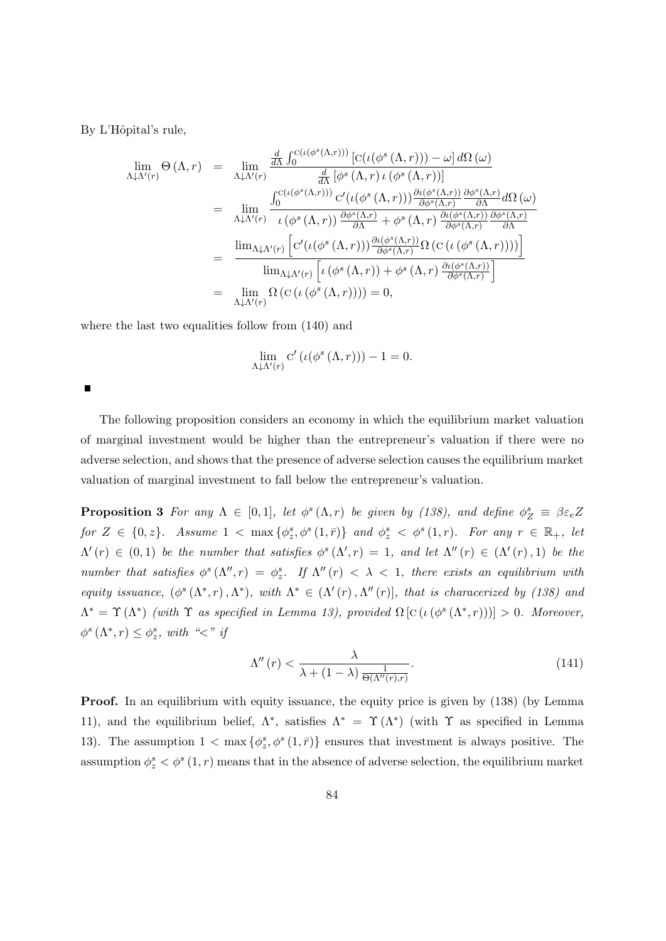By L'Hôpital's rule,

$$
\lim_{\Lambda \downarrow \Lambda'(r)} \Theta(\Lambda, r) = \lim_{\Lambda \downarrow \Lambda'(r)} \frac{\frac{d}{d\Lambda} \int_0^{C(\iota(\phi^s(\Lambda, r)))} [C(\iota(\phi^s(\Lambda, r))) - \omega] d\Omega(\omega)}{\frac{d}{d\Lambda} [\phi^s(\Lambda, r) \iota(\phi^s(\Lambda, r))]}\n\n= \lim_{\Lambda \downarrow \Lambda'(r)} \frac{\int_0^{C(\iota(\phi^s(\Lambda, r)))} C'(\iota(\phi^s(\Lambda, r))) \frac{\partial \iota(\phi^s(\Lambda, r))}{\partial \phi^s(\Lambda, r)} \frac{\partial \phi^s(\Lambda, r)}{\partial \Lambda} d\Omega(\omega)}{\frac{\partial \iota(\phi^s(\Lambda, r))}{\partial \Lambda} \frac{\partial \phi^s(\Lambda, r)}{\partial \Lambda} + \phi^s(\Lambda, r) \frac{\partial \iota(\phi^s(\Lambda, r))}{\partial \phi^s(\Lambda, r)} \frac{\partial \phi^s(\Lambda, r)}{\partial \Lambda}}\n\n= \frac{\lim_{\Lambda \downarrow \Lambda'(r)} \left[ C'(\iota(\phi^s(\Lambda, r))) \frac{\partial \iota(\phi^s(\Lambda, r))}{\partial \phi^s(\Lambda, r)} \Omega(c(\iota(\phi^s(\Lambda, r))))\right]}{\lim_{\Lambda \downarrow \Lambda'(r)} \left[ \iota(\phi^s(\Lambda, r)) + \phi^s(\Lambda, r) \frac{\partial \iota(\phi^s(\Lambda, r))}{\partial \phi^s(\Lambda, r)} \right]}\n\n= \lim_{\Lambda \downarrow \Lambda'(r)} \Omega(c(\iota(\phi^s(\Lambda, r)))) = 0,
$$

where the last two equalities follow from  $(140)$  and

$$
\lim_{\Lambda \downarrow \Lambda'(r)} C' \left( \iota(\phi^s \left( \Lambda, r \right)) \right) - 1 = 0.
$$

П

The following proposition considers an economy in which the equilibrium market valuation of marginal investment would be higher than the entrepreneur's valuation if there were no adverse selection, and shows that the presence of adverse selection causes the equilibrium market valuation of marginal investment to fall below the entrepreneur's valuation.

**Proposition 3** For any  $\Lambda \in [0,1]$ , let  $\phi^s(\Lambda,r)$  be given by [\(138\)](#page-80-1), and define  $\phi^s_{\mathcal{Z}} \equiv \beta \varepsilon_e Z$ for  $Z \in \{0, z\}$ . Assume  $1 < \max\{\phi_z^s, \phi^s(1, \overline{r})\}$  and  $\phi_z^s < \phi^s(1, r)$ . For any  $r \in \mathbb{R}_+$ , let  $\Lambda'(r) \in (0,1)$  be the number that satisfies  $\phi^s(\Lambda', r) = 1$ , and let  $\Lambda''(r) \in (\Lambda'(r), 1)$  be the number that satisfies  $\phi^s(\Lambda'', r) = \phi^s_z$ . If  $\Lambda''(r) < \lambda < 1$ , there exists an equilibrium with equity issuance,  $(\phi^s(\Lambda^*, r), \Lambda^*)$ , with  $\Lambda^* \in (\Lambda'(r), \Lambda''(r)]$ , that is characerized by [\(138\)](#page-80-1) and  $\Lambda^* = \Upsilon(\Lambda^*)$  (with  $\Upsilon$  as specified in Lemma [13\)](#page-81-2), provided  $\Omega$  [C( $\iota(\phi^s(\Lambda^*, r))$ )] > 0. Moreover,  $\phi^s(\Lambda^*, r) \leq \phi^s_z$ , with "<" if

<span id="page-83-0"></span>
$$
\Lambda''(r) < \frac{\lambda}{\lambda + (1 - \lambda) \frac{1}{\Theta(\Lambda''(r), r)}}.\tag{141}
$$

Proof. In an equilibrium with equity issuance, the equity price is given by [\(138\)](#page-80-1) (by Lemma [11\)](#page-78-1), and the equilibrium belief,  $\Lambda^*$ , satisfies  $\Lambda^* = \Upsilon(\Lambda^*)$  (with  $\Upsilon$  as specified in Lemma [13\)](#page-81-2). The assumption  $1 < \max \{\phi^s_z, \phi^s(1, \bar{r})\}$  ensures that investment is always positive. The assumption  $\phi_z^s < \phi^s(1,r)$  means that in the absence of adverse selection, the equilibrium market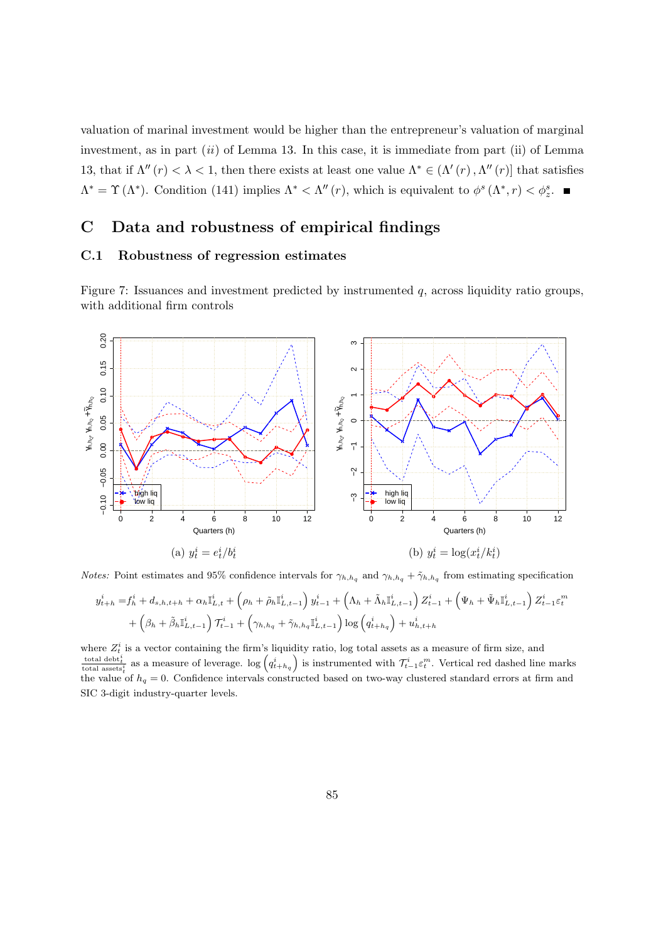valuation of marinal investment would be higher than the entrepreneur's valuation of marginal investment, as in part  $(ii)$  of Lemma [13.](#page-81-2) In this case, it is immediate from part (ii) of Lemma [13,](#page-81-2) that if  $\Lambda''(r) < \lambda < 1$ , then there exists at least one value  $\Lambda^* \in (\Lambda'(r), \Lambda''(r))$  that satisfies  $\Lambda^* = \Upsilon(\Lambda^*)$ . Condition [\(141\)](#page-83-0) implies  $\Lambda^* < \Lambda''(r)$ , which is equivalent to  $\phi^s(\Lambda^*, r) < \phi^s_z$ .

## C Data and robustness of empirical findings

## C.1 Robustness of regression estimates

Figure 7: Issuances and investment predicted by instrumented  $q$ , across liquidity ratio groups, with additional firm controls



*Notes:* Point estimates and 95% confidence intervals for  $\gamma_{h,h_q}$  and  $\gamma_{h,h_q} + \tilde{\gamma}_{h,h_q}$  from estimating specification

$$
y_{t+h}^i = f_h^i + d_{s,h,t+h} + \alpha_h \mathbb{I}_{L,t}^i + (\rho_h + \tilde{\rho}_h \mathbb{I}_{L,t-1}^i) y_{t-1}^i + (\Lambda_h + \tilde{\Lambda}_h \mathbb{I}_{L,t-1}^i) Z_{t-1}^i + (\Psi_h + \tilde{\Psi}_h \mathbb{I}_{L,t-1}^i) Z_{t-1}^i \varepsilon_t^m + (\beta_h + \tilde{\beta}_h \mathbb{I}_{L,t-1}^i) \mathcal{T}_{t-1}^i + (\gamma_{h,h_q} + \tilde{\gamma}_{h,h_q} \mathbb{I}_{L,t-1}^i) \log (q_{t+h_q}^i) + u_{h,t+h}^i
$$

where  $Z_t^i$  is a vector containing the firm's liquidity ratio, log total assets as a measure of firm size, and total debt<sup>i</sup>/<sub>t</sub> as a measure of leverage. log  $(q_{t+h_q}^i)$  is instrumented with  $\mathcal{T}_{t-1}^i \varepsilon_t^m$ . Vertical red dashed line marks the value of  $h_q = 0$ . Confidence intervals constructed based on two-way clustered standard errors at firm and SIC 3-digit industry-quarter levels.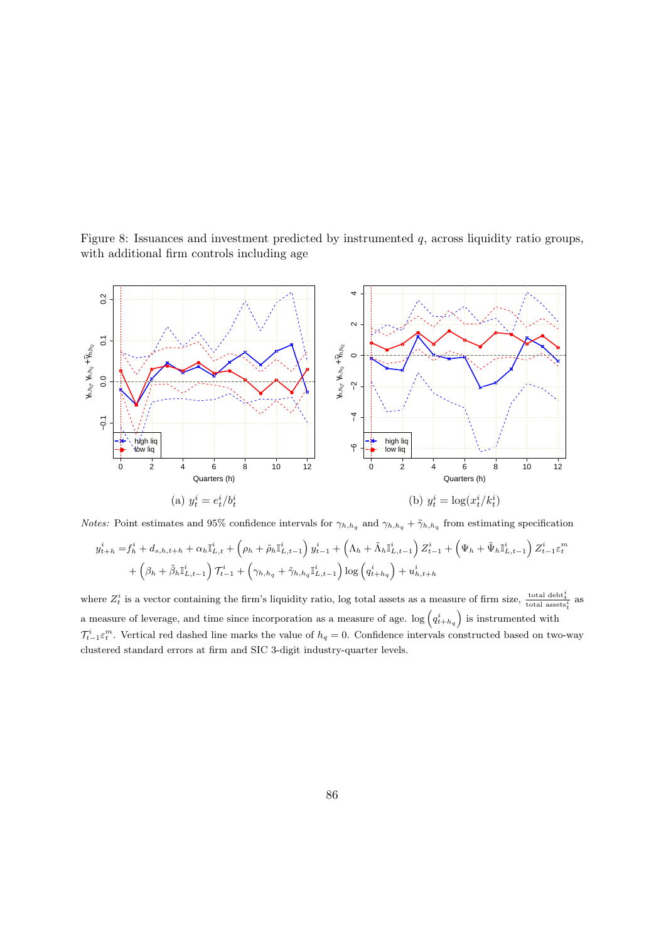Figure 8: Issuances and investment predicted by instrumented  $q$ , across liquidity ratio groups, with additional firm controls including age



*Notes:* Point estimates and 95% confidence intervals for  $\gamma_{h,h_q}$  and  $\gamma_{h,h_q} + \tilde{\gamma}_{h,h_q}$  from estimating specification

$$
y_{t+h}^i = f_h^i + d_{s,h,t+h} + \alpha_h \mathbb{I}_{L,t}^i + (\rho_h + \tilde{\rho}_h \mathbb{I}_{L,t-1}^i) y_{t-1}^i + (\Lambda_h + \tilde{\Lambda}_h \mathbb{I}_{L,t-1}^i) Z_{t-1}^i + (\Psi_h + \tilde{\Psi}_h \mathbb{I}_{L,t-1}^i) Z_{t-1}^i \varepsilon_t^m + (\beta_h + \tilde{\beta}_h \mathbb{I}_{L,t-1}^i) \mathcal{T}_{t-1}^i + (\gamma_{h,h_q} + \tilde{\gamma}_{h,h_q} \mathbb{I}_{L,t-1}^i) \log (q_{t+h_q}^i) + u_{h,t+h}^i
$$

where  $Z_t^i$  is a vector containing the firm's liquidity ratio, log total assets as a measure of firm size,  $\frac{\text{total debt}_t^i}{\text{total assets}_t^i}$  as a measure of leverage, and time since incorporation as a measure of age.  $\log$   $(q_{t+h_q}^i)$  is instrumented with  $\mathcal{T}_{t-1}^i\varepsilon_t^m$ . Vertical red dashed line marks the value of  $h_q=0$ . Confidence intervals constructed based on two-way clustered standard errors at firm and SIC 3-digit industry-quarter levels.